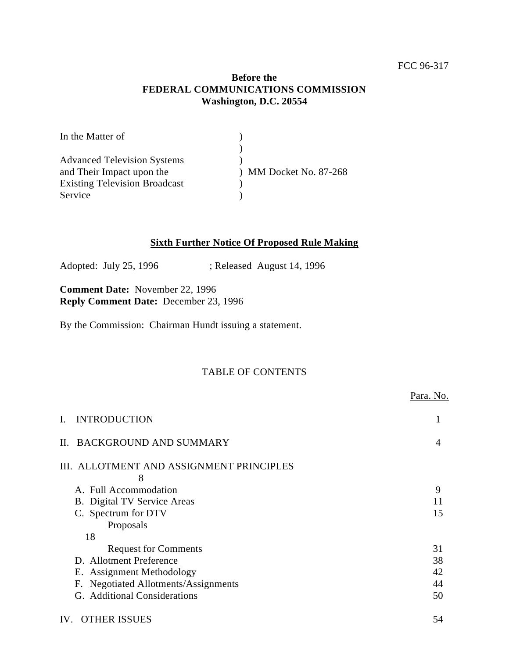## **Before the FEDERAL COMMUNICATIONS COMMISSION Washington, D.C. 20554**

| In the Matter of                     |                        |
|--------------------------------------|------------------------|
|                                      |                        |
| <b>Advanced Television Systems</b>   |                        |
| and Their Impact upon the            | ) MM Docket No. 87-268 |
| <b>Existing Television Broadcast</b> |                        |
| Service                              |                        |

## **Sixth Further Notice Of Proposed Rule Making**

Adopted: July 25, 1996 ; Released August 14, 1996

**Comment Date:** November 22, 1996 **Reply Comment Date:** December 23, 1996

By the Commission: Chairman Hundt issuing a statement.

# TABLE OF CONTENTS

|                |                                                | Para. No. |
|----------------|------------------------------------------------|-----------|
| $\mathbf{I}$ . | <b>INTRODUCTION</b>                            |           |
| $\Pi$ .        | <b>BACKGROUND AND SUMMARY</b>                  | 4         |
|                | III. ALLOTMENT AND ASSIGNMENT PRINCIPLES       |           |
|                | 8                                              |           |
|                | A. Full Accommodation                          | 9         |
|                | B. Digital TV Service Areas                    | 11        |
|                | C. Spectrum for DTV                            | 15        |
|                | Proposals                                      |           |
|                | 18                                             |           |
|                | <b>Request for Comments</b>                    | 31        |
|                | D. Allotment Preference                        | 38        |
|                | E. Assignment Methodology                      | 42        |
|                | <b>Negotiated Allotments/Assignments</b><br>Е. | 44        |
|                | G. Additional Considerations                   | 50        |
| IV.            | <b>OTHER ISSUES</b>                            | 54        |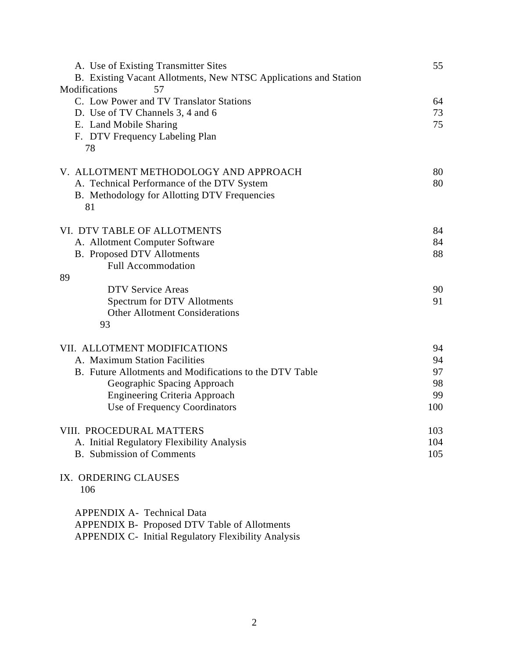| A. Use of Existing Transmitter Sites<br>B. Existing Vacant Allotments, New NTSC Applications and Station | 55  |
|----------------------------------------------------------------------------------------------------------|-----|
| Modifications<br>57                                                                                      |     |
| C. Low Power and TV Translator Stations                                                                  | 64  |
| D. Use of TV Channels 3, 4 and 6                                                                         | 73  |
| E. Land Mobile Sharing                                                                                   | 75  |
| F. DTV Frequency Labeling Plan                                                                           |     |
| 78                                                                                                       |     |
| V. ALLOTMENT METHODOLOGY AND APPROACH                                                                    | 80  |
| A. Technical Performance of the DTV System                                                               | 80  |
| B. Methodology for Allotting DTV Frequencies<br>81                                                       |     |
| VI. DTV TABLE OF ALLOTMENTS                                                                              | 84  |
| A. Allotment Computer Software                                                                           | 84  |
| <b>B.</b> Proposed DTV Allotments                                                                        | 88  |
| <b>Full Accommodation</b>                                                                                |     |
| 89                                                                                                       |     |
| <b>DTV Service Areas</b>                                                                                 | 90  |
| Spectrum for DTV Allotments                                                                              | 91  |
| <b>Other Allotment Considerations</b>                                                                    |     |
| 93                                                                                                       |     |
| VII. ALLOTMENT MODIFICATIONS                                                                             | 94  |
| A. Maximum Station Facilities                                                                            | 94  |
| B. Future Allotments and Modifications to the DTV Table                                                  | 97  |
| Geographic Spacing Approach                                                                              | 98  |
| <b>Engineering Criteria Approach</b>                                                                     | 99  |
| Use of Frequency Coordinators                                                                            | 100 |
| VIII. PROCEDURAL MATTERS                                                                                 | 103 |
| A. Initial Regulatory Flexibility Analysis                                                               | 104 |
| <b>B.</b> Submission of Comments                                                                         | 105 |
| IX. ORDERING CLAUSES<br>106                                                                              |     |
| <b>APPENDIX A- Technical Data</b>                                                                        |     |
| APPENDIX B- Proposed DTV Table of Allotments                                                             |     |
| APPENDIX C- Initial Regulatory Flexibility Analysis                                                      |     |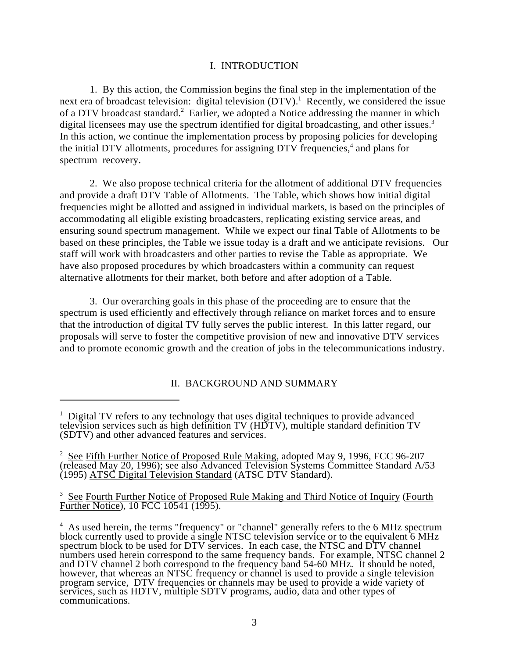#### I. INTRODUCTION

1. By this action, the Commission begins the final step in the implementation of the next era of broadcast television: digital television  $(DTV)$ .<sup>1</sup> Recently, we considered the issue of a DTV broadcast standard.<sup>2</sup> Earlier, we adopted a Notice addressing the manner in which digital licensees may use the spectrum identified for digital broadcasting, and other issues.<sup>3</sup> In this action, we continue the implementation process by proposing policies for developing the initial DTV allotments, procedures for assigning DTV frequencies, $4$  and plans for spectrum recovery.

2. We also propose technical criteria for the allotment of additional DTV frequencies and provide a draft DTV Table of Allotments. The Table, which shows how initial digital frequencies might be allotted and assigned in individual markets, is based on the principles of accommodating all eligible existing broadcasters, replicating existing service areas, and ensuring sound spectrum management. While we expect our final Table of Allotments to be based on these principles, the Table we issue today is a draft and we anticipate revisions. Our staff will work with broadcasters and other parties to revise the Table as appropriate. We have also proposed procedures by which broadcasters within a community can request alternative allotments for their market, both before and after adoption of a Table.

3. Our overarching goals in this phase of the proceeding are to ensure that the spectrum is used efficiently and effectively through reliance on market forces and to ensure that the introduction of digital TV fully serves the public interest. In this latter regard, our proposals will serve to foster the competitive provision of new and innovative DTV services and to promote economic growth and the creation of jobs in the telecommunications industry.

II. BACKGROUND AND SUMMARY

<sup>3</sup> See Fourth Further Notice of Proposed Rule Making and Third Notice of Inquiry (Fourth Further Notice), 10 FCC 10541 (1995).

 $1$  Digital TV refers to any technology that uses digital techniques to provide advanced television services such as high definition TV (HDTV), multiple standard definition TV (SDTV) and other advanced features and services.

 $S<sup>2</sup>$  See Fifth Further Notice of Proposed Rule Making, adopted May 9, 1996, FCC 96-207 (released May 20, 1996); see also Advanced Television Systems Committee Standard A/53 (1995) ATSC Digital Television Standard (ATSC DTV Standard).

<sup>&</sup>lt;sup>4</sup> As used herein, the terms "frequency" or "channel" generally refers to the 6 MHz spectrum block currently used to provide a single NTSC television service or to the equivalent 6 MHz spectrum block to be used for DTV services. In each case, the NTSC and DTV channel numbers used herein correspond to the same frequency bands. For example, NTSC channel 2 and DTV channel 2 both correspond to the frequency band 54-60 MHz. It should be noted, however, that whereas an NTSC frequency or channel is used to provide a single television program service, DTV frequencies or channels may be used to provide a wide variety of services, such as HDTV, multiple SDTV programs, audio, data and other types of communications.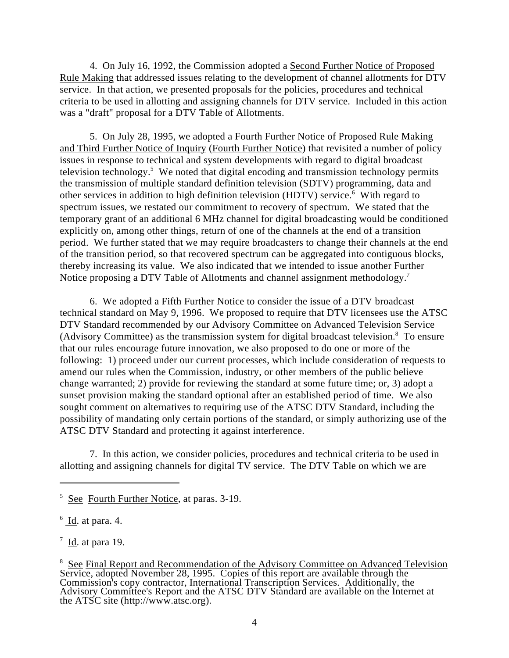4. On July 16, 1992, the Commission adopted a Second Further Notice of Proposed Rule Making that addressed issues relating to the development of channel allotments for DTV service. In that action, we presented proposals for the policies, procedures and technical criteria to be used in allotting and assigning channels for DTV service. Included in this action was a "draft" proposal for a DTV Table of Allotments.

5. On July 28, 1995, we adopted a Fourth Further Notice of Proposed Rule Making and Third Further Notice of Inquiry (Fourth Further Notice) that revisited a number of policy issues in response to technical and system developments with regard to digital broadcast television technology.<sup>5</sup> We noted that digital encoding and transmission technology permits the transmission of multiple standard definition television (SDTV) programming, data and other services in addition to high definition television (HDTV) service.<sup>6</sup> With regard to spectrum issues, we restated our commitment to recovery of spectrum. We stated that the temporary grant of an additional 6 MHz channel for digital broadcasting would be conditioned explicitly on, among other things, return of one of the channels at the end of a transition period. We further stated that we may require broadcasters to change their channels at the end of the transition period, so that recovered spectrum can be aggregated into contiguous blocks, thereby increasing its value. We also indicated that we intended to issue another Further Notice proposing a DTV Table of Allotments and channel assignment methodology.<sup>7</sup>

6. We adopted a Fifth Further Notice to consider the issue of a DTV broadcast technical standard on May 9, 1996. We proposed to require that DTV licensees use the ATSC DTV Standard recommended by our Advisory Committee on Advanced Television Service (Advisory Committee) as the transmission system for digital broadcast television.<sup>8</sup> To ensure that our rules encourage future innovation, we also proposed to do one or more of the following: 1) proceed under our current processes, which include consideration of requests to amend our rules when the Commission, industry, or other members of the public believe change warranted; 2) provide for reviewing the standard at some future time; or, 3) adopt a sunset provision making the standard optional after an established period of time. We also sought comment on alternatives to requiring use of the ATSC DTV Standard, including the possibility of mandating only certain portions of the standard, or simply authorizing use of the ATSC DTV Standard and protecting it against interference.

7. In this action, we consider policies, procedures and technical criteria to be used in allotting and assigning channels for digital TV service. The DTV Table on which we are

 $<sup>5</sup>$  See Fourth Further Notice, at paras. 3-19.</sup>

 $6$  <u>Id.</u> at para. 4.

 $\frac{7}{1}$  Id. at para 19.

<sup>&</sup>lt;sup>8</sup> See Final Report and Recommendation of the Advisory Committee on Advanced Television Service, adopted November 28, 1995. Copies of this report are available through the Commission's copy contractor, International Transcription Services. Additionally, the Advisory Committee's Report and the ATSC DTV Standard are available on the Internet at the ATSC site (http://www.atsc.org).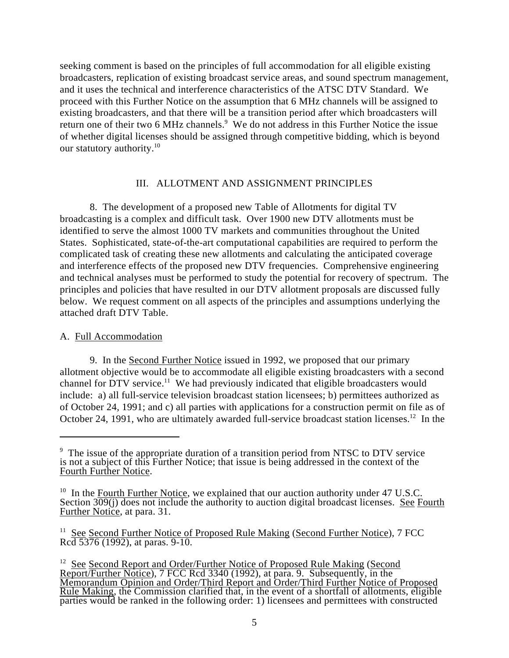seeking comment is based on the principles of full accommodation for all eligible existing broadcasters, replication of existing broadcast service areas, and sound spectrum management, and it uses the technical and interference characteristics of the ATSC DTV Standard. We proceed with this Further Notice on the assumption that 6 MHz channels will be assigned to existing broadcasters, and that there will be a transition period after which broadcasters will return one of their two 6 MHz channels.<sup>9</sup> We do not address in this Further Notice the issue of whether digital licenses should be assigned through competitive bidding, which is beyond our statutory authority.<sup>10</sup>

## III. ALLOTMENT AND ASSIGNMENT PRINCIPLES

8. The development of a proposed new Table of Allotments for digital TV broadcasting is a complex and difficult task. Over 1900 new DTV allotments must be identified to serve the almost 1000 TV markets and communities throughout the United States. Sophisticated, state-of-the-art computational capabilities are required to perform the complicated task of creating these new allotments and calculating the anticipated coverage and interference effects of the proposed new DTV frequencies. Comprehensive engineering and technical analyses must be performed to study the potential for recovery of spectrum. The principles and policies that have resulted in our DTV allotment proposals are discussed fully below. We request comment on all aspects of the principles and assumptions underlying the attached draft DTV Table.

# A. Full Accommodation

9. In the Second Further Notice issued in 1992, we proposed that our primary allotment objective would be to accommodate all eligible existing broadcasters with a second channel for DTV service.<sup>11</sup> We had previously indicated that eligible broadcasters would include: a) all full-service television broadcast station licensees; b) permittees authorized as of October 24, 1991; and c) all parties with applications for a construction permit on file as of October 24, 1991, who are ultimately awarded full-service broadcast station licenses.<sup>12</sup> In the

 $9$  The issue of the appropriate duration of a transition period from NTSC to DTV service is not a subject of this Further Notice; that issue is being addressed in the context of the Fourth Further Notice.

<sup>&</sup>lt;sup>10</sup> In the Fourth Further Notice, we explained that our auction authority under 47 U.S.C. Section 309(j) does not include the authority to auction digital broadcast licenses. See Fourth Further Notice, at para. 31.

 $11$  See Second Further Notice of Proposed Rule Making (Second Further Notice), 7 FCC Rcd 5376 (1992), at paras. 9-10.

<sup>&</sup>lt;sup>12</sup> See Second Report and Order/Further Notice of Proposed Rule Making (Second Report/Further Notice), 7 FCC Rcd 3340 (1992), at para. 9. Subsequently, in the Memorandum Opinion and Order/Third Report and Order/Third Further Notice of Proposed Rule Making, the Commission clarified that, in the event of a shortfall of allotments, eligible parties would be ranked in the following order: 1) licensees and permittees with constructed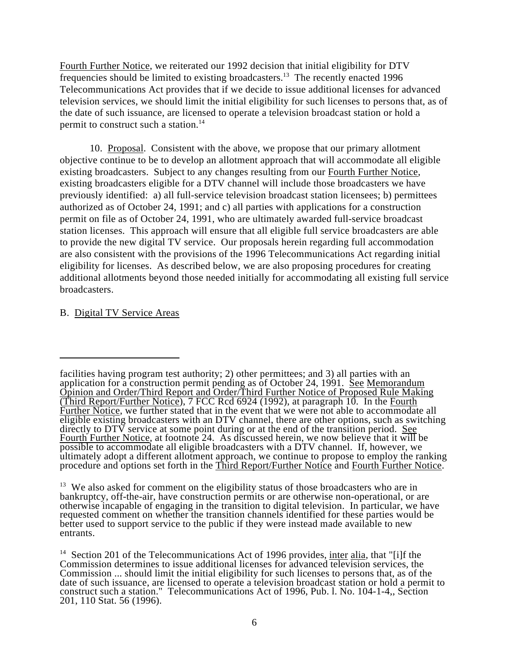Fourth Further Notice, we reiterated our 1992 decision that initial eligibility for DTV frequencies should be limited to existing broadcasters.<sup>13</sup> The recently enacted 1996 Telecommunications Act provides that if we decide to issue additional licenses for advanced television services, we should limit the initial eligibility for such licenses to persons that, as of the date of such issuance, are licensed to operate a television broadcast station or hold a permit to construct such a station.<sup>14</sup>

10. Proposal. Consistent with the above, we propose that our primary allotment objective continue to be to develop an allotment approach that will accommodate all eligible existing broadcasters. Subject to any changes resulting from our Fourth Further Notice, existing broadcasters eligible for a DTV channel will include those broadcasters we have previously identified: a) all full-service television broadcast station licensees; b) permittees authorized as of October 24, 1991; and c) all parties with applications for a construction permit on file as of October 24, 1991, who are ultimately awarded full-service broadcast station licenses. This approach will ensure that all eligible full service broadcasters are able to provide the new digital TV service. Our proposals herein regarding full accommodation are also consistent with the provisions of the 1996 Telecommunications Act regarding initial eligibility for licenses. As described below, we are also proposing procedures for creating additional allotments beyond those needed initially for accommodating all existing full service broadcasters.

## B. Digital TV Service Areas

facilities having program test authority; 2) other permittees; and 3) all parties with an application for a construction permit pending as of October 24, 1991. See Memorandum Opinion and Order/Third Report and Order/Third Further Notice of Proposed Rule Making (Third Report/Further Notice), 7 FCC Rcd 6924 (1992), at paragraph 10. In the Fourth Further Notice, we further stated that in the event that we were not able to accommodate all eligible existing broadcasters with an DTV channel, there are other options, such as switching directly to DTV service at some point during or at the end of the transition period. See Fourth Further Notice, at footnote 24. As discussed herein, we now believe that it will be possible to accommodate all eligible broadcasters with a DTV channel. If, however, we ultimately adopt a different allotment approach, we continue to propose to employ the ranking procedure and options set forth in the Third Report/Further Notice and Fourth Further Notice.

 $13$  We also asked for comment on the eligibility status of those broadcasters who are in bankruptcy, off-the-air, have construction permits or are otherwise non-operational, or are otherwise incapable of engaging in the transition to digital television. In particular, we have requested comment on whether the transition channels identified for these parties would be better used to support service to the public if they were instead made available to new entrants.

<sup>&</sup>lt;sup>14</sup> Section 201 of the Telecommunications Act of 1996 provides, inter alia, that "[i]f the Commission determines to issue additional licenses for advanced television services, the Commission ... should limit the initial eligibility for such licenses to persons that, as of the date of such issuance, are licensed to operate a television broadcast station or hold a permit to construct such a station." Telecommunications Act of 1996, Pub. l. No. 104-1-4,, Section 201, 110 Stat. 56 (1996).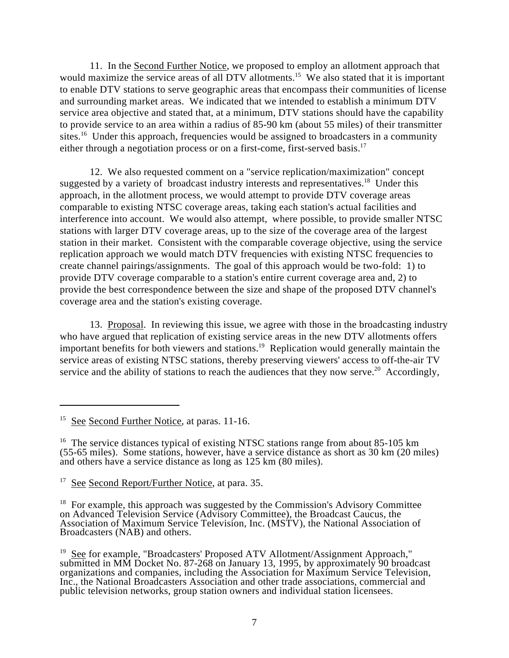11. In the Second Further Notice, we proposed to employ an allotment approach that would maximize the service areas of all DTV allotments.<sup>15</sup> We also stated that it is important to enable DTV stations to serve geographic areas that encompass their communities of license and surrounding market areas. We indicated that we intended to establish a minimum DTV service area objective and stated that, at a minimum, DTV stations should have the capability to provide service to an area within a radius of 85-90 km (about 55 miles) of their transmitter sites.<sup>16</sup> Under this approach, frequencies would be assigned to broadcasters in a community either through a negotiation process or on a first-come, first-served basis.<sup>17</sup>

12. We also requested comment on a "service replication/maximization" concept suggested by a variety of broadcast industry interests and representatives.<sup>18</sup> Under this approach, in the allotment process, we would attempt to provide DTV coverage areas comparable to existing NTSC coverage areas, taking each station's actual facilities and interference into account. We would also attempt, where possible, to provide smaller NTSC stations with larger DTV coverage areas, up to the size of the coverage area of the largest station in their market. Consistent with the comparable coverage objective, using the service replication approach we would match DTV frequencies with existing NTSC frequencies to create channel pairings/assignments. The goal of this approach would be two-fold: 1) to provide DTV coverage comparable to a station's entire current coverage area and, 2) to provide the best correspondence between the size and shape of the proposed DTV channel's coverage area and the station's existing coverage.

13. Proposal. In reviewing this issue, we agree with those in the broadcasting industry who have argued that replication of existing service areas in the new DTV allotments offers important benefits for both viewers and stations.<sup>19</sup> Replication would generally maintain the service areas of existing NTSC stations, thereby preserving viewers' access to off-the-air TV service and the ability of stations to reach the audiences that they now serve.<sup>20</sup> Accordingly,

 $15$  See Second Further Notice, at paras. 11-16.

<sup>&</sup>lt;sup>16</sup> The service distances typical of existing NTSC stations range from about 85-105 km (55-65 miles). Some stations, however, have a service distance as short as 30 km (20 miles) and others have a service distance as long as 125 km (80 miles).

 $17$  See Second Report/Further Notice, at para. 35.

 $18$  For example, this approach was suggested by the Commission's Advisory Committee on Advanced Television Service (Advisory Committee), the Broadcast Caucus, the Association of Maximum Service Television, Inc. (MSTV), the National Association of Broadcasters (NAB) and others.

 $19$  See for example, "Broadcasters' Proposed ATV Allotment/Assignment Approach," submitted in MM Docket No. 87-268 on January 13, 1995, by approximately 90 broadcast organizations and companies, including the Association for Maximum Service Television, Inc., the National Broadcasters Association and other trade associations, commercial and public television networks, group station owners and individual station licensees.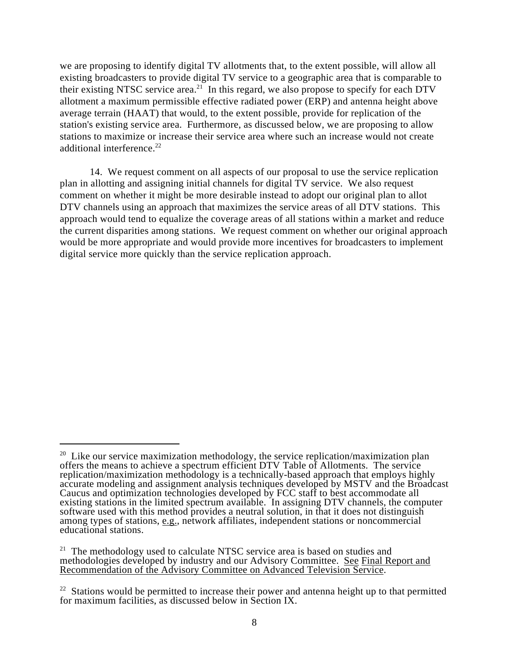we are proposing to identify digital TV allotments that, to the extent possible, will allow all existing broadcasters to provide digital TV service to a geographic area that is comparable to their existing NTSC service area.<sup>21</sup> In this regard, we also propose to specify for each DTV allotment a maximum permissible effective radiated power (ERP) and antenna height above average terrain (HAAT) that would, to the extent possible, provide for replication of the station's existing service area. Furthermore, as discussed below, we are proposing to allow stations to maximize or increase their service area where such an increase would not create additional interference.<sup>22</sup>

14. We request comment on all aspects of our proposal to use the service replication plan in allotting and assigning initial channels for digital TV service. We also request comment on whether it might be more desirable instead to adopt our original plan to allot DTV channels using an approach that maximizes the service areas of all DTV stations. This approach would tend to equalize the coverage areas of all stations within a market and reduce the current disparities among stations. We request comment on whether our original approach would be more appropriate and would provide more incentives for broadcasters to implement digital service more quickly than the service replication approach.

 $20$  Like our service maximization methodology, the service replication/maximization plan offers the means to achieve a spectrum efficient DTV Table of Allotments. The service replication/maximization methodology is a technically-based approach that employs highly accurate modeling and assignment analysis techniques developed by MSTV and the Broadcast Caucus and optimization technologies developed by FCC staff to best accommodate all existing stations in the limited spectrum available. In assigning DTV channels, the computer software used with this method provides a neutral solution, in that it does not distinguish among types of stations, e.g., network affiliates, independent stations or noncommercial educational stations.

 $21$  The methodology used to calculate NTSC service area is based on studies and methodologies developed by industry and our Advisory Committee. See Final Report and Recommendation of the Advisory Committee on Advanced Television Service.

 $22$  Stations would be permitted to increase their power and antenna height up to that permitted for maximum facilities, as discussed below in Section IX.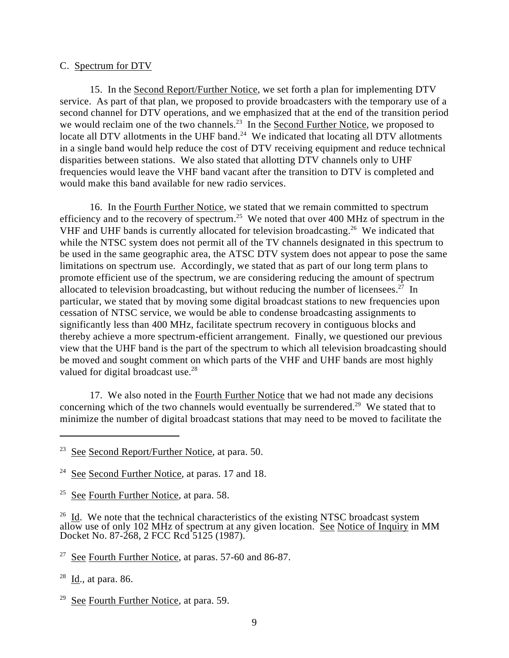#### C. Spectrum for DTV

15. In the Second Report/Further Notice, we set forth a plan for implementing DTV service. As part of that plan, we proposed to provide broadcasters with the temporary use of a second channel for DTV operations, and we emphasized that at the end of the transition period we would reclaim one of the two channels.<sup>23</sup> In the Second Further Notice, we proposed to locate all DTV allotments in the UHF band. $^{24}$  We indicated that locating all DTV allotments in a single band would help reduce the cost of DTV receiving equipment and reduce technical disparities between stations. We also stated that allotting DTV channels only to UHF frequencies would leave the VHF band vacant after the transition to DTV is completed and would make this band available for new radio services.

16. In the Fourth Further Notice, we stated that we remain committed to spectrum efficiency and to the recovery of spectrum.<sup>25</sup> We noted that over 400 MHz of spectrum in the VHF and UHF bands is currently allocated for television broadcasting.<sup>26</sup> We indicated that while the NTSC system does not permit all of the TV channels designated in this spectrum to be used in the same geographic area, the ATSC DTV system does not appear to pose the same limitations on spectrum use. Accordingly, we stated that as part of our long term plans to promote efficient use of the spectrum, we are considering reducing the amount of spectrum allocated to television broadcasting, but without reducing the number of licensees.<sup>27</sup> In particular, we stated that by moving some digital broadcast stations to new frequencies upon cessation of NTSC service, we would be able to condense broadcasting assignments to significantly less than 400 MHz, facilitate spectrum recovery in contiguous blocks and thereby achieve a more spectrum-efficient arrangement. Finally, we questioned our previous view that the UHF band is the part of the spectrum to which all television broadcasting should be moved and sought comment on which parts of the VHF and UHF bands are most highly valued for digital broadcast use.<sup>28</sup>

17. We also noted in the Fourth Further Notice that we had not made any decisions concerning which of the two channels would eventually be surrendered.<sup>29</sup> We stated that to minimize the number of digital broadcast stations that may need to be moved to facilitate the

 $28$  Id., at para. 86.

 $29$  See Fourth Further Notice, at para. 59.

 $23$  See Second Report/Further Notice, at para. 50.

<sup>&</sup>lt;sup>24</sup> See Second Further Notice, at paras. 17 and 18.

<sup>&</sup>lt;sup>25</sup> See Fourth Further Notice, at para. 58.

 $26$  Id. We note that the technical characteristics of the existing NTSC broadcast system allow use of only 102 MHz of spectrum at any given location. See Notice of Inquiry in MM Docket No. 87-268, 2 FCC Rcd 5125 (1987).

 $27$  See Fourth Further Notice, at paras. 57-60 and 86-87.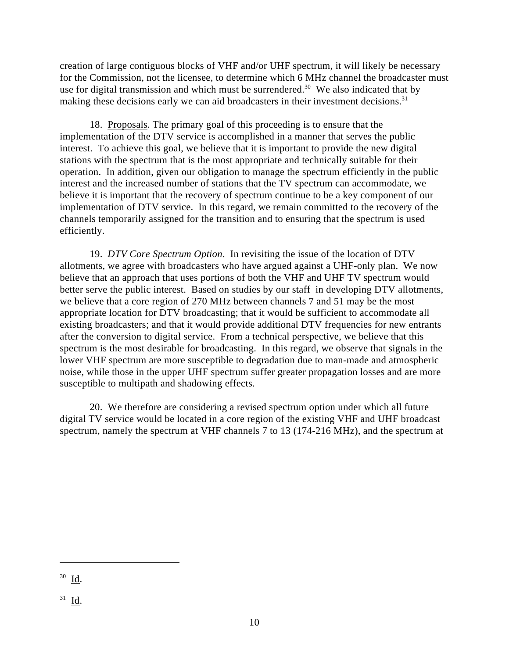creation of large contiguous blocks of VHF and/or UHF spectrum, it will likely be necessary for the Commission, not the licensee, to determine which 6 MHz channel the broadcaster must use for digital transmission and which must be surrendered.<sup>30</sup> We also indicated that by making these decisions early we can aid broadcasters in their investment decisions.<sup>31</sup>

18. Proposals. The primary goal of this proceeding is to ensure that the implementation of the DTV service is accomplished in a manner that serves the public interest. To achieve this goal, we believe that it is important to provide the new digital stations with the spectrum that is the most appropriate and technically suitable for their operation. In addition, given our obligation to manage the spectrum efficiently in the public interest and the increased number of stations that the TV spectrum can accommodate, we believe it is important that the recovery of spectrum continue to be a key component of our implementation of DTV service. In this regard, we remain committed to the recovery of the channels temporarily assigned for the transition and to ensuring that the spectrum is used efficiently.

19. *DTV Core Spectrum Option*. In revisiting the issue of the location of DTV allotments, we agree with broadcasters who have argued against a UHF-only plan. We now believe that an approach that uses portions of both the VHF and UHF TV spectrum would better serve the public interest. Based on studies by our staff in developing DTV allotments, we believe that a core region of 270 MHz between channels 7 and 51 may be the most appropriate location for DTV broadcasting; that it would be sufficient to accommodate all existing broadcasters; and that it would provide additional DTV frequencies for new entrants after the conversion to digital service. From a technical perspective, we believe that this spectrum is the most desirable for broadcasting. In this regard, we observe that signals in the lower VHF spectrum are more susceptible to degradation due to man-made and atmospheric noise, while those in the upper UHF spectrum suffer greater propagation losses and are more susceptible to multipath and shadowing effects.

20. We therefore are considering a revised spectrum option under which all future digital TV service would be located in a core region of the existing VHF and UHF broadcast spectrum, namely the spectrum at VHF channels 7 to 13 (174-216 MHz), and the spectrum at

 $30$  **Id.** 

 $31$  **Id.**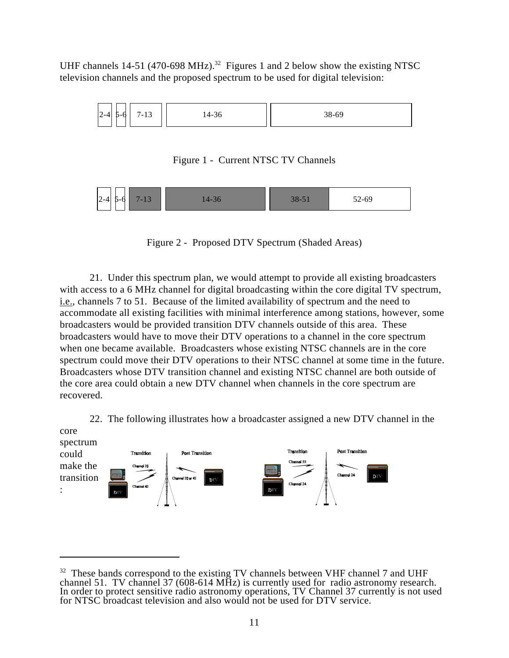UHF channels 14-51 (470-698 MHz).<sup>32</sup> Figures 1 and 2 below show the existing NTSC television channels and the proposed spectrum to be used for digital television:



Figure 1 - Current NTSC TV Channels



Figure 2 - Proposed DTV Spectrum (Shaded Areas)

21. Under this spectrum plan, we would attempt to provide all existing broadcasters with access to a 6 MHz channel for digital broadcasting within the core digital TV spectrum, i.e., channels 7 to 51. Because of the limited availability of spectrum and the need to accommodate all existing facilities with minimal interference among stations, however, some broadcasters would be provided transition DTV channels outside of this area. These broadcasters would have to move their DTV operations to a channel in the core spectrum when one became available. Broadcasters whose existing NTSC channels are in the core spectrum could move their DTV operations to their NTSC channel at some time in the future. Broadcasters whose DTV transition channel and existing NTSC channel are both outside of the core area could obtain a new DTV channel when channels in the core spectrum are recovered.

22. The following illustrates how a broadcaster assigned a new DTV channel in the



 $32$  These bands correspond to the existing TV channels between VHF channel 7 and UHF channel 51. TV channel 37 (608-614 MHz) is currently used for radio astronomy research. In order to protect sensitive radio astronomy operations, TV Channel 37 currently is not used for NTSC broadcast television and also would not be used for DTV service.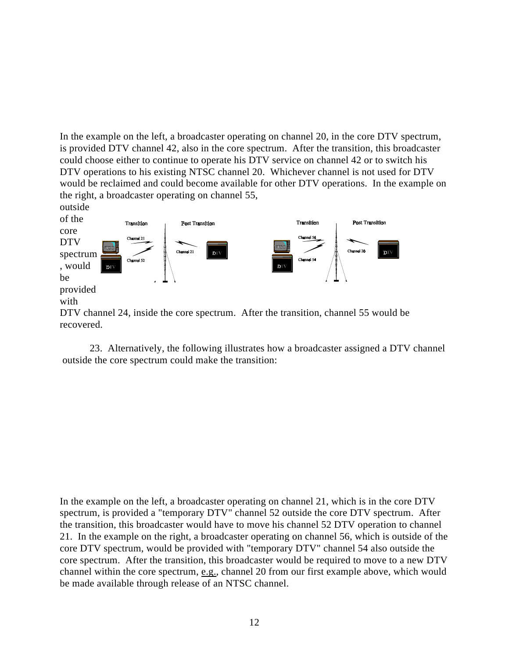In the example on the left, a broadcaster operating on channel 20, in the core DTV spectrum, is provided DTV channel 42, also in the core spectrum. After the transition, this broadcaster could choose either to continue to operate his DTV service on channel 42 or to switch his DTV operations to his existing NTSC channel 20. Whichever channel is not used for DTV would be reclaimed and could become available for other DTV operations. In the example on the right, a broadcaster operating on channel 55,



23. Alternatively, the following illustrates how a broadcaster assigned a DTV channel outside the core spectrum could make the transition:

In the example on the left, a broadcaster operating on channel 21, which is in the core DTV spectrum, is provided a "temporary DTV" channel 52 outside the core DTV spectrum. After the transition, this broadcaster would have to move his channel 52 DTV operation to channel 21. In the example on the right, a broadcaster operating on channel 56, which is outside of the core DTV spectrum, would be provided with "temporary DTV" channel 54 also outside the core spectrum. After the transition, this broadcaster would be required to move to a new DTV channel within the core spectrum, e.g., channel 20 from our first example above, which would be made available through release of an NTSC channel.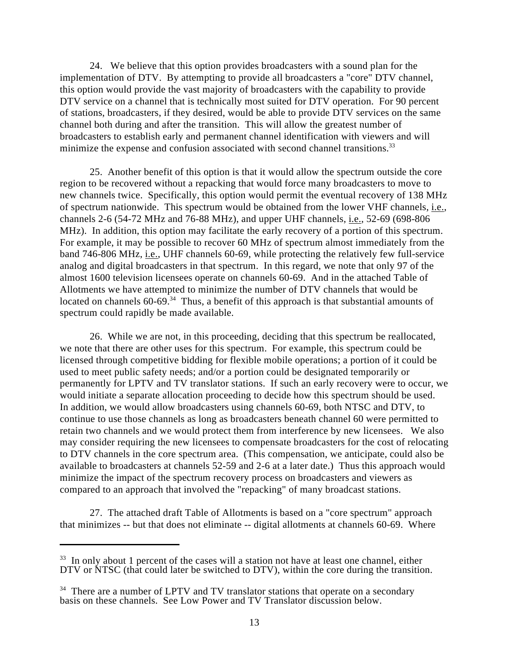24. We believe that this option provides broadcasters with a sound plan for the implementation of DTV. By attempting to provide all broadcasters a "core" DTV channel, this option would provide the vast majority of broadcasters with the capability to provide DTV service on a channel that is technically most suited for DTV operation. For 90 percent of stations, broadcasters, if they desired, would be able to provide DTV services on the same channel both during and after the transition. This will allow the greatest number of broadcasters to establish early and permanent channel identification with viewers and will minimize the expense and confusion associated with second channel transitions.<sup>33</sup>

25. Another benefit of this option is that it would allow the spectrum outside the core region to be recovered without a repacking that would force many broadcasters to move to new channels twice. Specifically, this option would permit the eventual recovery of 138 MHz of spectrum nationwide. This spectrum would be obtained from the lower VHF channels, i.e., channels 2-6 (54-72 MHz and 76-88 MHz), and upper UHF channels, i.e., 52-69 (698-806 MHz). In addition, this option may facilitate the early recovery of a portion of this spectrum. For example, it may be possible to recover 60 MHz of spectrum almost immediately from the band 746-806 MHz, i.e., UHF channels 60-69, while protecting the relatively few full-service analog and digital broadcasters in that spectrum. In this regard, we note that only 97 of the almost 1600 television licensees operate on channels 60-69. And in the attached Table of Allotments we have attempted to minimize the number of DTV channels that would be located on channels  $60-69$ .<sup>34</sup> Thus, a benefit of this approach is that substantial amounts of spectrum could rapidly be made available.

26. While we are not, in this proceeding, deciding that this spectrum be reallocated, we note that there are other uses for this spectrum. For example, this spectrum could be licensed through competitive bidding for flexible mobile operations; a portion of it could be used to meet public safety needs; and/or a portion could be designated temporarily or permanently for LPTV and TV translator stations. If such an early recovery were to occur, we would initiate a separate allocation proceeding to decide how this spectrum should be used. In addition, we would allow broadcasters using channels 60-69, both NTSC and DTV, to continue to use those channels as long as broadcasters beneath channel 60 were permitted to retain two channels and we would protect them from interference by new licensees. We also may consider requiring the new licensees to compensate broadcasters for the cost of relocating to DTV channels in the core spectrum area. (This compensation, we anticipate, could also be available to broadcasters at channels 52-59 and 2-6 at a later date.) Thus this approach would minimize the impact of the spectrum recovery process on broadcasters and viewers as compared to an approach that involved the "repacking" of many broadcast stations.

27. The attached draft Table of Allotments is based on a "core spectrum" approach that minimizes -- but that does not eliminate -- digital allotments at channels 60-69. Where

 $33$  In only about 1 percent of the cases will a station not have at least one channel, either DTV or NTSC (that could later be switched to DTV), within the core during the transition.

 $34$  There are a number of LPTV and TV translator stations that operate on a secondary basis on these channels. See Low Power and TV Translator discussion below.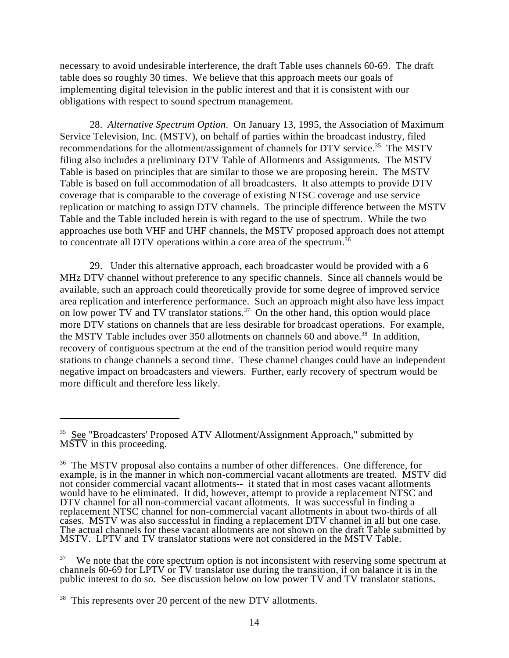necessary to avoid undesirable interference, the draft Table uses channels 60-69. The draft table does so roughly 30 times. We believe that this approach meets our goals of implementing digital television in the public interest and that it is consistent with our obligations with respect to sound spectrum management.

28. *Alternative Spectrum Option*. On January 13, 1995, the Association of Maximum Service Television, Inc. (MSTV), on behalf of parties within the broadcast industry, filed recommendations for the allotment/assignment of channels for DTV service.<sup>35</sup> The MSTV filing also includes a preliminary DTV Table of Allotments and Assignments. The MSTV Table is based on principles that are similar to those we are proposing herein. The MSTV Table is based on full accommodation of all broadcasters. It also attempts to provide DTV coverage that is comparable to the coverage of existing NTSC coverage and use service replication or matching to assign DTV channels. The principle difference between the MSTV Table and the Table included herein is with regard to the use of spectrum. While the two approaches use both VHF and UHF channels, the MSTV proposed approach does not attempt to concentrate all DTV operations within a core area of the spectrum.<sup>36</sup>

29. Under this alternative approach, each broadcaster would be provided with a 6 MHz DTV channel without preference to any specific channels. Since all channels would be available, such an approach could theoretically provide for some degree of improved service area replication and interference performance. Such an approach might also have less impact on low power TV and TV translator stations.<sup>37</sup> On the other hand, this option would place more DTV stations on channels that are less desirable for broadcast operations. For example, the MSTV Table includes over 350 allotments on channels 60 and above.<sup>38</sup> In addition, recovery of contiguous spectrum at the end of the transition period would require many stations to change channels a second time. These channel changes could have an independent negative impact on broadcasters and viewers. Further, early recovery of spectrum would be more difficult and therefore less likely.

 $35$  See "Broadcasters' Proposed ATV Allotment/Assignment Approach," submitted by  $\overline{\text{MSTV}}$  in this proceeding.

<sup>&</sup>lt;sup>36</sup> The MSTV proposal also contains a number of other differences. One difference, for example, is in the manner in which non-commercial vacant allotments are treated. MSTV did not consider commercial vacant allotments-- it stated that in most cases vacant allotments would have to be eliminated. It did, however, attempt to provide a replacement NTSC and DTV channel for all non-commercial vacant allotments. It was successful in finding a replacement NTSC channel for non-commercial vacant allotments in about two-thirds of all cases. MSTV was also successful in finding a replacement DTV channel in all but one case. The actual channels for these vacant allotments are not shown on the draft Table submitted by MSTV. LPTV and TV translator stations were not considered in the MSTV Table.

 $37$  We note that the core spectrum option is not inconsistent with reserving some spectrum at channels 60-69 for LPTV or TV translator use during the transition, if on balance it is in the public interest to do so. See discussion below on low power TV and TV translator stations.

 $38$  This represents over 20 percent of the new DTV allotments.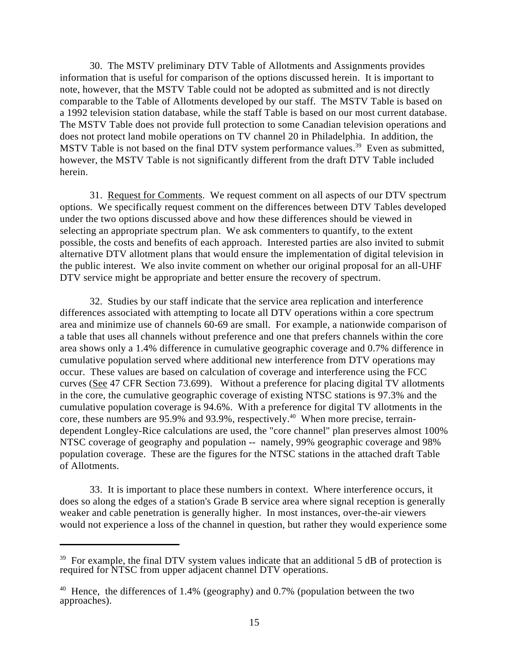30. The MSTV preliminary DTV Table of Allotments and Assignments provides information that is useful for comparison of the options discussed herein. It is important to note, however, that the MSTV Table could not be adopted as submitted and is not directly comparable to the Table of Allotments developed by our staff. The MSTV Table is based on a 1992 television station database, while the staff Table is based on our most current database. The MSTV Table does not provide full protection to some Canadian television operations and does not protect land mobile operations on TV channel 20 in Philadelphia. In addition, the MSTV Table is not based on the final DTV system performance values.<sup>39</sup> Even as submitted, however, the MSTV Table is not significantly different from the draft DTV Table included herein.

31. Request for Comments. We request comment on all aspects of our DTV spectrum options. We specifically request comment on the differences between DTV Tables developed under the two options discussed above and how these differences should be viewed in selecting an appropriate spectrum plan. We ask commenters to quantify, to the extent possible, the costs and benefits of each approach. Interested parties are also invited to submit alternative DTV allotment plans that would ensure the implementation of digital television in the public interest. We also invite comment on whether our original proposal for an all-UHF DTV service might be appropriate and better ensure the recovery of spectrum.

32. Studies by our staff indicate that the service area replication and interference differences associated with attempting to locate all DTV operations within a core spectrum area and minimize use of channels 60-69 are small. For example, a nationwide comparison of a table that uses all channels without preference and one that prefers channels within the core area shows only a 1.4% difference in cumulative geographic coverage and 0.7% difference in cumulative population served where additional new interference from DTV operations may occur. These values are based on calculation of coverage and interference using the FCC curves (See 47 CFR Section 73.699). Without a preference for placing digital TV allotments in the core, the cumulative geographic coverage of existing NTSC stations is 97.3% and the cumulative population coverage is 94.6%. With a preference for digital TV allotments in the core, these numbers are  $95.9\%$  and  $93.9\%$ , respectively.<sup>40</sup> When more precise, terraindependent Longley-Rice calculations are used, the "core channel" plan preserves almost 100% NTSC coverage of geography and population -- namely, 99% geographic coverage and 98% population coverage. These are the figures for the NTSC stations in the attached draft Table of Allotments.

33. It is important to place these numbers in context. Where interference occurs, it does so along the edges of a station's Grade B service area where signal reception is generally weaker and cable penetration is generally higher. In most instances, over-the-air viewers would not experience a loss of the channel in question, but rather they would experience some

 $39$  For example, the final DTV system values indicate that an additional 5 dB of protection is required for NTSC from upper adjacent channel DTV operations.

<sup>&</sup>lt;sup>40</sup> Hence, the differences of 1.4% (geography) and 0.7% (population between the two approaches).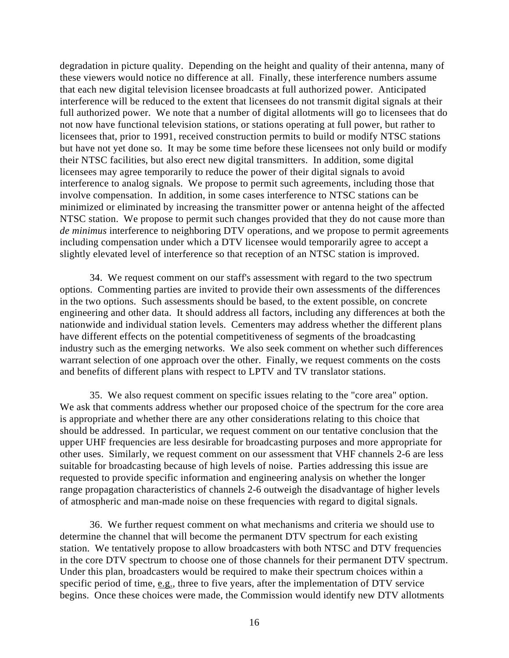degradation in picture quality. Depending on the height and quality of their antenna, many of these viewers would notice no difference at all. Finally, these interference numbers assume that each new digital television licensee broadcasts at full authorized power. Anticipated interference will be reduced to the extent that licensees do not transmit digital signals at their full authorized power. We note that a number of digital allotments will go to licensees that do not now have functional television stations, or stations operating at full power, but rather to licensees that, prior to 1991, received construction permits to build or modify NTSC stations but have not yet done so. It may be some time before these licensees not only build or modify their NTSC facilities, but also erect new digital transmitters. In addition, some digital licensees may agree temporarily to reduce the power of their digital signals to avoid interference to analog signals. We propose to permit such agreements, including those that involve compensation. In addition, in some cases interference to NTSC stations can be minimized or eliminated by increasing the transmitter power or antenna height of the affected NTSC station. We propose to permit such changes provided that they do not cause more than *de minimus* interference to neighboring DTV operations, and we propose to permit agreements including compensation under which a DTV licensee would temporarily agree to accept a slightly elevated level of interference so that reception of an NTSC station is improved.

34. We request comment on our staff's assessment with regard to the two spectrum options. Commenting parties are invited to provide their own assessments of the differences in the two options. Such assessments should be based, to the extent possible, on concrete engineering and other data. It should address all factors, including any differences at both the nationwide and individual station levels. Cementers may address whether the different plans have different effects on the potential competitiveness of segments of the broadcasting industry such as the emerging networks. We also seek comment on whether such differences warrant selection of one approach over the other. Finally, we request comments on the costs and benefits of different plans with respect to LPTV and TV translator stations.

35. We also request comment on specific issues relating to the "core area" option. We ask that comments address whether our proposed choice of the spectrum for the core area is appropriate and whether there are any other considerations relating to this choice that should be addressed. In particular, we request comment on our tentative conclusion that the upper UHF frequencies are less desirable for broadcasting purposes and more appropriate for other uses. Similarly, we request comment on our assessment that VHF channels 2-6 are less suitable for broadcasting because of high levels of noise. Parties addressing this issue are requested to provide specific information and engineering analysis on whether the longer range propagation characteristics of channels 2-6 outweigh the disadvantage of higher levels of atmospheric and man-made noise on these frequencies with regard to digital signals.

36. We further request comment on what mechanisms and criteria we should use to determine the channel that will become the permanent DTV spectrum for each existing station. We tentatively propose to allow broadcasters with both NTSC and DTV frequencies in the core DTV spectrum to choose one of those channels for their permanent DTV spectrum. Under this plan, broadcasters would be required to make their spectrum choices within a specific period of time,  $\underline{e.g.}$ , three to five years, after the implementation of DTV service begins. Once these choices were made, the Commission would identify new DTV allotments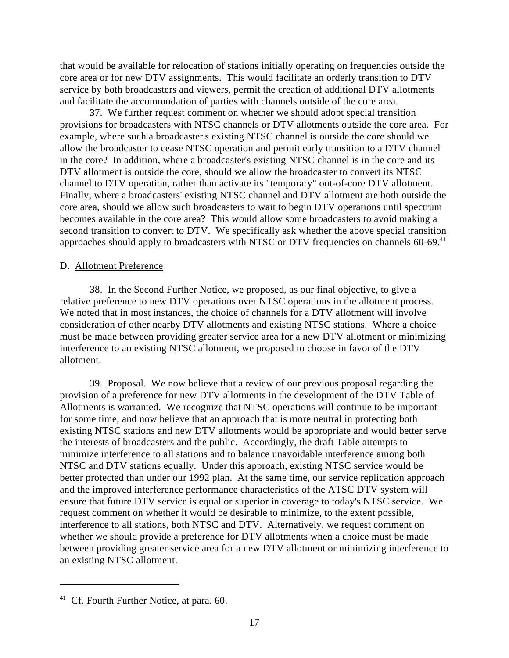that would be available for relocation of stations initially operating on frequencies outside the core area or for new DTV assignments. This would facilitate an orderly transition to DTV service by both broadcasters and viewers, permit the creation of additional DTV allotments and facilitate the accommodation of parties with channels outside of the core area.

37. We further request comment on whether we should adopt special transition provisions for broadcasters with NTSC channels or DTV allotments outside the core area. For example, where such a broadcaster's existing NTSC channel is outside the core should we allow the broadcaster to cease NTSC operation and permit early transition to a DTV channel in the core? In addition, where a broadcaster's existing NTSC channel is in the core and its DTV allotment is outside the core, should we allow the broadcaster to convert its NTSC channel to DTV operation, rather than activate its "temporary" out-of-core DTV allotment. Finally, where a broadcasters' existing NTSC channel and DTV allotment are both outside the core area, should we allow such broadcasters to wait to begin DTV operations until spectrum becomes available in the core area? This would allow some broadcasters to avoid making a second transition to convert to DTV. We specifically ask whether the above special transition approaches should apply to broadcasters with NTSC or DTV frequencies on channels 60-69.<sup>41</sup>

#### D. Allotment Preference

38. In the Second Further Notice, we proposed, as our final objective, to give a relative preference to new DTV operations over NTSC operations in the allotment process. We noted that in most instances, the choice of channels for a DTV allotment will involve consideration of other nearby DTV allotments and existing NTSC stations. Where a choice must be made between providing greater service area for a new DTV allotment or minimizing interference to an existing NTSC allotment, we proposed to choose in favor of the DTV allotment.

39. Proposal. We now believe that a review of our previous proposal regarding the provision of a preference for new DTV allotments in the development of the DTV Table of Allotments is warranted. We recognize that NTSC operations will continue to be important for some time, and now believe that an approach that is more neutral in protecting both existing NTSC stations and new DTV allotments would be appropriate and would better serve the interests of broadcasters and the public. Accordingly, the draft Table attempts to minimize interference to all stations and to balance unavoidable interference among both NTSC and DTV stations equally. Under this approach, existing NTSC service would be better protected than under our 1992 plan. At the same time, our service replication approach and the improved interference performance characteristics of the ATSC DTV system will ensure that future DTV service is equal or superior in coverage to today's NTSC service. We request comment on whether it would be desirable to minimize, to the extent possible, interference to all stations, both NTSC and DTV. Alternatively, we request comment on whether we should provide a preference for DTV allotments when a choice must be made between providing greater service area for a new DTV allotment or minimizing interference to an existing NTSC allotment.

 $41$  Cf. Fourth Further Notice, at para. 60.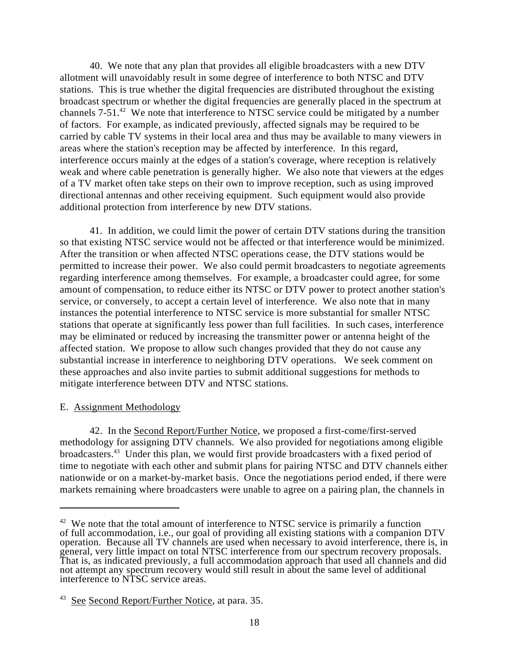40. We note that any plan that provides all eligible broadcasters with a new DTV allotment will unavoidably result in some degree of interference to both NTSC and DTV stations. This is true whether the digital frequencies are distributed throughout the existing broadcast spectrum or whether the digital frequencies are generally placed in the spectrum at channels  $7-51<sup>42</sup>$  We note that interference to NTSC service could be mitigated by a number of factors. For example, as indicated previously, affected signals may be required to be carried by cable TV systems in their local area and thus may be available to many viewers in areas where the station's reception may be affected by interference. In this regard, interference occurs mainly at the edges of a station's coverage, where reception is relatively weak and where cable penetration is generally higher. We also note that viewers at the edges of a TV market often take steps on their own to improve reception, such as using improved directional antennas and other receiving equipment. Such equipment would also provide additional protection from interference by new DTV stations.

41. In addition, we could limit the power of certain DTV stations during the transition so that existing NTSC service would not be affected or that interference would be minimized. After the transition or when affected NTSC operations cease, the DTV stations would be permitted to increase their power. We also could permit broadcasters to negotiate agreements regarding interference among themselves. For example, a broadcaster could agree, for some amount of compensation, to reduce either its NTSC or DTV power to protect another station's service, or conversely, to accept a certain level of interference. We also note that in many instances the potential interference to NTSC service is more substantial for smaller NTSC stations that operate at significantly less power than full facilities. In such cases, interference may be eliminated or reduced by increasing the transmitter power or antenna height of the affected station. We propose to allow such changes provided that they do not cause any substantial increase in interference to neighboring DTV operations. We seek comment on these approaches and also invite parties to submit additional suggestions for methods to mitigate interference between DTV and NTSC stations.

#### E. Assignment Methodology

42. In the Second Report/Further Notice, we proposed a first-come/first-served methodology for assigning DTV channels. We also provided for negotiations among eligible broadcasters.<sup>43</sup> Under this plan, we would first provide broadcasters with a fixed period of time to negotiate with each other and submit plans for pairing NTSC and DTV channels either nationwide or on a market-by-market basis. Once the negotiations period ended, if there were markets remaining where broadcasters were unable to agree on a pairing plan, the channels in

 $42$  We note that the total amount of interference to NTSC service is primarily a function of full accommodation, i.e., our goal of providing all existing stations with a companion DTV operation. Because all TV channels are used when necessary to avoid interference, there is, in general, very little impact on total NTSC interference from our spectrum recovery proposals. That is, as indicated previously, a full accommodation approach that used all channels and did not attempt any spectrum recovery would still result in about the same level of additional interference to NTSC service areas.

 $43$  See Second Report/Further Notice, at para. 35.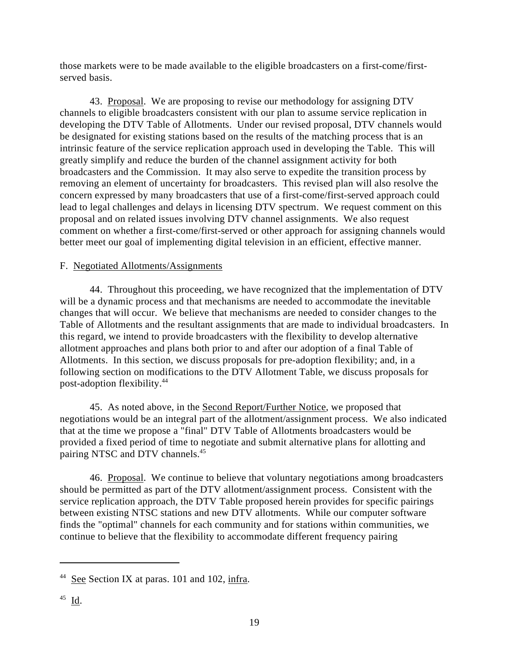those markets were to be made available to the eligible broadcasters on a first-come/firstserved basis.

43. Proposal. We are proposing to revise our methodology for assigning DTV channels to eligible broadcasters consistent with our plan to assume service replication in developing the DTV Table of Allotments. Under our revised proposal, DTV channels would be designated for existing stations based on the results of the matching process that is an intrinsic feature of the service replication approach used in developing the Table. This will greatly simplify and reduce the burden of the channel assignment activity for both broadcasters and the Commission. It may also serve to expedite the transition process by removing an element of uncertainty for broadcasters. This revised plan will also resolve the concern expressed by many broadcasters that use of a first-come/first-served approach could lead to legal challenges and delays in licensing DTV spectrum. We request comment on this proposal and on related issues involving DTV channel assignments. We also request comment on whether a first-come/first-served or other approach for assigning channels would better meet our goal of implementing digital television in an efficient, effective manner.

## F. Negotiated Allotments/Assignments

44. Throughout this proceeding, we have recognized that the implementation of DTV will be a dynamic process and that mechanisms are needed to accommodate the inevitable changes that will occur. We believe that mechanisms are needed to consider changes to the Table of Allotments and the resultant assignments that are made to individual broadcasters. In this regard, we intend to provide broadcasters with the flexibility to develop alternative allotment approaches and plans both prior to and after our adoption of a final Table of Allotments. In this section, we discuss proposals for pre-adoption flexibility; and, in a following section on modifications to the DTV Allotment Table, we discuss proposals for post-adoption flexibility.<sup>44</sup>

45. As noted above, in the Second Report/Further Notice, we proposed that negotiations would be an integral part of the allotment/assignment process. We also indicated that at the time we propose a "final" DTV Table of Allotments broadcasters would be provided a fixed period of time to negotiate and submit alternative plans for allotting and pairing NTSC and DTV channels.<sup>45</sup>

46. Proposal. We continue to believe that voluntary negotiations among broadcasters should be permitted as part of the DTV allotment/assignment process. Consistent with the service replication approach, the DTV Table proposed herein provides for specific pairings between existing NTSC stations and new DTV allotments. While our computer software finds the "optimal" channels for each community and for stations within communities, we continue to believe that the flexibility to accommodate different frequency pairing

 $44$  See Section IX at paras. 101 and 102, infra.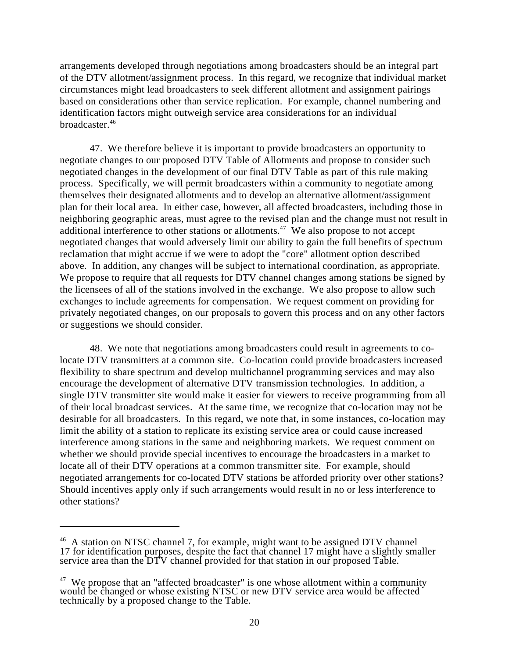arrangements developed through negotiations among broadcasters should be an integral part of the DTV allotment/assignment process. In this regard, we recognize that individual market circumstances might lead broadcasters to seek different allotment and assignment pairings based on considerations other than service replication. For example, channel numbering and identification factors might outweigh service area considerations for an individual broadcaster. 46

47. We therefore believe it is important to provide broadcasters an opportunity to negotiate changes to our proposed DTV Table of Allotments and propose to consider such negotiated changes in the development of our final DTV Table as part of this rule making process. Specifically, we will permit broadcasters within a community to negotiate among themselves their designated allotments and to develop an alternative allotment/assignment plan for their local area. In either case, however, all affected broadcasters, including those in neighboring geographic areas, must agree to the revised plan and the change must not result in additional interference to other stations or allotments.<sup> $47$ </sup> We also propose to not accept negotiated changes that would adversely limit our ability to gain the full benefits of spectrum reclamation that might accrue if we were to adopt the "core" allotment option described above. In addition, any changes will be subject to international coordination, as appropriate. We propose to require that all requests for DTV channel changes among stations be signed by the licensees of all of the stations involved in the exchange. We also propose to allow such exchanges to include agreements for compensation. We request comment on providing for privately negotiated changes, on our proposals to govern this process and on any other factors or suggestions we should consider.

48. We note that negotiations among broadcasters could result in agreements to colocate DTV transmitters at a common site. Co-location could provide broadcasters increased flexibility to share spectrum and develop multichannel programming services and may also encourage the development of alternative DTV transmission technologies. In addition, a single DTV transmitter site would make it easier for viewers to receive programming from all of their local broadcast services. At the same time, we recognize that co-location may not be desirable for all broadcasters. In this regard, we note that, in some instances, co-location may limit the ability of a station to replicate its existing service area or could cause increased interference among stations in the same and neighboring markets. We request comment on whether we should provide special incentives to encourage the broadcasters in a market to locate all of their DTV operations at a common transmitter site. For example, should negotiated arrangements for co-located DTV stations be afforded priority over other stations? Should incentives apply only if such arrangements would result in no or less interference to other stations?

 $46$  A station on NTSC channel 7, for example, might want to be assigned DTV channel 17 for identification purposes, despite the fact that channel 17 might have a slightly smaller service area than the DTV channel provided for that station in our proposed Table.

 $47$  We propose that an "affected broadcaster" is one whose allotment within a community would be changed or whose existing NTSC or new DTV service area would be affected technically by a proposed change to the Table.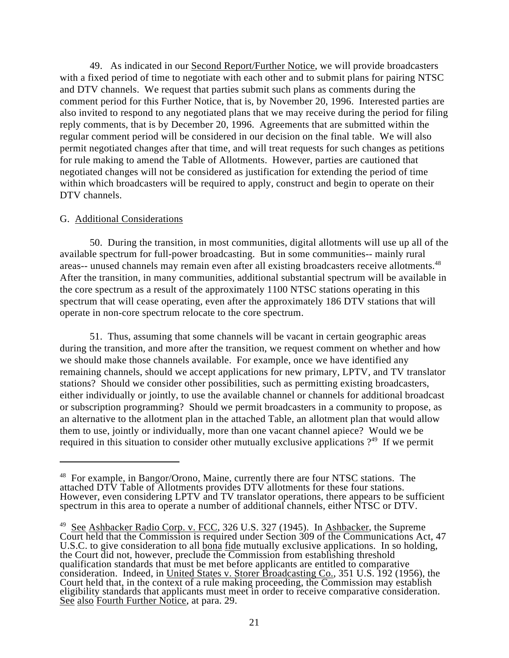49. As indicated in our Second Report/Further Notice, we will provide broadcasters with a fixed period of time to negotiate with each other and to submit plans for pairing NTSC and DTV channels. We request that parties submit such plans as comments during the comment period for this Further Notice, that is, by November 20, 1996. Interested parties are also invited to respond to any negotiated plans that we may receive during the period for filing reply comments, that is by December 20, 1996. Agreements that are submitted within the regular comment period will be considered in our decision on the final table. We will also permit negotiated changes after that time, and will treat requests for such changes as petitions for rule making to amend the Table of Allotments. However, parties are cautioned that negotiated changes will not be considered as justification for extending the period of time within which broadcasters will be required to apply, construct and begin to operate on their DTV channels.

#### G. Additional Considerations

50. During the transition, in most communities, digital allotments will use up all of the available spectrum for full-power broadcasting. But in some communities-- mainly rural areas-- unused channels may remain even after all existing broadcasters receive allotments.<sup>48</sup> After the transition, in many communities, additional substantial spectrum will be available in the core spectrum as a result of the approximately 1100 NTSC stations operating in this spectrum that will cease operating, even after the approximately 186 DTV stations that will operate in non-core spectrum relocate to the core spectrum.

51. Thus, assuming that some channels will be vacant in certain geographic areas during the transition, and more after the transition, we request comment on whether and how we should make those channels available. For example, once we have identified any remaining channels, should we accept applications for new primary, LPTV, and TV translator stations? Should we consider other possibilities, such as permitting existing broadcasters, either individually or jointly, to use the available channel or channels for additional broadcast or subscription programming? Should we permit broadcasters in a community to propose, as an alternative to the allotment plan in the attached Table, an allotment plan that would allow them to use, jointly or individually, more than one vacant channel apiece? Would we be required in this situation to consider other mutually exclusive applications  $2^{49}$  If we permit

 $48$  For example, in Bangor/Orono, Maine, currently there are four NTSC stations. The attached DTV Table of Allotments provides DTV allotments for these four stations. However, even considering LPTV and TV translator operations, there appears to be sufficient spectrum in this area to operate a number of additional channels, either NTSC or DTV.

<sup>&</sup>lt;sup>49</sup> See Ashbacker Radio Corp. v. FCC, 326 U.S. 327 (1945). In Ashbacker, the Supreme Court held that the Commission is required under Section 309 of the Communications Act, 47 U.S.C. to give consideration to all <u>bona fide</u> mutually exclusive applications. In so holding, the Court did not, however, preclude the Commission from establishing threshold qualification standards that must be met before applicants are entitled to comparative consideration. Indeed, in United States v. Storer Broadcasting Co., 351 U.S. 192 (1956), the Court held that, in the context of a rule making proceeding, the Commission may establish eligibility standards that applicants must meet in order to receive comparative consideration. See also Fourth Further Notice, at para. 29.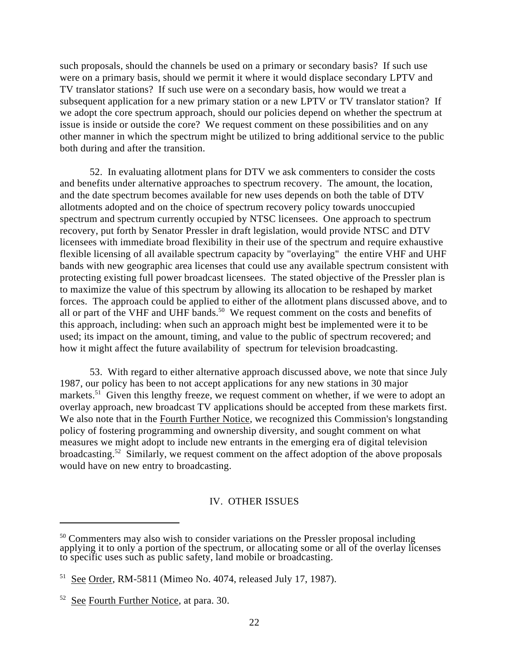such proposals, should the channels be used on a primary or secondary basis? If such use were on a primary basis, should we permit it where it would displace secondary LPTV and TV translator stations? If such use were on a secondary basis, how would we treat a subsequent application for a new primary station or a new LPTV or TV translator station? If we adopt the core spectrum approach, should our policies depend on whether the spectrum at issue is inside or outside the core? We request comment on these possibilities and on any other manner in which the spectrum might be utilized to bring additional service to the public both during and after the transition.

52. In evaluating allotment plans for DTV we ask commenters to consider the costs and benefits under alternative approaches to spectrum recovery. The amount, the location, and the date spectrum becomes available for new uses depends on both the table of DTV allotments adopted and on the choice of spectrum recovery policy towards unoccupied spectrum and spectrum currently occupied by NTSC licensees. One approach to spectrum recovery, put forth by Senator Pressler in draft legislation, would provide NTSC and DTV licensees with immediate broad flexibility in their use of the spectrum and require exhaustive flexible licensing of all available spectrum capacity by "overlaying" the entire VHF and UHF bands with new geographic area licenses that could use any available spectrum consistent with protecting existing full power broadcast licensees. The stated objective of the Pressler plan is to maximize the value of this spectrum by allowing its allocation to be reshaped by market forces. The approach could be applied to either of the allotment plans discussed above, and to all or part of the VHF and UHF bands.<sup>50</sup> We request comment on the costs and benefits of this approach, including: when such an approach might best be implemented were it to be used; its impact on the amount, timing, and value to the public of spectrum recovered; and how it might affect the future availability of spectrum for television broadcasting.

53. With regard to either alternative approach discussed above, we note that since July 1987, our policy has been to not accept applications for any new stations in 30 major markets.<sup>51</sup> Given this lengthy freeze, we request comment on whether, if we were to adopt an overlay approach, new broadcast TV applications should be accepted from these markets first. We also note that in the Fourth Further Notice, we recognized this Commission's longstanding policy of fostering programming and ownership diversity, and sought comment on what measures we might adopt to include new entrants in the emerging era of digital television broadcasting.<sup>52</sup> Similarly, we request comment on the affect adoption of the above proposals would have on new entry to broadcasting.

# IV. OTHER ISSUES

 $50$  Commenters may also wish to consider variations on the Pressler proposal including applying it to only a portion of the spectrum, or allocating some or all of the overlay licenses to specific uses such as public safety, land mobile or broadcasting.

 $51$  See Order, RM-5811 (Mimeo No. 4074, released July 17, 1987).

 $52$  See Fourth Further Notice, at para. 30.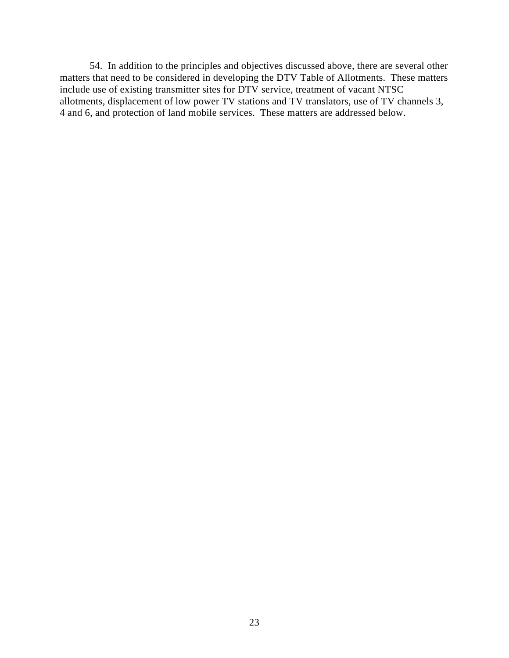54. In addition to the principles and objectives discussed above, there are several other matters that need to be considered in developing the DTV Table of Allotments. These matters include use of existing transmitter sites for DTV service, treatment of vacant NTSC allotments, displacement of low power TV stations and TV translators, use of TV channels 3, 4 and 6, and protection of land mobile services. These matters are addressed below.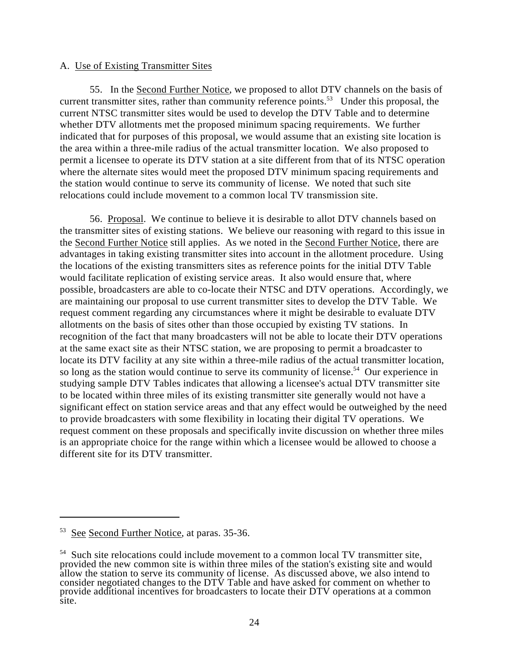### A. Use of Existing Transmitter Sites

55. In the Second Further Notice, we proposed to allot DTV channels on the basis of current transmitter sites, rather than community reference points.<sup>53</sup> Under this proposal, the current NTSC transmitter sites would be used to develop the DTV Table and to determine whether DTV allotments met the proposed minimum spacing requirements. We further indicated that for purposes of this proposal, we would assume that an existing site location is the area within a three-mile radius of the actual transmitter location. We also proposed to permit a licensee to operate its DTV station at a site different from that of its NTSC operation where the alternate sites would meet the proposed DTV minimum spacing requirements and the station would continue to serve its community of license. We noted that such site relocations could include movement to a common local TV transmission site.

56. Proposal. We continue to believe it is desirable to allot DTV channels based on the transmitter sites of existing stations. We believe our reasoning with regard to this issue in the Second Further Notice still applies. As we noted in the Second Further Notice, there are advantages in taking existing transmitter sites into account in the allotment procedure. Using the locations of the existing transmitters sites as reference points for the initial DTV Table would facilitate replication of existing service areas. It also would ensure that, where possible, broadcasters are able to co-locate their NTSC and DTV operations. Accordingly, we are maintaining our proposal to use current transmitter sites to develop the DTV Table. We request comment regarding any circumstances where it might be desirable to evaluate DTV allotments on the basis of sites other than those occupied by existing TV stations. In recognition of the fact that many broadcasters will not be able to locate their DTV operations at the same exact site as their NTSC station, we are proposing to permit a broadcaster to locate its DTV facility at any site within a three-mile radius of the actual transmitter location, so long as the station would continue to serve its community of license.<sup>54</sup> Our experience in studying sample DTV Tables indicates that allowing a licensee's actual DTV transmitter site to be located within three miles of its existing transmitter site generally would not have a significant effect on station service areas and that any effect would be outweighed by the need to provide broadcasters with some flexibility in locating their digital TV operations. We request comment on these proposals and specifically invite discussion on whether three miles is an appropriate choice for the range within which a licensee would be allowed to choose a different site for its DTV transmitter.

See Second Further Notice, at paras. 35-36.

 $54$  Such site relocations could include movement to a common local TV transmitter site, provided the new common site is within three miles of the station's existing site and would allow the station to serve its community of license. As discussed above, we also intend to consider negotiated changes to the DTV Table and have asked for comment on whether to provide additional incentives for broadcasters to locate their DTV operations at a common site.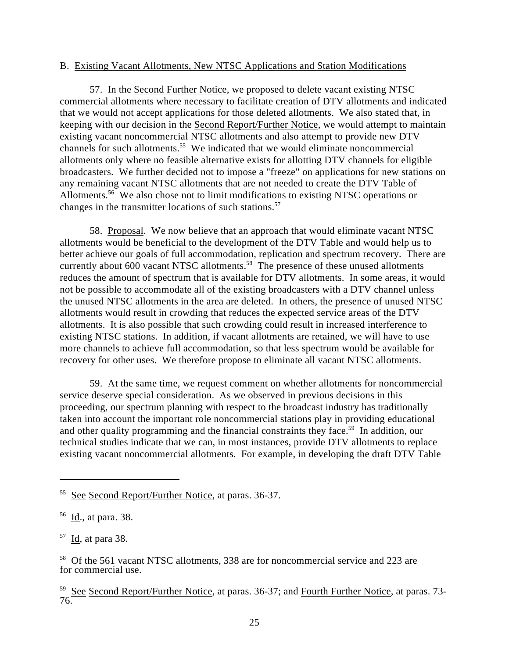#### B. Existing Vacant Allotments, New NTSC Applications and Station Modifications

57. In the Second Further Notice, we proposed to delete vacant existing NTSC commercial allotments where necessary to facilitate creation of DTV allotments and indicated that we would not accept applications for those deleted allotments. We also stated that, in keeping with our decision in the Second Report/Further Notice, we would attempt to maintain existing vacant noncommercial NTSC allotments and also attempt to provide new DTV channels for such allotments.<sup>55</sup> We indicated that we would eliminate noncommercial allotments only where no feasible alternative exists for allotting DTV channels for eligible broadcasters. We further decided not to impose a "freeze" on applications for new stations on any remaining vacant NTSC allotments that are not needed to create the DTV Table of Allotments.<sup>56</sup> We also chose not to limit modifications to existing NTSC operations or changes in the transmitter locations of such stations.<sup>57</sup>

58. Proposal. We now believe that an approach that would eliminate vacant NTSC allotments would be beneficial to the development of the DTV Table and would help us to better achieve our goals of full accommodation, replication and spectrum recovery. There are currently about  $600$  vacant NTSC allotments.<sup>58</sup> The presence of these unused allotments reduces the amount of spectrum that is available for DTV allotments. In some areas, it would not be possible to accommodate all of the existing broadcasters with a DTV channel unless the unused NTSC allotments in the area are deleted. In others, the presence of unused NTSC allotments would result in crowding that reduces the expected service areas of the DTV allotments. It is also possible that such crowding could result in increased interference to existing NTSC stations. In addition, if vacant allotments are retained, we will have to use more channels to achieve full accommodation, so that less spectrum would be available for recovery for other uses. We therefore propose to eliminate all vacant NTSC allotments.

59. At the same time, we request comment on whether allotments for noncommercial service deserve special consideration. As we observed in previous decisions in this proceeding, our spectrum planning with respect to the broadcast industry has traditionally taken into account the important role noncommercial stations play in providing educational and other quality programming and the financial constraints they face.<sup>59</sup> In addition, our technical studies indicate that we can, in most instances, provide DTV allotments to replace existing vacant noncommercial allotments. For example, in developing the draft DTV Table

<sup>&</sup>lt;sup>55</sup> See Second Report/Further Notice, at paras. 36-37.

 $56$  Id., at para. 38.

 $^{57}$  <u>Id</u>, at para 38.

 $58$  Of the 561 vacant NTSC allotments, 338 are for noncommercial service and 223 are for commercial use.

<sup>&</sup>lt;sup>59</sup> See Second Report/Further Notice, at paras. 36-37; and Fourth Further Notice, at paras. 73-76.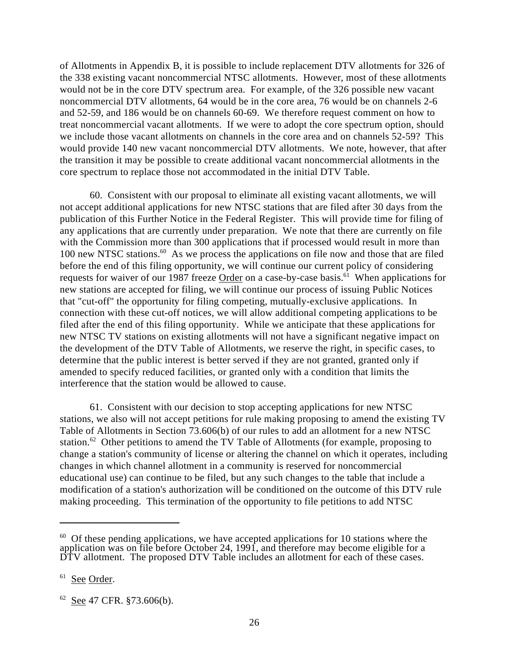of Allotments in Appendix B, it is possible to include replacement DTV allotments for 326 of the 338 existing vacant noncommercial NTSC allotments. However, most of these allotments would not be in the core DTV spectrum area. For example, of the 326 possible new vacant noncommercial DTV allotments, 64 would be in the core area, 76 would be on channels 2-6 and 52-59, and 186 would be on channels 60-69. We therefore request comment on how to treat noncommercial vacant allotments. If we were to adopt the core spectrum option, should we include those vacant allotments on channels in the core area and on channels 52-59? This would provide 140 new vacant noncommercial DTV allotments. We note, however, that after the transition it may be possible to create additional vacant noncommercial allotments in the core spectrum to replace those not accommodated in the initial DTV Table.

60. Consistent with our proposal to eliminate all existing vacant allotments, we will not accept additional applications for new NTSC stations that are filed after 30 days from the publication of this Further Notice in the Federal Register. This will provide time for filing of any applications that are currently under preparation. We note that there are currently on file with the Commission more than 300 applications that if processed would result in more than 100 new NTSC stations.  $60$  As we process the applications on file now and those that are filed before the end of this filing opportunity, we will continue our current policy of considering requests for waiver of our 1987 freeze Order on a case-by-case basis.<sup>61</sup> When applications for new stations are accepted for filing, we will continue our process of issuing Public Notices that "cut-off" the opportunity for filing competing, mutually-exclusive applications. In connection with these cut-off notices, we will allow additional competing applications to be filed after the end of this filing opportunity. While we anticipate that these applications for new NTSC TV stations on existing allotments will not have a significant negative impact on the development of the DTV Table of Allotments, we reserve the right, in specific cases, to determine that the public interest is better served if they are not granted, granted only if amended to specify reduced facilities, or granted only with a condition that limits the interference that the station would be allowed to cause.

61. Consistent with our decision to stop accepting applications for new NTSC stations, we also will not accept petitions for rule making proposing to amend the existing TV Table of Allotments in Section 73.606(b) of our rules to add an allotment for a new NTSC station.<sup>62</sup> Other petitions to amend the TV Table of Allotments (for example, proposing to change a station's community of license or altering the channel on which it operates, including changes in which channel allotment in a community is reserved for noncommercial educational use) can continue to be filed, but any such changes to the table that include a modification of a station's authorization will be conditioned on the outcome of this DTV rule making proceeding. This termination of the opportunity to file petitions to add NTSC

 $60$  Of these pending applications, we have accepted applications for 10 stations where the application was on file before October 24, 1991, and therefore may become eligible for a DTV allotment. The proposed DTV Table includes an allotment for each of these cases.

<sup>&</sup>lt;sup>61</sup> See Order.

 $62$  See 47 CFR. §73.606(b).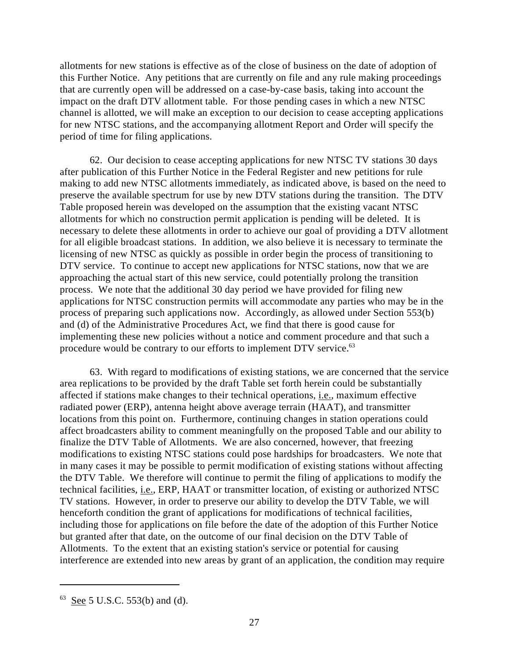allotments for new stations is effective as of the close of business on the date of adoption of this Further Notice. Any petitions that are currently on file and any rule making proceedings that are currently open will be addressed on a case-by-case basis, taking into account the impact on the draft DTV allotment table. For those pending cases in which a new NTSC channel is allotted, we will make an exception to our decision to cease accepting applications for new NTSC stations, and the accompanying allotment Report and Order will specify the period of time for filing applications.

62. Our decision to cease accepting applications for new NTSC TV stations 30 days after publication of this Further Notice in the Federal Register and new petitions for rule making to add new NTSC allotments immediately, as indicated above, is based on the need to preserve the available spectrum for use by new DTV stations during the transition. The DTV Table proposed herein was developed on the assumption that the existing vacant NTSC allotments for which no construction permit application is pending will be deleted. It is necessary to delete these allotments in order to achieve our goal of providing a DTV allotment for all eligible broadcast stations. In addition, we also believe it is necessary to terminate the licensing of new NTSC as quickly as possible in order begin the process of transitioning to DTV service. To continue to accept new applications for NTSC stations, now that we are approaching the actual start of this new service, could potentially prolong the transition process. We note that the additional 30 day period we have provided for filing new applications for NTSC construction permits will accommodate any parties who may be in the process of preparing such applications now. Accordingly, as allowed under Section 553(b) and (d) of the Administrative Procedures Act, we find that there is good cause for implementing these new policies without a notice and comment procedure and that such a procedure would be contrary to our efforts to implement DTV service.<sup>63</sup>

63. With regard to modifications of existing stations, we are concerned that the service area replications to be provided by the draft Table set forth herein could be substantially affected if stations make changes to their technical operations, i.e., maximum effective radiated power (ERP), antenna height above average terrain (HAAT), and transmitter locations from this point on. Furthermore, continuing changes in station operations could affect broadcasters ability to comment meaningfully on the proposed Table and our ability to finalize the DTV Table of Allotments. We are also concerned, however, that freezing modifications to existing NTSC stations could pose hardships for broadcasters. We note that in many cases it may be possible to permit modification of existing stations without affecting the DTV Table. We therefore will continue to permit the filing of applications to modify the technical facilities, i.e., ERP, HAAT or transmitter location, of existing or authorized NTSC TV stations. However, in order to preserve our ability to develop the DTV Table, we will henceforth condition the grant of applications for modifications of technical facilities, including those for applications on file before the date of the adoption of this Further Notice but granted after that date, on the outcome of our final decision on the DTV Table of Allotments. To the extent that an existing station's service or potential for causing interference are extended into new areas by grant of an application, the condition may require

 $63$  See 5 U.S.C. 553(b) and (d).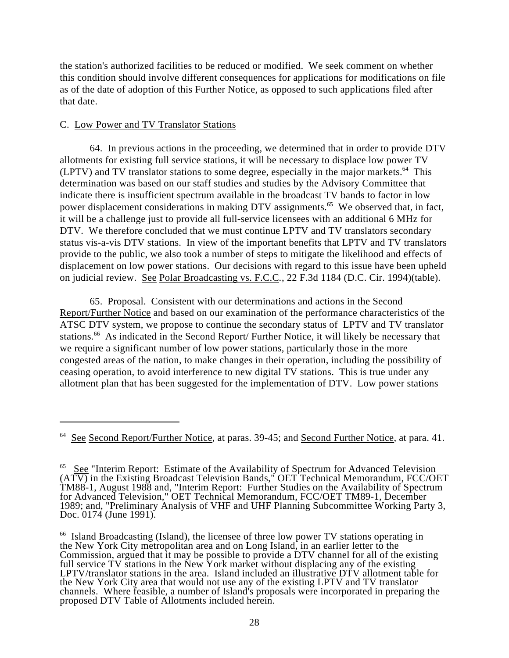the station's authorized facilities to be reduced or modified. We seek comment on whether this condition should involve different consequences for applications for modifications on file as of the date of adoption of this Further Notice, as opposed to such applications filed after that date.

## C. Low Power and TV Translator Stations

64. In previous actions in the proceeding, we determined that in order to provide DTV allotments for existing full service stations, it will be necessary to displace low power TV (LPTV) and TV translator stations to some degree, especially in the major markets.  $64$  This determination was based on our staff studies and studies by the Advisory Committee that indicate there is insufficient spectrum available in the broadcast TV bands to factor in low power displacement considerations in making DTV assignments.<sup>65</sup> We observed that, in fact, it will be a challenge just to provide all full-service licensees with an additional 6 MHz for DTV. We therefore concluded that we must continue LPTV and TV translators secondary status vis-a-vis DTV stations. In view of the important benefits that LPTV and TV translators provide to the public, we also took a number of steps to mitigate the likelihood and effects of displacement on low power stations. Our decisions with regard to this issue have been upheld on judicial review. See Polar Broadcasting vs. F.C.C*.*, 22 F.3d 1184 (D.C. Cir. 1994)(table).

65. Proposal. Consistent with our determinations and actions in the Second Report/Further Notice and based on our examination of the performance characteristics of the ATSC DTV system, we propose to continue the secondary status of LPTV and TV translator stations.<sup>66</sup> As indicated in the Second Report/ Further Notice, it will likely be necessary that we require a significant number of low power stations, particularly those in the more congested areas of the nation, to make changes in their operation, including the possibility of ceasing operation, to avoid interference to new digital TV stations. This is true under any allotment plan that has been suggested for the implementation of DTV. Low power stations

<sup>&</sup>lt;sup>64</sup> See Second Report/Further Notice, at paras. 39-45; and Second Further Notice, at para. 41.

 $65$  See "Interim Report: Estimate of the Availability of Spectrum for Advanced Television  $(AT\overline{V})$  in the Existing Broadcast Television Bands," OET Technical Memorandum, FCC/OET TM88-1, August 1988 and, "Interim Report: Further Studies on the Availability of Spectrum for Advanced Television," OET Technical Memorandum, FCC/OET TM89-1, December 1989; and, "Preliminary Analysis of VHF and UHF Planning Subcommittee Working Party 3, Doc. 0174 (June 1991).

<sup>&</sup>lt;sup>66</sup> Island Broadcasting (Island), the licensee of three low power TV stations operating in the New York City metropolitan area and on Long Island, in an earlier letter to the Commission, argued that it may be possible to provide a DTV channel for all of the existing full service TV stations in the New York market without displacing any of the existing LPTV/translator stations in the area. Island included an illustrative DTV allotment table for the New York City area that would not use any of the existing LPTV and TV translator channels. Where feasible, a number of Island's proposals were incorporated in preparing the proposed DTV Table of Allotments included herein.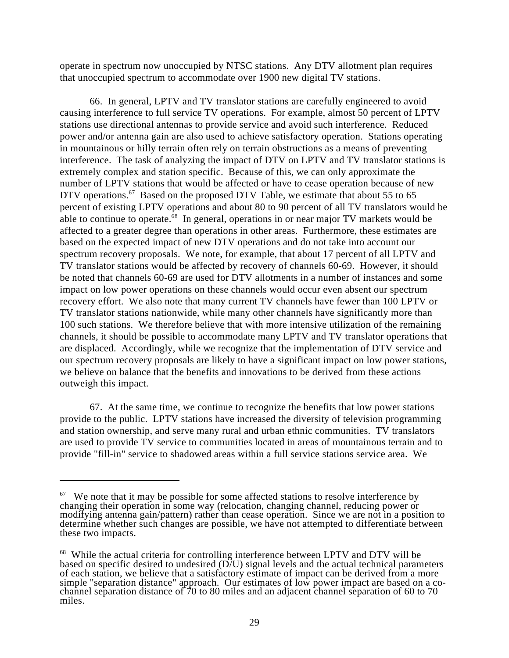operate in spectrum now unoccupied by NTSC stations. Any DTV allotment plan requires that unoccupied spectrum to accommodate over 1900 new digital TV stations.

66. In general, LPTV and TV translator stations are carefully engineered to avoid causing interference to full service TV operations. For example, almost 50 percent of LPTV stations use directional antennas to provide service and avoid such interference. Reduced power and/or antenna gain are also used to achieve satisfactory operation. Stations operating in mountainous or hilly terrain often rely on terrain obstructions as a means of preventing interference. The task of analyzing the impact of DTV on LPTV and TV translator stations is extremely complex and station specific. Because of this, we can only approximate the number of LPTV stations that would be affected or have to cease operation because of new DTV operations.<sup>67</sup> Based on the proposed DTV Table, we estimate that about 55 to 65 percent of existing LPTV operations and about 80 to 90 percent of all TV translators would be able to continue to operate. $68$  In general, operations in or near major TV markets would be affected to a greater degree than operations in other areas. Furthermore, these estimates are based on the expected impact of new DTV operations and do not take into account our spectrum recovery proposals. We note, for example, that about 17 percent of all LPTV and TV translator stations would be affected by recovery of channels 60-69. However, it should be noted that channels 60-69 are used for DTV allotments in a number of instances and some impact on low power operations on these channels would occur even absent our spectrum recovery effort. We also note that many current TV channels have fewer than 100 LPTV or TV translator stations nationwide, while many other channels have significantly more than 100 such stations. We therefore believe that with more intensive utilization of the remaining channels, it should be possible to accommodate many LPTV and TV translator operations that are displaced. Accordingly, while we recognize that the implementation of DTV service and our spectrum recovery proposals are likely to have a significant impact on low power stations, we believe on balance that the benefits and innovations to be derived from these actions outweigh this impact.

67. At the same time, we continue to recognize the benefits that low power stations provide to the public. LPTV stations have increased the diversity of television programming and station ownership, and serve many rural and urban ethnic communities. TV translators are used to provide TV service to communities located in areas of mountainous terrain and to provide "fill-in" service to shadowed areas within a full service stations service area. We

 $67$  We note that it may be possible for some affected stations to resolve interference by changing their operation in some way (relocation, changing channel, reducing power or modifying antenna gain/pattern) rather than cease operation. Since we are not in a position to determine whether such changes are possible, we have not attempted to differentiate between these two impacts.

 $68$  While the actual criteria for controlling interference between LPTV and DTV will be based on specific desired to undesired (D/U) signal levels and the actual technical parameters of each station, we believe that a satisfactory estimate of impact can be derived from a more simple "separation distance" approach. Our estimates of low power impact are based on a cochannel separation distance of 70 to 80 miles and an adjacent channel separation of 60 to 70 miles.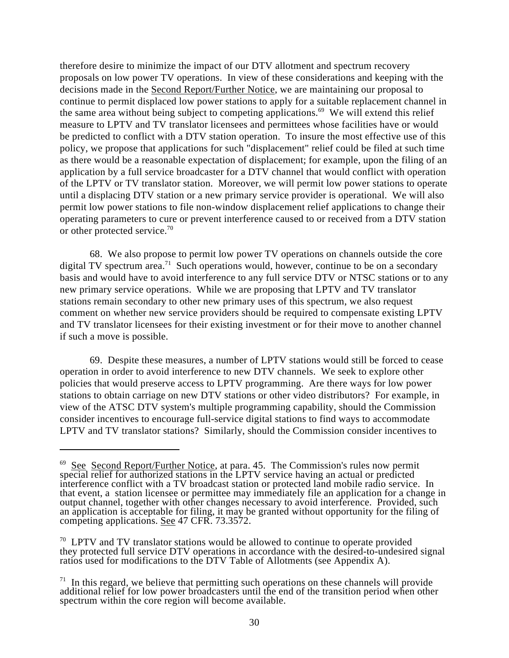therefore desire to minimize the impact of our DTV allotment and spectrum recovery proposals on low power TV operations. In view of these considerations and keeping with the decisions made in the Second Report/Further Notice, we are maintaining our proposal to continue to permit displaced low power stations to apply for a suitable replacement channel in the same area without being subject to competing applications.<sup>69</sup> We will extend this relief measure to LPTV and TV translator licensees and permittees whose facilities have or would be predicted to conflict with a DTV station operation. To insure the most effective use of this policy, we propose that applications for such "displacement" relief could be filed at such time as there would be a reasonable expectation of displacement; for example, upon the filing of an application by a full service broadcaster for a DTV channel that would conflict with operation of the LPTV or TV translator station. Moreover, we will permit low power stations to operate until a displacing DTV station or a new primary service provider is operational. We will also permit low power stations to file non-window displacement relief applications to change their operating parameters to cure or prevent interference caused to or received from a DTV station or other protected service.<sup>70</sup>

68. We also propose to permit low power TV operations on channels outside the core digital TV spectrum area.<sup>71</sup> Such operations would, however, continue to be on a secondary basis and would have to avoid interference to any full service DTV or NTSC stations or to any new primary service operations. While we are proposing that LPTV and TV translator stations remain secondary to other new primary uses of this spectrum, we also request comment on whether new service providers should be required to compensate existing LPTV and TV translator licensees for their existing investment or for their move to another channel if such a move is possible.

69. Despite these measures, a number of LPTV stations would still be forced to cease operation in order to avoid interference to new DTV channels. We seek to explore other policies that would preserve access to LPTV programming. Are there ways for low power stations to obtain carriage on new DTV stations or other video distributors? For example, in view of the ATSC DTV system's multiple programming capability, should the Commission consider incentives to encourage full-service digital stations to find ways to accommodate LPTV and TV translator stations? Similarly, should the Commission consider incentives to

 $^{69}$  See Second Report/Further Notice, at para. 45. The Commission's rules now permit special relief for authorized stations in the LPTV service having an actual or predicted interference conflict with a TV broadcast station or protected land mobile radio service. In that event, a station licensee or permittee may immediately file an application for a change in output channel, together with other changes necessary to avoid interference. Provided, such an application is acceptable for filing, it may be granted without opportunity for the filing of competing applications. See 47 CFR. 73.3572.

 $70$  LPTV and TV translator stations would be allowed to continue to operate provided they protected full service DTV operations in accordance with the desired-to-undesired signal ratios used for modifications to the DTV Table of Allotments (see Appendix A).

 $1<sup>71</sup>$  In this regard, we believe that permitting such operations on these channels will provide additional relief for low power broadcasters until the end of the transition period when other spectrum within the core region will become available.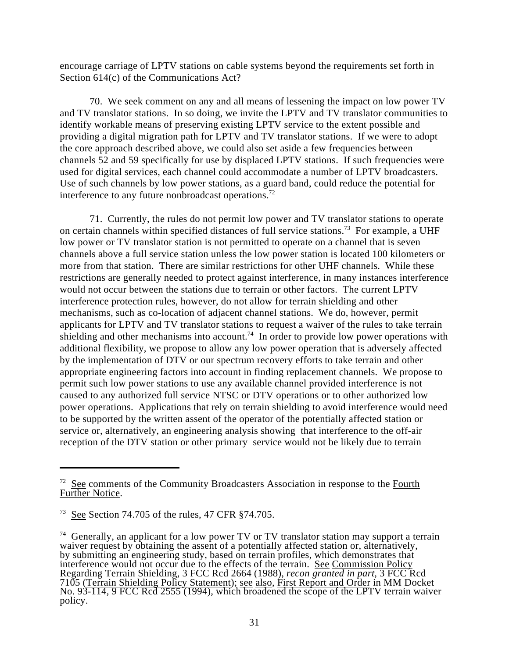encourage carriage of LPTV stations on cable systems beyond the requirements set forth in Section 614(c) of the Communications Act?

70. We seek comment on any and all means of lessening the impact on low power TV and TV translator stations. In so doing, we invite the LPTV and TV translator communities to identify workable means of preserving existing LPTV service to the extent possible and providing a digital migration path for LPTV and TV translator stations. If we were to adopt the core approach described above, we could also set aside a few frequencies between channels 52 and 59 specifically for use by displaced LPTV stations. If such frequencies were used for digital services, each channel could accommodate a number of LPTV broadcasters. Use of such channels by low power stations, as a guard band, could reduce the potential for interference to any future nonbroadcast operations.<sup>72</sup>

71. Currently, the rules do not permit low power and TV translator stations to operate on certain channels within specified distances of full service stations.<sup>73</sup> For example, a UHF low power or TV translator station is not permitted to operate on a channel that is seven channels above a full service station unless the low power station is located 100 kilometers or more from that station. There are similar restrictions for other UHF channels. While these restrictions are generally needed to protect against interference, in many instances interference would not occur between the stations due to terrain or other factors. The current LPTV interference protection rules, however, do not allow for terrain shielding and other mechanisms, such as co-location of adjacent channel stations. We do, however, permit applicants for LPTV and TV translator stations to request a waiver of the rules to take terrain shielding and other mechanisms into account.<sup>74</sup> In order to provide low power operations with additional flexibility, we propose to allow any low power operation that is adversely affected by the implementation of DTV or our spectrum recovery efforts to take terrain and other appropriate engineering factors into account in finding replacement channels. We propose to permit such low power stations to use any available channel provided interference is not caused to any authorized full service NTSC or DTV operations or to other authorized low power operations. Applications that rely on terrain shielding to avoid interference would need to be supported by the written assent of the operator of the potentially affected station or service or, alternatively, an engineering analysis showing that interference to the off-air reception of the DTV station or other primary service would not be likely due to terrain

 $\frac{72}{2}$  See comments of the Community Broadcasters Association in response to the Fourth Further Notice.

<sup>&</sup>lt;sup>73</sup> See Section 74.705 of the rules, 47 CFR  $§74.705$ .

 $74$  Generally, an applicant for a low power TV or TV translator station may support a terrain waiver request by obtaining the assent of a potentially affected station or, alternatively, by submitting an engineering study, based on terrain profiles, which demonstrates that interference would not occur due to the effects of the terrain. See Commission Policy Regarding Terrain Shielding, 3 FCC Rcd 2664 (1988), *recon granted in part*, 3 FCC Rcd 7105 (Terrain Shielding Policy Statement); see also, First Report and Order in MM Docket No. 93-114, 9 FCC Rcd 2555 (1994), which broadened the scope of the LPTV terrain waiver policy.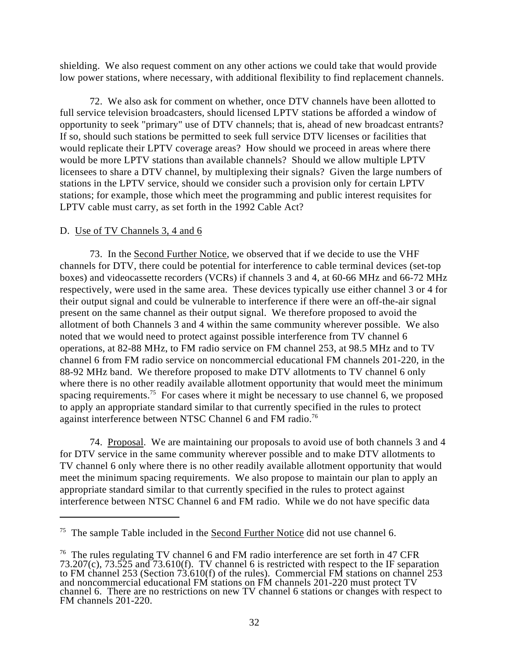shielding. We also request comment on any other actions we could take that would provide low power stations, where necessary, with additional flexibility to find replacement channels.

72. We also ask for comment on whether, once DTV channels have been allotted to full service television broadcasters, should licensed LPTV stations be afforded a window of opportunity to seek "primary" use of DTV channels; that is, ahead of new broadcast entrants? If so, should such stations be permitted to seek full service DTV licenses or facilities that would replicate their LPTV coverage areas? How should we proceed in areas where there would be more LPTV stations than available channels? Should we allow multiple LPTV licensees to share a DTV channel, by multiplexing their signals? Given the large numbers of stations in the LPTV service, should we consider such a provision only for certain LPTV stations; for example, those which meet the programming and public interest requisites for LPTV cable must carry, as set forth in the 1992 Cable Act?

## D. Use of TV Channels 3, 4 and 6

73. In the Second Further Notice, we observed that if we decide to use the VHF channels for DTV, there could be potential for interference to cable terminal devices (set-top boxes) and videocassette recorders (VCRs) if channels 3 and 4, at 60-66 MHz and 66-72 MHz respectively, were used in the same area. These devices typically use either channel 3 or 4 for their output signal and could be vulnerable to interference if there were an off-the-air signal present on the same channel as their output signal. We therefore proposed to avoid the allotment of both Channels 3 and 4 within the same community wherever possible. We also noted that we would need to protect against possible interference from TV channel 6 operations, at 82-88 MHz, to FM radio service on FM channel 253, at 98.5 MHz and to TV channel 6 from FM radio service on noncommercial educational FM channels 201-220, in the 88-92 MHz band. We therefore proposed to make DTV allotments to TV channel 6 only where there is no other readily available allotment opportunity that would meet the minimum spacing requirements.<sup>75</sup> For cases where it might be necessary to use channel 6, we proposed to apply an appropriate standard similar to that currently specified in the rules to protect against interference between NTSC Channel 6 and FM radio.<sup>76</sup>

74. Proposal. We are maintaining our proposals to avoid use of both channels 3 and 4 for DTV service in the same community wherever possible and to make DTV allotments to TV channel 6 only where there is no other readily available allotment opportunity that would meet the minimum spacing requirements. We also propose to maintain our plan to apply an appropriate standard similar to that currently specified in the rules to protect against interference between NTSC Channel 6 and FM radio. While we do not have specific data

 $75$  The sample Table included in the Second Further Notice did not use channel 6.

 $76$  The rules regulating TV channel 6 and FM radio interference are set forth in 47 CFR 73.207(c), 73.525 and 73.610(f). TV channel 6 is restricted with respect to the IF separation to FM channel 253 (Section 73.610(f) of the rules). Commercial FM stations on channel 253 and noncommercial educational FM stations on FM channels 201-220 must protect TV channel 6. There are no restrictions on new TV channel 6 stations or changes with respect to FM channels 201-220.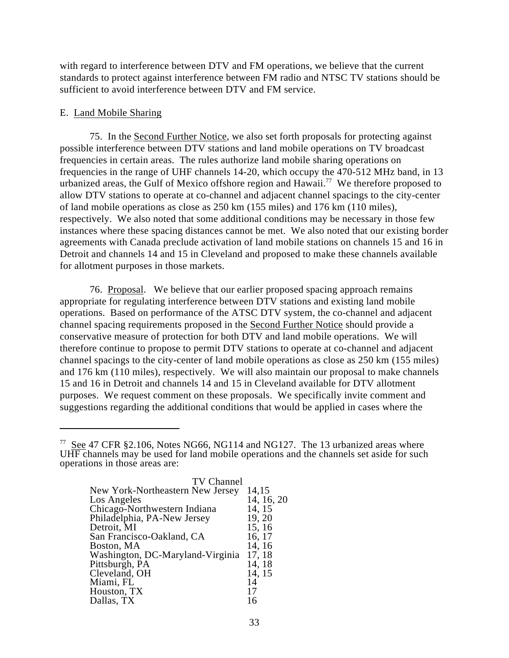with regard to interference between DTV and FM operations, we believe that the current standards to protect against interference between FM radio and NTSC TV stations should be sufficient to avoid interference between DTV and FM service.

#### E. Land Mobile Sharing

75. In the Second Further Notice, we also set forth proposals for protecting against possible interference between DTV stations and land mobile operations on TV broadcast frequencies in certain areas. The rules authorize land mobile sharing operations on frequencies in the range of UHF channels 14-20, which occupy the 470-512 MHz band, in 13 urbanized areas, the Gulf of Mexico offshore region and Hawaii.<sup>77</sup> We therefore proposed to allow DTV stations to operate at co-channel and adjacent channel spacings to the city-center of land mobile operations as close as 250 km (155 miles) and 176 km (110 miles), respectively. We also noted that some additional conditions may be necessary in those few instances where these spacing distances cannot be met. We also noted that our existing border agreements with Canada preclude activation of land mobile stations on channels 15 and 16 in Detroit and channels 14 and 15 in Cleveland and proposed to make these channels available for allotment purposes in those markets.

76. Proposal. We believe that our earlier proposed spacing approach remains appropriate for regulating interference between DTV stations and existing land mobile operations. Based on performance of the ATSC DTV system, the co-channel and adjacent channel spacing requirements proposed in the Second Further Notice should provide a conservative measure of protection for both DTV and land mobile operations. We will therefore continue to propose to permit DTV stations to operate at co-channel and adjacent channel spacings to the city-center of land mobile operations as close as 250 km (155 miles) and 176 km (110 miles), respectively. We will also maintain our proposal to make channels 15 and 16 in Detroit and channels 14 and 15 in Cleveland available for DTV allotment purposes. We request comment on these proposals. We specifically invite comment and suggestions regarding the additional conditions that would be applied in cases where the

<sup>&</sup>lt;sup>77</sup> See 47 CFR §2.106, Notes NG66, NG114 and NG127. The 13 urbanized areas where UHF channels may be used for land mobile operations and the channels set aside for such operations in those areas are:

| TV Channel                       |            |
|----------------------------------|------------|
| New York-Northeastern New Jersey | 14,15      |
| Los Angeles                      | 14, 16, 20 |
| Chicago-Northwestern Indiana     | 14, 15     |
| Philadelphia, PA-New Jersey      | 19, 20     |
| Detroit, MI                      | 15, 16     |
| San Francisco-Oakland, CA        | 16, 17     |
| Boston, MA                       | 14, 16     |
| Washington, DC-Maryland-Virginia | 17, 18     |
| Pittsburgh, PA                   | 14, 18     |
| Cleveland, OH                    | 14, 15     |
| Miami, FL                        | 14         |
| Houston, TX                      | 17         |
| Dallas, TX                       |            |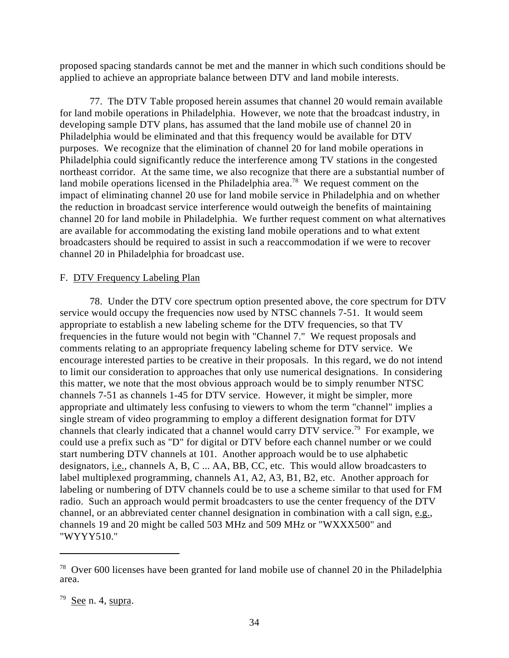proposed spacing standards cannot be met and the manner in which such conditions should be applied to achieve an appropriate balance between DTV and land mobile interests.

77. The DTV Table proposed herein assumes that channel 20 would remain available for land mobile operations in Philadelphia. However, we note that the broadcast industry, in developing sample DTV plans, has assumed that the land mobile use of channel 20 in Philadelphia would be eliminated and that this frequency would be available for DTV purposes. We recognize that the elimination of channel 20 for land mobile operations in Philadelphia could significantly reduce the interference among TV stations in the congested northeast corridor. At the same time, we also recognize that there are a substantial number of land mobile operations licensed in the Philadelphia area.<sup>78</sup> We request comment on the impact of eliminating channel 20 use for land mobile service in Philadelphia and on whether the reduction in broadcast service interference would outweigh the benefits of maintaining channel 20 for land mobile in Philadelphia. We further request comment on what alternatives are available for accommodating the existing land mobile operations and to what extent broadcasters should be required to assist in such a reaccommodation if we were to recover channel 20 in Philadelphia for broadcast use.

#### F. DTV Frequency Labeling Plan

78. Under the DTV core spectrum option presented above, the core spectrum for DTV service would occupy the frequencies now used by NTSC channels 7-51. It would seem appropriate to establish a new labeling scheme for the DTV frequencies, so that TV frequencies in the future would not begin with "Channel 7." We request proposals and comments relating to an appropriate frequency labeling scheme for DTV service. We encourage interested parties to be creative in their proposals. In this regard, we do not intend to limit our consideration to approaches that only use numerical designations. In considering this matter, we note that the most obvious approach would be to simply renumber NTSC channels 7-51 as channels 1-45 for DTV service. However, it might be simpler, more appropriate and ultimately less confusing to viewers to whom the term "channel" implies a single stream of video programming to employ a different designation format for DTV channels that clearly indicated that a channel would carry  $\text{DTV}$  service.<sup>79</sup> For example, we could use a prefix such as "D" for digital or DTV before each channel number or we could start numbering DTV channels at 101. Another approach would be to use alphabetic designators, *i.e.*, channels A, B, C ... AA, BB, CC, etc. This would allow broadcasters to label multiplexed programming, channels A1, A2, A3, B1, B2, etc. Another approach for labeling or numbering of DTV channels could be to use a scheme similar to that used for FM radio. Such an approach would permit broadcasters to use the center frequency of the DTV channel, or an abbreviated center channel designation in combination with a call sign, e.g., channels 19 and 20 might be called 503 MHz and 509 MHz or "WXXX500" and "WYYY510."

 $78$  Over 600 licenses have been granted for land mobile use of channel 20 in the Philadelphia area.

 $79$  See n. 4, supra.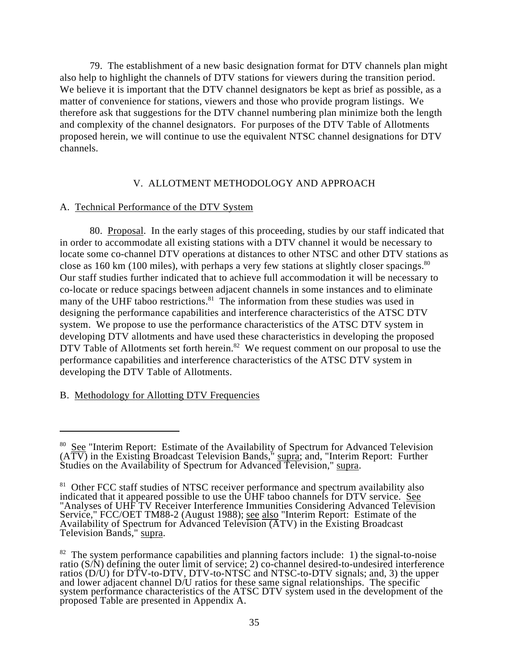79. The establishment of a new basic designation format for DTV channels plan might also help to highlight the channels of DTV stations for viewers during the transition period. We believe it is important that the DTV channel designators be kept as brief as possible, as a matter of convenience for stations, viewers and those who provide program listings. We therefore ask that suggestions for the DTV channel numbering plan minimize both the length and complexity of the channel designators. For purposes of the DTV Table of Allotments proposed herein, we will continue to use the equivalent NTSC channel designations for DTV channels.

# V. ALLOTMENT METHODOLOGY AND APPROACH

# A. Technical Performance of the DTV System

80. Proposal. In the early stages of this proceeding, studies by our staff indicated that in order to accommodate all existing stations with a DTV channel it would be necessary to locate some co-channel DTV operations at distances to other NTSC and other DTV stations as close as 160 km (100 miles), with perhaps a very few stations at slightly closer spacings.<sup>80</sup> Our staff studies further indicated that to achieve full accommodation it will be necessary to co-locate or reduce spacings between adjacent channels in some instances and to eliminate many of the UHF taboo restrictions.<sup>81</sup> The information from these studies was used in designing the performance capabilities and interference characteristics of the ATSC DTV system. We propose to use the performance characteristics of the ATSC DTV system in developing DTV allotments and have used these characteristics in developing the proposed DTV Table of Allotments set forth herein.<sup>82</sup> We request comment on our proposal to use the performance capabilities and interference characteristics of the ATSC DTV system in developing the DTV Table of Allotments.

# B. Methodology for Allotting DTV Frequencies

 $80$  See "Interim Report: Estimate of the Availability of Spectrum for Advanced Television  $(A\overline{TV})$  in the Existing Broadcast Television Bands," supra; and, "Interim Report: Further Studies on the Availability of Spectrum for Advanced Television," supra.

 $81$  Other FCC staff studies of NTSC receiver performance and spectrum availability also indicated that it appeared possible to use the UHF taboo channels for DTV service. See "Analyses of UHF TV Receiver Interference Immunities Considering Advanced Television Service," FCC/OET TM88-2 (August 1988); see also "Interim Report: Estimate of the Availability of Spectrum for Advanced Television (ATV) in the Existing Broadcast Television Bands," supra.

 $82$  The system performance capabilities and planning factors include: 1) the signal-to-noise ratio (S/N) defining the outer limit of service; 2) co-channel desired-to-undesired interference ratios (D/U) for DTV-to-DTV, DTV-to-NTSC and NTSC-to-DTV signals; and, 3) the upper and lower adjacent channel D/U ratios for these same signal relationships. The specific system performance characteristics of the ATSC DTV system used in the development of the proposed Table are presented in Appendix A.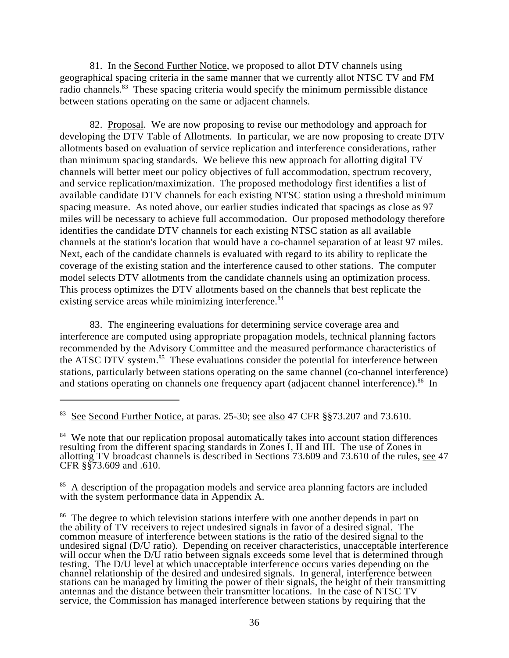81. In the Second Further Notice, we proposed to allot DTV channels using geographical spacing criteria in the same manner that we currently allot NTSC TV and FM radio channels.<sup>83</sup> These spacing criteria would specify the minimum permissible distance between stations operating on the same or adjacent channels.

82. Proposal. We are now proposing to revise our methodology and approach for developing the DTV Table of Allotments. In particular, we are now proposing to create DTV allotments based on evaluation of service replication and interference considerations, rather than minimum spacing standards. We believe this new approach for allotting digital TV channels will better meet our policy objectives of full accommodation, spectrum recovery, and service replication/maximization. The proposed methodology first identifies a list of available candidate DTV channels for each existing NTSC station using a threshold minimum spacing measure. As noted above, our earlier studies indicated that spacings as close as 97 miles will be necessary to achieve full accommodation. Our proposed methodology therefore identifies the candidate DTV channels for each existing NTSC station as all available channels at the station's location that would have a co-channel separation of at least 97 miles. Next, each of the candidate channels is evaluated with regard to its ability to replicate the coverage of the existing station and the interference caused to other stations. The computer model selects DTV allotments from the candidate channels using an optimization process. This process optimizes the DTV allotments based on the channels that best replicate the existing service areas while minimizing interference.<sup>84</sup>

83. The engineering evaluations for determining service coverage area and interference are computed using appropriate propagation models, technical planning factors recommended by the Advisory Committee and the measured performance characteristics of the ATSC DTV system.<sup>85</sup> These evaluations consider the potential for interference between stations, particularly between stations operating on the same channel (co-channel interference) and stations operating on channels one frequency apart (adjacent channel interference).<sup>86</sup> In

 $83$  See Second Further Notice, at paras. 25-30; see also 47 CFR  $\S$  $\S$ 73.207 and 73.610.

<sup>&</sup>lt;sup>84</sup> We note that our replication proposal automatically takes into account station differences resulting from the different spacing standards in Zones I, II and III. The use of Zones in allotting TV broadcast channels is described in Sections 73.609 and 73.610 of the rules, see 47 CFR §§73.609 and .610.

<sup>&</sup>lt;sup>85</sup> A description of the propagation models and service area planning factors are included with the system performance data in Appendix A.

<sup>&</sup>lt;sup>86</sup> The degree to which television stations interfere with one another depends in part on the ability of TV receivers to reject undesired signals in favor of a desired signal. The common measure of interference between stations is the ratio of the desired signal to the undesired signal (D/U ratio). Depending on receiver characteristics, unacceptable interference will occur when the D/U ratio between signals exceeds some level that is determined through testing. The D/U level at which unacceptable interference occurs varies depending on the channel relationship of the desired and undesired signals. In general, interference between stations can be managed by limiting the power of their signals, the height of their transmitting antennas and the distance between their transmitter locations. In the case of NTSC TV service, the Commission has managed interference between stations by requiring that the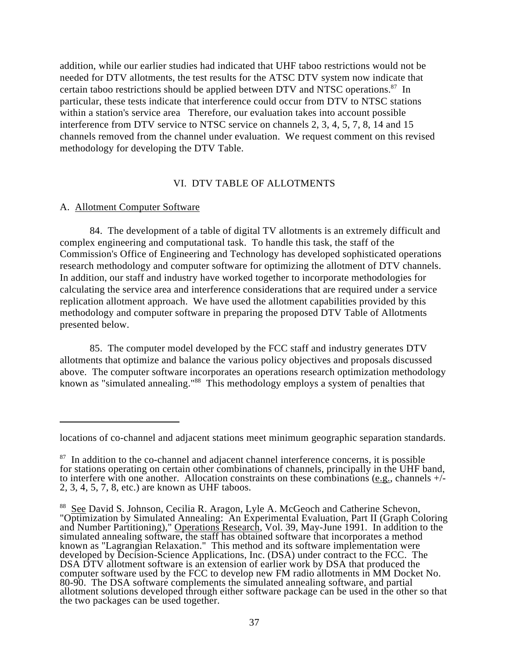addition, while our earlier studies had indicated that UHF taboo restrictions would not be needed for DTV allotments, the test results for the ATSC DTV system now indicate that certain taboo restrictions should be applied between DTV and NTSC operations. $^{87}$  In particular, these tests indicate that interference could occur from DTV to NTSC stations within a station's service area Therefore, our evaluation takes into account possible interference from DTV service to NTSC service on channels 2, 3, 4, 5, 7, 8, 14 and 15 channels removed from the channel under evaluation. We request comment on this revised methodology for developing the DTV Table.

#### VI. DTV TABLE OF ALLOTMENTS

#### A. Allotment Computer Software

84. The development of a table of digital TV allotments is an extremely difficult and complex engineering and computational task. To handle this task, the staff of the Commission's Office of Engineering and Technology has developed sophisticated operations research methodology and computer software for optimizing the allotment of DTV channels. In addition, our staff and industry have worked together to incorporate methodologies for calculating the service area and interference considerations that are required under a service replication allotment approach. We have used the allotment capabilities provided by this methodology and computer software in preparing the proposed DTV Table of Allotments presented below.

85. The computer model developed by the FCC staff and industry generates DTV allotments that optimize and balance the various policy objectives and proposals discussed above. The computer software incorporates an operations research optimization methodology known as "simulated annealing."<sup>88</sup> This methodology employs a system of penalties that

locations of co-channel and adjacent stations meet minimum geographic separation standards.

 $87$  In addition to the co-channel and adjacent channel interference concerns, it is possible for stations operating on certain other combinations of channels, principally in the UHF band, to interfere with one another. Allocation constraints on these combinations  $(e.g.,$  channels  $+/-$ 2, 3, 4, 5, 7, 8, etc.) are known as UHF taboos.

<sup>&</sup>lt;sup>88</sup> See David S. Johnson, Cecilia R. Aragon, Lyle A. McGeoch and Catherine Schevon, "Optimization by Simulated Annealing: An Experimental Evaluation, Part II (Graph Coloring and Number Partitioning)," Operations Research, Vol. 39, May-June 1991. In addition to the simulated annealing software, the staff has obtained software that incorporates a method known as "Lagrangian Relaxation." This method and its software implementation were developed by Decision-Science Applications, Inc. (DSA) under contract to the FCC. The DSA DTV allotment software is an extension of earlier work by DSA that produced the computer software used by the FCC to develop new FM radio allotments in MM Docket No. 80-90. The DSA software complements the simulated annealing software, and partial allotment solutions developed through either software package can be used in the other so that the two packages can be used together.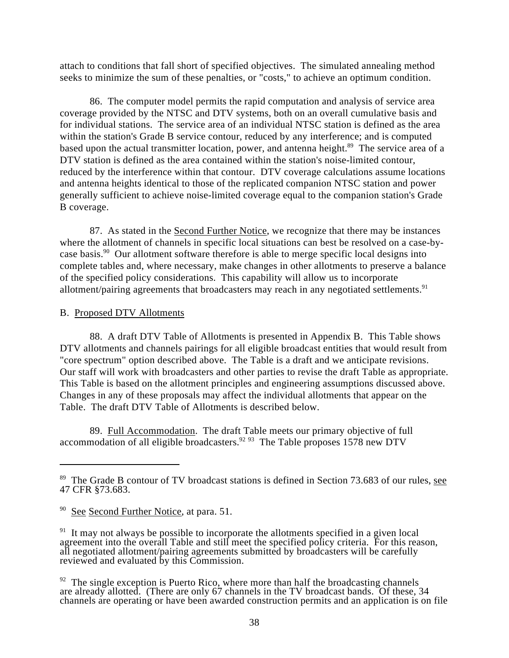attach to conditions that fall short of specified objectives. The simulated annealing method seeks to minimize the sum of these penalties, or "costs," to achieve an optimum condition.

86. The computer model permits the rapid computation and analysis of service area coverage provided by the NTSC and DTV systems, both on an overall cumulative basis and for individual stations. The service area of an individual NTSC station is defined as the area within the station's Grade B service contour, reduced by any interference; and is computed based upon the actual transmitter location, power, and antenna height.<sup>89</sup> The service area of a DTV station is defined as the area contained within the station's noise-limited contour, reduced by the interference within that contour. DTV coverage calculations assume locations and antenna heights identical to those of the replicated companion NTSC station and power generally sufficient to achieve noise-limited coverage equal to the companion station's Grade B coverage.

87. As stated in the Second Further Notice, we recognize that there may be instances where the allotment of channels in specific local situations can best be resolved on a case-bycase basis.<sup>90</sup> Our allotment software therefore is able to merge specific local designs into complete tables and, where necessary, make changes in other allotments to preserve a balance of the specified policy considerations. This capability will allow us to incorporate allotment/pairing agreements that broadcasters may reach in any negotiated settlements.<sup>91</sup>

### B. Proposed DTV Allotments

88. A draft DTV Table of Allotments is presented in Appendix B. This Table shows DTV allotments and channels pairings for all eligible broadcast entities that would result from "core spectrum" option described above. The Table is a draft and we anticipate revisions. Our staff will work with broadcasters and other parties to revise the draft Table as appropriate. This Table is based on the allotment principles and engineering assumptions discussed above. Changes in any of these proposals may affect the individual allotments that appear on the Table. The draft DTV Table of Allotments is described below.

89. Full Accommodation. The draft Table meets our primary objective of full accommodation of all eligible broadcasters.<sup>92 93</sup> The Table proposes 1578 new DTV

 $89$  The Grade B contour of TV broadcast stations is defined in Section 73.683 of our rules, see 47 CFR §73.683.

 $90$  See Second Further Notice, at para. 51.

<sup>&</sup>lt;sup>91</sup> It may not always be possible to incorporate the allotments specified in a given local agreement into the overall Table and still meet the specified policy criteria. For this reason, all negotiated allotment/pairing agreements submitted by broadcasters will be carefully reviewed and evaluated by this Commission.

 $92$  The single exception is Puerto Rico, where more than half the broadcasting channels are already allotted. (There are only 67 channels in the TV broadcast bands. Of these, 34 channels are operating or have been awarded construction permits and an application is on file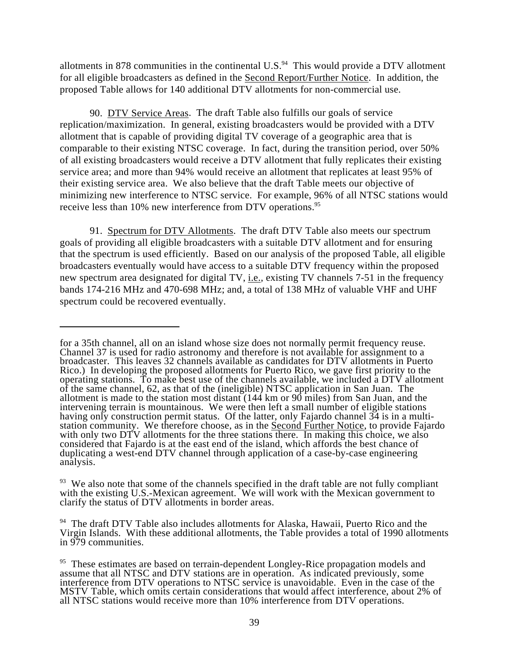allotments in 878 communities in the continental U.S. $94$  This would provide a DTV allotment for all eligible broadcasters as defined in the Second Report/Further Notice. In addition, the proposed Table allows for 140 additional DTV allotments for non-commercial use.

90. DTV Service Areas. The draft Table also fulfills our goals of service replication/maximization. In general, existing broadcasters would be provided with a DTV allotment that is capable of providing digital TV coverage of a geographic area that is comparable to their existing NTSC coverage. In fact, during the transition period, over 50% of all existing broadcasters would receive a DTV allotment that fully replicates their existing service area; and more than 94% would receive an allotment that replicates at least 95% of their existing service area. We also believe that the draft Table meets our objective of minimizing new interference to NTSC service. For example, 96% of all NTSC stations would receive less than 10% new interference from DTV operations.<sup>95</sup>

91. Spectrum for DTV Allotments. The draft DTV Table also meets our spectrum goals of providing all eligible broadcasters with a suitable DTV allotment and for ensuring that the spectrum is used efficiently. Based on our analysis of the proposed Table, all eligible broadcasters eventually would have access to a suitable DTV frequency within the proposed new spectrum area designated for digital TV, i.e., existing TV channels 7-51 in the frequency bands 174-216 MHz and 470-698 MHz; and, a total of 138 MHz of valuable VHF and UHF spectrum could be recovered eventually.

for a 35th channel, all on an island whose size does not normally permit frequency reuse. Channel 37 is used for radio astronomy and therefore is not available for assignment to a broadcaster. This leaves 32 channels available as candidates for DTV allotments in Puerto Rico.) In developing the proposed allotments for Puerto Rico, we gave first priority to the operating stations. To make best use of the channels available, we included a DTV allotment of the same channel, 62, as that of the (ineligible) NTSC application in San Juan. The allotment is made to the station most distant (144 km or 90 miles) from San Juan, and the intervening terrain is mountainous. We were then left a small number of eligible stations having only construction permit status. Of the latter, only Fajardo channel 34 is in a multistation community. We therefore choose, as in the **Second Further Notice**, to provide Fajardo with only two DTV allotments for the three stations there. In making this choice, we also considered that Fajardo is at the east end of the island, which affords the best chance of duplicating a west-end DTV channel through application of a case-by-case engineering analysis.

 $93$  We also note that some of the channels specified in the draft table are not fully compliant with the existing U.S.-Mexican agreement. We will work with the Mexican government to clarify the status of DTV allotments in border areas.

 $94$  The draft DTV Table also includes allotments for Alaska, Hawaii, Puerto Rico and the Virgin Islands. With these additional allotments, the Table provides a total of 1990 allotments in 979 communities.

<sup>&</sup>lt;sup>95</sup> These estimates are based on terrain-dependent Longley-Rice propagation models and assume that all NTSC and DTV stations are in operation. As indicated previously, some interference from DTV operations to NTSC service is unavoidable. Even in the case of the MSTV Table, which omits certain considerations that would affect interference, about 2% of all NTSC stations would receive more than 10% interference from DTV operations.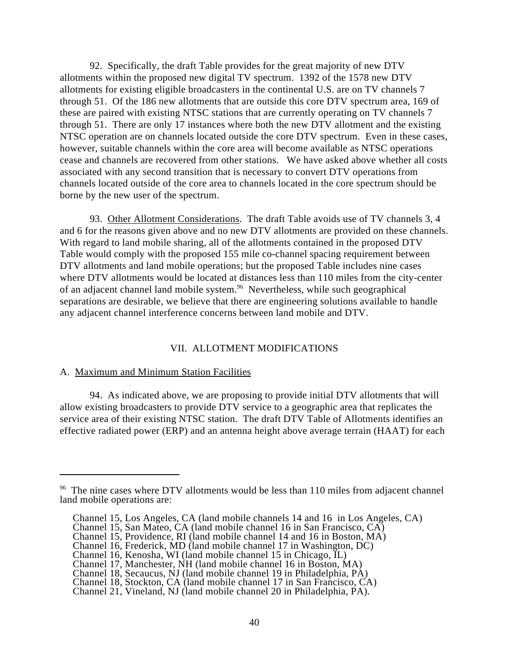92. Specifically, the draft Table provides for the great majority of new DTV allotments within the proposed new digital TV spectrum. 1392 of the 1578 new DTV allotments for existing eligible broadcasters in the continental U.S. are on TV channels 7 through 51. Of the 186 new allotments that are outside this core DTV spectrum area, 169 of these are paired with existing NTSC stations that are currently operating on TV channels 7 through 51. There are only 17 instances where both the new DTV allotment and the existing NTSC operation are on channels located outside the core DTV spectrum. Even in these cases, however, suitable channels within the core area will become available as NTSC operations cease and channels are recovered from other stations. We have asked above whether all costs associated with any second transition that is necessary to convert DTV operations from channels located outside of the core area to channels located in the core spectrum should be borne by the new user of the spectrum.

93. Other Allotment Considerations. The draft Table avoids use of TV channels 3, 4 and 6 for the reasons given above and no new DTV allotments are provided on these channels. With regard to land mobile sharing, all of the allotments contained in the proposed DTV Table would comply with the proposed 155 mile co-channel spacing requirement between DTV allotments and land mobile operations; but the proposed Table includes nine cases where DTV allotments would be located at distances less than 110 miles from the city-center of an adjacent channel land mobile system.<sup>96</sup> Nevertheless, while such geographical separations are desirable, we believe that there are engineering solutions available to handle any adjacent channel interference concerns between land mobile and DTV.

### VII. ALLOTMENT MODIFICATIONS

#### A. Maximum and Minimum Station Facilities

94. As indicated above, we are proposing to provide initial DTV allotments that will allow existing broadcasters to provide DTV service to a geographic area that replicates the service area of their existing NTSC station. The draft DTV Table of Allotments identifies an effective radiated power (ERP) and an antenna height above average terrain (HAAT) for each

 $96$  The nine cases where DTV allotments would be less than 110 miles from adjacent channel land mobile operations are:

Channel 15, Los Angeles, CA (land mobile channels 14 and 16 in Los Angeles, CA)

Channel 15, San Mateo, CA (land mobile channel 16 in San Francisco, CA)

Channel 15, Providence, RI (land mobile channel 14 and 16 in Boston, MA)

Channel 16, Frederick, MD (land mobile channel 17 in Washington, DC)

Channel 16, Kenosha, WI (land mobile channel 15 in Chicago, IL)

Channel 17, Manchester, NH (land mobile channel 16 in Boston, MA)

Channel 18, Secaucus, NJ (land mobile channel 19 in Philadelphia, PA)

Channel 18, Stockton, CA (land mobile channel 17 in San Francisco, CA)

Channel 21, Vineland, NJ (land mobile channel 20 in Philadelphia, PA).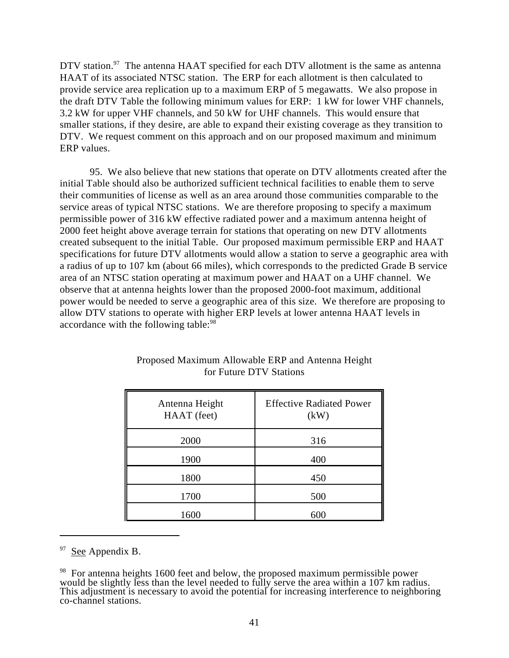DTV station.<sup>97</sup> The antenna HAAT specified for each DTV allotment is the same as antenna HAAT of its associated NTSC station. The ERP for each allotment is then calculated to provide service area replication up to a maximum ERP of 5 megawatts. We also propose in the draft DTV Table the following minimum values for ERP: 1 kW for lower VHF channels, 3.2 kW for upper VHF channels, and 50 kW for UHF channels. This would ensure that smaller stations, if they desire, are able to expand their existing coverage as they transition to DTV. We request comment on this approach and on our proposed maximum and minimum ERP values.

95. We also believe that new stations that operate on DTV allotments created after the initial Table should also be authorized sufficient technical facilities to enable them to serve their communities of license as well as an area around those communities comparable to the service areas of typical NTSC stations. We are therefore proposing to specify a maximum permissible power of 316 kW effective radiated power and a maximum antenna height of 2000 feet height above average terrain for stations that operating on new DTV allotments created subsequent to the initial Table. Our proposed maximum permissible ERP and HAAT specifications for future DTV allotments would allow a station to serve a geographic area with a radius of up to 107 km (about 66 miles), which corresponds to the predicted Grade B service area of an NTSC station operating at maximum power and HAAT on a UHF channel. We observe that at antenna heights lower than the proposed 2000-foot maximum, additional power would be needed to serve a geographic area of this size. We therefore are proposing to allow DTV stations to operate with higher ERP levels at lower antenna HAAT levels in accordance with the following table:<sup>98</sup>

| Antenna Height<br>HAAT (feet) | <b>Effective Radiated Power</b><br>(kW) |
|-------------------------------|-----------------------------------------|
| 2000                          | 316                                     |
| 1900                          | 400                                     |
| 1800                          | 450                                     |
| 1700                          | 500                                     |
| 1600                          | 600                                     |

# Proposed Maximum Allowable ERP and Antenna Height for Future DTV Stations

See Appendix B.

 $98$  For antenna heights 1600 feet and below, the proposed maximum permissible power would be slightly less than the level needed to fully serve the area within a 107 km radius. This adjustment is necessary to avoid the potential for increasing interference to neighboring co-channel stations.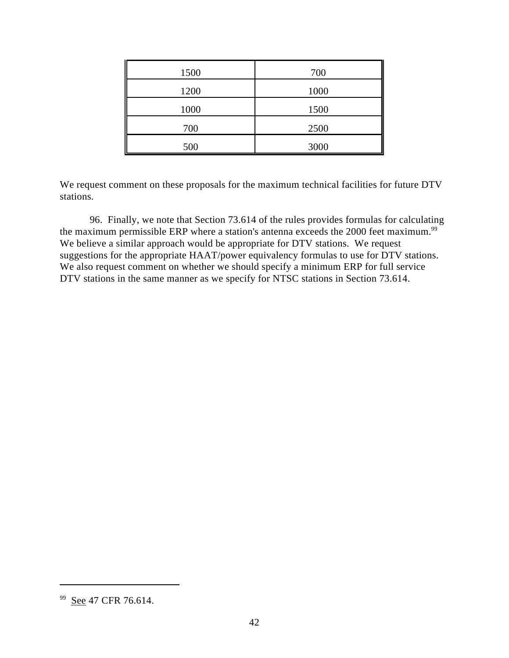| 1500 | 700  |
|------|------|
| 1200 | 1000 |
| 1000 | 1500 |
| 700  | 2500 |
| 500  | 3000 |

We request comment on these proposals for the maximum technical facilities for future DTV stations.

96. Finally, we note that Section 73.614 of the rules provides formulas for calculating the maximum permissible ERP where a station's antenna exceeds the 2000 feet maximum.<sup>99</sup> We believe a similar approach would be appropriate for DTV stations. We request suggestions for the appropriate HAAT/power equivalency formulas to use for DTV stations. We also request comment on whether we should specify a minimum ERP for full service DTV stations in the same manner as we specify for NTSC stations in Section 73.614.

<sup>&</sup>lt;sup>99</sup> See 47 CFR 76.614.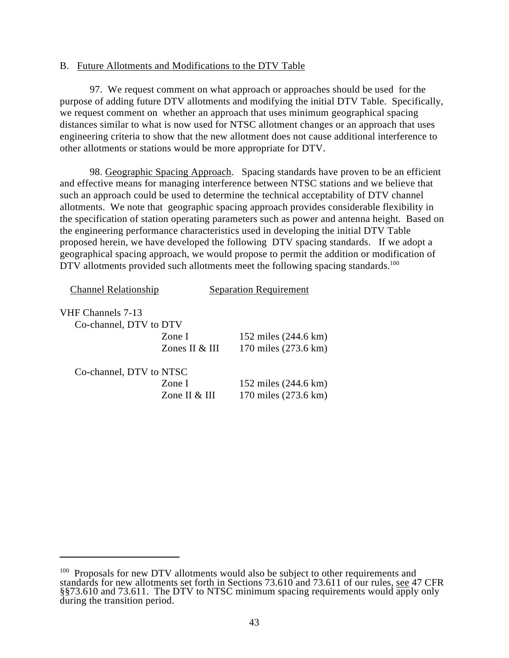### B. Future Allotments and Modifications to the DTV Table

97. We request comment on what approach or approaches should be used for the purpose of adding future DTV allotments and modifying the initial DTV Table. Specifically, we request comment on whether an approach that uses minimum geographical spacing distances similar to what is now used for NTSC allotment changes or an approach that uses engineering criteria to show that the new allotment does not cause additional interference to other allotments or stations would be more appropriate for DTV.

98. Geographic Spacing Approach. Spacing standards have proven to be an efficient and effective means for managing interference between NTSC stations and we believe that such an approach could be used to determine the technical acceptability of DTV channel allotments. We note that geographic spacing approach provides considerable flexibility in the specification of station operating parameters such as power and antenna height. Based on the engineering performance characteristics used in developing the initial DTV Table proposed herein, we have developed the following DTV spacing standards. If we adopt a geographical spacing approach, we would propose to permit the addition or modification of DTV allotments provided such allotments meet the following spacing standards.<sup>100</sup>

| <b>Channel Relationship</b> |                  | <b>Separation Requirement</b> |
|-----------------------------|------------------|-------------------------------|
| VHF Channels 7-13           |                  |                               |
| Co-channel, DTV to DTV      |                  |                               |
|                             | Zone I           | 152 miles (244.6 km)          |
|                             | Zones II $&$ III | 170 miles (273.6 km)          |
| Co-channel, DTV to NTSC     |                  |                               |
|                             | Zone I           | 152 miles (244.6 km)          |
|                             | Zone II & III    | 170 miles (273.6 km)          |

 $100$  Proposals for new DTV allotments would also be subject to other requirements and standards for new allotments set forth in Sections 73.610 and 73.611 of our rules, see 47 CFR §§73.610 and 73.611. The DTV to NTSC minimum spacing requirements would apply only during the transition period.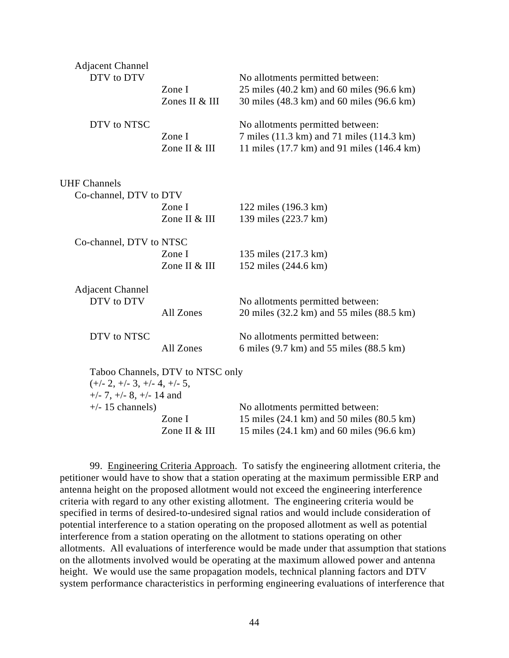| <b>Adjacent Channel</b><br>DTV to DTV                              | Zone I<br>Zones II & III         | No allotments permitted between:<br>25 miles $(40.2 \text{ km})$ and 60 miles $(96.6 \text{ km})$<br>30 miles (48.3 km) and 60 miles (96.6 km) |
|--------------------------------------------------------------------|----------------------------------|------------------------------------------------------------------------------------------------------------------------------------------------|
| DTV to NTSC                                                        | Zone I<br>Zone II & III          | No allotments permitted between:<br>7 miles (11.3 km) and 71 miles (114.3 km)<br>11 miles (17.7 km) and 91 miles (146.4 km)                    |
| <b>UHF Channels</b>                                                |                                  |                                                                                                                                                |
| Co-channel, DTV to DTV                                             |                                  |                                                                                                                                                |
|                                                                    | Zone I                           | 122 miles (196.3 km)                                                                                                                           |
|                                                                    | Zone II & III                    | 139 miles (223.7 km)                                                                                                                           |
| Co-channel, DTV to NTSC                                            |                                  |                                                                                                                                                |
|                                                                    | Zone I                           | 135 miles (217.3 km)                                                                                                                           |
|                                                                    | Zone II & III                    | 152 miles (244.6 km)                                                                                                                           |
| <b>Adjacent Channel</b><br>DTV to DTV                              | All Zones                        | No allotments permitted between:<br>20 miles (32.2 km) and 55 miles (88.5 km)                                                                  |
| DTV to NTSC                                                        | All Zones                        | No allotments permitted between:<br>6 miles (9.7 km) and 55 miles (88.5 km)                                                                    |
| $(+/- 2, +/- 3, +/- 4, +/- 5,$<br>$+/- 7$ , $+/- 8$ , $+/- 14$ and | Taboo Channels, DTV to NTSC only |                                                                                                                                                |
| $+/- 15$ channels)                                                 | Zone I<br>Zone II & III          | No allotments permitted between:<br>15 miles (24.1 km) and 50 miles (80.5 km)<br>15 miles (24.1 km) and 60 miles (96.6 km)                     |
|                                                                    |                                  |                                                                                                                                                |

99. Engineering Criteria Approach. To satisfy the engineering allotment criteria, the petitioner would have to show that a station operating at the maximum permissible ERP and antenna height on the proposed allotment would not exceed the engineering interference criteria with regard to any other existing allotment. The engineering criteria would be specified in terms of desired-to-undesired signal ratios and would include consideration of potential interference to a station operating on the proposed allotment as well as potential interference from a station operating on the allotment to stations operating on other allotments. All evaluations of interference would be made under that assumption that stations on the allotments involved would be operating at the maximum allowed power and antenna height. We would use the same propagation models, technical planning factors and DTV system performance characteristics in performing engineering evaluations of interference that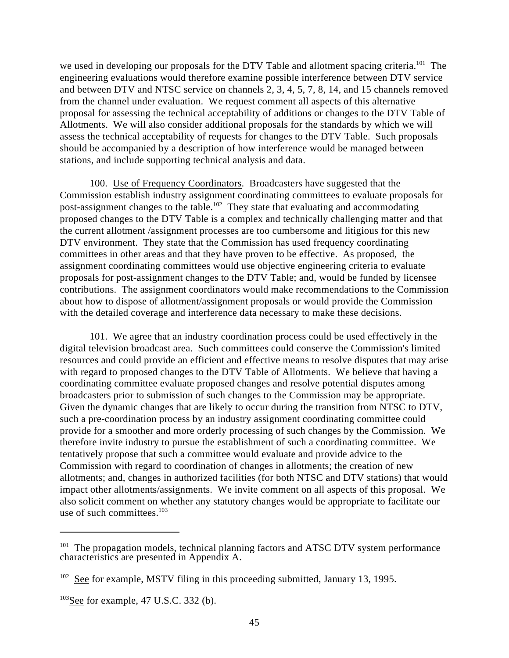we used in developing our proposals for the DTV Table and allotment spacing criteria.<sup>101</sup> The engineering evaluations would therefore examine possible interference between DTV service and between DTV and NTSC service on channels 2, 3, 4, 5, 7, 8, 14, and 15 channels removed from the channel under evaluation. We request comment all aspects of this alternative proposal for assessing the technical acceptability of additions or changes to the DTV Table of Allotments. We will also consider additional proposals for the standards by which we will assess the technical acceptability of requests for changes to the DTV Table. Such proposals should be accompanied by a description of how interference would be managed between stations, and include supporting technical analysis and data.

100. Use of Frequency Coordinators. Broadcasters have suggested that the Commission establish industry assignment coordinating committees to evaluate proposals for post-assignment changes to the table.<sup>102</sup> They state that evaluating and accommodating proposed changes to the DTV Table is a complex and technically challenging matter and that the current allotment /assignment processes are too cumbersome and litigious for this new DTV environment. They state that the Commission has used frequency coordinating committees in other areas and that they have proven to be effective. As proposed, the assignment coordinating committees would use objective engineering criteria to evaluate proposals for post-assignment changes to the DTV Table; and, would be funded by licensee contributions. The assignment coordinators would make recommendations to the Commission about how to dispose of allotment/assignment proposals or would provide the Commission with the detailed coverage and interference data necessary to make these decisions.

101. We agree that an industry coordination process could be used effectively in the digital television broadcast area. Such committees could conserve the Commission's limited resources and could provide an efficient and effective means to resolve disputes that may arise with regard to proposed changes to the DTV Table of Allotments. We believe that having a coordinating committee evaluate proposed changes and resolve potential disputes among broadcasters prior to submission of such changes to the Commission may be appropriate. Given the dynamic changes that are likely to occur during the transition from NTSC to DTV, such a pre-coordination process by an industry assignment coordinating committee could provide for a smoother and more orderly processing of such changes by the Commission. We therefore invite industry to pursue the establishment of such a coordinating committee. We tentatively propose that such a committee would evaluate and provide advice to the Commission with regard to coordination of changes in allotments; the creation of new allotments; and, changes in authorized facilities (for both NTSC and DTV stations) that would impact other allotments/assignments. We invite comment on all aspects of this proposal. We also solicit comment on whether any statutory changes would be appropriate to facilitate our use of such committees. 103

 $101$  The propagation models, technical planning factors and ATSC DTV system performance characteristics are presented in Appendix A.

 $102$  See for example, MSTV filing in this proceeding submitted, January 13, 1995.

 $103$ See for example, 47 U.S.C. 332 (b).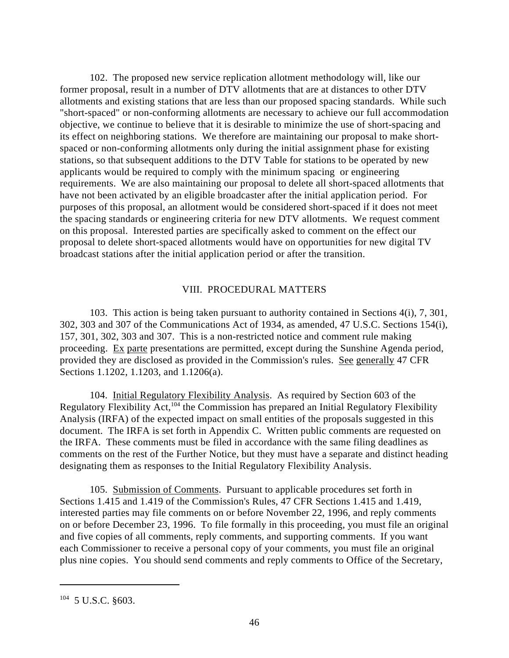102. The proposed new service replication allotment methodology will, like our former proposal, result in a number of DTV allotments that are at distances to other DTV allotments and existing stations that are less than our proposed spacing standards. While such "short-spaced" or non-conforming allotments are necessary to achieve our full accommodation objective, we continue to believe that it is desirable to minimize the use of short-spacing and its effect on neighboring stations. We therefore are maintaining our proposal to make shortspaced or non-conforming allotments only during the initial assignment phase for existing stations, so that subsequent additions to the DTV Table for stations to be operated by new applicants would be required to comply with the minimum spacing or engineering requirements. We are also maintaining our proposal to delete all short-spaced allotments that have not been activated by an eligible broadcaster after the initial application period. For purposes of this proposal, an allotment would be considered short-spaced if it does not meet the spacing standards or engineering criteria for new DTV allotments. We request comment on this proposal. Interested parties are specifically asked to comment on the effect our proposal to delete short-spaced allotments would have on opportunities for new digital TV broadcast stations after the initial application period or after the transition.

#### VIII. PROCEDURAL MATTERS

103. This action is being taken pursuant to authority contained in Sections 4(i), 7, 301, 302, 303 and 307 of the Communications Act of 1934, as amended, 47 U.S.C. Sections 154(i), 157, 301, 302, 303 and 307. This is a non-restricted notice and comment rule making proceeding. Ex parte presentations are permitted, except during the Sunshine Agenda period, provided they are disclosed as provided in the Commission's rules. See generally 47 CFR Sections 1.1202, 1.1203, and 1.1206(a).

104. Initial Regulatory Flexibility Analysis. As required by Section 603 of the Regulatory Flexibility Act,<sup>104</sup> the Commission has prepared an Initial Regulatory Flexibility Analysis (IRFA) of the expected impact on small entities of the proposals suggested in this document. The IRFA is set forth in Appendix C. Written public comments are requested on the IRFA. These comments must be filed in accordance with the same filing deadlines as comments on the rest of the Further Notice, but they must have a separate and distinct heading designating them as responses to the Initial Regulatory Flexibility Analysis.

105. Submission of Comments. Pursuant to applicable procedures set forth in Sections 1.415 and 1.419 of the Commission's Rules, 47 CFR Sections 1.415 and 1.419, interested parties may file comments on or before November 22, 1996, and reply comments on or before December 23, 1996. To file formally in this proceeding, you must file an original and five copies of all comments, reply comments, and supporting comments. If you want each Commissioner to receive a personal copy of your comments, you must file an original plus nine copies. You should send comments and reply comments to Office of the Secretary,

 $104$  5 U.S.C.  $$603$ .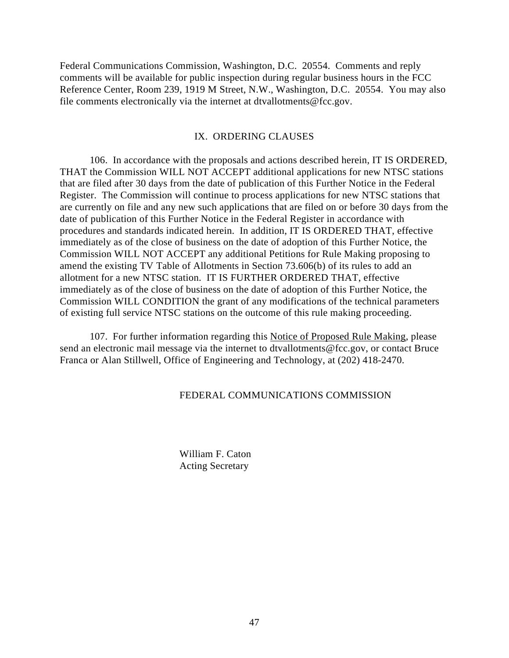Federal Communications Commission, Washington, D.C. 20554. Comments and reply comments will be available for public inspection during regular business hours in the FCC Reference Center, Room 239, 1919 M Street, N.W., Washington, D.C. 20554. You may also file comments electronically via the internet at dtvallotments@fcc.gov.

#### IX. ORDERING CLAUSES

106. In accordance with the proposals and actions described herein, IT IS ORDERED, THAT the Commission WILL NOT ACCEPT additional applications for new NTSC stations that are filed after 30 days from the date of publication of this Further Notice in the Federal Register. The Commission will continue to process applications for new NTSC stations that are currently on file and any new such applications that are filed on or before 30 days from the date of publication of this Further Notice in the Federal Register in accordance with procedures and standards indicated herein. In addition, IT IS ORDERED THAT, effective immediately as of the close of business on the date of adoption of this Further Notice, the Commission WILL NOT ACCEPT any additional Petitions for Rule Making proposing to amend the existing TV Table of Allotments in Section 73.606(b) of its rules to add an allotment for a new NTSC station. IT IS FURTHER ORDERED THAT, effective immediately as of the close of business on the date of adoption of this Further Notice, the Commission WILL CONDITION the grant of any modifications of the technical parameters of existing full service NTSC stations on the outcome of this rule making proceeding.

107. For further information regarding this Notice of Proposed Rule Making, please send an electronic mail message via the internet to dtvallotments@fcc.gov, or contact Bruce Franca or Alan Stillwell, Office of Engineering and Technology, at (202) 418-2470.

#### FEDERAL COMMUNICATIONS COMMISSION

William F. Caton Acting Secretary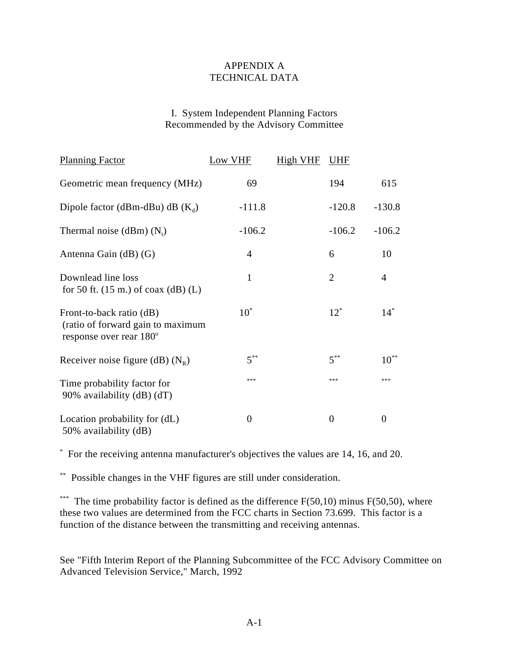### APPENDIX A TECHNICAL DATA

### I. System Independent Planning Factors Recommended by the Advisory Committee

| <b>Planning Factor</b>                                                                               | Low VHF        | <b>High VHF</b> | <b>UHF</b>     |                |
|------------------------------------------------------------------------------------------------------|----------------|-----------------|----------------|----------------|
| Geometric mean frequency (MHz)                                                                       | 69             |                 | 194            | 615            |
| Dipole factor (dBm-dBu) dB $(K_d)$                                                                   | $-111.8$       |                 | $-120.8$       | $-130.8$       |
| Thermal noise (dBm) $(N_i)$                                                                          | $-106.2$       |                 | $-106.2$       | $-106.2$       |
| Antenna Gain (dB) (G)                                                                                | $\overline{4}$ |                 | 6              | 10             |
| Downlead line loss<br>for 50 ft. $(15 \text{ m.})$ of coax $(dB)$ (L)                                | 1              |                 | $\overline{2}$ | $\overline{4}$ |
| Front-to-back ratio (dB)<br>(ratio of forward gain to maximum<br>response over rear 180 <sup>°</sup> | $10^*$         |                 | $12^*$         | $14^*$         |
| Receiver noise figure (dB) $(N_R)$                                                                   | $5^{**}$       |                 | $5^{**}$       | $10^{**}$      |
| Time probability factor for<br>90% availability (dB) (dT)                                            | ***            |                 | ***            | ***            |
| Location probability for (dL)<br>50% availability (dB)                                               | $\overline{0}$ |                 | $\overline{0}$ | 0              |

For the receiving antenna manufacturer's objectives the values are 14, 16, and 20. \*

Possible changes in the VHF figures are still under consideration. \*\*

\*\*\* The time probability factor is defined as the difference  $F(50,10)$  minus  $F(50,50)$ , where these two values are determined from the FCC charts in Section 73.699. This factor is a function of the distance between the transmitting and receiving antennas.

See "Fifth Interim Report of the Planning Subcommittee of the FCC Advisory Committee on Advanced Television Service," March, 1992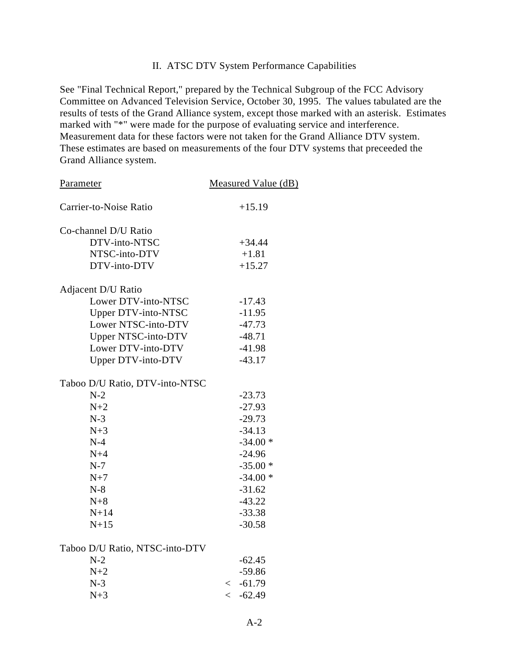### II. ATSC DTV System Performance Capabilities

See "Final Technical Report," prepared by the Technical Subgroup of the FCC Advisory Committee on Advanced Television Service, October 30, 1995. The values tabulated are the results of tests of the Grand Alliance system, except those marked with an asterisk. Estimates marked with "\*" were made for the purpose of evaluating service and interference. Measurement data for these factors were not taken for the Grand Alliance DTV system. These estimates are based on measurements of the four DTV systems that preceeded the Grand Alliance system.

| Parameter                          | Measured Value (dB) |
|------------------------------------|---------------------|
| Carrier-to-Noise Ratio             | $+15.19$            |
| Co-channel D/U Ratio               |                     |
| DTV-into-NTSC                      | $+34.44$            |
| NTSC-into-DTV                      | $+1.81$             |
| DTV-into-DTV                       | $+15.27$            |
| Adjacent D/U Ratio                 |                     |
| Lower DTV-into-NTSC                | $-17.43$            |
| <b>Upper DTV-into-NTSC</b>         | $-11.95$            |
| Lower NTSC-into-DTV                | $-47.73$            |
| Upper NTSC-into-DTV                | $-48.71$            |
| Lower DTV-into-DTV                 | $-41.98$            |
| Upper DTV-into-DTV                 | $-43.17$            |
| Taboo D/U Ratio, DTV-into-NTSC     |                     |
| $N-2$                              | $-23.73$            |
| $N+2$                              | $-27.93$            |
| $N-3$                              | $-29.73$            |
| $N+3$                              | $-34.13$            |
| $N-4$                              | $-34.00*$           |
| $N+4$                              | $-24.96$            |
| $N-7$                              | $-35.00*$           |
| $N+7$                              | $-34.00*$           |
| $N-8$                              | $-31.62$            |
| $N+8$                              | $-43.22$            |
| $N+14$                             | $-33.38$            |
| $N+15$                             | $-30.58$            |
| $Table 0$ D/II Datio MTCC into DTV |                     |

#### Taboo D/U Ratio, NTSC-into-DTV

| $-62.45$      |
|---------------|
| $-59.86$      |
| $\leq -61.79$ |
| $\leq -62.49$ |
|               |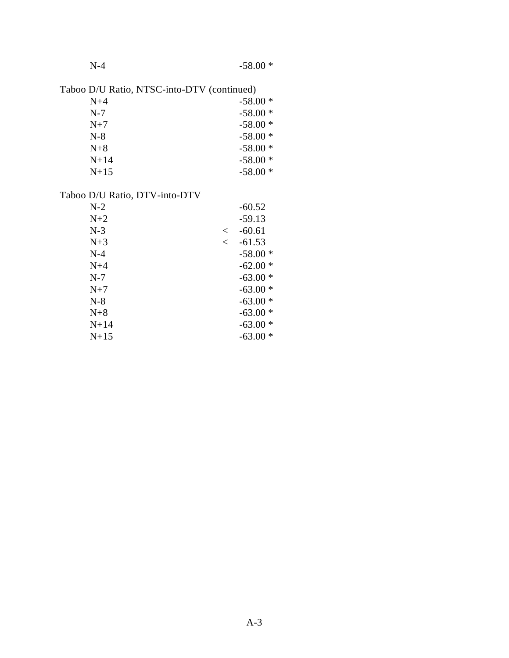|--|

Taboo D/U Ratio, NTSC-into-DTV (continued)

| $N+4$  | $-58.00*$ |
|--------|-----------|
| $N-7$  | $-58.00*$ |
| $N+7$  | $-58.00*$ |
| $N-8$  | $-58.00*$ |
| $N+8$  | $-58.00*$ |
| $N+14$ | $-58.00*$ |
| $N+15$ | $-58.00*$ |

# Taboo D/U Ratio, DTV-into-DTV

| $N-2$  |         | $-60.52$  |
|--------|---------|-----------|
| $N+2$  |         | $-59.13$  |
| $N-3$  | $\,<\,$ | $-60.61$  |
| $N+3$  | $\,<\,$ | $-61.53$  |
| $N-4$  |         | $-58.00*$ |
| $N+4$  |         | $-62.00*$ |
| $N-7$  |         | $-63.00*$ |
| $N+7$  |         | $-63.00*$ |
| $N-8$  |         | $-63.00*$ |
| $N+8$  |         | $-63.00*$ |
| $N+14$ |         | $-63.00*$ |
| $N+15$ |         | $-63.00*$ |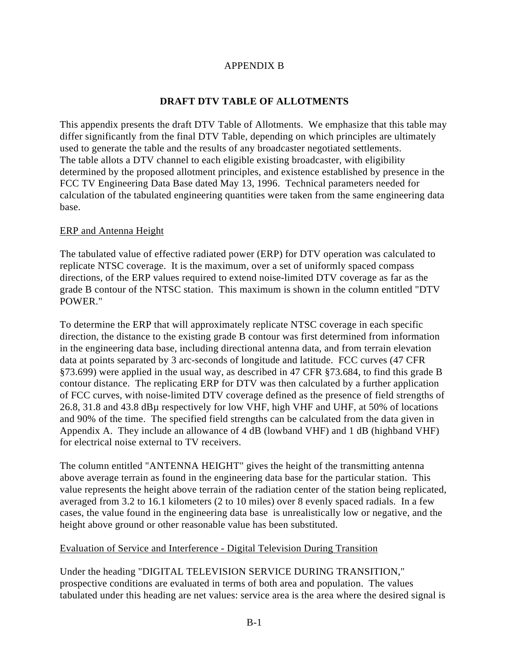# APPENDIX B

# **DRAFT DTV TABLE OF ALLOTMENTS**

This appendix presents the draft DTV Table of Allotments. We emphasize that this table may differ significantly from the final DTV Table, depending on which principles are ultimately used to generate the table and the results of any broadcaster negotiated settlements. The table allots a DTV channel to each eligible existing broadcaster, with eligibility determined by the proposed allotment principles, and existence established by presence in the FCC TV Engineering Data Base dated May 13, 1996. Technical parameters needed for calculation of the tabulated engineering quantities were taken from the same engineering data base.

# ERP and Antenna Height

The tabulated value of effective radiated power (ERP) for DTV operation was calculated to replicate NTSC coverage. It is the maximum, over a set of uniformly spaced compass directions, of the ERP values required to extend noise-limited DTV coverage as far as the grade B contour of the NTSC station. This maximum is shown in the column entitled "DTV POWER."

To determine the ERP that will approximately replicate NTSC coverage in each specific direction, the distance to the existing grade B contour was first determined from information in the engineering data base, including directional antenna data, and from terrain elevation data at points separated by 3 arc-seconds of longitude and latitude. FCC curves (47 CFR §73.699) were applied in the usual way, as described in 47 CFR §73.684, to find this grade B contour distance. The replicating ERP for DTV was then calculated by a further application of FCC curves, with noise-limited DTV coverage defined as the presence of field strengths of 26.8, 31.8 and 43.8 dBµ respectively for low VHF, high VHF and UHF, at 50% of locations and 90% of the time. The specified field strengths can be calculated from the data given in Appendix A. They include an allowance of 4 dB (lowband VHF) and 1 dB (highband VHF) for electrical noise external to TV receivers.

The column entitled "ANTENNA HEIGHT" gives the height of the transmitting antenna above average terrain as found in the engineering data base for the particular station. This value represents the height above terrain of the radiation center of the station being replicated, averaged from 3.2 to 16.1 kilometers (2 to 10 miles) over 8 evenly spaced radials. In a few cases, the value found in the engineering data base is unrealistically low or negative, and the height above ground or other reasonable value has been substituted.

# Evaluation of Service and Interference - Digital Television During Transition

Under the heading "DIGITAL TELEVISION SERVICE DURING TRANSITION," prospective conditions are evaluated in terms of both area and population. The values tabulated under this heading are net values: service area is the area where the desired signal is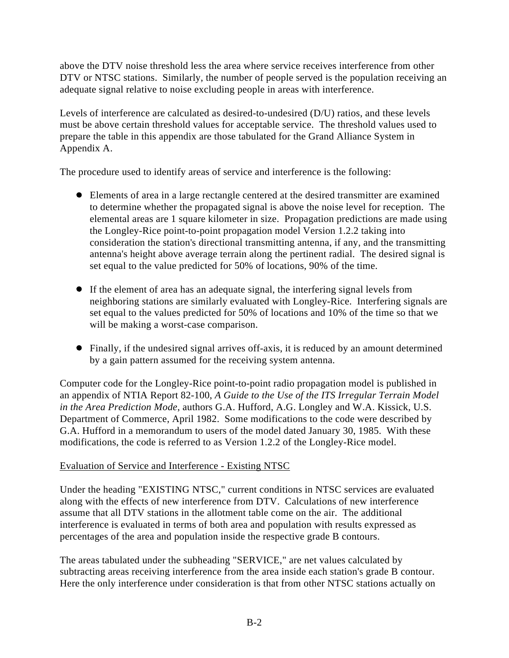above the DTV noise threshold less the area where service receives interference from other DTV or NTSC stations. Similarly, the number of people served is the population receiving an adequate signal relative to noise excluding people in areas with interference.

Levels of interference are calculated as desired-to-undesired (D/U) ratios, and these levels must be above certain threshold values for acceptable service. The threshold values used to prepare the table in this appendix are those tabulated for the Grand Alliance System in Appendix A.

The procedure used to identify areas of service and interference is the following:

- Elements of area in a large rectangle centered at the desired transmitter are examined to determine whether the propagated signal is above the noise level for reception. The elemental areas are 1 square kilometer in size. Propagation predictions are made using the Longley-Rice point-to-point propagation model Version 1.2.2 taking into consideration the station's directional transmitting antenna, if any, and the transmitting antenna's height above average terrain along the pertinent radial. The desired signal is set equal to the value predicted for 50% of locations, 90% of the time.
- If the element of area has an adequate signal, the interfering signal levels from neighboring stations are similarly evaluated with Longley-Rice. Interfering signals are set equal to the values predicted for 50% of locations and 10% of the time so that we will be making a worst-case comparison.
- Finally, if the undesired signal arrives off-axis, it is reduced by an amount determined by a gain pattern assumed for the receiving system antenna.

Computer code for the Longley-Rice point-to-point radio propagation model is published in an appendix of NTIA Report 82-100, *A Guide to the Use of the ITS Irregular Terrain Model in the Area Prediction Mode*, authors G.A. Hufford, A.G. Longley and W.A. Kissick, U.S. Department of Commerce, April 1982. Some modifications to the code were described by G.A. Hufford in a memorandum to users of the model dated January 30, 1985. With these modifications, the code is referred to as Version 1.2.2 of the Longley-Rice model.

# Evaluation of Service and Interference - Existing NTSC

Under the heading "EXISTING NTSC," current conditions in NTSC services are evaluated along with the effects of new interference from DTV. Calculations of new interference assume that all DTV stations in the allotment table come on the air. The additional interference is evaluated in terms of both area and population with results expressed as percentages of the area and population inside the respective grade B contours.

The areas tabulated under the subheading "SERVICE," are net values calculated by subtracting areas receiving interference from the area inside each station's grade B contour. Here the only interference under consideration is that from other NTSC stations actually on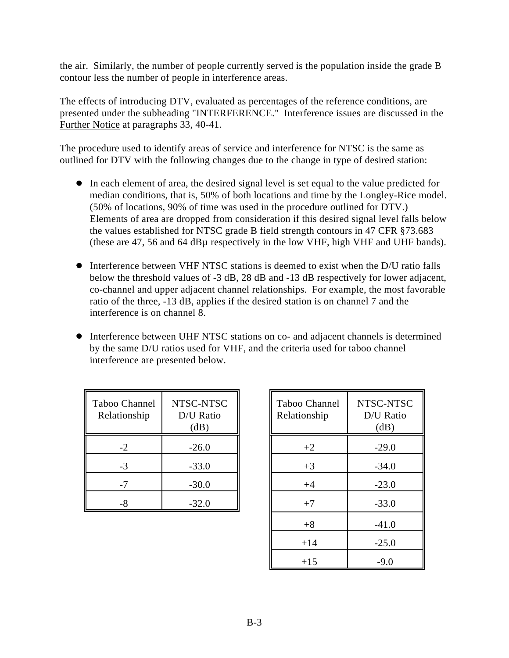the air. Similarly, the number of people currently served is the population inside the grade B contour less the number of people in interference areas.

The effects of introducing DTV, evaluated as percentages of the reference conditions, are presented under the subheading "INTERFERENCE." Interference issues are discussed in the Further Notice at paragraphs 33, 40-41.

The procedure used to identify areas of service and interference for NTSC is the same as outlined for DTV with the following changes due to the change in type of desired station:

- In each element of area, the desired signal level is set equal to the value predicted for median conditions, that is, 50% of both locations and time by the Longley-Rice model. (50% of locations, 90% of time was used in the procedure outlined for DTV.) Elements of area are dropped from consideration if this desired signal level falls below the values established for NTSC grade B field strength contours in 47 CFR §73.683 (these are 47, 56 and 64 dBµ respectively in the low VHF, high VHF and UHF bands).
- Interference between VHF NTSC stations is deemed to exist when the D/U ratio falls below the threshold values of -3 dB, 28 dB and -13 dB respectively for lower adjacent, co-channel and upper adjacent channel relationships. For example, the most favorable ratio of the three, -13 dB, applies if the desired station is on channel 7 and the interference is on channel 8.
- Interference between UHF NTSC stations on co- and adjacent channels is determined by the same D/U ratios used for VHF, and the criteria used for taboo channel interference are presented below.

| Taboo Channel<br>Relationship | NTSC-NTSC<br>D/U Ratio<br>(dB) |
|-------------------------------|--------------------------------|
| -2                            | $-26.0$                        |
| -3                            | $-33.0$                        |
| -7                            | $-30.0$                        |
|                               | $-32.0$                        |

| Channel<br>ionship | NTSC-NTSC<br>D/U Ratio<br>(dB) | Taboo Channel<br>Relationship | NTSC-NTSC<br>D/U Ratio<br>(dB) |
|--------------------|--------------------------------|-------------------------------|--------------------------------|
| $-2$               | $-26.0$                        | $+2$                          | $-29.0$                        |
| $-3$               | $-33.0$                        | $+3$                          | $-34.0$                        |
| -7                 | $-30.0$                        | $+4$                          | $-23.0$                        |
| -8                 | $-32.0$                        | $+7$                          | $-33.0$                        |
|                    |                                | $+8$                          | $-41.0$                        |
|                    |                                | $+14$                         | $-25.0$                        |
|                    |                                | $+15$                         | $-9.0$                         |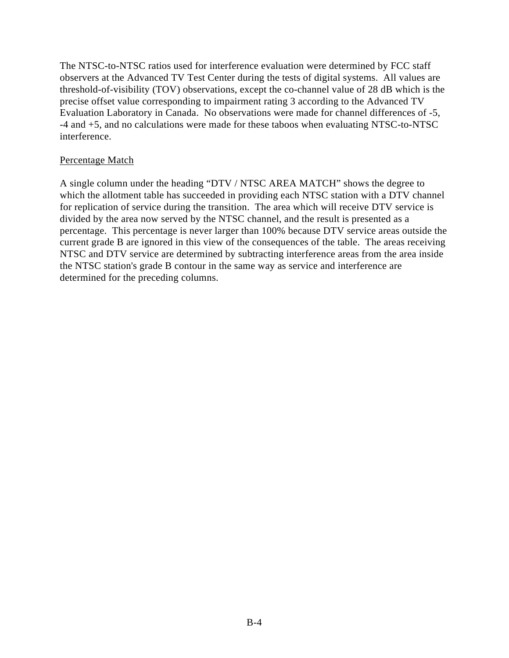The NTSC-to-NTSC ratios used for interference evaluation were determined by FCC staff observers at the Advanced TV Test Center during the tests of digital systems. All values are threshold-of-visibility (TOV) observations, except the co-channel value of 28 dB which is the precise offset value corresponding to impairment rating 3 according to the Advanced TV Evaluation Laboratory in Canada. No observations were made for channel differences of -5, -4 and +5, and no calculations were made for these taboos when evaluating NTSC-to-NTSC interference.

### Percentage Match

A single column under the heading "DTV / NTSC AREA MATCH" shows the degree to which the allotment table has succeeded in providing each NTSC station with a DTV channel for replication of service during the transition. The area which will receive DTV service is divided by the area now served by the NTSC channel, and the result is presented as a percentage. This percentage is never larger than 100% because DTV service areas outside the current grade B are ignored in this view of the consequences of the table. The areas receiving NTSC and DTV service are determined by subtracting interference areas from the area inside the NTSC station's grade B contour in the same way as service and interference are determined for the preceding columns.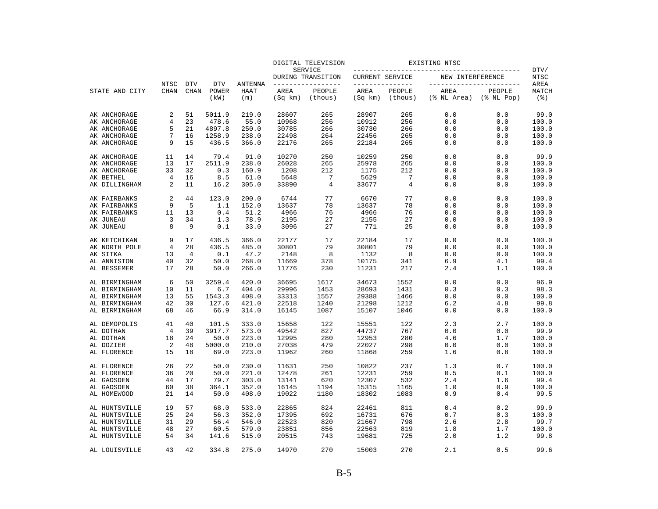|                |                |                |               |             |                 | DIGITAL TELEVISION           |                 |                   | EXISTING NTSC       |                            |              |
|----------------|----------------|----------------|---------------|-------------|-----------------|------------------------------|-----------------|-------------------|---------------------|----------------------------|--------------|
|                |                |                |               |             |                 | SERVICE<br>DURING TRANSITION | CURRENT SERVICE |                   | NEW INTERFERENCE    |                            | DTV/<br>NTSC |
|                | NTSC           | <b>DTV</b>     | <b>DTV</b>    | ANTENNA     |                 | ____________                 |                 | ------------      |                     | ----------------           | AREA         |
| STATE AND CITY | <b>CHAN</b>    | <b>CHAN</b>    | POWER<br>(kW) | HAAT<br>(m) | AREA<br>(Sq km) | PEOPLE<br>(thous)            | AREA<br>(Sq km) | PEOPLE<br>(thous) | AREA<br>(% NL Area) | PEOPLE<br>$(\$$ NL Pop $)$ | MATCH<br>(3) |
| AK ANCHORAGE   | 2              | 51             | 5011.9        | 219.0       | 28607           | 265                          | 28907           | 265               | 0.0                 | 0.0                        | 99.0         |
| AK ANCHORAGE   | 4              | 23             | 478.6         | 55.0        | 10968           | 256                          | 10912           | 256               | 0.0                 | 0.0                        | 100.0        |
| AK ANCHORAGE   | 5              | 21             | 4897.8        | 250.0       | 30785           | 266                          | 30730           | 266               | 0.0                 | 0.0                        | 100.0        |
| AK ANCHORAGE   | 7              | 16             | 1258.9        | 238.0       | 22498           | 264                          | 22456           | 265               | 0.0                 | 0.0                        | 100.0        |
| AK ANCHORAGE   | 9              | 15             | 436.5         | 366.0       | 22176           | 265                          | 22184           | 265               | 0.0                 | 0.0                        | 100.0        |
| AK ANCHORAGE   | 11             | 14             | 79.4          | 91.0        | 10270           | 250                          | 10259           | 250               | 0.0                 | 0.0                        | 99.9         |
| AK ANCHORAGE   | 13             | 17             | 2511.9        | 238.0       | 26028           | 265                          | 25978           | 265               | 0.0                 | 0.0                        | 100.0        |
| AK ANCHORAGE   | 33             | 32             | 0.3           | 160.9       | 1208            | 212                          | 1175            | 212               | 0.0                 | 0.0                        | 100.0        |
| AK BETHEL      | 4              | 16             | 8.5           | 61.0        | 5648            | 7                            | 5629            | 7                 | 0.0                 | 0.0                        | 100.0        |
| AK DILLINGHAM  | 2              | 11             | 16.2          | 305.0       | 33890           | 4                            | 33677           | 4                 | 0.0                 | 0.0                        | 100.0        |
| AK FAIRBANKS   | 2              | 44             | 123.0         | 200.0       | 6744            | 77                           | 6670            | 77                | 0.0                 | 0.0                        | 100.0        |
| AK FAIRBANKS   | 9              | 5              | 1.1           | 152.0       | 13637           | 78                           | 13637           | 78                | 0.0                 | 0.0                        | 100.0        |
| AK FAIRBANKS   | 11             | 13             | 0.4           | 51.2        | 4966            | 76                           | 4966            | 76                | 0.0                 | 0.0                        | 100.0        |
| AK JUNEAU      | 3              | 34             | 1.3           | 78.9        | 2195            | 27                           | 2155            | 27                | 0.0                 | 0.0                        | 100.0        |
| AK JUNEAU      | 8              | 9              | 0.1           | 33.0        | 3096            | 27                           | 771             | 25                | 0.0                 | 0.0                        | 100.0        |
| AK KETCHIKAN   | 9              | 17             | 436.5         | 366.0       | 22177           | 17                           | 22184           | 17                | 0.0                 | 0.0                        | 100.0        |
| AK NORTH POLE  | $\overline{4}$ | 28             | 436.5         | 485.0       | 30801           | 79                           | 30801           | 79                | 0.0                 | 0.0                        | 100.0        |
| AK SITKA       | 13             | $\overline{4}$ | 0.1           | 47.2        | 2148            | 8                            | 1132            | 8                 | 0.0                 | 0.0                        | 100.0        |
| AL ANNISTON    | 40             | 32             | 50.0          | 268.0       | 11669           | 378                          | 10175           | 341               | 6.9                 | 4.1                        | 99.4         |
| AL BESSEMER    | 17             | 28             | 50.0          | 266.0       | 11776           | 230                          | 11231           | 217               | 2.4                 | 1.1                        | 100.0        |
| AL BIRMINGHAM  | 6              | 50             | 3259.4        | 420.0       | 36695           | 1617                         | 34673           | 1552              | 0.0                 | 0.0                        | 96.9         |
| AL BIRMINGHAM  | 10             | 11             | 6.7           | 404.0       | 29996           | 1453                         | 28693           | 1431              | 0.3                 | 0.3                        | 98.3         |
| AL BIRMINGHAM  | 13             | 55             | 1543.3        | 408.0       | 33313           | 1557                         | 29388           | 1466              | 0.0                 | 0.0                        | 100.0        |
| AL BIRMINGHAM  | 42             | 30             | 127.6         | 421.0       | 22518           | 1240                         | 21298           | 1212              | 6.2                 | 4.8                        | 99.8         |
| AL BIRMINGHAM  | 68             | 46             | 66.9          | 314.0       | 16145           | 1087                         | 15107           | 1046              | 0.0                 | 0.0                        | 100.0        |
| AL DEMOPOLIS   | 41             | 40             | 101.5         | 333.0       | 15658           | 122                          | 15551           | 122               | 2.3                 | 2.7                        | 100.0        |
| AL DOTHAN      | 4              | 39             | 3917.7        | 573.0       | 49542           | 827                          | 44737           | 767               | 0.0                 | 0.0                        | 99.9         |
| AL DOTHAN      | 18             | 24             | 50.0          | 223.0       | 12995           | 280                          | 12953           | 280               | 4.6                 | 1.7                        | 100.0        |
| AL DOZIER      | $\overline{2}$ | 48             | 5000.0        | 210.0       | 27038           | 479                          | 22027           | 298               | 0.0                 | 0.0                        | 100.0        |
| AL FLORENCE    | 15             | 18             | 69.0          | 223.0       | 11962           | 260                          | 11868           | 259               | 1.6                 | 0.8                        | 100.0        |
| AL FLORENCE    | 26             | 22             | 50.0          | 230.0       | 11631           | 250                          | 10822           | 237               | 1.3                 | 0.7                        | 100.0        |
| AL FLORENCE    | 36             | 20             | 50.0          | 221.0       | 12478           | 261                          | 12231           | 259               | 0.5                 | 0.1                        | 100.0        |
| AL GADSDEN     | 44             | 17             | 79.7          | 303.0       | 13141           | 620                          | 12307           | 532               | 2.4                 | 1.6                        | 99.4         |
| AL GADSDEN     | 60             | 38             | 364.1         | 352.0       | 16145           | 1194                         | 15315           | 1165              | 1.0                 | 0.9                        | 100.0        |
| AL HOMEWOOD    | 21             | 14             | 50.0          | 408.0       | 19022           | 1180                         | 18302           | 1083              | 0.9                 | 0.4                        | 99.5         |
| AL HUNTSVILLE  | 19             | 57             | 68.0          | 533.0       | 22865           | 824                          | 22461           | 811               | 0.4                 | 0.2                        | 99.9         |
| AL HUNTSVILLE  | 25             | 24             | 56.3          | 352.0       | 17395           | 692                          | 16731           | 676               | 0.7                 | 0.3                        | 100.0        |
| AL HUNTSVILLE  | 31             | 29             | 56.4          | 546.0       | 22523           | 820                          | 21667           | 798               | 2.6                 | 2.8                        | 99.7         |
| AL HUNTSVILLE  | 48             | 27             | 60.5          | 579.0       | 23851           | 856                          | 22563           | 819               | 1.8                 | 1.7                        | 100.0        |
| AL HUNTSVILLE  | 54             | 34             | 141.6         | 515.0       | 20515           | 743                          | 19681           | 725               | 2.0                 | 1.2                        | 99.8         |
| AL LOUISVILLE  | 43             | 42             | 334.8         | 275.0       | 14970           | 270                          | 15003           | 270               | 2.1                 | 0.5                        | 99.6         |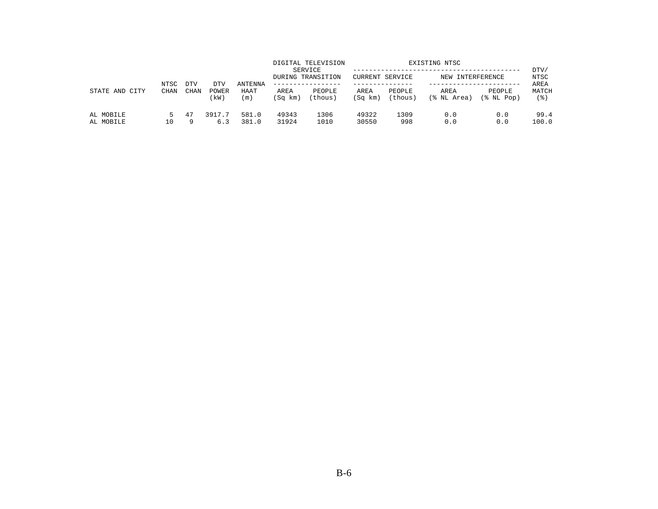|                        | NTSC        | <b>DTV</b> | DTV           | ANTENNA        |                 | DIGITAL TELEVISION<br>SERVICE<br>DURING TRANSITION<br>------------- | CURRENT SERVICE |                   | EXISTING NTSC<br>NEW INTERFERENCE |                         | DTV/<br>NTSC<br>AREA |
|------------------------|-------------|------------|---------------|----------------|-----------------|---------------------------------------------------------------------|-----------------|-------------------|-----------------------------------|-------------------------|----------------------|
| STATE AND CITY         | <b>CHAN</b> | CHAN       | POWER<br>(kW) | HAAT<br>(m)    | AREA<br>(Sq km) | PEOPLE<br>(thous)                                                   | AREA<br>(Sq km) | PEOPLE<br>(thous) | AREA<br>(% NL Area)               | PEOPLE<br>$(\$$ NL Pop) | MATCH<br>' 응 )       |
| AL MOBILE<br>AL MOBILE | 5.<br>10    | 47<br>Q    | 3917.7<br>6.3 | 581.0<br>381.0 | 49343<br>31924  | 1306<br>1010                                                        | 49322<br>30550  | 1309<br>998       | 0.0<br>0.0                        | 0.0<br>0.0              | 99.4<br>100.0        |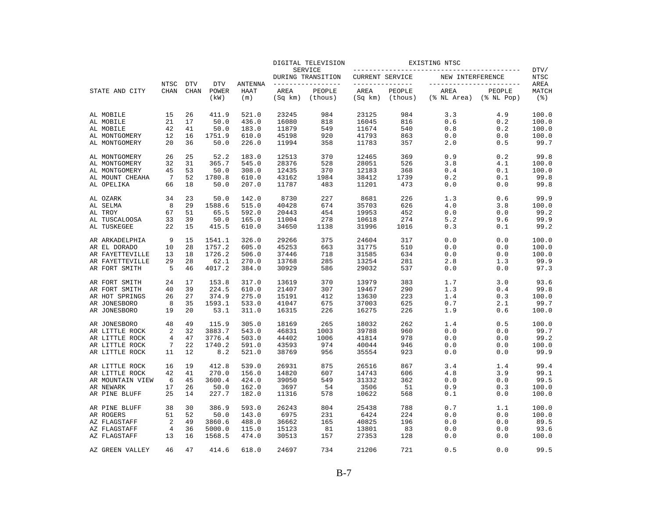|                              |                     |                           |                             |                               |                 | DIGITAL TELEVISION                  |                                    |                   | EXISTING NTSC                                   |                         |                      |
|------------------------------|---------------------|---------------------------|-----------------------------|-------------------------------|-----------------|-------------------------------------|------------------------------------|-------------------|-------------------------------------------------|-------------------------|----------------------|
|                              |                     |                           |                             |                               |                 | SERVICE<br>DURING TRANSITION        | CURRENT SERVICE                    |                   | NEW INTERFERENCE                                |                         | DTV/<br><b>NTSC</b>  |
| STATE AND CITY               | NTSC<br><b>CHAN</b> | <b>DTV</b><br><b>CHAN</b> | <b>DTV</b><br>POWER<br>(kW) | <b>ANTENNA</b><br>HAAT<br>(m) | AREA<br>(Sq km) | --------------<br>PEOPLE<br>(thous) | ---------------<br>AREA<br>(Sq km) | PEOPLE<br>(thous) | ________________________<br>AREA<br>(% NL Area) | PEOPLE<br>$(\$$ NL Pop) | AREA<br>MATCH<br>(응) |
| AL MOBILE                    | 15                  | 26                        | 411.9                       | 521.0                         | 23245           | 984                                 | 23125                              | 984               | 3.3                                             | 4.9                     | 100.0                |
| AL MOBILE                    | 21                  | 17                        | 50.0                        | 436.0                         | 16080           | 818                                 | 16045                              | 816               | 0.6                                             | 0.2                     | 100.0                |
| AL MOBILE                    | 42                  | 41                        | 50.0                        | 183.0                         | 11879           | 549                                 | 11674                              | 540               | 0.8                                             | 0.2                     | 100.0                |
| AL MONTGOMERY                | 12                  | 16                        | 1751.9                      | 610.0                         | 45198           | 920                                 | 41793                              | 863               | 0.0                                             | 0.0                     | 100.0                |
| AL MONTGOMERY                | 20                  | 36                        | 50.0                        | 226.0                         | 11994           | 358                                 | 11783                              | 357               | 2.0                                             | 0.5                     | 99.7                 |
| AL MONTGOMERY                | 26                  | 25                        | 52.2                        | 183.0                         | 12513           | 370                                 | 12465                              | 369               | 0.9                                             | 0.2                     | 99.8                 |
| AL MONTGOMERY                | 32                  | 31                        | 365.7                       | 545.0                         | 28376           | 528                                 | 28051                              | 526               | 3.8                                             | 4.1                     | 100.0                |
| AL MONTGOMERY                | 45                  | 53                        | 50.0                        | 308.0                         | 12435           | 370                                 | 12183                              | 368               | 0.4                                             | 0.1                     | 100.0                |
| AL MOUNT CHEAHA              | 7                   | 52                        | 1780.8                      | 610.0                         | 43162           | 1984                                | 38412                              | 1739              | 0.2                                             | 0.1                     | 99.8                 |
| AL OPELIKA                   | 66                  | 18                        | 50.0                        | 207.0                         | 11787           | 483                                 | 11201                              | 473               | 0.0                                             | 0.0                     | 99.8                 |
| AL OZARK                     | 34                  | 23                        | 50.0                        | 142.0                         | 8730            | 227                                 | 8681                               | 226               | 1.3                                             | 0.6                     | 99.9                 |
| AL SELMA                     | 8                   | 29                        | 1588.6                      | 515.0                         | 40428           | 674                                 | 35703                              | 626               | 4.0                                             | 3.8                     | 100.0                |
| AL TROY                      | 67                  | 51                        | 65.5                        | 592.0                         | 20443           | 454                                 | 19953                              | 452               | 0.0                                             | 0.0                     | 99.2                 |
| AL TUSCALOOSA<br>AL TUSKEGEE | 33<br>22            | 39<br>15                  | 50.0<br>415.5               | 165.0<br>610.0                | 11004<br>34650  | 278<br>1138                         | 10618<br>31996                     | 274<br>1016       | 5.2<br>0.3                                      | 9.6<br>0.1              | 99.9<br>99.2         |
|                              |                     |                           |                             |                               |                 |                                     |                                    |                   |                                                 |                         |                      |
| AR ARKADELPHIA               | 9                   | 15                        | 1541.1                      | 326.0                         | 29266           | 375                                 | 24604                              | 317               | 0.0                                             | 0.0                     | 100.0                |
| AR EL DORADO                 | 10                  | 28                        | 1757.2                      | 605.0                         | 45253           | 663                                 | 31775                              | 510               | 0.0                                             | 0.0                     | 100.0                |
| AR FAYETTEVILLE              | 13                  | 18                        | 1726.2                      | 506.0                         | 37446           | 718                                 | 31585                              | 634               | 0.0                                             | 0.0                     | 100.0                |
| AR FAYETTEVILLE              | 29                  | 28                        | 62.1                        | 270.0                         | 13768           | 285                                 | 13254                              | 281               | 2.8                                             | 1.3                     | 99.9                 |
| AR FORT SMITH                | 5                   | 46                        | 4017.2                      | 384.0                         | 30929           | 586                                 | 29032                              | 537               | 0.0                                             | 0.0                     | 97.3                 |
| AR FORT SMITH                | 24                  | 17                        | 153.8                       | 317.0                         | 13619           | 370                                 | 13979                              | 383               | 1.7                                             | 3.0                     | 93.6                 |
| AR FORT SMITH                | 40                  | 39                        | 224.5                       | 610.0                         | 21407           | 307                                 | 19467                              | 290               | 1.3                                             | 0.4                     | 99.8                 |
| AR HOT SPRINGS               | 26                  | 27                        | 374.9                       | 275.0                         | 15191           | 412                                 | 13630                              | 223               | 1.4                                             | 0.3                     | 100.0                |
| AR JONESBORO<br>AR JONESBORO | 8<br>19             | 35<br>20                  | 1593.1<br>53.1              | 533.0<br>311.0                | 41047<br>16315  | 675<br>226                          | 37003<br>16275                     | 625<br>226        | 0.7<br>1.9                                      | 2.1<br>0.6              | 99.7<br>100.0        |
|                              |                     |                           |                             |                               |                 |                                     |                                    |                   |                                                 |                         |                      |
| AR JONESBORO                 | 48                  | 49                        | 115.9                       | 305.0                         | 18169           | 265                                 | 18032                              | 262               | 1.4                                             | 0.5                     | 100.0                |
| AR LITTLE ROCK               | 2                   | 32                        | 3883.7                      | 543.0                         | 46831           | 1003                                | 39788                              | 960               | 0.0                                             | 0.0                     | 99.7                 |
| AR LITTLE ROCK               | 4                   | 47                        | 3776.4                      | 503.0                         | 44402           | 1006                                | 41814                              | 978               | 0.0                                             | 0.0                     | 99.2                 |
| AR LITTLE ROCK               | 7                   | 22                        | 1740.2                      | 591.0                         | 43593           | 974                                 | 40044                              | 946               | 0.0                                             | 0.0                     | 100.0                |
| AR LITTLE ROCK               | 11                  | 12                        | 8.2                         | 521.0                         | 38769           | 956                                 | 35554                              | 923               | 0.0                                             | 0.0                     | 99.9                 |
| AR LITTLE ROCK               | 16                  | 19                        | 412.8                       | 539.0                         | 26931           | 875                                 | 26516                              | 867               | 3.4                                             | 1.4                     | 99.4                 |
| AR LITTLE ROCK               | 42                  | 41                        | 270.0                       | 156.0                         | 14820           | 607                                 | 14743                              | 606               | 4.8                                             | 3.9                     | 99.1                 |
| AR MOUNTAIN VIEW             | 6                   | 45                        | 3600.4                      | 424.0                         | 39050           | 549                                 | 31332                              | 362               | 0.0                                             | 0.0                     | 99.5                 |
| AR NEWARK                    | 17                  | 26                        | 50.0                        | 162.0                         | 3697            | 54                                  | 3506                               | 51                | 0.9                                             | 0.3                     | 100.0                |
| AR PINE BLUFF                | 25                  | 14                        | 227.7                       | 182.0                         | 11316           | 578                                 | 10622                              | 568               | 0.1                                             | 0.0                     | 100.0                |
| AR PINE BLUFF                | 38                  | 30                        | 386.9                       | 593.0                         | 26243           | 804                                 | 25438                              | 788               | 0.7                                             | 1.1                     | 100.0                |
| AR ROGERS                    | 51                  | 52                        | 50.0                        | 143.0                         | 6975            | 231                                 | 6424                               | 224               | 0.0                                             | 0.0                     | 100.0                |
| AZ FLAGSTAFF                 | 2                   | 49                        | 3860.6                      | 488.0                         | 36662           | 165                                 | 40825                              | 196               | 0.0                                             | 0.0                     | 89.5                 |
| AZ FLAGSTAFF                 | 4                   | 36                        | 5000.0                      | 115.0                         | 15123           | 81                                  | 13801                              | 83                | 0.0                                             | 0.0                     | 93.6                 |
| AZ FLAGSTAFF                 | 13                  | 16                        | 1568.5                      | 474.0                         | 30513           | 157                                 | 27353                              | 128               | 0.0                                             | 0.0                     | 100.0                |
| AZ GREEN VALLEY              | 46                  | 47                        | 414.6                       | 618.0                         | 24697           | 734                                 | 21206                              | 721               | 0.5                                             | 0.0                     | 99.5                 |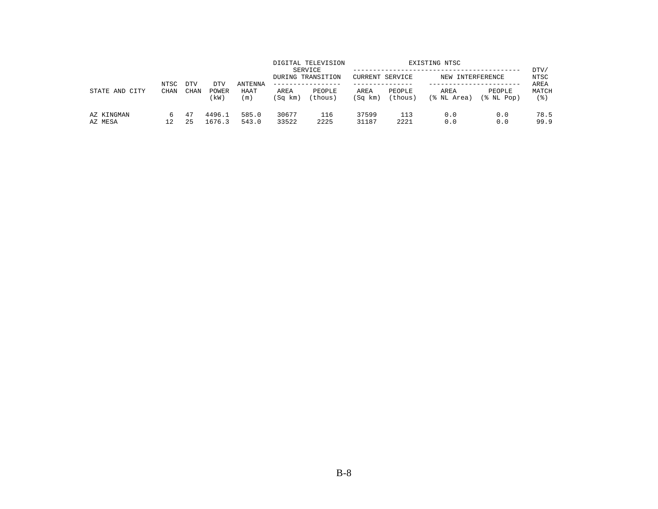| STATE AND<br>CITY     | NTSC<br><b>CHAN</b> | <b>DTV</b> | DTV                  | ANTENNA        |                 | DIGITAL TELEVISION<br>SERVICE<br>DURING TRANSITION<br>. _ _ _ _ _ _ _ _ _ _ _ _ _ | CURRENT SERVICE |                   | EXISTING NTSC<br>NEW INTERFERENCE |                      | DTV/<br>NTSC<br>AREA |
|-----------------------|---------------------|------------|----------------------|----------------|-----------------|-----------------------------------------------------------------------------------|-----------------|-------------------|-----------------------------------|----------------------|----------------------|
|                       |                     | CHAN       | <b>POWER</b><br>(kW) | HAAT<br>(m)    | AREA<br>(Sq km) | PEOPLE<br>(thous)                                                                 | AREA<br>(Sq km) | PEOPLE<br>(thous) | AREA<br>(% NL Area)               | PEOPLE<br>(% NL Pop) | MATCH<br>(응)         |
| AZ KINGMAN<br>AZ MESA | 12                  | -47<br>25  | 4496.1<br>1676.3     | 585.0<br>543.0 | 30677<br>33522  | 116<br>2225                                                                       | 37599<br>31187  | 113<br>2221       | 0.0<br>0.0                        | 0.0<br>0.0           | 78.5<br>99.9         |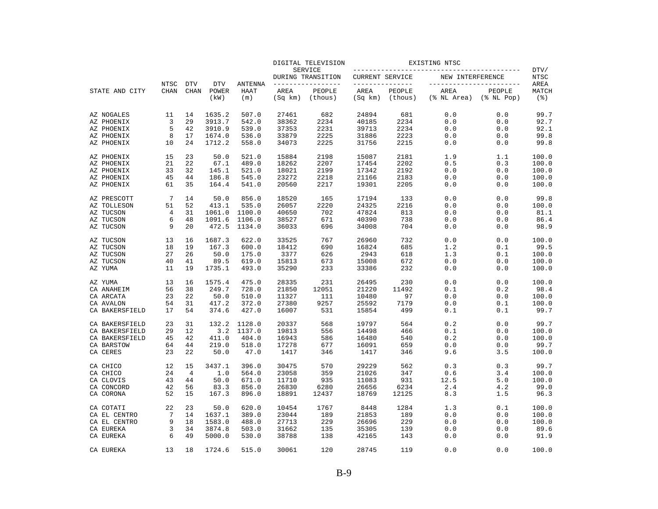|                |             |             |               |                |                 | DIGITAL TELEVISION           | EXISTING NTSC   |                   |                          |                            |                             |
|----------------|-------------|-------------|---------------|----------------|-----------------|------------------------------|-----------------|-------------------|--------------------------|----------------------------|-----------------------------|
|                |             |             |               |                |                 | SERVICE<br>DURING TRANSITION | CURRENT SERVICE |                   | NEW INTERFERENCE         |                            | DTV/<br>NTSC                |
|                | NTSC        | <b>DTV</b>  | <b>DTV</b>    | <b>ANTENNA</b> |                 | -------------                | --------------- |                   | ------------------------ |                            | AREA                        |
| STATE AND CITY | <b>CHAN</b> | <b>CHAN</b> | POWER<br>(kW) | HAAT<br>(m)    | AREA<br>(Sq km) | PEOPLE<br>(thous)            | AREA<br>(Sq km) | PEOPLE<br>(thous) | AREA<br>(% NL Area)      | PEOPLE<br>$(\$$ NL Pop $)$ | MATCH<br>$($ $\mathcal{E})$ |
| AZ NOGALES     | 11          | 14          | 1635.2        | 507.0          | 27461           | 682                          | 24894           | 681               | 0.0                      | 0.0                        | 99.7                        |
| AZ PHOENIX     | 3           | 29          | 3913.7        | 542.0          | 38362           | 2234                         | 40185           | 2234              | 0.0                      | 0.0                        | 92.7                        |
| AZ PHOENIX     | 5           | 42          | 3910.9        | 539.0          | 37353           | 2231                         | 39713           | 2234              | 0.0                      | 0.0                        | 92.1                        |
| AZ PHOENIX     | 8           | 17          | 1674.0        | 536.0          | 33879           | 2225                         | 31886           | 2223              | 0.0                      | 0.0                        | 99.8                        |
| AZ PHOENIX     | 10          | 24          | 1712.2        | 558.0          | 34073           | 2225                         | 31756           | 2215              | 0.0                      | 0.0                        | 99.8                        |
| AZ PHOENIX     | 15          | 23          | 50.0          | 521.0          | 15884           | 2198                         | 15087           | 2181              | 1.9                      | 1.1                        | 100.0                       |
| AZ PHOENIX     | 21          | 22          | 67.1          | 489.0          | 18262           | 2207                         | 17454           | 2202              | 0.5                      | 0.3                        | 100.0                       |
| AZ PHOENIX     | 33          | 32          | 145.1         | 521.0          | 18021           | 2199                         | 17342           | 2192              | 0.0                      | 0.0                        | 100.0                       |
| AZ PHOENIX     | 45          | 44          | 186.8         | 545.0          | 23272           | 2218                         | 21166           | 2183              | 0.0                      | 0.0                        | 100.0                       |
| AZ PHOENIX     | 61          | 35          | 164.4         | 541.0          | 20560           | 2217                         | 19301           | 2205              | 0.0                      | 0.0                        | 100.0                       |
| AZ PRESCOTT    | 7           | 14          | 50.0          | 856.0          | 18520           | 165                          | 17194           | 133               | 0.0                      | 0.0                        | 99.8                        |
| AZ TOLLESON    | 51          | 52          | 413.1         | 535.0          | 26057           | 2220                         | 24325           | 2216              | 0.0                      | 0.0                        | 100.0                       |
| AZ TUCSON      | 4           | 31          | 1061.0        | 1100.0         | 40650           | 702                          | 47824           | 813               | 0.0                      | 0.0                        | 81.1                        |
| AZ TUCSON      | 6           | 48          | 1091.6        | 1106.0         | 38527           | 671                          | 40390           | 738               | 0.0                      | 0.0                        | 86.4                        |
| AZ TUCSON      | 9           | 20          | 472.5         | 1134.0         | 36033           | 696                          | 34008           | 704               | 0.0                      | 0.0                        | 98.9                        |
| AZ TUCSON      | 13          | 16          | 1687.3        | 622.0          | 33525           | 767                          | 26960           | 732               | 0.0                      | 0.0                        | 100.0                       |
| AZ TUCSON      | 18          | 19          | 167.3         | 600.0          | 18412           | 690                          | 16824           | 685               | 1.2                      | 0.1                        | 99.5                        |
| AZ TUCSON      | 27          | 26          | 50.0          | 175.0          | 3377            | 626                          | 2943            | 618               | 1.3                      | 0.1                        | 100.0                       |
| AZ TUCSON      | 40          | 41          | 89.5          | 619.0          | 15813           | 673                          | 15008           | 672               | 0.0                      | 0.0                        | 100.0                       |
| AZ YUMA        | 11          | 19          | 1735.1        | 493.0          | 35290           | 233                          | 33386           | 232               | 0.0                      | 0.0                        | 100.0                       |
| AZ YUMA        | 13          | 16          | 1575.4        | 475.0          | 28335           | 231                          | 26495           | 230               | 0.0                      | 0.0                        | 100.0                       |
| CA ANAHEIM     | 56          | 38          | 249.7         | 728.0          | 21850           | 12051                        | 21220           | 11492             | 0.1                      | 0.2                        | 98.4                        |
| CA ARCATA      | 23          | 22          | 50.0          | 510.0          | 11327           | 111                          | 10480           | 97                | 0.0                      | 0.0                        | 100.0                       |
| CA AVALON      | 54          | 31          | 417.2         | 372.0          | 27380           | 9257                         | 25592           | 7179              | 0.0                      | 0.1                        | 100.0                       |
| CA BAKERSFIELD | 17          | 54          | 374.6         | 427.0          | 16007           | 531                          | 15854           | 499               | 0.1                      | 0.1                        | 99.7                        |
| CA BAKERSFIELD | 23          | 31          | 132.2         | 1128.0         | 20337           | 568                          | 19797           | 564               | 0.2                      | 0.0                        | 99.7                        |
| CA BAKERSFIELD | 29          | 12          | 3.2           | 1137.0         | 19813           | 556                          | 14498           | 466               | 0.1                      | 0.0                        | 100.0                       |
| CA BAKERSFIELD | 45          | 42          | 411.0         | 404.0          | 16943           | 586                          | 16480           | 540               | 0.2                      | 0.0                        | 100.0                       |
| CA BARSTOW     | 64          | 44          | 219.0         | 518.0          | 17278           | 677                          | 16091           | 659               | 0.0                      | 0.0                        | 99.7                        |
| CA CERES       | 23          | 22          | 50.0          | 47.0           | 1417            | 346                          | 1417            | 346               | 9.6                      | 3.5                        | 100.0                       |
| CA CHICO       | 12          | 15          | 3437.1        | 396.0          | 30475           | 570                          | 29229           | 562               | 0.3                      | 0.3                        | 99.7                        |
| CA CHICO       | 24          | 4           | 1.0           | 564.0          | 23058           | 359                          | 21026           | 347               | 0.6                      | 3.4                        | 100.0                       |
| CA CLOVIS      | 43          | 44          | 50.0          | 671.0          | 11710           | 935                          | 11083           | 931               | 12.5                     | 5.0                        | 100.0                       |
| CA CONCORD     | 42          | 56          | 83.3          | 856.0          | 26830           | 6280                         | 26656           | 6234              | 2.4                      | 4.2                        | 99.0                        |
| CA CORONA      | 52          | 15          | 167.3         | 896.0          | 18891           | 12437                        | 18769           | 12125             | 8.3                      | 1.5                        | 96.3                        |
| CA COTATI      | 22          | 23          | 50.0          | 620.0          | 10454           | 1767                         | 8448            | 1284              | 1.3                      | 0.1                        | 100.0                       |
| CA EL CENTRO   | 7           | 14          | 1637.1        | 389.0          | 23044           | 189                          | 21853           | 189               | 0.0                      | 0.0                        | 100.0                       |
| CA EL CENTRO   | 9           | 18          | 1583.0        | 488.0          | 27713           | 229                          | 26696           | 229               | 0.0                      | 0.0                        | 100.0                       |
| CA EUREKA      | 3           | 34          | 3874.8        | 503.0          | 31662           | 135                          | 35305           | 139               | 0.0                      | 0.0                        | 89.6                        |
| CA EUREKA      | 6           | 49          | 5000.0        | 530.0          | 38788           | 138                          | 42165           | 143               | 0.0                      | 0.0                        | 91.9                        |
| CA EUREKA      | 13          | 18          | 1724.6        | 515.0          | 30061           | 120                          | 28745           | 119               | 0.0                      | 0.0                        | 100.0                       |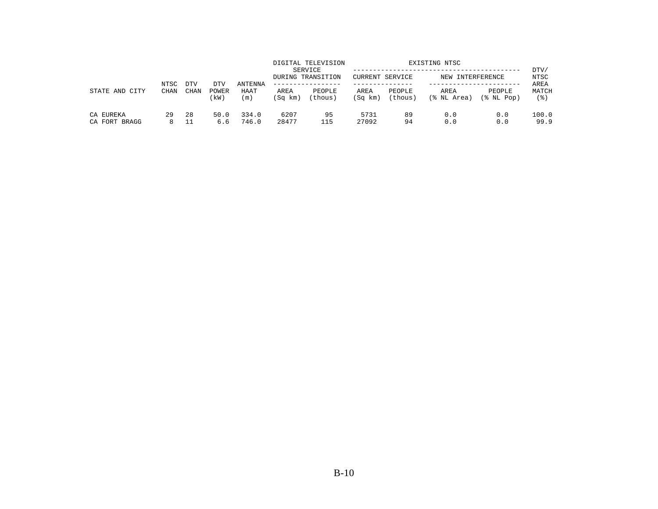| STATE AND<br>CITY          | NTSC<br><b>CHAN</b> | <b>DTV</b>  | DTV           | ANTENNA        |                 | DIGITAL TELEVISION<br>SERVICE<br>DURING TRANSITION | CURRENT SERVICE |                   | EXISTING NTSC<br>NEW INTERFERENCE |                      | DTV/<br>NTSC<br>AREA |
|----------------------------|---------------------|-------------|---------------|----------------|-----------------|----------------------------------------------------|-----------------|-------------------|-----------------------------------|----------------------|----------------------|
|                            |                     | <b>CHAN</b> | POWER<br>(kW) | HAAT<br>(m)    | AREA<br>(Sq km) | PEOPLE<br>(thous)                                  | AREA<br>(Sq km) | PEOPLE<br>(thous) | AREA<br>(% NL Area)               | PEOPLE<br>(% NL Pop) | MATCH<br>' 응 )       |
| CA EUREKA<br>CA FORT BRAGG | 29                  | 28<br>11    | 50.0<br>6.6   | 334.0<br>746.0 | 6207<br>28477   | 95<br>115                                          | 5731<br>27092   | 89<br>94          | 0.0<br>0.0                        | 0.0<br>0.0           | 100.0<br>99.9        |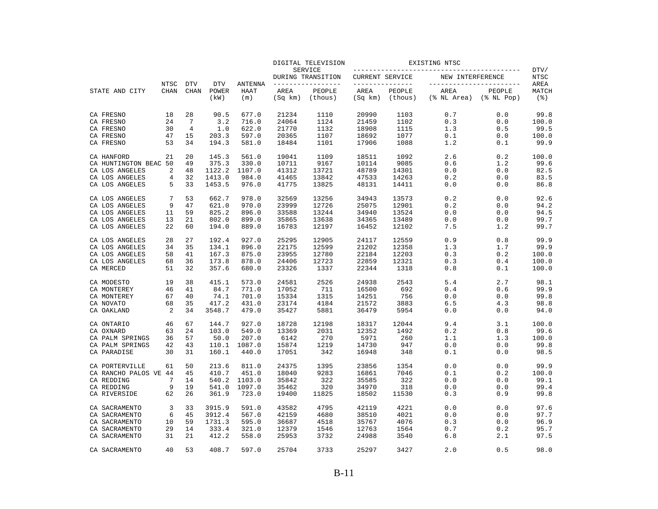|                       |                     |                           |                             |                               |                 | DIGITAL TELEVISION                 |                 |                                   | EXISTING NTSC       |                                                |                                     |
|-----------------------|---------------------|---------------------------|-----------------------------|-------------------------------|-----------------|------------------------------------|-----------------|-----------------------------------|---------------------|------------------------------------------------|-------------------------------------|
|                       |                     |                           |                             |                               |                 | SERVICE<br>DURING TRANSITION       | CURRENT SERVICE |                                   | NEW INTERFERENCE    |                                                | DTV/<br><b>NTSC</b>                 |
| STATE AND CITY        | NTSC<br><b>CHAN</b> | <b>DTV</b><br><b>CHAN</b> | <b>DTV</b><br>POWER<br>(kW) | <b>ANTENNA</b><br>HAAT<br>(m) | AREA<br>(Sq km) | _____________<br>PEOPLE<br>(thous) | AREA<br>(Sq km) | ------------<br>PEOPLE<br>(thous) | AREA<br>(% NL Area) | -----------------<br>PEOPLE<br>$(\$$ NL $Pop)$ | AREA<br>MATCH<br>$($ $\mathcal{E})$ |
| CA FRESNO             | 18                  | 28                        | 90.5                        | 677.0                         | 21234           | 1110                               | 20990           | 1103                              | 0.7                 | 0.0                                            | 99.8                                |
| CA FRESNO             | 24                  | 7                         | 3.2                         | 716.0                         | 24064           | 1124                               | 21459           | 1102                              | 0.3                 | 0.0                                            | 100.0                               |
| CA FRESNO             | 30                  | $\overline{4}$            | 1.0                         | 622.0                         | 21770           | 1132                               | 18908           | 1115                              | 1.3                 | 0.5                                            | 99.5                                |
| CA FRESNO             | 47                  | 15                        | 203.3                       | 597.0                         | 20365           | 1107                               | 18692           | 1077                              | 0.1                 | 0.0                                            | 100.0                               |
| CA FRESNO             | 53                  | 34                        | 194.3                       | 581.0                         | 18484           | 1101                               | 17906           | 1088                              | 1.2                 | 0.1                                            | 99.9                                |
| CA HANFORD            | 21                  | 20                        | 145.3                       | 561.0                         | 19041           | 1109                               | 18511           | 1092                              | 2.6                 | 0.2                                            | 100.0                               |
| CA HUNTINGTON BEAC 50 |                     | 49                        | 375.3                       | 330.0                         | 10711           | 9167                               | 10114           | 9085                              | 0.6                 | 1.2                                            | 99.6                                |
| CA LOS ANGELES        | $\overline{2}$      | 48                        | 1122.2                      | 1107.0                        | 41312           | 13721                              | 48789           | 14301                             | 0.0                 | 0.0                                            | 82.5                                |
| CA LOS ANGELES        | 4                   | 32                        | 1413.0                      | 984.0                         | 41465           | 13842                              | 47533           | 14263                             | 0.2                 | 0.0                                            | 83.5                                |
| CA LOS ANGELES        | 5                   | 33                        | 1453.5                      | 976.0                         | 41775           | 13825                              | 48131           | 14411                             | 0.0                 | 0.0                                            | 86.8                                |
| CA LOS ANGELES        | 7                   | 53                        | 662.7                       | 978.0                         | 32569           | 13256                              | 34943           | 13573                             | 0.2                 | 0.0                                            | 92.6                                |
| CA LOS ANGELES        | 9                   | 47                        | 621.0                       | 970.0                         | 23999           | 12726                              | 25075           | 12901                             | 0.2                 | 0.0                                            | 94.2                                |
| CA LOS ANGELES        | 11                  | 59                        | 825.2                       | 896.0                         | 33588           | 13244                              | 34940           | 13524                             | 0.0                 | 0.0                                            | 94.5                                |
| CA LOS ANGELES        | 13                  | 21                        | 802.0                       | 899.0                         | 35865           | 13638                              | 34365           | 13489                             | 0.0                 | 0.0                                            | 99.7                                |
| CA LOS ANGELES        | 22                  | 60                        | 194.0                       | 889.0                         | 16783           | 12197                              | 16452           | 12102                             | 7.5                 | 1.2                                            | 99.7                                |
| CA LOS ANGELES        | 28                  | 27                        | 192.4                       | 927.0                         | 25295           | 12905                              | 24117           | 12559                             | 0.9                 | 0.8                                            | 99.9                                |
| CA LOS ANGELES        | 34                  | 35                        | 134.1                       | 896.0                         | 22175           | 12599                              | 21202           | 12358                             | 1.3                 | 1.7                                            | 99.9                                |
| CA LOS ANGELES        | 58                  | 41                        | 167.3                       | 875.0                         | 23955           | 12780                              | 22184           | 12203                             | 0.3                 | 0.2                                            | 100.0                               |
| CA LOS ANGELES        | 68                  | 36                        | 173.8                       | 878.0                         | 24406           | 12723                              | 22859           | 12321                             | 0.3                 | 0.4                                            | 100.0                               |
| CA MERCED             | 51                  | 32                        | 357.6                       | 680.0                         | 23326           | 1337                               | 22344           | 1318                              | 0.8                 | 0.1                                            | 100.0                               |
| CA MODESTO            | 19                  | 38                        | 415.1                       | 573.0                         | 24581           | 2526                               | 24938           | 2543                              | 5.4                 | 2.7                                            | 98.1                                |
| CA MONTEREY           | 46                  | 41                        | 84.7                        | 771.0                         | 17052           | 711                                | 16500           | 692                               | 0.4                 | 0.6                                            | 99.9                                |
| CA MONTEREY           | 67                  | 40                        | 74.1                        | 701.0                         | 15334           | 1315                               | 14251           | 756                               | 0.0                 | 0.0                                            | 99.8                                |
| CA NOVATO             | 68                  | 35                        | 417.2                       | 431.0                         | 23174           | 4184                               | 21572           | 3883                              | 6.5                 | 4.3                                            | 98.8                                |
| CA OAKLAND            | $\overline{2}$      | 34                        | 3548.7                      | 479.0                         | 35427           | 5881                               | 36479           | 5954                              | 0.0                 | 0.0                                            | 94.0                                |
| CA ONTARIO            | 46                  | 67                        | 144.7                       | 927.0                         | 18728           | 12198                              | 18317           | 12044                             | 9.4                 | 3.1                                            | 100.0                               |
| CA OXNARD             | 63                  | 24                        | 103.0                       | 549.0                         | 13369           | 2031                               | 12352           | 1492                              | 0.2                 | 0.8                                            | 99.6                                |
| CA PALM SPRINGS       | 36                  | 57                        | 50.0                        | 207.0                         | 6142            | 270                                | 5971            | 260                               | 1.1                 | 1.3                                            | 100.0                               |
| CA PALM SPRINGS       | 42                  | 43                        | 110.1                       | 1087.0                        | 15874           | 1219                               | 14730           | 947                               | 0.0                 | 0.0                                            | 99.8                                |
| CA PARADISE           | 30                  | 31                        | 160.1                       | 440.0                         | 17051           | 342                                | 16948           | 348                               | 0.1                 | 0.0                                            | 98.5                                |
| CA PORTERVILLE        | 61                  | 50                        | 213.6                       | 811.0                         | 24375           | 1395                               | 23856           | 1354                              | 0.0                 | 0.0                                            | 99.9                                |
| CA RANCHO PALOS VE 44 |                     | 45                        | 410.7                       | 451.0                         | 18040           | 9283                               | 16861           | 7046                              | 0.1                 | 0.2                                            | 100.0                               |
| CA REDDING            | 7                   | 14                        | 540.2                       | 1103.0                        | 35842           | 322                                | 35585           | 322                               | 0.0                 | 0.0                                            | 99.1                                |
| CA REDDING            | 9                   | 19                        | 541.0                       | 1097.0                        | 35462           | 320                                | 34970           | 318                               | 0.0                 | 0.0                                            | 99.4                                |
| CA RIVERSIDE          | 62                  | 26                        | 361.9                       | 723.0                         | 19400           | 11825                              | 18502           | 11530                             | 0.3                 | 0.9                                            | 99.8                                |
| CA SACRAMENTO         | 3                   | 33                        | 3915.9                      | 591.0                         | 43582           | 4795                               | 42119           | 4221                              | 0.0                 | 0.0                                            | 97.6                                |
| CA SACRAMENTO         | 6                   | 45                        | 3912.4                      | 567.0                         | 42159           | 4680                               | 38510           | 4021                              | 0.0                 | 0.0                                            | 97.7                                |
| CA SACRAMENTO         | 10                  | 59                        | 1731.3                      | 595.0                         | 36687           | 4518                               | 35767           | 4076                              | 0.3                 | 0.0                                            | 96.9                                |
| CA SACRAMENTO         | 29                  | 14                        | 333.4                       | 321.0                         | 12379           | 1546                               | 12763           | 1564                              | 0.7                 | 0.2                                            | 95.7                                |
| CA SACRAMENTO         | 31                  | 21                        | 412.2                       | 558.0                         | 25953           | 3732                               | 24988           | 3540                              | 6.8                 | 2.1                                            | 97.5                                |
| CA SACRAMENTO         | 40                  | 53                        | 408.7                       | 597.0                         | 25704           | 3733                               | 25297           | 3427                              | 2.0                 | 0.5                                            | 98.0                                |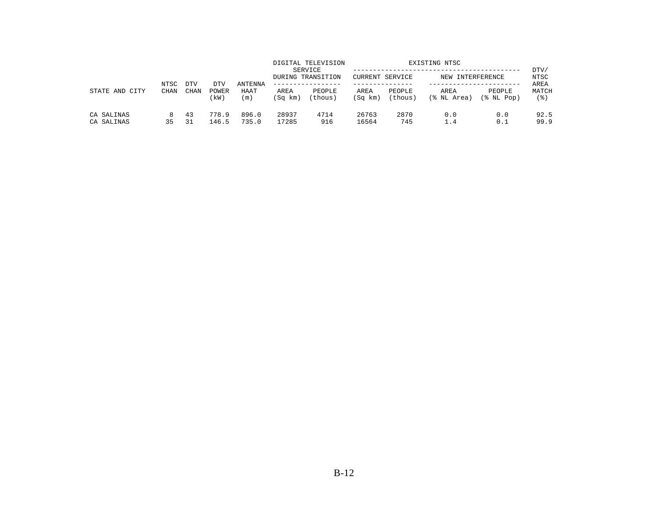| STATE AND<br>CITY        | NTSC<br><b>CHAN</b> | DTV      |                     |                                   |                 | DIGITAL TELEVISION<br>SERVICE<br>DURING TRANSITION<br>. _ _ _ _ _ _ _ _ _ _ _ _ _ | <b>CURRENT SERVICE</b> |                   | EXISTING NTSC<br>NEW INTERFERENCE |                         | DTV/<br>NTSC         |
|--------------------------|---------------------|----------|---------------------|-----------------------------------|-----------------|-----------------------------------------------------------------------------------|------------------------|-------------------|-----------------------------------|-------------------------|----------------------|
|                          |                     | CHAN     | DTV<br>POWER<br>kW) | ANTENNA<br>HAAT<br>$\mathsf{m}$ ) | AREA<br>(Sq km) | PEOPLE<br>(thous)                                                                 | AREA<br>(Sq km)        | PEOPLE<br>(thous) | AREA<br>(% NL Area)               | PEOPLE<br>$(\$$ NL Pop) | AREA<br>MATCH<br>(응) |
| CA SALINAS<br>CA SALINAS | 35                  | 43<br>31 | 778.9<br>146.5      | 896.0<br>735.0                    | 28937<br>17285  | 4714<br>916                                                                       | 26763<br>16564         | 2870<br>745       | 0.0<br>1.4                        | 0.0<br>0.1              | 92.5<br>99.9         |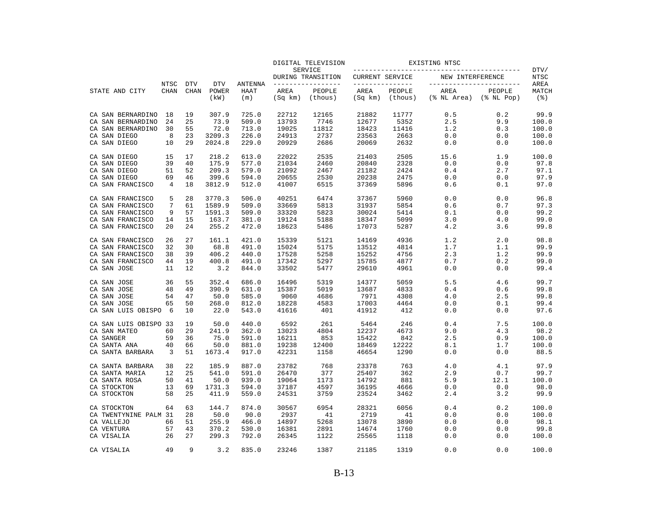|                       |             |             |                |                |                 | DIGITAL TELEVISION           |                 |                   | EXISTING NTSC            |                      |                             |
|-----------------------|-------------|-------------|----------------|----------------|-----------------|------------------------------|-----------------|-------------------|--------------------------|----------------------|-----------------------------|
|                       |             |             |                |                |                 | SERVICE<br>DURING TRANSITION | CURRENT SERVICE |                   | NEW INTERFERENCE         |                      | DTV/<br><b>NTSC</b>         |
|                       | NTSC        | <b>DTV</b>  | <b>DTV</b>     | <b>ANTENNA</b> |                 | ---------------              | --------------- |                   | ------------------------ |                      | AREA                        |
| STATE AND CITY        | <b>CHAN</b> | <b>CHAN</b> | POWER<br>(kW)  | HAAT<br>(m)    | AREA<br>(Sq km) | PEOPLE<br>(thous)            | AREA<br>(Sq km) | PEOPLE<br>(thous) | AREA<br>(% NL Area)      | PEOPLE<br>(% NL Pop) | MATCH<br>$($ $\mathcal{E})$ |
| CA SAN BERNARDINO     | 18          | 19          | 307.9          | 725.0          | 22712           | 12165                        | 21882           | 11777             | 0.5                      | 0.2                  | 99.9                        |
| CA SAN BERNARDINO     | 24          | 25          | 73.9           | 509.0          | 13793           | 7746                         | 12677           | 5352              | 2.5                      | 9.9                  | 100.0                       |
| CA SAN BERNARDINO     | 30          | 55          | 72.0           | 713.0          | 19025           | 11812                        | 18423           | 11416             | 1.2                      | 0.3                  | 100.0                       |
| CA SAN DIEGO          | 8           | 23          | 3209.3         | 226.0          | 24913           | 2737                         | 23563           | 2663              | 0.0                      | 0.0                  | 100.0                       |
| CA SAN DIEGO          | 10          | 29          | 2024.8         | 229.0          | 20929           | 2686                         | 20069           | 2632              | 0.0                      | 0.0                  | 100.0                       |
| CA SAN DIEGO          | 15          | 17          | 218.2          | 613.0          | 22022           | 2535                         | 21403           | 2505              | 15.6                     | 1.9                  | 100.0                       |
| CA SAN DIEGO          | 39          | 40          | 175.9          | 577.0          | 21034           | 2460                         | 20840           | 2328              | 0.0                      | 0.0                  | 97.8                        |
| CA SAN DIEGO          | 51          | 52          | 209.3          | 579.0          | 21092           | 2467                         | 21182           | 2424              | 0.4                      | 2.7                  | 97.1                        |
| CA SAN DIEGO          | 69          | 46          | 399.6          | 594.0          | 20655           | 2530                         | 20238           | 2475              | 0.0                      | 0.0                  | 97.9                        |
| CA SAN FRANCISCO      | 4           | 18          | 3812.9         | 512.0          | 41007           | 6515                         | 37369           | 5896              | 0.6                      | 0.1                  | 97.0                        |
| CA SAN FRANCISCO      | 5           | 28          | 3770.3         | 506.0          | 40251           | 6474                         | 37367           | 5960              | 0.0                      | 0.0                  | 96.8                        |
| CA SAN FRANCISCO      | 7           | 61          | 1589.9         | 509.0          | 33669           | 5813                         | 31937           | 5854              | 0.6                      | 0.7                  | 97.3                        |
| CA SAN FRANCISCO      | 9           | 57          | 1591.3         | 509.0          | 33320           | 5823                         | 30024           | 5414              | 0.1                      | 0.0                  | 99.2                        |
| CA SAN FRANCISCO      | 14          | 15          | 163.7          | 381.0          | 19124           | 5188                         | 18347           | 5099              | 3.0                      | 4.0                  | 99.0                        |
| CA SAN FRANCISCO      | 20          | 24          | 255.2          | 472.0          | 18623           | 5486                         | 17073           | 5287              | 4.2                      | 3.6                  | 99.8                        |
| CA SAN FRANCISCO      | 26          | 27          | 161.1          | 421.0          | 15339           | 5121                         | 14169           | 4936              | 1.2                      | 2.0                  | 98.8                        |
| CA SAN FRANCISCO      | 32          | 30          | 68.8           | 491.0          | 15024           | 5175                         | 13512           | 4814              | 1.7                      | 1.1                  | 99.9                        |
| CA SAN FRANCISCO      | 38          | 39          | 406.2          | 440.0          | 17528           | 5258                         | 15252           | 4756              | 2.3                      | 1.2                  | 99.9                        |
| CA SAN FRANCISCO      | 44          | 19          | 400.8          | 491.0          | 17342           | 5297                         | 15785           | 4877              | 0.7                      | 0.2                  | 99.0                        |
| CA SAN JOSE           | 11          | 12          | 3.2            | 844.0          | 33502           | 5477                         | 29610           | 4961              | 0.0                      | 0.0                  | 99.4                        |
| CA SAN JOSE           | 36          | 55          | 352.4          | 686.0          | 16496           | 5319                         | 14377           | 5059              | 5.5                      | 4.6                  | 99.7                        |
| CA SAN JOSE           | 48          | 49          | 390.9          | 631.0          | 15387           | 5019                         | 13687           | 4833              | 0.4                      | 0.6                  | 99.8                        |
| CA SAN JOSE           | 54          | 47          | 50.0           | 585.0          | 9060            | 4686                         | 7971            | 4308              | 4.0                      | 2.5                  | 99.8                        |
| CA SAN JOSE           | 65          | 50          | 268.0          | 812.0          | 18228           | 4583                         | 17003           | 4464              | 0.0                      | 0.1                  | 99.4                        |
| CA SAN LUIS OBISPO    | 6           | 10          | 22.0           | 543.0          | 41616           | 401                          | 41912           | 412               | 0.0                      | 0.0                  | 97.6                        |
| CA SAN LUIS OBISPO 33 |             | 19          | 50.0           | 440.0          | 6592            | 261                          | 5464            | 246               | 0.4                      | 7.5                  | 100.0                       |
| CA SAN MATEO          | 60          | 29          | 241.9          | 362.0          | 13023           | 4804                         | 12237           | 4673              | 9.0                      | 4.3                  | 98.2                        |
| CA SANGER             | 59          | 36          | 75.0           | 591.0          | 16211           | 853                          | 15422           | 842               | 2.5                      | 0.9                  | 100.0                       |
| CA SANTA ANA          | 40          | 66          | 50.0           | 881.0          | 19238           | 12400                        | 18469           | 12222             | 8.1                      | 1.7                  | 100.0                       |
| CA SANTA BARBARA      | 3           | 51          | 1673.4         | 917.0          | 42231           | 1158                         | 46654           | 1290              | 0.0                      | 0.0                  | 88.5                        |
| CA SANTA BARBARA      | 38<br>12    | 22<br>25    | 185.9<br>541.0 | 887.0<br>591.0 | 23782<br>26470  | 768<br>377                   | 23378<br>25407  | 763<br>362        | 4.0<br>2.9               | 4.1<br>0.7           | 97.9<br>99.7                |
| CA SANTA MARIA        |             |             |                |                |                 |                              |                 |                   |                          |                      |                             |
| CA SANTA ROSA         | 50          | 41          | 50.0           | 939.0          | 19064           | 1173                         | 14792           | 881               | 5.9                      | 12.1                 | 100.0                       |
| CA STOCKTON           | 13          | 69          | 1731.3         | 594.0          | 37187           | 4597                         | 36195           | 4666              | 0.0                      | 0.0                  | 98.0                        |
| CA STOCKTON           | 58          | 25          | 411.9          | 559.0          | 24531           | 3759                         | 23524           | 3462              | 2.4                      | 3.2                  | 99.9                        |
| CA STOCKTON           | 64          | 63          | 144.7          | 874.0          | 30567           | 6954                         | 28321           | 6056              | 0.4                      | 0.2                  | 100.0                       |
| CA TWENTYNINE PALM 31 |             | 28          | 50.0           | 90.0           | 2937            | 41                           | 2719            | 41                | 0.0                      | 0.0                  | 100.0                       |
| CA VALLEJO            | 66          | 51          | 255.9          | 466.0          | 14897           | 5268                         | 13078           | 3890              | 0.0                      | 0.0                  | 98.1                        |
| CA VENTURA            | 57          | 43          | 370.2          | 530.0          | 16381           | 2891                         | 14674           | 1760              | 0.0                      | 0.0                  | 99.8                        |
| CA VISALIA            | 26          | 27          | 299.3          | 792.0          | 26345           | 1122                         | 25565           | 1118              | 0.0                      | 0.0                  | 100.0                       |
| CA VISALIA            | 49          | 9           | 3.2            | 835.0          | 23246           | 1387                         | 21185           | 1319              | 0.0                      | 0.0                  | 100.0                       |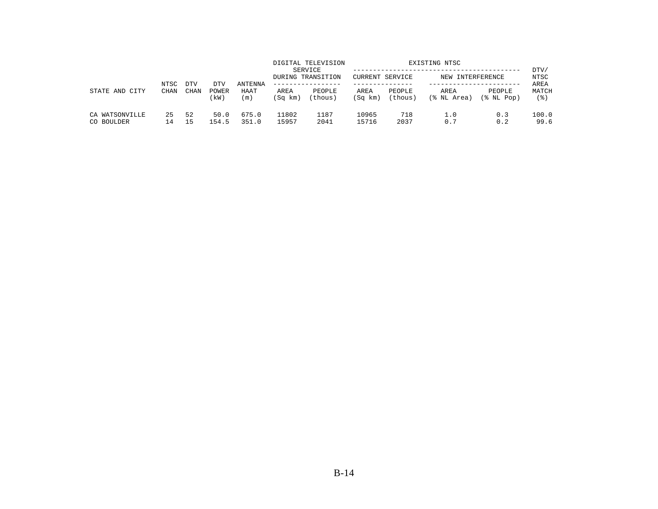| STATE AND CITY               | NTSC<br><b>CHAN</b> | <b>DTV</b> | DTV           | ANTENNA        |                 | DIGITAL TELEVISION<br>SERVICE<br>DURING TRANSITION | CURRENT SERVICE |                   | EXISTING NTSC<br>NEW INTERFERENCE |                      | DTV/<br>NTSC<br>AREA |
|------------------------------|---------------------|------------|---------------|----------------|-----------------|----------------------------------------------------|-----------------|-------------------|-----------------------------------|----------------------|----------------------|
|                              |                     | CHAN       | POWER<br>kW)  | HAAT<br>(m)    | AREA<br>(Sq km) | PEOPLE<br>(thous)                                  | AREA<br>(Sq km) | PEOPLE<br>(thous) | AREA<br>(% NL Area)               | PEOPLE<br>(% NL Pop) | MATCH<br>(응)         |
| CA WATSONVILLE<br>CO BOULDER | 25<br>L 4           | 52<br>15   | 50.0<br>154.5 | 675.0<br>351.0 | 11802<br>15957  | 1187<br>2041                                       | 10965<br>15716  | 718<br>2037       | 1.0<br>0.7                        | 0.3<br>0.2           | 100.0<br>99.6        |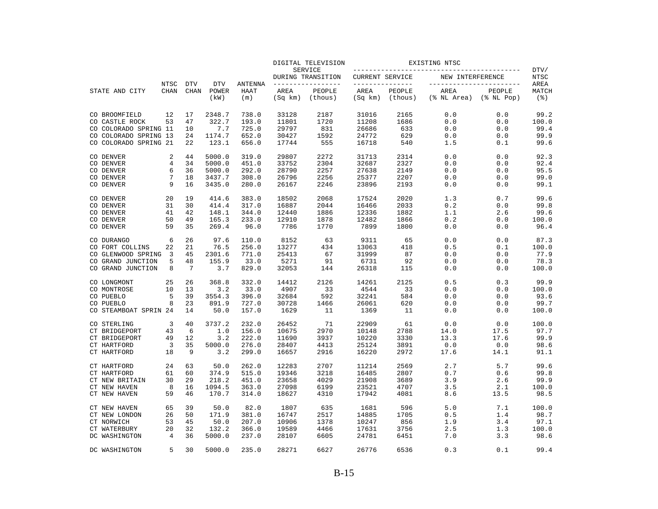|                        |                |             |               |               |                 | DIGITAL TELEVISION           |                        |                   | EXISTING NTSC            |                            |               |
|------------------------|----------------|-------------|---------------|---------------|-----------------|------------------------------|------------------------|-------------------|--------------------------|----------------------------|---------------|
|                        |                |             |               |               |                 | SERVICE<br>DURING TRANSITION | <b>CURRENT SERVICE</b> |                   | NEW INTERFERENCE         |                            | DTV/<br>NTSC  |
|                        | NTSC           | <b>DTV</b>  | <b>DTV</b>    | ANTENNA       |                 | --------------               | _______________        |                   | ------------------------ |                            | AREA          |
| STATE AND CITY         | <b>CHAN</b>    | <b>CHAN</b> | POWER<br>(kW) | HAAT<br>(m)   | AREA<br>(Sq km) | PEOPLE<br>(thous)            | AREA<br>(Sq km)        | PEOPLE<br>(thous) | AREA<br>(% NL Area)      | PEOPLE<br>$(\$$ NL Pop $)$ | MATCH<br>(3)  |
| CO BROOMFIELD          | 12             | 17          | 2348.7        | 738.0         | 33128           | 2187                         | 31016                  | 2165              | 0.0                      | 0.0                        | 99.2          |
| CO CASTLE ROCK         | 53             | 47          | 322.7         | 193.0         | 11801           | 1720                         | 11208                  | 1686              | 0.0                      | 0.0                        | 100.0         |
| CO COLORADO SPRING 11  |                | 10          | 7.7           | 725.0         | 29797           | 831                          | 26686                  | 633               | 0.0                      | 0.0                        | 99.4          |
| CO COLORADO SPRING 13  |                | 24          | 1174.7        | 652.0         | 30427           | 1592                         | 24772                  | 629               | 0.0                      | 0.0                        | 99.9          |
| CO COLORADO SPRING 21  |                | 22          | 123.1         | 656.0         | 17744           | 555                          | 16718                  | 540               | 1.5                      | 0.1                        | 99.6          |
| CO DENVER              | 2              | 44          | 5000.0        | 319.0         | 29807           | 2272                         | 31713                  | 2314              | 0.0                      | 0.0                        | 92.3          |
| CO DENVER              | $\overline{4}$ | 34          | 5000.0        | 451.0         | 33752           | 2304                         | 32687                  | 2327              | 0.0                      | 0.0                        | 92.4          |
| CO DENVER              | 6              | 36          | 5000.0        | 292.0         | 28790           | 2257                         | 27638                  | 2149              | 0.0                      | 0.0                        | 95.5          |
| CO DENVER              | 7              | 18          | 3437.7        | 308.0         | 26796           | 2256                         | 25377                  | 2207              | 0.0                      | 0.0                        | 99.0          |
| CO DENVER              | 9              | 16          | 3435.0        | 280.0         | 26167           | 2246                         | 23896                  | 2193              | 0.0                      | 0.0                        | 99.1          |
| CO DENVER              | 20             | 19          | 414.6         | 383.0         | 18502           | 2068                         | 17524                  | 2020              | 1.3                      | 0.7                        | 99.6          |
| CO DENVER              | 31             | 30          | 414.4         | 317.0         | 16887           | 2044                         | 16466                  | 2033              | 0.2                      | 0.0                        | 99.8          |
| CO DENVER              | 41             | 42          | 148.1         | 344.0         | 12440           | 1886                         | 12336                  | 1882              | 1.1                      | 2.6                        | 99.6          |
| CO DENVER              | 50             | 49          | 165.3         | 233.0         | 12910           | 1878                         | 12482                  | 1866              | 0.2                      | 0.0                        | 100.0         |
| CO DENVER              | 59             | 35          | 269.4         | 96.0          | 7786            | 1770                         | 7899                   | 1800              | 0.0                      | 0.0                        | 96.4          |
| CO DURANGO             | 6              | 26          | 97.6          | 110.0         | 8152            | 63                           | 9311                   | 65                | 0.0                      | 0.0                        | 87.3          |
| CO FORT COLLINS        | 22             | 21          | 76.5          | 256.0         | 13277           | 434                          | 13063                  | 418               | 0.5                      | 0.1                        | 100.0         |
| CO GLENWOOD SPRING     | 3              | 45          | 2301.6        | 771.0         | 25413           | 67                           | 31999                  | 87                | 0.0                      | 0.0                        | 77.9          |
| CO GRAND JUNCTION      | 5              | 48          | 155.9         | 33.0          | 5271            | 91                           | 6731                   | 92                | 0.0                      | 0.0                        | 78.3          |
| CO GRAND JUNCTION      | 8              | 7           | 3.7           | 829.0         | 32053           | 144                          | 26318                  | 115               | 0.0                      | 0.0                        | 100.0         |
| CO LONGMONT            | 25             | 26<br>13    | 368.8         | 332.0         | 14412<br>4907   | 2126<br>33                   | 14261                  | 2125<br>33        | 0.5                      | 0.3                        | 99.9          |
| CO MONTROSE            | 10<br>5        | 39          | 3.2<br>3554.3 | 33.0<br>396.0 | 32684           | 592                          | 4544                   | 584               | 0.0                      | 0.0<br>0.0                 | 100.0<br>93.6 |
| CO PUEBLO<br>CO PUEBLO | 8              | 23          | 891.9         | 727.0         | 30728           | 1466                         | 32241<br>26061         | 620               | 0.0<br>0.0               | 0.0                        | 99.7          |
| CO STEAMBOAT SPRIN 24  |                | 14          | 50.0          | 157.0         | 1629            | 11                           | 1369                   | 11                | 0.0                      | 0.0                        | 100.0         |
| CO STERLING            | 3              | 40          | 3737.2        | 232.0         | 26452           | 71                           | 22909                  | 61                | 0.0                      | 0.0                        | 100.0         |
| CT BRIDGEPORT          | 43             | 6           | 1.0           | 156.0         | 10675           | 2970                         | 10148                  | 2788              | 14.0                     | 17.5                       | 97.7          |
| CT BRIDGEPORT          | 49             | 12          | 3.2           | 222.0         | 11690           | 3937                         | 10220                  | 3330              | 13.3                     | 17.6                       | 99.9          |
| <b>CT HARTFORD</b>     | 3              | 35          | 5000.0        | 276.0         | 28407           | 4413                         | 25124                  | 3891              | 0.0                      | 0.0                        | 98.6          |
| <b>CT HARTFORD</b>     | 18             | 9           | 3.2           | 299.0         | 16657           | 2916                         | 16220                  | 2972              | 17.6                     | 14.1                       | 91.1          |
| <b>CT HARTFORD</b>     | 24             | 63          | 50.0          | 262.0         | 12283           | 2707                         | 11214                  | 2569              | 2.7                      | 5.7                        | 99.6          |
| <b>CT HARTFORD</b>     | 61             | 60          | 374.9         | 515.0         | 19346           | 3218                         | 16485                  | 2807              | 0.7                      | 0.6                        | 99.8          |
| CT NEW BRITAIN         | 30             | 29          | 218.2         | 451.0         | 23658           | 4029                         | 21908                  | 3689              | 3.9                      | 2.6                        | 99.9          |
| CT NEW HAVEN           | 8              | 16          | 1094.5        | 363.0         | 27098           | 6199                         | 23521                  | 4707              | 3.5                      | 2.1                        | 100.0         |
| CT NEW HAVEN           | 59             | 46          | 170.7         | 314.0         | 18627           | 4310                         | 17942                  | 4081              | 8.6                      | 13.5                       | 98.5          |
| CT NEW HAVEN           | 65             | 39          | 50.0          | 82.0          | 1807            | 635                          | 1681                   | 596               | 5.0                      | 7.1                        | 100.0         |
| CT NEW LONDON          | 26             | 50          | 171.9         | 381.0         | 16747           | 2517                         | 14885                  | 1705              | 0.5                      | 1.4                        | 98.7          |
| CT NORWICH             | 53             | 45          | 50.0          | 207.0         | 10906           | 1378                         | 10247                  | 856               | 1.9                      | 3.4                        | 97.1          |
| CT WATERBURY           | 20             | 32          | 132.2         | 366.0         | 19589           | 4466                         | 17631                  | 3756              | 2.5                      | 1.3                        | 100.0         |
| DC WASHINGTON          | 4              | 36          | 5000.0        | 237.0         | 28107           | 6605                         | 24781                  | 6451              | 7.0                      | 3.3                        | 98.6          |
| DC WASHINGTON          | 5              | 30          | 5000.0        | 235.0         | 28271           | 6627                         | 26776                  | 6536              | 0.3                      | 0.1                        | 99.4          |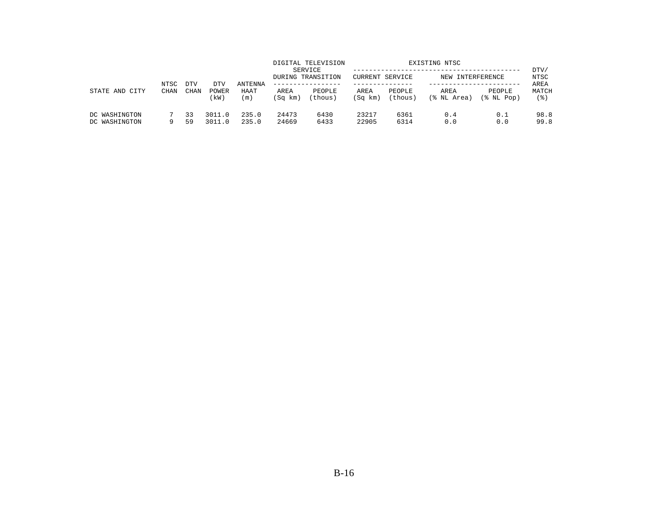|                                | NTSC        | <b>DTV</b>  | DTV              | <b>ANTENNA</b> |                 | DIGITAL TELEVISION<br>SERVICE<br>DURING TRANSITION | CURRENT SERVICE |                   | EXISTING NTSC<br>NEW INTERFERENCE |                      | DTV/<br>NTSC<br>AREA |
|--------------------------------|-------------|-------------|------------------|----------------|-----------------|----------------------------------------------------|-----------------|-------------------|-----------------------------------|----------------------|----------------------|
| STATE AND<br>CITY              | <b>CHAN</b> | <b>CHAN</b> | POWER<br>(kW)    | HAAT<br>(m)    | AREA<br>(Sq km) | PEOPLE<br>(thous)                                  | AREA<br>(Sq km) | PEOPLE<br>(thous) | AREA<br>(% NL Area)               | PEOPLE<br>(% NL Pop) | MATCH<br>' 응 )       |
| DC WASHINGTON<br>DC WASHINGTON |             | 33<br>59    | 3011.0<br>3011.0 | 235.0<br>235.0 | 24473<br>24669  | 6430<br>6433                                       | 23217<br>22905  | 6361<br>6314      | 0.4<br>0.0                        | 0.1<br>0.0           | 98.8<br>99.8         |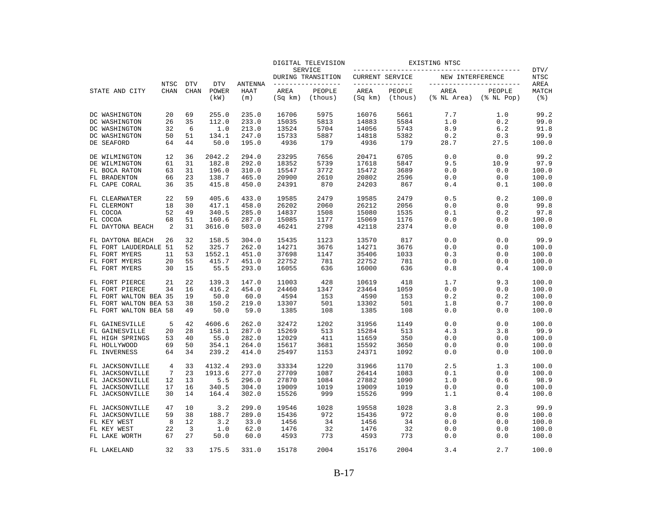|                       |                            |                           |                             |                               |                 | DIGITAL TELEVISION                  |                 |                                   | EXISTING NTSC       |                                              |                      |
|-----------------------|----------------------------|---------------------------|-----------------------------|-------------------------------|-----------------|-------------------------------------|-----------------|-----------------------------------|---------------------|----------------------------------------------|----------------------|
| STATE AND CITY        |                            |                           |                             | <b>ANTENNA</b><br>HAAT<br>(m) |                 | <b>SERVICE</b><br>DURING TRANSITION | CURRENT SERVICE |                                   | NEW INTERFERENCE    |                                              | DTV/<br><b>NTSC</b>  |
|                       | <b>NTSC</b><br><b>CHAN</b> | <b>DTV</b><br><b>CHAN</b> | <b>DTV</b><br>POWER<br>(kW) |                               | AREA<br>(Sq km) | -------------<br>PEOPLE<br>(thous)  | AREA<br>(Sq km) | ------------<br>PEOPLE<br>(thous) | AREA<br>(% NL Area) | -----------------<br>PEOPLE<br>$(\$ NI Pop)$ | AREA<br>MATCH<br>(응) |
| DC WASHINGTON         | 20                         | 69                        | 255.0                       | 235.0                         | 16706           | 5975                                | 16076           | 5661                              | 7.7                 | 1.0                                          | 99.2                 |
| DC WASHINGTON         | 26                         | 35                        | 112.0                       | 233.0                         | 15035           | 5813                                | 14883           | 5584                              | 1.0                 | 0.2                                          | 99.0                 |
| DC WASHINGTON         | 32                         | 6                         | 1.0                         | 213.0                         | 13524           | 5704                                | 14056           | 5743                              | 8.9                 | 6.2                                          | 91.8                 |
| DC WASHINGTON         | 50                         | 51                        | 134.1                       | 247.0                         | 15733           | 5887                                | 14818           | 5382                              | 0.2                 | 0.3                                          | 99.9                 |
| DE SEAFORD            | 64                         | 44                        | 50.0                        | 195.0                         | 4936            | 179                                 | 4936            | 179                               | 28.7                | 27.5                                         | 100.0                |
| DE WILMINGTON         | 12                         | 36                        | 2042.2                      | 294.0                         | 23295           | 7656                                | 20471           | 6705                              | 0.0                 | 0.0                                          | 99.2                 |
| DE WILMINGTON         | 61                         | 31                        | 182.8                       | 292.0                         | 18352           | 5739                                | 17618           | 5847                              | 9.5                 | 10.9                                         | 97.9                 |
| FL BOCA RATON         | 63                         | 31                        | 196.0                       | 310.0                         | 15547           | 3772                                | 15472           | 3689                              | 0.0                 | 0.0                                          | 100.0                |
| FL BRADENTON          | 66                         | 23                        | 138.7                       | 465.0                         | 20900           | 2610                                | 20802           | 2596                              | 0.0                 | 0.0                                          | 100.0                |
| FL CAPE CORAL         | 36                         | 35                        | 415.8                       | 450.0                         | 24391           | 870                                 | 24203           | 867                               | 0.4                 | 0.1                                          | 100.0                |
| FL CLEARWATER         | 22                         | 59                        | 405.6                       | 433.0                         | 19585           | 2479                                | 19585           | 2479                              | 0.5                 | 0.2                                          | 100.0                |
| FL CLERMONT           | 18                         | 30                        | 417.1                       | 458.0                         | 26202           | 2060                                | 26212           | 2056                              | 0.0                 | 0.0                                          | 99.8                 |
| FL COCOA              | 52                         | 49                        | 340.5                       | 285.0                         | 14837           | 1508                                | 15080           | 1535                              | 0.1                 | 0.2                                          | 97.8                 |
| FL COCOA              | 68                         | 51                        | 160.6                       | 287.0                         | 15085           | 1177                                | 15069           | 1176                              | 0.0                 | 0.0                                          | 100.0                |
| FL DAYTONA BEACH      | 2                          | 31                        | 3616.0                      | 503.0                         | 46241           | 2798                                | 42118           | 2374                              | 0.0                 | 0.0                                          | 100.0                |
| FL DAYTONA BEACH      | 26                         | 32                        | 158.5                       | 304.0                         | 15435           | 1123                                | 13570           | 817                               | 0.0                 | 0.0                                          | 99.9                 |
| FL FORT LAUDERDALE 51 |                            | 52                        | 325.7                       | 262.0                         | 14271           | 3676                                | 14271           | 3676                              | 0.0                 | 0.0                                          | 100.0                |
| FL FORT MYERS         | 11                         | 53                        | 1552.1                      | 451.0                         | 37698           | 1147                                | 35406           | 1033                              | 0.3                 | 0.0                                          | 100.0                |
| FL FORT MYERS         | 20                         | 55                        | 415.7                       | 451.0                         | 22752           | 781                                 | 22752           | 781                               | 0.0                 | 0.0                                          | 100.0                |
| FL FORT MYERS         | 30                         | 15                        | 55.5                        | 293.0                         | 16055           | 636                                 | 16000           | 636                               | 0.8                 | 0.4                                          | 100.0                |
| FL FORT PIERCE        | 21                         | 22                        | 139.3                       | 147.0                         | 11003           | 428                                 | 10619           | 418                               | 1.7                 | 9.3                                          | 100.0                |
| FL FORT PIERCE        | 34                         | 16                        | 416.2                       | 454.0                         | 24460           | 1347                                | 23464           | 1059                              | 0.0                 | 0.0                                          | 100.0                |
| FL FORT WALTON BEA 35 |                            | 19                        | 50.0                        | 60.0                          | 4594            | 153                                 | 4590            | 153                               | 0.2                 | 0.2                                          | 100.0                |
| FL FORT WALTON BEA 53 |                            | 38                        | 150.2                       | 219.0                         | 13307           | 501                                 | 13302           | 501                               | 1.8                 | 0.7                                          | 100.0                |
| FL FORT WALTON BEA 58 |                            | 49                        | 50.0                        | 59.0                          | 1385            | 108                                 | 1385            | 108                               | 0.0                 | 0.0                                          | 100.0                |
| FL GAINESVILLE        | 5                          | 42                        | 4606.6                      | 262.0                         | 32472           | 1202                                | 31956           | 1149                              | 0.0                 | 0.0                                          | 100.0                |
| FL GAINESVILLE        | 20                         | 28                        | 158.1                       | 287.0                         | 15269           | 513                                 | 15284           | 513                               | 4.3                 | 3.8                                          | 99.9                 |
| FL HIGH SPRINGS       | 53                         | 40                        | 55.0                        | 282.0                         | 12029           | 411                                 | 11659           | 350                               | 0.0                 | 0.0                                          | 100.0                |
| FL HOLLYWOOD          | 69                         | 50                        | 354.1                       | 264.0                         | 15617           | 3681                                | 15592           | 3650                              | 0.0                 | 0.0                                          | 100.0                |
| FL INVERNESS          | 64                         | 34                        | 239.2                       | 414.0                         | 25497           | 1153                                | 24371           | 1092                              | 0.0                 | 0.0                                          | 100.0                |
| FL JACKSONVILLE       | 4                          | 33                        | 4132.4                      | 293.0                         | 33334           | 1220                                | 31966           | 1170                              | 2.5                 | 1.3                                          | 100.0                |
| FL JACKSONVILLE       | 7                          | 23                        | 1913.6                      | 277.0                         | 27709           | 1087                                | 26414           | 1083                              | 0.1                 | 0.0                                          | 100.0                |
| FL JACKSONVILLE       | 12                         | 13                        | 5.5                         | 296.0                         | 27870           | 1084                                | 27882           | 1090                              | 1.0                 | 0.6                                          | 98.9                 |
| FL JACKSONVILLE       | 17                         | 16                        | 340.5                       | 304.0                         | 19009           | 1019                                | 19009           | 1019                              | 0.0                 | 0.0                                          | 100.0                |
| FL JACKSONVILLE       | 30                         | 14                        | 164.4                       | 302.0                         | 15526           | 999                                 | 15526           | 999                               | 1.1                 | 0.4                                          | 100.0                |
| FL JACKSONVILLE       | 47                         | 10                        | 3.2                         | 299.0                         | 19546           | 1028                                | 19558           | 1028                              | 3.8                 | 2.3                                          | 99.9                 |
| FL JACKSONVILLE       | 59                         | 38                        | 188.7                       | 289.0                         | 15436           | 972                                 | 15436           | 972                               | 0.0                 | 0.0                                          | 100.0                |
| FL KEY WEST           | 8                          | 12                        | 3.2                         | 33.0                          | 1456            | 34                                  | 1456            | 34                                | 0.0                 | 0.0                                          | 100.0                |
| FL KEY WEST           | 22                         | 3                         | 1.0                         | 62.0                          | 1476            | 32                                  | 1476            | 32                                | 0.0                 | 0.0                                          | 100.0                |
| FL LAKE WORTH         | 67                         | 27                        | 50.0                        | 60.0                          | 4593            | 773                                 | 4593            | 773                               | 0.0                 | 0.0                                          | 100.0                |
| FL LAKELAND           | 32                         | 33                        | 175.5                       | 331.0                         | 15178           | 2004                                | 15176           | 2004                              | 3.4                 | 2.7                                          | 100.0                |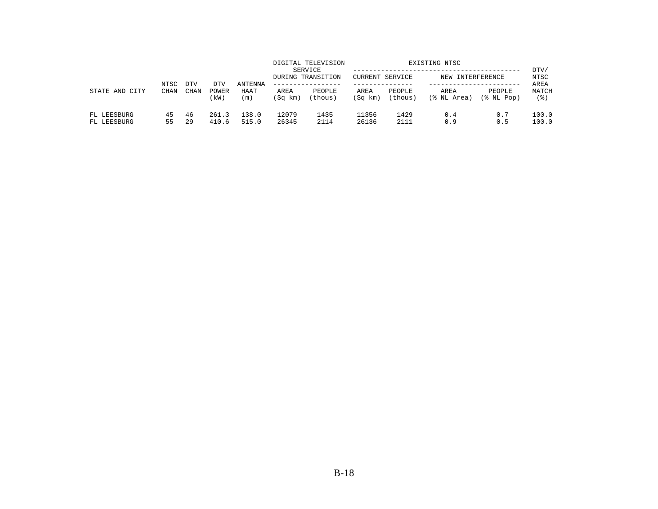| CITY<br>STATE AND          | NTSC<br><b>CHAN</b> | <b>DTV</b> | DTV            | <b>ANTENNA</b><br>HAAT<br>(m) | DIGITAL TELEVISION<br>SERVICE<br>DURING TRANSITION<br>------------- |                   | CURRENT SERVICE |                   | EXISTING NTSC<br>NEW INTERFERENCE |                      | DTV/<br>NTSC<br>AREA |
|----------------------------|---------------------|------------|----------------|-------------------------------|---------------------------------------------------------------------|-------------------|-----------------|-------------------|-----------------------------------|----------------------|----------------------|
|                            |                     | CHAN       | POWER<br>(kW)  |                               | AREA<br>(Sq km)                                                     | PEOPLE<br>(thous) | AREA<br>(Sq km) | PEOPLE<br>(thous) | AREA<br>(% NL Area)               | PEOPLE<br>(% NL Pop) | MATCH<br>(응)         |
| FL LEESBURG<br>FL LEESBURG | 45<br>55            | 46<br>29   | 261.3<br>410.6 | 138.0<br>515.0                | 12079<br>26345                                                      | 1435<br>2114      | 11356<br>26136  | 1429<br>2111      | 0.4<br>0.9                        | 0.7<br>0.5           | 100.0<br>100.0       |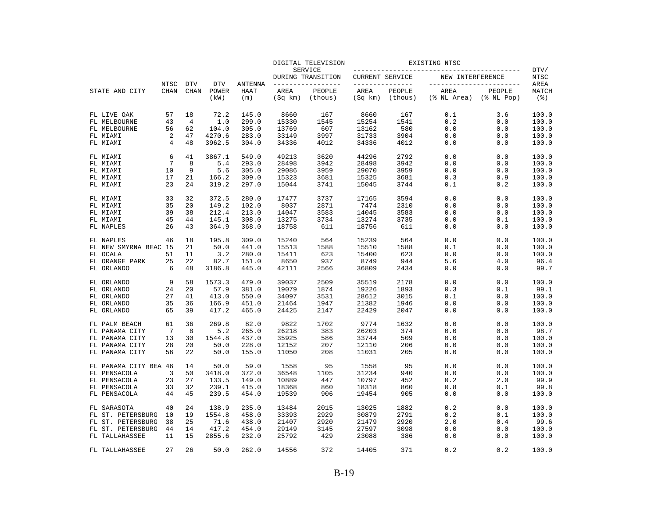|                       |                     |                |                           |                             |                               | DIGITAL TELEVISION |                                    |                                 | EXISTING NTSC     |                     |                                                 |                                     |
|-----------------------|---------------------|----------------|---------------------------|-----------------------------|-------------------------------|--------------------|------------------------------------|---------------------------------|-------------------|---------------------|-------------------------------------------------|-------------------------------------|
| STATE AND CITY        | NTSC<br><b>CHAN</b> |                |                           |                             |                               |                    | SERVICE<br>DURING TRANSITION       | CURRENT SERVICE<br>------------ |                   | NEW INTERFERENCE    |                                                 | DTV/<br><b>NTSC</b>                 |
|                       |                     |                | <b>DTV</b><br><b>CHAN</b> | <b>DTV</b><br>POWER<br>(kW) | <b>ANTENNA</b><br>HAAT<br>(m) | AREA<br>(Sq km)    | -------------<br>PEOPLE<br>(thous) | AREA<br>(Sq km)                 | PEOPLE<br>(thous) | AREA<br>(% NL Area) | _________________<br>PEOPLE<br>$(\$$ NL Pop $)$ | AREA<br>MATCH<br>$($ $\mathcal{E})$ |
| FL LIVE OAK           | 57                  | 18             | 72.2                      | 145.0                       | 8660                          | 167                | 8660                               | 167                             | 0.1               | 3.6                 | 100.0                                           |                                     |
| FL MELBOURNE          | 43                  | $\overline{4}$ | 1.0                       | 299.0                       | 15330                         | 1545               | 15254                              | 1541                            | 0.2               | 0.0                 | 100.0                                           |                                     |
| FL MELBOURNE          | 56                  | 62             | 104.0                     | 305.0                       | 13769                         | 607                | 13162                              | 580                             | 0.0               | 0.0                 | 100.0                                           |                                     |
| FL MIAMI              | 2                   | 47             | 4270.6                    | 283.0                       | 33149                         | 3997               | 31733                              | 3904                            | 0.0               | 0.0                 | 100.0                                           |                                     |
| FL MIAMI              | 4                   | 48             | 3962.5                    | 304.0                       | 34336                         | 4012               | 34336                              | 4012                            | 0.0               | 0.0                 | 100.0                                           |                                     |
| FL MIAMI              | 6                   | 41             | 3867.1                    | 549.0                       | 49213                         | 3620               | 44296                              | 2792                            | 0.0               | 0.0                 | 100.0                                           |                                     |
| FL MIAMI              | 7                   | 8              | 5.4                       | 293.0                       | 28498                         | 3942               | 28498                              | 3942                            | 0.0               | 0.0                 | 100.0                                           |                                     |
| FL MIAMI              | 10                  | 9              | 5.6                       | 305.0                       | 29086                         | 3959               | 29070                              | 3959                            | 0.0               | 0.0                 | 100.0                                           |                                     |
| FL MIAMI              | 17                  | 21             | 166.2                     | 309.0                       | 15323                         | 3681               | 15325                              | 3681                            | 0.3               | 0.9                 | 100.0                                           |                                     |
| FL MIAMI              | 23                  | 24             | 319.2                     | 297.0                       | 15044                         | 3741               | 15045                              | 3744                            | 0.1               | 0.2                 | 100.0                                           |                                     |
| FL MIAMI              | 33                  | 32             | 372.5                     | 280.0                       | 17477                         | 3737               | 17165                              | 3594                            | 0.0               | 0.0                 | 100.0                                           |                                     |
| FL MIAMI              | 35                  | 20             | 149.2                     | 102.0                       | 8037                          | 2871               | 7474                               | 2310                            | 0.0               | 0.0                 | 100.0                                           |                                     |
| FL MIAMI              | 39                  | 38             | 212.4                     | 213.0                       | 14047                         | 3583               | 14045                              | 3583                            | 0.0               | 0.0                 | 100.0                                           |                                     |
| FL MIAMI              | 45                  | 44             | 145.1                     | 308.0                       | 13275                         | 3734               | 13274                              | 3735                            | 0.0               | 0.1                 | 100.0                                           |                                     |
| FL NAPLES             | 26                  | 43             | 364.9                     | 368.0                       | 18758                         | 611                | 18756                              | 611                             | 0.0               | 0.0                 | 100.0                                           |                                     |
| FL NAPLES             | 46                  | 18             | 195.8                     | 309.0                       | 15240                         | 564                | 15239                              | 564                             | 0.0               | 0.0                 | 100.0                                           |                                     |
| FL NEW SMYRNA BEAC 15 |                     | 21             | 50.0                      | 441.0                       | 15513                         | 1588               | 15510                              | 1588                            | 0.1               | 0.0                 | 100.0                                           |                                     |
| FL OCALA              | 51                  | 11             | 3.2                       | 280.0                       | 15411                         | 623                | 15400                              | 623                             | 0.0               | 0.0                 | 100.0                                           |                                     |
| FL ORANGE PARK        | 25                  | 22             | 82.7                      | 151.0                       | 8650                          | 937                | 8749                               | 944                             | 5.6               | 4.0                 | 96.4                                            |                                     |
| FL ORLANDO            | 6                   | 48             | 3186.8                    | 445.0                       | 42111                         | 2566               | 36809                              | 2434                            | 0.0               | 0.0                 | 99.7                                            |                                     |
| FL ORLANDO            | 9                   | 58             | 1573.3                    | 479.0                       | 39037                         | 2509               | 35519                              | 2178                            | 0.0               | 0.0                 | 100.0                                           |                                     |
| FL ORLANDO            | 24                  | 20             | 57.9                      | 381.0                       | 19079                         | 1874               | 19226                              | 1893                            | 0.3               | 0.1                 | 99.1                                            |                                     |
| FL ORLANDO            | 27                  | 41             | 413.0                     | 550.0                       | 34097                         | 3531               | 28612                              | 3015                            | 0.1               | 0.0                 | 100.0                                           |                                     |
| FL ORLANDO            | 35                  | 36             | 166.9                     | 451.0                       | 21464                         | 1947               | 21382                              | 1946                            | 0.0               | 0.0                 | 100.0                                           |                                     |
| FL ORLANDO            | 65                  | 39             | 417.2                     | 465.0                       | 24425                         | 2147               | 22429                              | 2047                            | 0.0               | 0.0                 | 100.0                                           |                                     |
| FL PALM BEACH         | 61                  | 36             | 269.8                     | 82.0                        | 9822                          | 1702               | 9774                               | 1632                            | 0.0               | 0.0                 | 100.0                                           |                                     |
| FL PANAMA CITY        | 7                   | 8              | 5.2                       | 265.0                       | 26218                         | 383                | 26203                              | 374                             | 0.0               | 0.0                 | 98.7                                            |                                     |
| FL PANAMA CITY        | 13                  | 30             | 1544.8                    | 437.0                       | 35925                         | 586                | 33744                              | 509                             | 0.0               | 0.0                 | 100.0                                           |                                     |
| FL PANAMA CITY        | 28                  | 20             | 50.0                      | 228.0                       | 12152                         | 207                | 12110                              | 206                             | 0.0               | 0.0                 | 100.0                                           |                                     |
| FL PANAMA CITY        | 56                  | 22             | 50.0                      | 155.0                       | 11050                         | 208                | 11031                              | 205                             | 0.0               | 0.0                 | 100.0                                           |                                     |
| FL PANAMA CITY BEA 46 |                     | 14             | 50.0                      | 59.0                        | 1558                          | 95                 | 1558                               | 95                              | 0.0               | 0.0                 | 100.0                                           |                                     |
| FL PENSACOLA          | 3                   | 50             | 3418.0                    | 372.0                       | 36548                         | 1105               | 31234                              | 940                             | 0.0               | 0.0                 | 100.0                                           |                                     |
| FL PENSACOLA          | 23                  | 27             | 133.5                     | 149.0                       | 10889                         | 447                | 10797                              | 452                             | 0.2               | 2.0                 | 99.9                                            |                                     |
| FL PENSACOLA          | 33                  | 32             | 239.1                     | 415.0                       | 18368                         | 860                | 18318                              | 860                             | 0.8               | 0.1                 | 99.8                                            |                                     |
| FL PENSACOLA          | 44                  | 45             | 239.5                     | 454.0                       | 19539                         | 906                | 19454                              | 905                             | 0.0               | 0.0                 | 100.0                                           |                                     |
| FL SARASOTA           | 40                  | 24             | 138.9                     | 235.0                       | 13484                         | 2015               | 13025                              | 1882                            | 0.2               | 0.0                 | 100.0                                           |                                     |
| FL ST. PETERSBURG     | 10                  | 19             | 1554.8                    | 458.0                       | 33393                         | 2929               | 30879                              | 2791                            | 0.2               | 0.1                 | 100.0                                           |                                     |
| FL ST. PETERSBURG     | 38                  | 25             | 71.6                      | 438.0                       | 21407                         | 2920               | 21479                              | 2920                            | 2.0               | 0.4                 | 99.6                                            |                                     |
| FL ST. PETERSBURG     | 44                  | 14             | 417.2                     | 454.0                       | 29149                         | 3145               | 27597                              | 3098                            | 0.0               | 0.0                 | 100.0                                           |                                     |
| FL TALLAHASSEE        | 11                  | 15             | 2855.6                    | 232.0                       | 25792                         | 429                | 23088                              | 386                             | 0.0               | 0.0                 | 100.0                                           |                                     |
| FL TALLAHASSEE        | 27                  | 2.6            | 50.0                      | 262.0                       | 14556                         | 372                | 14405                              | 371                             | 0.2               | 0.2                 | 100.0                                           |                                     |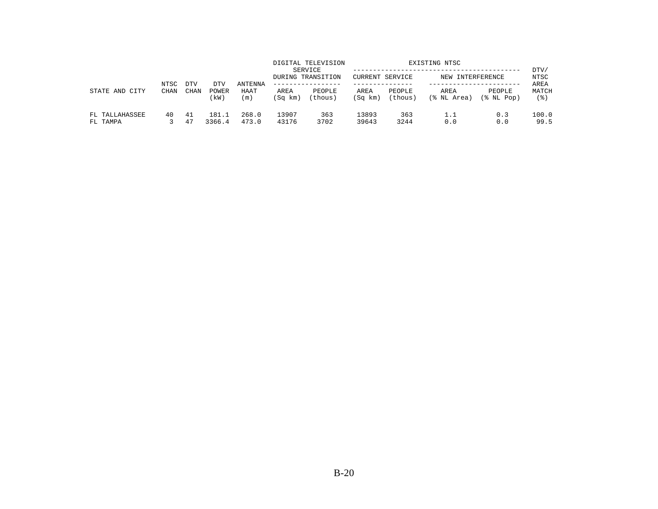| STATE AND<br>CITY          | NTSC<br><b>CHAN</b> | <b>DTV</b><br><b>CHAN</b> | DTV<br>POWER<br>(kW) | <b>ANTENNA</b><br>HAAT<br>(m) |                 | DIGITAL TELEVISION<br>SERVICE<br>DURING TRANSITION | EXISTING NTSC<br>CURRENT SERVICE<br>NEW INTERFERENCE |                   |                     |                      | DTV/<br>NTSC<br>AREA |
|----------------------------|---------------------|---------------------------|----------------------|-------------------------------|-----------------|----------------------------------------------------|------------------------------------------------------|-------------------|---------------------|----------------------|----------------------|
|                            |                     |                           |                      |                               | AREA<br>(Sq km) | PEOPLE<br>(thous)                                  | AREA<br>(Sq km)                                      | PEOPLE<br>(thous) | AREA<br>(% NL Area) | PEOPLE<br>(% NL Pop) | MATCH<br>' 응 )       |
| FL TALLAHASSEE<br>FL TAMPA | 40                  | 41<br>47                  | 181.1<br>3366.4      | 268.0<br>473.0                | 13907<br>43176  | 363<br>3702                                        | 13893<br>39643                                       | 363<br>3244       | 1.1<br>0.0          | 0.3<br>0.0           | 100.0<br>99.5        |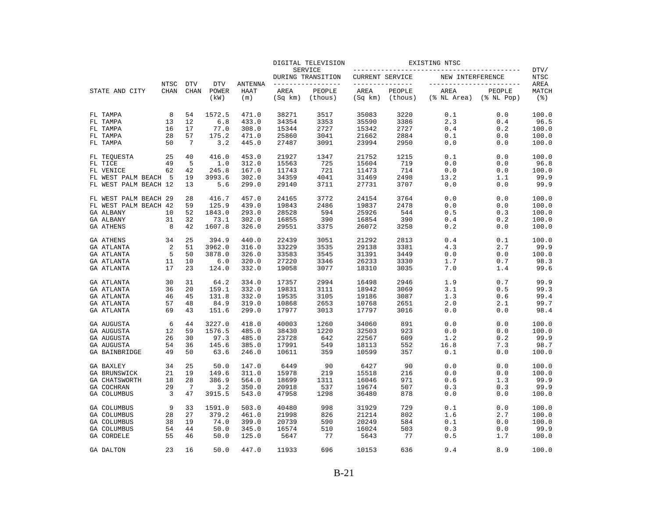|                       |                     |                           |                     |                        | DIGITAL TELEVISION<br>SERVICE |                          |                         |         |                                  |                  |                    |
|-----------------------|---------------------|---------------------------|---------------------|------------------------|-------------------------------|--------------------------|-------------------------|---------|----------------------------------|------------------|--------------------|
|                       |                     |                           |                     |                        |                               | DURING TRANSITION        | CURRENT SERVICE         |         | NEW INTERFERENCE                 |                  | DTV/<br>NTSC       |
| STATE AND CITY        | NTSC<br><b>CHAN</b> | <b>DTV</b><br><b>CHAN</b> | <b>DTV</b><br>POWER | <b>ANTENNA</b><br>HAAT | AREA                          | --------------<br>PEOPLE | ---------------<br>AREA | PEOPLE  | ------------------------<br>AREA | PEOPLE           | AREA<br>MATCH      |
|                       |                     |                           | (kW)                | (m)                    | (Sq km)                       | (thous)                  | (Sq km)                 | (thous) | (% NL Area)                      | $(\$$ NL Pop $)$ | $($ $\mathcal{E})$ |
| FL TAMPA              | 8                   | 54                        | 1572.5              | 471.0                  | 38271                         | 3517                     | 35083                   | 3220    | 0.1                              | 0.0              | 100.0              |
| FL TAMPA              | 13                  | 12                        | 6.8                 | 433.0                  | 34354                         | 3353                     | 35590                   | 3386    | 2.3                              | 0.4              | 96.5               |
| FL TAMPA              | 16                  | 17                        | 77.0                | 308.0                  | 15344                         | 2727                     | 15342                   | 2727    | 0.4                              | 0.2              | 100.0              |
| FL TAMPA              | 28                  | 57                        | 175.2               | 471.0                  | 25860                         | 3041                     | 21662                   | 2884    | 0.1                              | 0.0              | 100.0              |
| FL TAMPA              | 50                  | -7                        | 3.2                 | 445.0                  | 27487                         | 3091                     | 23994                   | 2950    | 0.0                              | 0.0              | 100.0              |
| FL TEOUESTA           | 25                  | 40                        | 416.0               | 453.0                  | 21927                         | 1347                     | 21752                   | 1215    | 0.1                              | 0.0              | 100.0              |
| FL TICE               | 49                  | 5                         | 1.0                 | 312.0                  | 15563                         | 725                      | 15604                   | 719     | 0.0                              | 0.0              | 96.8               |
| FL VENICE             | 62                  | 42                        | 245.8               | 167.0                  | 11743                         | 721                      | 11473                   | 714     | 0.0                              | 0.0              | 100.0              |
| FL WEST PALM BEACH    | 5                   | 19                        | 3993.6              | 302.0                  | 34359                         | 4041                     | 31469                   | 2498    | 13.2                             | 1.1              | 99.9               |
| FL WEST PALM BEACH 12 |                     | 13                        | 5.6                 | 299.0                  | 29140                         | 3711                     | 27731                   | 3707    | 0.0                              | 0.0              | 99.9               |
| FL WEST PALM BEACH 29 |                     | 28                        | 416.7               | 457.0                  | 24165                         | 3772                     | 24154                   | 3764    | 0.0                              | 0.0              | 100.0              |
| FL WEST PALM BEACH 42 |                     | 59                        | 125.9               | 439.0                  | 19843                         | 2486                     | 19837                   | 2478    | 0.0                              | 0.0              | 100.0              |
| <b>GA ALBANY</b>      | 10                  | 52                        | 1843.0              | 293.0                  | 28528                         | 594                      | 25926                   | 544     | 0.5                              | 0.3              | 100.0              |
| <b>GA ALBANY</b>      | 31                  | 32                        | 73.1                | 302.0                  | 16855                         | 390                      | 16854                   | 390     | 0.4                              | 0.2              | 100.0              |
| <b>GA ATHENS</b>      | 8                   | 42                        | 1607.8              | 326.0                  | 29551                         | 3375                     | 26072                   | 3258    | 0.2                              | 0.0              | 100.0              |
| <b>GA ATHENS</b>      | 34                  | 25                        | 394.9               | 440.0                  | 22439                         | 3051                     | 21292                   | 2813    | 0.4                              | 0.1              | 100.0              |
| GA ATLANTA            | $\overline{2}$      | 51                        | 3962.0              | 316.0                  | 33229                         | 3535                     | 29138                   | 3381    | 4.3                              | 2.7              | 99.9               |
| GA ATLANTA            | 5                   | 50                        | 3878.0              | 326.0                  | 33583                         | 3545                     | 31391                   | 3449    | 0.0                              | 0.0              | 100.0              |
| GA ATLANTA            | 11                  | 10                        | 6.0                 | 320.0                  | 27220                         | 3346                     | 26233                   | 3330    | 1.7                              | 0.7              | 98.3               |
| GA ATLANTA            | 17                  | 23                        | 124.0               | 332.0                  | 19058                         | 3077                     | 18310                   | 3035    | 7.0                              | 1.4              | 99.6               |
| GA ATLANTA            | 30                  | 31                        | 64.2                | 334.0                  | 17357                         | 2994                     | 16498                   | 2946    | 1.9                              | 0.7              | 99.9               |
| GA ATLANTA            | 36                  | 20                        | 159.1               | 332.0                  | 19831                         | 3111                     | 18942                   | 3069    | 3.1                              | 0.5              | 99.3               |
| GA ATLANTA            | 46                  | 45                        | 131.8               | 332.0                  | 19535                         | 3105                     | 19186                   | 3087    | 1.3                              | 0.6              | 99.4               |
| GA ATLANTA            | 57                  | 48                        | 84.9                | 319.0                  | 10868                         | 2653                     | 10768                   | 2651    | 2.0                              | 2.1              | 99.7               |
| GA ATLANTA            | 69                  | 43                        | 151.6               | 299.0                  | 17977                         | 3013                     | 17797                   | 3016    | 0.0                              | 0.0              | 98.4               |
| GA AUGUSTA            | 6                   | 44                        | 3227.0              | 418.0                  | 40003                         | 1260                     | 34060                   | 891     | 0.0                              | 0.0              | 100.0              |
| GA AUGUSTA            | 12                  | 59                        | 1576.5              | 485.0                  | 38430                         | 1220                     | 32503                   | 923     | 0.0                              | 0.0              | 100.0              |
| GA AUGUSTA            | 26                  | 30                        | 97.3                | 485.0                  | 23728                         | 642                      | 22567                   | 609     | 1.2                              | 0.2              | 99.9               |
| GA AUGUSTA            | 54                  | 36                        | 145.6               | 385.0                  | 17991                         | 549                      | 18113                   | 552     | 16.8                             | 7.3              | 98.7               |
| GA BAINBRIDGE         | 49                  | 50                        | 63.6                | 246.0                  | 10611                         | 359                      | 10599                   | 357     | 0.1                              | 0.0              | 100.0              |
| GA BAXLEY             | 34                  | 25                        | 50.0                | 147.0                  | 6449                          | 90                       | 6427                    | 90      | 0.0                              | 0.0              | 100.0              |
| GA BRUNSWICK          | 21                  | 19                        | 149.6               | 311.0                  | 15978                         | 219                      | 15518                   | 216     | 0.0                              | 0.0              | 100.0              |
| GA CHATSWORTH         | 18                  | 28                        | 386.9               | 564.0                  | 18699                         | 1311                     | 16046                   | 971     | 0.6                              | 1.3              | 99.9               |
| GA COCHRAN            | 29                  | -7                        | 3.2                 | 350.0                  | 20918                         | 537                      | 19674                   | 507     | 0.3                              | 0.3              | 99.9               |
| GA COLUMBUS           | 3                   | 47                        | 3915.5              | 543.0                  | 47958                         | 1298                     | 36480                   | 878     | 0.0                              | 0.0              | 100.0              |
| GA COLUMBUS           | 9                   | 33                        | 1591.0              | 503.0                  | 40480                         | 998                      | 31929                   | 729     | 0.1                              | 0.0              | 100.0              |
| <b>GA COLUMBUS</b>    | 28                  | 27                        | 379.2               | 461.0                  | 21998                         | 826                      | 21214                   | 802     | 1.6                              | 2.7              | 100.0              |
| GA COLUMBUS           | 38                  | 19                        | 74.0                | 399.0                  | 20739                         | 590                      | 20249                   | 584     | 0.1                              | 0.0              | 100.0              |
| GA COLUMBUS           | 54                  | 44                        | 50.0                | 345.0                  | 16574                         | 510                      | 16024                   | 503     | 0.3                              | 0.0              | 99.9               |
| GA CORDELE            | 55                  | 46                        | 50.0                | 125.0                  | 5647                          | 77                       | 5643                    | 77      | 0.5                              | 1.7              | 100.0              |
| <b>GA DALTON</b>      | 23                  | 16                        | 50.0                | 447.0                  | 11933                         | 696                      | 10153                   | 636     | 9.4                              | 8.9              | 100.0              |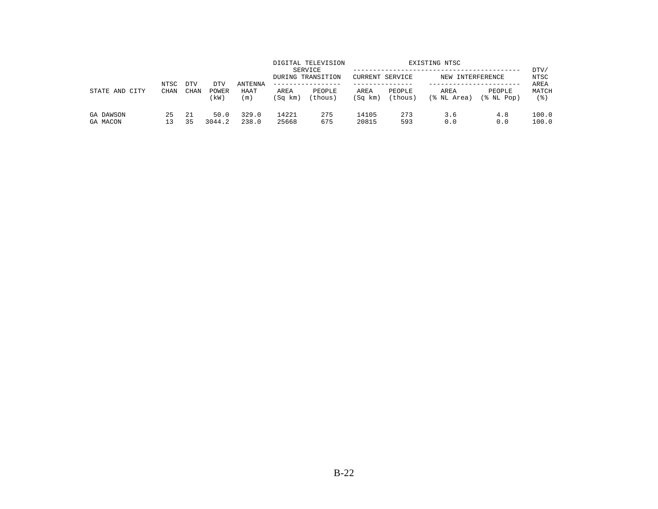| STATE AND<br>CITY     | NTSC<br><b>CHAN</b> | <b>DTV</b>  | DTV            | <b>ANTENNA</b><br>HAAT<br>(m) |                 | DIGITAL TELEVISION<br>SERVICE<br>DURING TRANSITION | EXISTING NTSC<br>CURRENT SERVICE<br>NEW INTERFERENCE |                   |                     |                      | DTV/<br>NTSC<br>AREA |
|-----------------------|---------------------|-------------|----------------|-------------------------------|-----------------|----------------------------------------------------|------------------------------------------------------|-------------------|---------------------|----------------------|----------------------|
|                       |                     | <b>CHAN</b> | POWER<br>(kW)  |                               | AREA<br>(Sq km) | PEOPLE<br>(thous)                                  | AREA<br>(Sq km)                                      | PEOPLE<br>(thous) | AREA<br>(% NL Area) | PEOPLE<br>(% NL Pop) | MATCH<br>' 응 )       |
| GA DAWSON<br>GA MACON | 25                  | -21<br>35   | 50.0<br>3044.2 | 329.0<br>238.0                | 14221<br>25668  | 275<br>675                                         | 14105<br>20815                                       | 273<br>593        | 3.6<br>0.0          | 4.8<br>0.0           | 100.0<br>100.0       |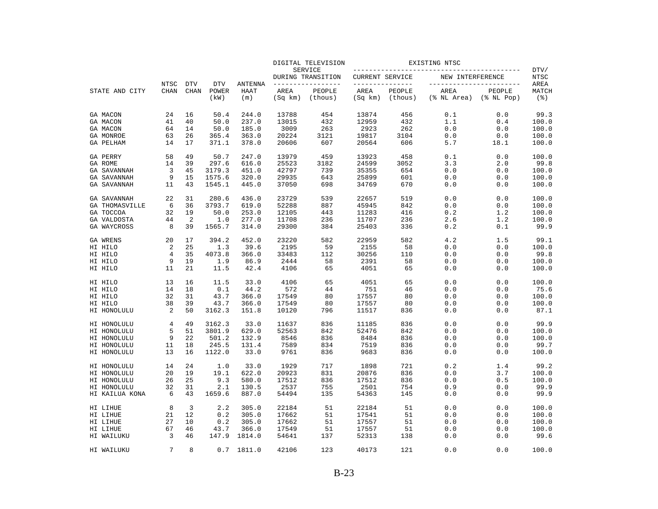|                                   |             |             |               |                    |                 | DIGITAL TELEVISION           |                 |                   | EXISTING NTSC                                     |                            |                             |
|-----------------------------------|-------------|-------------|---------------|--------------------|-----------------|------------------------------|-----------------|-------------------|---------------------------------------------------|----------------------------|-----------------------------|
|                                   |             |             |               |                    |                 | SERVICE<br>DURING TRANSITION | CURRENT SERVICE |                   | _____________________________<br>NEW INTERFERENCE |                            | DTV/<br>NTSC                |
|                                   | NTSC        | <b>DTV</b>  | <b>DTV</b>    | <b>ANTENNA</b>     |                 | -------------                | _______________ |                   |                                                   | -----------------          | AREA                        |
| STATE AND CITY                    | <b>CHAN</b> | <b>CHAN</b> | POWER<br>(kW) | <b>HAAT</b><br>(m) | AREA<br>(Sq km) | PEOPLE<br>(thous)            | AREA<br>(Sq km) | PEOPLE<br>(thous) | AREA<br>(% NL Area)                               | PEOPLE<br>$(\$$ NL Pop $)$ | MATCH<br>$($ $\mathcal{E})$ |
| GA MACON                          | 24          | 16          | 50.4          | 244.0              | 13788           | 454                          | 13874           | 456               | 0.1                                               | 0.0                        | 99.3                        |
| GA MACON                          | 41          | 40          | 50.0          | 237.0              | 13015           | 432                          | 12959           | 432               | 1.1                                               | 0.4                        | 100.0                       |
| GA MACON                          | 64          | 14          | 50.0          | 185.0              | 3009            | 263                          | 2923            | 262               | 0.0                                               | 0.0                        | 100.0                       |
| GA MONROE                         | 63          | 26          | 365.4         | 363.0              | 20224           | 3121                         | 19817           | 3104              | 0.0                                               | 0.0                        | 100.0                       |
| <b>GA PELHAM</b>                  | 14          | 17          | 371.1         | 378.0              | 20606           | 607                          | 20564           | 606               | 5.7                                               | 18.1                       | 100.0                       |
| GA PERRY                          | 58          | 49          | 50.7          | 247.0              | 13979           | 459                          | 13923           | 458               | 0.1                                               | 0.0                        | 100.0                       |
| GA ROME                           | 14          | 39          | 297.6         | 616.0              | 25523           | 3182                         | 24599           | 3052              | 3.3                                               | 2.0                        | 99.8                        |
| <b>GA SAVANNAH</b>                | 3           | 45          | 3179.3        | 451.0              | 42797           | 739                          | 35355           | 654               | 0.0                                               | 0.0                        | 100.0                       |
| GA SAVANNAH                       | 9           | 15          | 1575.6        | 320.0              | 29935           | 643                          | 25899           | 601               | 0.0                                               | 0.0                        | 100.0                       |
| <b>GA SAVANNAH</b>                | 11          | 43          | 1545.1        | 445.0              | 37050           | 698                          | 34769           | 670               | 0.0                                               | 0.0                        | 100.0                       |
| GA SAVANNAH                       | 22          | 31          | 280.6         | 436.0              | 23729           | 539                          | 22657           | 519               | 0.0                                               | 0.0                        | 100.0                       |
| <b>GA THOMASVILLE</b>             | 6           | 36          | 3793.7        | 619.0              | 52288           | 887                          | 45945           | 842               | 0.0                                               | 0.0                        | 100.0                       |
| GA TOCCOA                         | 32          | 19          | 50.0          | 253.0              | 12105           | 443                          | 11283           | 416               | 0.2                                               | 1.2                        | 100.0                       |
| <b>GA VALDOSTA</b><br>GA WAYCROSS | 44<br>8     | 2<br>39     | 1.0<br>1565.7 | 277.0<br>314.0     | 11708<br>29300  | 236<br>384                   | 11707<br>25403  | 236<br>336        | 2.6<br>0.2                                        | 1.2                        | 100.0<br>99.9               |
|                                   |             |             |               |                    |                 |                              |                 |                   |                                                   | 0.1                        |                             |
| GA WRENS                          | 20          | 17          | 394.2         | 452.0              | 23220           | 582                          | 22959           | 582               | 4.2                                               | 1.5                        | 99.1                        |
| HI HILO                           | 2           | 25          | 1.3           | 39.6               | 2195            | 59                           | 2155            | 58                | 0.0                                               | 0.0                        | 100.0                       |
| HI HILO                           | 4           | 35          | 4073.8        | 366.0              | 33483           | 112                          | 30256           | 110               | 0.0                                               | 0.0                        | 99.8                        |
| HI HILO                           | 9           | 19          | 1.9           | 86.9               | 2444            | 58                           | 2391            | 58                | 0.0                                               | 0.0                        | 100.0                       |
| HI HILO                           | 11          | 21          | 11.5          | 42.4               | 4106            | 65                           | 4051            | 65                | 0.0                                               | 0.0                        | 100.0                       |
| HI HILO                           | 13          | 16          | 11.5          | 33.0               | 4106            | 65                           | 4051            | 65                | 0.0                                               | 0.0                        | 100.0                       |
| HI HILO                           | 14          | 18          | 0.1           | 44.2               | 572             | 44                           | 751             | 46                | 0.0                                               | 0.0                        | 75.6                        |
| HI HILO                           | 32          | 31          | 43.7          | 366.0              | 17549           | 80                           | 17557           | 80                | 0.0                                               | 0.0                        | 100.0                       |
| HI HILO                           | 38<br>2     | 39<br>50    | 43.7          | 366.0              | 17549           | 80                           | 17557           | 80                | 0.0                                               | 0.0                        | 100.0                       |
| HI HONOLULU                       |             |             | 3162.3        | 151.8              | 10120           | 796                          | 11517           | 836               | 0.0                                               | 0.0                        | 87.1                        |
| HI HONOLULU                       | 4           | 49          | 3162.3        | 33.0               | 11637           | 836                          | 11185           | 836               | 0.0                                               | 0.0                        | 99.9                        |
| HI HONOLULU                       | 5           | 51          | 3801.9        | 629.0              | 52563           | 842                          | 52476           | 842               | 0.0                                               | 0.0                        | 100.0                       |
| HI HONOLULU                       | 9           | 22          | 501.2         | 132.9              | 8546            | 836                          | 8484            | 836               | 0.0                                               | 0.0                        | 100.0                       |
| HI HONOLULU                       | 11          | 18          | 245.5         | 131.4              | 7589            | 834                          | 7519            | 836               | 0.0                                               | 0.0                        | 99.7                        |
| HI HONOLULU                       | 13          | 16          | 1122.0        | 33.0               | 9761            | 836                          | 9683            | 836               | 0.0                                               | 0.0                        | 100.0                       |
| HI HONOLULU                       | 14          | 24          | 1.0           | 33.0               | 1929            | 717                          | 1898            | 721               | 0.2                                               | 1.4                        | 99.2                        |
| HI HONOLULU                       | 20          | 19          | 19.1          | 622.0              | 20923           | 831                          | 20876           | 836               | 0.0                                               | 3.7                        | 100.0                       |
| HI HONOLULU                       | 26          | 25          | 9.3           | 580.0              | 17512           | 836                          | 17512           | 836               | 0.0                                               | 0.5                        | 100.0                       |
| HI HONOLULU                       | 32          | 31          | 2.1           | 130.5              | 2537            | 755                          | 2501            | 754               | 0.9                                               | 0.0                        | 99.9                        |
| HI KAILUA KONA                    | 6           | 43          | 1659.6        | 887.0              | 54494           | 135                          | 54363           | 145               | 0.0                                               | 0.0                        | 99.9                        |
| HI LIHUE                          | 8           | 3           | 2.2           | 305.0              | 22184           | 51                           | 22184           | 51                | 0.0                                               | 0.0                        | 100.0                       |
| HI LIHUE                          | 21          | 12          | 0.2           | 305.0              | 17662           | 51                           | 17541           | 51                | 0.0                                               | $0.0$                      | 100.0                       |
| HI LIHUE                          | 27          | 10          | 0.2           | 305.0              | 17662           | 51                           | 17557           | 51                | 0.0                                               | 0.0                        | 100.0                       |
| HI LIHUE                          | 67          | 46          | 43.7          | 366.0              | 17549           | 51                           | 17557           | 51                | 0.0                                               | 0.0                        | 100.0                       |
| HI WAILUKU                        | 3           | 46          | 147.9         | 1814.0             | 54641           | 137                          | 52313           | 138               | 0.0                                               | 0.0                        | 99.6                        |
| HI WAILUKU                        | 7           | 8           | 0.7           | 1811.0             | 42106           | 123                          | 40173           | 121               | 0.0                                               | 0.0                        | 100.0                       |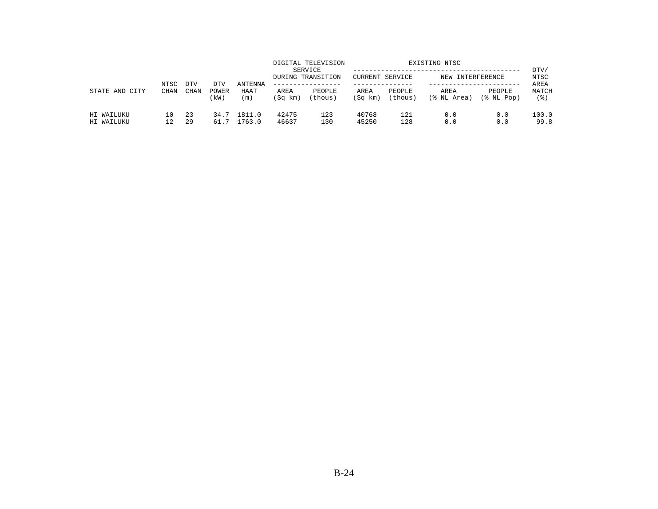|                          | NTSC        | <b>DTV</b> | DTV           | <b>ANTENNA</b>   |                 | DIGITAL TELEVISION<br>SERVICE<br>DURING TRANSITION<br>. _ _ _ _ _ _ _ _ _ _ _ _ _ | CURRENT SERVICE |                   | EXISTING NTSC<br>NEW INTERFERENCE |                         | DTV/<br>NTSC<br>AREA |
|--------------------------|-------------|------------|---------------|------------------|-----------------|-----------------------------------------------------------------------------------|-----------------|-------------------|-----------------------------------|-------------------------|----------------------|
| STATE AND<br>CITY        | <b>CHAN</b> | CHAN       | POWER<br>(kW) | HAAT<br>(m)      | AREA<br>(Sq km) | PEOPLE<br>(thous)                                                                 | AREA<br>(Sq km) | PEOPLE<br>(thous) | AREA<br>(% NL Area)               | PEOPLE<br>$(\$$ NL Pop) | MATCH<br>(응)         |
| HI WAILUKU<br>HI WAILUKU | 10<br>12    | 23<br>29   | 34.7<br>61.7  | 1811.0<br>1763.0 | 42475<br>46637  | 123<br>130                                                                        | 40768<br>45250  | 121<br>128        | 0.0<br>0.0                        | 0.0<br>0.0              | 100.0<br>99.8        |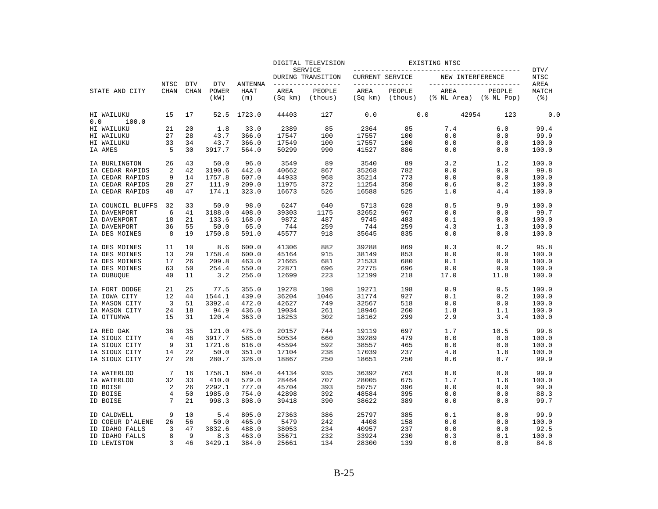|                            |                         |                           |                             |                               |                 | DIGITAL TELEVISION                  |                        |                                       | EXISTING NTSC                        |        | DTV/                 |
|----------------------------|-------------------------|---------------------------|-----------------------------|-------------------------------|-----------------|-------------------------------------|------------------------|---------------------------------------|--------------------------------------|--------|----------------------|
|                            |                         |                           |                             |                               |                 | <b>SERVICE</b><br>DURING TRANSITION | <b>CURRENT SERVICE</b> |                                       | NEW INTERFERENCE                     |        | <b>NTSC</b>          |
| STATE AND CITY             | NTSC<br><b>CHAN</b>     | <b>DTV</b><br><b>CHAN</b> | <b>DTV</b><br>POWER<br>(kW) | ANTENNA<br><b>HAAT</b><br>(m) | AREA<br>(Sq km) | PEOPLE<br>(thous)                   | AREA<br>(Sq km)        | ----------------<br>PEOPLE<br>(thous) | AREA<br>$(\$ NI Area)$ $(\$ NI Pop)$ | PEOPLE | AREA<br>MATCH<br>(응) |
| HI WAILUKU<br>0.0<br>100.0 | 15                      | 17                        | 52.5                        | 1723.0                        | 44403           | 127                                 | 0.0                    |                                       | 42954<br>0.0                         | 123    | 0.0                  |
| HI WAILUKU                 | 21                      | 20                        | 1.8                         | 33.0                          | 2389            | 85                                  | 2364                   | 85                                    | 7.4                                  | 6.0    | 99.4                 |
| HI WAILUKU                 | 27                      | 28                        | 43.7                        | 366.0                         | 17547           | 100                                 | 17557                  | 100                                   | 0.0                                  | 0.0    | 99.9                 |
| HI WAILUKU                 | 33                      | 34                        | 43.7                        | 366.0                         | 17549           | 100                                 | 17557                  | 100                                   | 0.0                                  | 0.0    | 100.0                |
| IA AMES                    | 5                       | 30                        | 3917.7                      | 564.0                         | 50299           | 990                                 | 41527                  | 886                                   | 0.0                                  | 0.0    | 100.0                |
| IA BURLINGTON              | 26                      | 43                        | 50.0                        | 96.0                          | 3549            | 89                                  | 3540                   | 89                                    | 3.2                                  | 1.2    | 100.0                |
| IA CEDAR RAPIDS            | 2                       | 42                        | 3190.6                      | 442.0                         | 40662           | 867                                 | 35268                  | 782                                   | 0.0                                  | 0.0    | 99.8                 |
| IA CEDAR RAPIDS            | 9                       | 14                        | 1757.8                      | 607.0                         | 44933           | 968                                 | 35214                  | 773                                   | 0.0                                  | 0.0    | 100.0                |
| IA CEDAR RAPIDS            | 28                      | 27                        | 111.9                       | 209.0                         | 11975           | 372                                 | 11254                  | 350                                   | 0.6                                  | 0.2    | 100.0                |
| IA CEDAR RAPIDS            | 48                      | 47                        | 174.1                       | 323.0                         | 16673           | 526                                 | 16588                  | 525                                   | 1.0                                  | 4.4    | 100.0                |
| IA COUNCIL BLUFFS          | 32                      | 33                        | 50.0                        | 98.0                          | 6247            | 640                                 | 5713                   | 628                                   | 8.5                                  | 9.9    | 100.0                |
| IA DAVENPORT               | 6                       | 41                        | 3188.0                      | 408.0                         | 39303           | 1175                                | 32652                  | 967                                   | 0.0                                  | 0.0    | 99.7                 |
| IA DAVENPORT               | 18                      | 21                        | 133.6                       | 168.0                         | 9872            | 487                                 | 9745                   | 483                                   | 0.1                                  | 0.0    | 100.0                |
| IA DAVENPORT               | 36                      | 55                        | 50.0                        | 65.0                          | 744             | 259                                 | 744                    | 259                                   | 4.3                                  | 1.3    | 100.0                |
| IA DES MOINES              | 8                       | 19                        | 1750.8                      | 591.0                         | 45577           | 918                                 | 35645                  | 835                                   | 0.0                                  | 0.0    | 100.0                |
| IA DES MOINES              | 11                      | 10                        | 8.6                         | 600.0                         | 41306           | 882                                 | 39288                  | 869                                   | 0.3                                  | 0.2    | 95.8                 |
| IA DES MOINES              | 13                      | 29                        | 1758.4                      | 600.0                         | 45164           | 915                                 | 38149                  | 853                                   | 0.0                                  | 0.0    | 100.0                |
| IA DES MOINES              | 17                      | 26                        | 209.8                       | 463.0                         | 21665           | 681                                 | 21533                  | 680                                   | 0.1                                  | 0.0    | 100.0                |
| IA DES MOINES              | 63                      | 50                        | 254.4                       | 550.0                         | 22871           | 696                                 | 22775                  | 696                                   | 0.0                                  | 0.0    | 100.0                |
| IA DUBUQUE                 | 40                      | 11                        | 3.2                         | 256.0                         | 12699           | 223                                 | 12199                  | 218                                   | 17.0                                 | 11.8   | 100.0                |
| IA FORT DODGE              | 21                      | 25                        | 77.5                        | 355.0                         | 19278           | 198                                 | 19271                  | 198                                   | 0.9                                  | 0.5    | 100.0                |
| IA IOWA CITY               | 12                      | 44                        | 1544.1                      | 439.0                         | 36204           | 1046                                | 31774                  | 927                                   | 0.1                                  | 0.2    | 100.0                |
| IA MASON CITY              | $\overline{\mathbf{3}}$ | 51                        | 3392.4                      | 472.0                         | 42627           | 749                                 | 32567                  | 518                                   | 0.0                                  | 0.0    | 100.0                |
| IA MASON CITY              | 24                      | 18                        | 94.9                        | 436.0                         | 19034           | 261                                 | 18946                  | 260                                   | 1.8                                  | 1.1    | 100.0                |
| IA OTTUMWA                 | 15                      | 31                        | 120.4                       | 363.0                         | 18253           | 302                                 | 18162                  | 299                                   | 2.9                                  | 3.4    | 100.0                |
| IA RED OAK                 | 36                      | 35                        | 121.0                       | 475.0                         | 20157           | 744                                 | 19119                  | 697                                   | 1.7                                  | 10.5   | 99.8                 |
| IA SIOUX CITY              | 4                       | 46                        | 3917.7                      | 585.0                         | 50534           | 660                                 | 39289                  | 479                                   | 0.0                                  | 0.0    | 100.0                |
| IA SIOUX CITY              | 9                       | 31                        | 1721.6                      | 616.0                         | 45594           | 592                                 | 38557                  | 465                                   | 0.0                                  | 0.0    | 100.0                |
| IA SIOUX CITY              | 14                      | 22                        | 50.0                        | 351.0                         | 17104           | 238                                 | 17039                  | 237                                   | 4.8                                  | 1.8    | 100.0                |
| IA SIOUX CITY              | 27                      | 28                        | 280.7                       | 326.0                         | 18867           | 250                                 | 18651                  | 250                                   | 0.6                                  | 0.7    | 99.9                 |
| IA WATERLOO                | 7                       | 16                        | 1758.1                      | 604.0                         | 44134           | 935                                 | 36392                  | 763                                   | 0.0                                  | 0.0    | 99.9                 |
| IA WATERLOO                | 32                      | 33                        | 410.0                       | 579.0                         | 28464           | 707                                 | 28005                  | 675                                   | 1.7                                  | 1.6    | 100.0                |
| ID BOISE                   | 2                       | 26                        | 2292.1                      | 777.0                         | 45704           | 393                                 | 50757                  | 396                                   | 0.0                                  | 0.0    | 90.0                 |
| ID BOISE                   | 4                       | 50                        | 1985.0                      | 754.0                         | 42898           | 392                                 | 48584                  | 395                                   | 0.0                                  | 0.0    | 88.3                 |
| ID BOISE                   | 7                       | 21                        | 998.3                       | 808.0                         | 39418           | 390                                 | 38622                  | 389                                   | 0.0                                  | 0.0    | 99.7                 |
| ID CALDWELL                | 9                       | 10                        | 5.4                         | 805.0                         | 27363           | 386                                 | 25797                  | 385                                   | 0.1                                  | 0.0    | 99.9                 |
| ID COEUR D'ALENE           | 26                      | 56                        | 50.0                        | 465.0                         | 5479            | 242                                 | 4408                   | 158                                   | 0.0                                  | 0.0    | 100.0                |
| ID IDAHO FALLS             | 3                       | 47                        | 3832.6                      | 488.0                         | 38053           | 234                                 | 40957                  | 237                                   | 0.0                                  | 0.0    | 92.5                 |
| ID IDAHO FALLS             | 8                       | 9                         | 8.3                         | 463.0                         | 35671           | 232                                 | 33924                  | 230                                   | 0.3                                  | 0.1    | 100.0                |
| ID LEWISTON                | 3                       | 46                        | 3429.1                      | 384.0                         | 25661           | 134                                 | 28300                  | 139                                   | 0.0                                  | 0.0    | 84.8                 |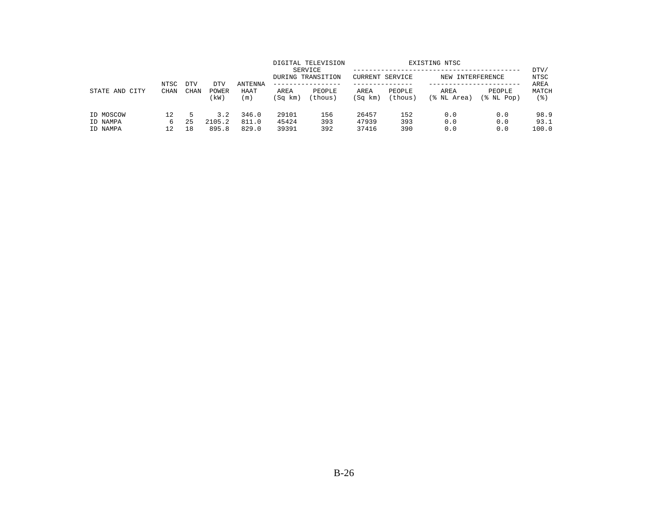| STATE AND CITY                    |                     |                    |                        |                         |                         | DIGITAL TELEVISION<br>SERVICE<br>DURING TRANSITION | <b>CURRENT SERVICE</b>  |                   | EXISTING NTSC<br>NEW | INTERFERENCE         | DTV/<br>NTSC          |
|-----------------------------------|---------------------|--------------------|------------------------|-------------------------|-------------------------|----------------------------------------------------|-------------------------|-------------------|----------------------|----------------------|-----------------------|
|                                   | NTSC<br><b>CHAN</b> | <b>DTV</b><br>CHAN | DTV<br>POWER<br>(kW)   | ANTENNA<br>HAAT<br>(m)  | AREA<br>(Sq km)         | PEOPLE<br>(thous)                                  | AREA<br>(Sq km)         | PEOPLE<br>(thous) | AREA<br>(% NL Area)  | PEOPLE<br>(% NL Pop) | AREA<br>MATCH<br>(응)  |
| ID MOSCOW<br>ID NAMPA<br>ID NAMPA | 12<br>6<br>12       | 5<br>25<br>18      | 3.2<br>2105.2<br>895.8 | 346.0<br>811.0<br>829.0 | 29101<br>45424<br>39391 | 156<br>393<br>392                                  | 26457<br>47939<br>37416 | 152<br>393<br>390 | 0.0<br>0.0<br>0.0    | 0.0<br>0.0<br>0.0    | 98.9<br>93.1<br>100.0 |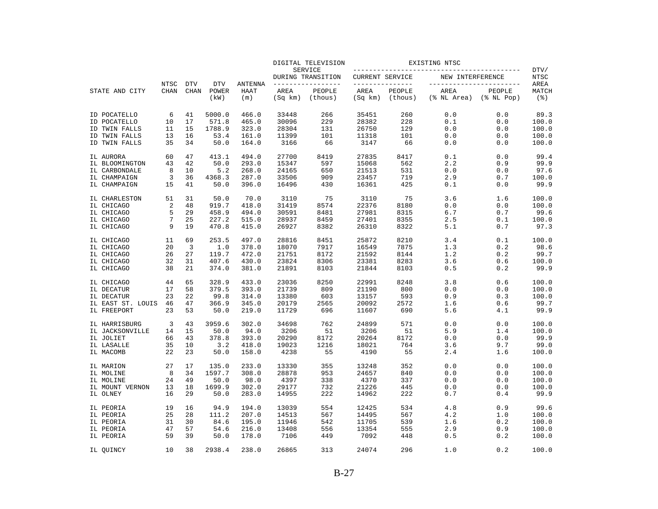|                   |             |             |               |                |                 | DIGITAL TELEVISION           |                 |                   | EXISTING NTSC            |                            |                             |
|-------------------|-------------|-------------|---------------|----------------|-----------------|------------------------------|-----------------|-------------------|--------------------------|----------------------------|-----------------------------|
|                   |             |             |               |                |                 | SERVICE<br>DURING TRANSITION | CURRENT SERVICE |                   | NEW INTERFERENCE         |                            | DTV/<br>NTSC                |
|                   | NTSC        | <b>DTV</b>  | <b>DTV</b>    | <b>ANTENNA</b> |                 | --------------               | --------------- |                   | ------------------------ |                            | AREA                        |
| STATE AND CITY    | <b>CHAN</b> | <b>CHAN</b> | POWER<br>(kW) | HAAT<br>(m)    | AREA<br>(Sq km) | PEOPLE<br>(thous)            | AREA<br>(Sq km) | PEOPLE<br>(thous) | AREA<br>(% NL Area)      | PEOPLE<br>$(\$$ NL Pop $)$ | MATCH<br>$($ $\mathcal{E})$ |
| ID POCATELLO      | 6           | 41          | 5000.0        | 466.0          | 33448           | 266                          | 35451           | 260               | 0.0                      | 0.0                        | 89.3                        |
| ID POCATELLO      | 10          | 17          | 571.8         | 465.0          | 30096           | 229                          | 28382           | 228               | 0.1                      | 0.0                        | 100.0                       |
| ID TWIN FALLS     | 11          | 15          | 1788.9        | 323.0          | 28304           | 131                          | 26750           | 129               | 0.0                      | 0.0                        | 100.0                       |
| ID TWIN FALLS     | 13          | 16          | 53.4          | 161.0          | 11399           | 101                          | 11318           | 101               | 0.0                      | 0.0                        | 100.0                       |
| ID TWIN FALLS     | 35          | 34          | 50.0          | 164.0          | 3166            | 66                           | 3147            | 66                | 0.0                      | 0.0                        | 100.0                       |
| IL AURORA         | 60          | 47          | 413.1         | 494.0          | 27700           | 8419                         | 27835           | 8417              | 0.1                      | 0.0                        | 99.4                        |
| IL BLOOMINGTON    | 43          | 42          | 50.0          | 293.0          | 15347           | 597                          | 15068           | 562               | 2.2                      | 0.9                        | 99.9                        |
| IL CARBONDALE     | 8           | 10          | 5.2           | 268.0          | 24165           | 650                          | 21513           | 531               | 0.0                      | 0.0                        | 97.6                        |
| IL CHAMPAIGN      | 3           | 36          | 4368.3        | 287.0          | 33506           | 909                          | 23457           | 719               | 2.9                      | 0.7                        | 100.0                       |
| IL CHAMPAIGN      | 15          | 41          | 50.0          | 396.0          | 16496           | 430                          | 16361           | 425               | 0.1                      | 0.0                        | 99.9                        |
| IL CHARLESTON     | 51          | 31          | 50.0          | 70.0           | 3110            | 75                           | 3110            | 75                | 3.6                      | 1.6                        | 100.0                       |
| IL CHICAGO        | 2           | 48          | 919.7         | 418.0          | 31419           | 8574                         | 22376           | 8180              | 0.0                      | 0.0                        | 100.0                       |
| IL CHICAGO        | 5           | 29          | 458.9         | 494.0          | 30591           | 8481                         | 27981           | 8315              | 6.7                      | 0.7                        | 99.6                        |
| IL CHICAGO        | 7           | 25          | 227.2         | 515.0          | 28937           | 8459                         | 27401           | 8355              | 2.5                      | 0.1                        | 100.0                       |
| IL CHICAGO        | 9           | 19          | 470.8         | 415.0          | 26927           | 8382                         | 26310           | 8322              | 5.1                      | 0.7                        | 97.3                        |
| IL CHICAGO        | 11          | 69          | 253.5         | 497.0          | 28816           | 8451                         | 25872           | 8210              | 3.4                      | 0.1                        | 100.0                       |
| IL CHICAGO        | 20          | 3           | 1.0           | 378.0          | 18070           | 7917                         | 16549           | 7875              | 1.3                      | 0.2                        | 98.6                        |
| IL CHICAGO        | 26          | 27          | 119.7         | 472.0          | 21751           | 8172                         | 21592           | 8144              | 1.2                      | 0.2                        | 99.7                        |
| IL CHICAGO        | 32          | 31          | 407.6         | 430.0          | 23824           | 8306                         | 23381           | 8283              | 3.6                      | 0.6                        | 100.0                       |
| IL CHICAGO        | 38          | 21          | 374.0         | 381.0          | 21891           | 8103                         | 21844           | 8103              | 0.5                      | 0.2                        | 99.9                        |
| IL CHICAGO        | 44          | 65          | 328.9         | 433.0          | 23036           | 8250                         | 22991           | 8248              | 3.8                      | 0.6                        | 100.0                       |
| IL DECATUR        | 17          | 58          | 379.5         | 393.0          | 21739           | 809                          | 21190           | 800               | 0.0                      | 0.0                        | 100.0                       |
| IL DECATUR        | 23          | 22          | 99.8          | 314.0          | 13380           | 603                          | 13157           | 593               | 0.9                      | 0.3                        | 100.0                       |
| IL EAST ST. LOUIS | 46          | 47          | 366.9         | 345.0          | 20179           | 2565                         | 20092           | 2572              | 1.6                      | 0.6                        | 99.7                        |
| IL FREEPORT       | 23          | 53          | 50.0          | 219.0          | 11729           | 696                          | 11607           | 690               | 5.6                      | 4.1                        | 99.9                        |
| IL HARRISBURG     | 3           | 43          | 3959.6        | 302.0          | 34698           | 762                          | 24899           | 571               | 0.0                      | 0.0                        | 100.0                       |
| IL JACKSONVILLE   | 14          | 15          | 50.0          | 94.0           | 3206            | 51                           | 3206            | 51                | 5.9                      | 1.4                        | 100.0                       |
| IL JOLIET         | 66          | 43          | 378.8         | 393.0          | 20290           | 8172                         | 20264           | 8172              | 0.0                      | 0.0                        | 99.9                        |
| IL LASALLE        | 35          | 10          | 3.2           | 418.0          | 19023           | 1216                         | 18021           | 764               | 3.6                      | 9.7                        | 99.0                        |
| IL MACOMB         | 22          | 23          | 50.0          | 158.0          | 4238            | 55                           | 4190            | 55                | 2.4                      | 1.6                        | 100.0                       |
| IL MARION         | 27          | 17          | 135.0         | 233.0          | 13330           | 355                          | 13248           | 352               | 0.0                      | 0.0                        | 100.0                       |
| IL MOLINE         | 8           | 34          | 1597.7        | 308.0          | 28878           | 953                          | 24657           | 840               | 0.0                      | $0.0$                      | 100.0                       |
| IL MOLINE         | 24          | 49          | 50.0          | 98.0           | 4397            | 338                          | 4370            | 337               | 0.0                      | 0.0                        | 100.0                       |
| IL MOUNT VERNON   | 13          | 18          | 1699.9        | 302.0          | 29177           | 732                          | 21226           | 445               | 0.0                      | 0.0                        | 100.0                       |
| IL OLNEY          | 16          | 29          | 50.0          | 283.0          | 14955           | 222                          | 14962           | 222               | 0.7                      | 0.4                        | 99.9                        |
| IL PEORIA         | 19          | 16          | 94.9          | 194.0          | 13039           | 554                          | 12425           | 534               | 4.8                      | 0.9                        | 99.6                        |
| IL PEORIA         | 25          | 28          | 111.2         | 207.0          | 14513           | 567                          | 14495           | 567               | 4.2                      | 1.0                        | 100.0                       |
| IL PEORIA         | 31          | 30          | 84.6          | 195.0          | 11946           | 542                          | 11705           | 539               | 1.6                      | 0.2                        | 100.0                       |
| IL PEORIA         | 47          | 57          | 54.6          | 216.0          | 13408           | 556                          | 13354           | 555               | 2.9                      | 0.9                        | 100.0                       |
| IL PEORIA         | 59          | 39          | 50.0          | 178.0          | 7106            | 449                          | 7092            | 448               | 0.5                      | 0.2                        | 100.0                       |
| IL OUINCY         | 10          | 38          | 2938.4        | 238.0          | 26865           | 313                          | 24074           | 296               | 1.0                      | 0.2                        | 100.0                       |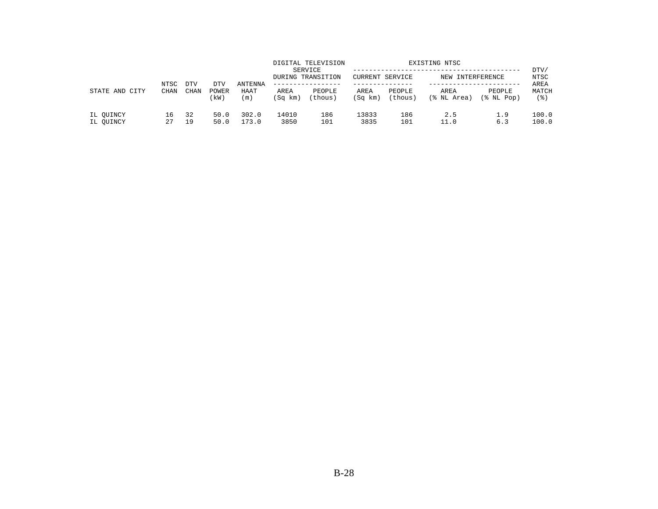|                        | NTSC        | <b>DTV</b> |                      |                        |                 | DIGITAL TELEVISION<br>SERVICE<br>DURING TRANSITION<br>-------------- | CURRENT SERVICE |                   | EXISTING NTSC<br>NEW INTERFERENCE |                      | DTV/<br>NTSC         |
|------------------------|-------------|------------|----------------------|------------------------|-----------------|----------------------------------------------------------------------|-----------------|-------------------|-----------------------------------|----------------------|----------------------|
| STATE AND CITY         | <b>CHAN</b> | CHAN       | DTV<br>POWER<br>(kW) | ANTENNA<br>HAAT<br>(m) | AREA<br>(Sq km) | PEOPLE<br>(thous)                                                    | AREA<br>(Sq km) | PEOPLE<br>(thous) | AREA<br>(% NL Area)               | PEOPLE<br>(% NL Pop) | AREA<br>MATCH<br>(응) |
| IL OUINCY<br>IL OUINCY | 16<br>27    | 32<br>19   | 50.0<br>50.0         | 302.0<br>173.0         | 14010<br>3850   | 186<br>101                                                           | 13833<br>3835   | 186<br>101        | 2.5<br>11.0                       | 1.9<br>6.3           | 100.0<br>100.0       |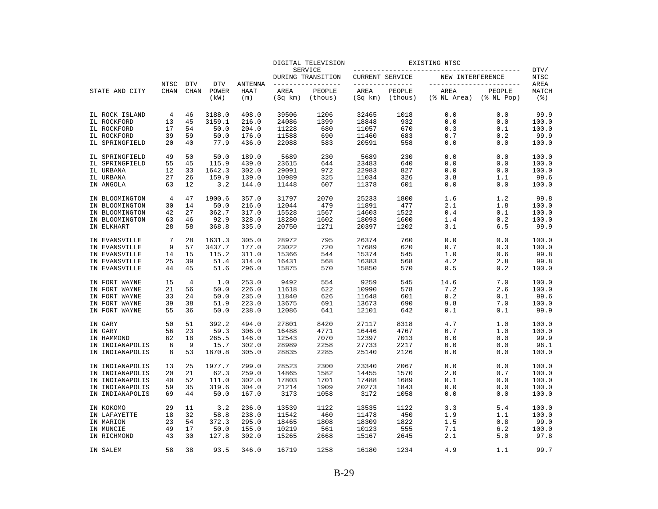|                                    |                            |                           |                             |                               |                 | DIGITAL TELEVISION                 |                 |                                   | EXISTING NTSC       |                                               |                                     |
|------------------------------------|----------------------------|---------------------------|-----------------------------|-------------------------------|-----------------|------------------------------------|-----------------|-----------------------------------|---------------------|-----------------------------------------------|-------------------------------------|
|                                    |                            |                           |                             |                               |                 | SERVICE<br>DURING TRANSITION       | CURRENT SERVICE |                                   | NEW INTERFERENCE    |                                               | DTV/<br>NTSC                        |
| STATE AND CITY                     | <b>NTSC</b><br><b>CHAN</b> | <b>DTV</b><br><b>CHAN</b> | <b>DTV</b><br>POWER<br>(kW) | <b>ANTENNA</b><br>HAAT<br>(m) | AREA<br>(Sq km) | -------------<br>PEOPLE<br>(thous) | AREA<br>(Sq km) | ------------<br>PEOPLE<br>(thous) | AREA<br>(% NL Area) | ------------------<br>PEOPLE<br>$(\$ NI Pop)$ | AREA<br>MATCH<br>$($ $\mathcal{E})$ |
| IL ROCK ISLAND                     | 4                          | 46                        | 3188.0                      | 408.0                         | 39506           | 1206                               | 32465           | 1018                              | 0.0                 | 0.0                                           | 99.9                                |
| IL ROCKFORD                        | 13                         | 45                        | 3159.1                      | 216.0                         | 24086           | 1399                               | 18848           | 932                               | 0.0                 | 0.0                                           | 100.0                               |
| IL ROCKFORD                        | 17                         | 54                        | 50.0                        | 204.0                         | 11228           | 680                                | 11057           | 670                               | 0.3                 | 0.1                                           | 100.0                               |
| IL ROCKFORD                        | 39                         | 59                        | 50.0                        | 176.0                         | 11588           | 690                                | 11460           | 683                               | 0.7                 | 0.2                                           | 99.9                                |
| IL SPRINGFIELD                     | 20                         | 40                        | 77.9                        | 436.0                         | 22088           | 583                                | 20591           | 558                               | 0.0                 | 0.0                                           | 100.0                               |
| IL SPRINGFIELD                     | 49                         | 50                        | 50.0                        | 189.0                         | 5689            | 230                                | 5689            | 230                               | 0.0                 | 0.0                                           | 100.0                               |
| IL SPRINGFIELD                     | 55                         | 45                        | 115.9                       | 439.0                         | 23615           | 644                                | 23483           | 640                               | 0.0                 | 0.0                                           | 100.0                               |
| IL URBANA                          | 12                         | 33                        | 1642.3                      | 302.0                         | 29091           | 972                                | 22983           | 827                               | 0.0                 | 0.0                                           | 100.0                               |
| IL URBANA                          | 27                         | 26                        | 159.9                       | 139.0                         | 10989           | 325                                | 11034           | 326                               | 3.8                 | 1.1                                           | 99.6                                |
| IN ANGOLA                          | 63                         | 12                        | 3.2                         | 144.0                         | 11448           | 607                                | 11378           | 601                               | 0.0                 | 0.0                                           | 100.0                               |
| IN BLOOMINGTON                     | 4                          | 47                        | 1900.6                      | 357.0                         | 31797           | 2070                               | 25233           | 1800                              | 1.6                 | 1.2                                           | 99.8                                |
| IN BLOOMINGTON                     | 30                         | 14                        | 50.0                        | 216.0                         | 12044           | 479                                | 11891           | 477                               | 2.1                 | 1.8                                           | 100.0                               |
| IN BLOOMINGTON                     | 42                         | 27                        | 362.7                       | 317.0                         | 15528           | 1567                               | 14603           | 1522                              | 0.4                 | 0.1                                           | 100.0                               |
| IN BLOOMINGTON<br>IN ELKHART       | 63<br>28                   | 46<br>58                  | 92.9<br>368.8               | 328.0<br>335.0                | 18280<br>20750  | 1602<br>1271                       | 18093<br>20397  | 1600<br>1202                      | 1.4<br>3.1          | 0.2<br>6.5                                    | 100.0<br>99.9                       |
|                                    |                            |                           |                             |                               |                 |                                    |                 |                                   |                     |                                               |                                     |
| IN EVANSVILLE                      | 7                          | 28                        | 1631.3                      | 305.0                         | 28972           | 795                                | 26374           | 760                               | 0.0                 | 0.0                                           | 100.0                               |
| IN EVANSVILLE                      | 9                          | 57                        | 3437.7                      | 177.0                         | 23022           | 720                                | 17689           | 620                               | 0.7                 | 0.3                                           | 100.0                               |
| IN EVANSVILLE                      | 14                         | 15                        | 115.2                       | 311.0                         | 15366           | 544                                | 15374           | 545                               | 1.0                 | 0.6                                           | 99.8                                |
| IN EVANSVILLE<br>IN EVANSVILLE     | 25<br>44                   | 39<br>45                  | 51.4<br>51.6                | 314.0<br>296.0                | 16431<br>15875  | 568<br>570                         | 16383<br>15850  | 568<br>570                        | 4.2<br>0.5          | 2.8<br>0.2                                    | 99.8<br>100.0                       |
|                                    |                            |                           |                             |                               |                 |                                    |                 |                                   |                     |                                               |                                     |
| IN FORT WAYNE                      | 15                         | 4                         | 1.0                         | 253.0                         | 9492            | 554                                | 9259            | 545                               | 14.6                | 7.0                                           | 100.0                               |
| IN FORT WAYNE                      | 21                         | 56                        | 50.0                        | 226.0                         | 11618           | 622                                | 10990           | 578                               | 7.2                 | 2.6                                           | 100.0                               |
| IN FORT WAYNE<br>IN FORT WAYNE     | 33<br>39                   | 24<br>38                  | 50.0<br>51.9                | 235.0<br>223.0                | 11840<br>13675  | 626<br>691                         | 11648<br>13673  | 601<br>690                        | 0.2<br>9.8          | 0.1<br>7.0                                    | 99.6<br>100.0                       |
| IN FORT WAYNE                      | 55                         | 36                        | 50.0                        | 238.0                         | 12086           | 641                                | 12101           | 642                               | 0.1                 | 0.1                                           | 99.9                                |
|                                    |                            |                           |                             |                               |                 |                                    |                 |                                   |                     |                                               |                                     |
| IN GARY                            | 50                         | 51                        | 392.2                       | 494.0                         | 27801           | 8420                               | 27117           | 8318                              | 4.7                 | 1.0                                           | 100.0                               |
| IN GARY                            | 56                         | 23                        | 59.3                        | 306.0                         | 16488           | 4771                               | 16446           | 4767                              | 0.7                 | 1.0                                           | 100.0                               |
| IN HAMMOND                         | 62                         | 18                        | 265.5                       | 146.0                         | 12543           | 7070                               | 12397           | 7013                              | 0.0                 | 0.0                                           | 99.9                                |
| IN INDIANAPOLIS<br>IN INDIANAPOLIS | 6<br>8                     | 9<br>53                   | 15.7<br>1870.8              | 302.0<br>305.0                | 28989<br>28835  | 2258<br>2285                       | 27733<br>25140  | 2217<br>2126                      | 0.0<br>0.0          | 0.0<br>0.0                                    | 96.1<br>100.0                       |
|                                    |                            |                           |                             |                               |                 |                                    |                 |                                   |                     |                                               |                                     |
| IN INDIANAPOLIS                    | 13                         | 25                        | 1977.7                      | 299.0                         | 28523           | 2300                               | 23340           | 2067                              | 0.0                 | 0.0                                           | 100.0                               |
| IN INDIANAPOLIS                    | 20                         | 21                        | 62.3                        | 259.0                         | 14865           | 1582                               | 14455           | 1570                              | 2.0                 | 0.7                                           | 100.0                               |
| IN INDIANAPOLIS                    | 40<br>59                   | 52                        | 111.0                       | 302.0                         | 17803           | 1701                               | 17488           | 1689                              | 0.1                 | 0.0                                           | 100.0                               |
| IN INDIANAPOLIS                    |                            | 35                        | 319.6                       | 304.0                         | 21214           | 1909                               | 20273           | 1843                              | 0.0                 | 0.0                                           | 100.0                               |
| IN INDIANAPOLIS                    | 69                         | 44                        | 50.0                        | 167.0                         | 3173            | 1058                               | 3172            | 1058                              | 0.0                 | 0.0                                           | 100.0                               |
| IN KOKOMO                          | 29                         | 11                        | 3.2                         | 236.0                         | 13539           | 1122                               | 13535           | 1122                              | 3.3                 | 5.4                                           | 100.0                               |
| IN LAFAYETTE                       | 18                         | 32                        | 58.8                        | 238.0                         | 11542           | 460                                | 11478           | 450                               | 1.9                 | 1.1                                           | 100.0                               |
| IN MARION                          | 23                         | 54                        | 372.3                       | 295.0                         | 18465           | 1808                               | 18309           | 1822                              | 1.5                 | 0.8                                           | 99.0                                |
| IN MUNCIE                          | 49                         | 17                        | 50.0                        | 155.0                         | 10219           | 561                                | 10123           | 555                               | 7.1                 | 6.2                                           | 100.0                               |
| IN RICHMOND                        | 43                         | 30                        | 127.8                       | 302.0                         | 15265           | 2668                               | 15167           | 2645                              | 2.1                 | 5.0                                           | 97.8                                |
| IN SALEM                           | 58                         | 38                        | 93.5                        | 346.0                         | 16719           | 1258                               | 16180           | 1234                              | 4.9                 | 1.1                                           | 99.7                                |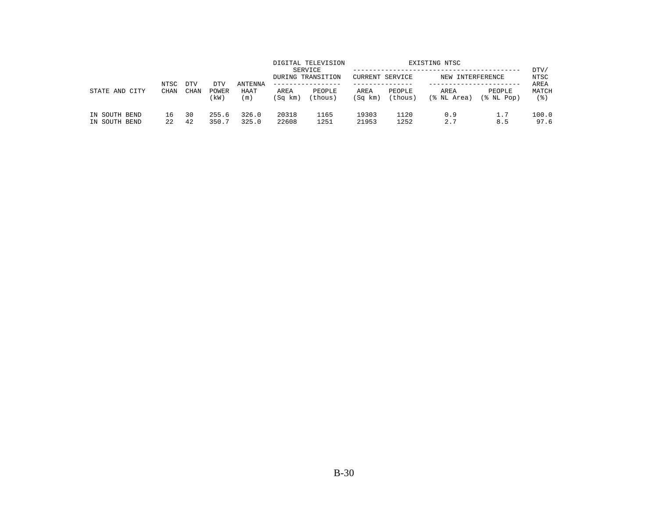|                                | NTSC        |                    |                      |                        |                 | DIGITAL TELEVISION<br>SERVICE<br>DURING TRANSITION | <b>CURRENT SERVICE</b> |                   | EXISTING NTSC<br>NEW INTERFERENCE |                      | DTV/<br>NTSC         |
|--------------------------------|-------------|--------------------|----------------------|------------------------|-----------------|----------------------------------------------------|------------------------|-------------------|-----------------------------------|----------------------|----------------------|
| STATE AND<br>CITY              | <b>CHAN</b> | <b>DTV</b><br>CHAN | DTV<br>POWER<br>(kW) | ANTENNA<br>HAAT<br>(m) | AREA<br>(Sq km) | .<br>PEOPLE<br>(thous)                             | AREA<br>(Sq km)        | PEOPLE<br>(thous) | AREA<br>(% NL Area)               | PEOPLE<br>(% NL Pop) | AREA<br>MATCH<br>(응) |
| IN SOUTH BEND<br>IN SOUTH BEND | 16<br>2.2   | 30<br>42           | 255.6<br>350.7       | 326.0<br>325.0         | 20318<br>22608  | 1165<br>1251                                       | 19303<br>21953         | 1120<br>1252      | 0.9<br>2.7                        | 1.7<br>8.5           | 100.0<br>97.6        |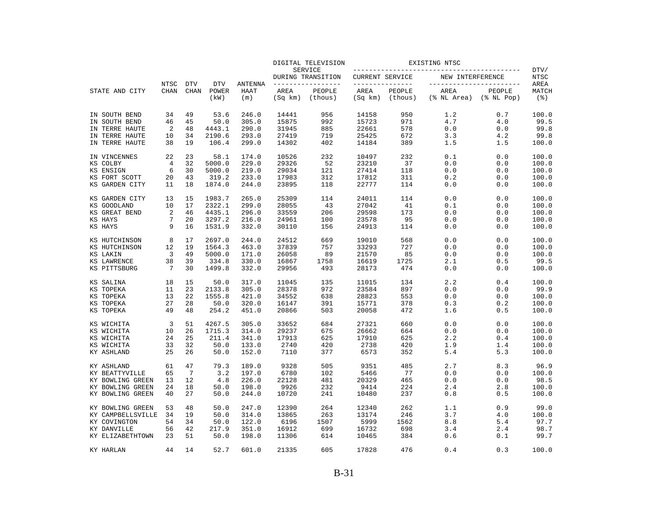|                   |                     |                           |                     |                 |         | DIGITAL TELEVISION           |                         |         | EXISTING NTSC                    |                  |                       |
|-------------------|---------------------|---------------------------|---------------------|-----------------|---------|------------------------------|-------------------------|---------|----------------------------------|------------------|-----------------------|
|                   |                     |                           |                     |                 |         | SERVICE<br>DURING TRANSITION | CURRENT SERVICE         |         | NEW INTERFERENCE                 |                  | DTV/<br>NTSC          |
| STATE AND CITY    | NTSC<br><b>CHAN</b> | <b>DTV</b><br><b>CHAN</b> | <b>DTV</b><br>POWER | ANTENNA<br>HAAT | AREA    | --------------<br>PEOPLE     | ---------------<br>AREA | PEOPLE  | ------------------------<br>AREA | PEOPLE           | AREA<br>MATCH         |
|                   |                     |                           | (kW)                | (m)             | (Sq km) | (thous)                      | (Sq km)                 | (thous) | (% NL Area)                      | $(\$$ NL Pop $)$ | $($ $\frac{6}{3}$ $)$ |
| IN SOUTH BEND     | 34                  | 49                        | 53.6                | 246.0           | 14441   | 956                          | 14158                   | 950     | 1.2                              | 0.7              | 100.0                 |
| IN SOUTH BEND     | 46                  | 45                        | 50.0                | 305.0           | 15875   | 992                          | 15723                   | 971     | 4.7                              | 4.0              | 99.5                  |
| IN TERRE HAUTE    | 2                   | 48                        | 4443.1              | 290.0           | 31945   | 885                          | 22661                   | 578     | 0.0                              | 0.0              | 99.8                  |
| IN TERRE HAUTE    | 10                  | 34                        | 2190.6              | 293.0           | 27419   | 719                          | 25425                   | 672     | 3.3                              | 4.2              | 99.8                  |
| IN TERRE HAUTE    | 38                  | 19                        | 106.4               | 299.0           | 14302   | 402                          | 14184                   | 389     | 1.5                              | 1.5              | 100.0                 |
| IN VINCENNES      | 22                  | 23                        | 58.1                | 174.0           | 10526   | 232                          | 10497                   | 232     | 0.1                              | 0.0              | 100.0                 |
| KS COLBY          | 4                   | 32                        | 5000.0              | 229.0           | 29326   | 52                           | 23210                   | 37      | 0.0                              | 0.0              | 100.0                 |
| KS ENSIGN         | 6                   | 30                        | 5000.0              | 219.0           | 29034   | 121                          | 27414                   | 118     | 0.0                              | 0.0              | 100.0                 |
| KS FORT SCOTT     | 20                  | 43                        | 319.2               | 233.0           | 17983   | 312                          | 17812                   | 311     | 0.2                              | 0.0              | 100.0                 |
| KS GARDEN CITY    | 11                  | 18                        | 1874.0              | 244.0           | 23895   | 118                          | 22777                   | 114     | 0.0                              | 0.0              | 100.0                 |
| KS GARDEN CITY    | 13                  | 15                        | 1983.7              | 265.0           | 25309   | 114                          | 24011                   | 114     | 0.0                              | 0.0              | 100.0                 |
| KS GOODLAND       | 10                  | 17                        | 2322.1              | 299.0           | 28055   | 43                           | 27042                   | 41      | 0.1                              | 0.0              | 100.0                 |
| KS GREAT BEND     | $\overline{2}$      | 46                        | 4435.1              | 296.0           | 33559   | 206                          | 29598                   | 173     | 0.0                              | 0.0              | 100.0                 |
| KS HAYS           | 7                   | 20                        | 3297.2              | 216.0           | 24961   | 100                          | 23578                   | 95      | 0.0                              | 0.0              | 100.0                 |
| KS HAYS           | 9                   | 16                        | 1531.9              | 332.0           | 30110   | 156                          | 24913                   | 114     | 0.0                              | 0.0              | 100.0                 |
| KS HUTCHINSON     | 8                   | 17                        | 2697.0              | 244.0           | 24512   | 669                          | 19010                   | 568     | 0.0                              | 0.0              | 100.0                 |
| KS HUTCHINSON     | 12                  | 19                        | 1564.3              | 463.0           | 37839   | 757                          | 33293                   | 727     | 0.0                              | 0.0              | 100.0                 |
| KS LAKIN          | 3                   | 49                        | 5000.0              | 171.0           | 26058   | 89                           | 21570                   | 85      | 0.0                              | 0.0              | 100.0                 |
| KS LAWRENCE       | 38                  | 39                        | 334.8               | 330.0           | 16867   | 1758                         | 16619                   | 1725    | 2.1                              | 0.5              | 99.5                  |
| KS PITTSBURG      | 7                   | 30                        | 1499.8              | 332.0           | 29956   | 493                          | 28173                   | 474     | 0.0                              | 0.0              | 100.0                 |
| KS SALINA         | 18                  | 15                        | 50.0                | 317.0           | 11045   | 135                          | 11015                   | 134     | 2.2                              | 0.4              | 100.0                 |
| KS TOPEKA         | 11                  | 23                        | 2133.8              | 305.0           | 28378   | 972                          | 23584                   | 897     | 0.0                              | 0.0              | 99.9                  |
| KS TOPEKA         | 13                  | 22                        | 1555.8              | 421.0           | 34552   | 638                          | 28823                   | 553     | 0.0                              | 0.0              | 100.0                 |
| KS TOPEKA         | 27                  | 28                        | 50.0                | 320.0           | 16147   | 391                          | 15771                   | 378     | 0.3                              | 0.2              | 100.0                 |
| KS TOPEKA         | 49                  | 48                        | 254.2               | 451.0           | 20866   | 503                          | 20058                   | 472     | 1.6                              | 0.5              | 100.0                 |
| KS WICHITA        | 3                   | 51                        | 4267.5              | 305.0           | 33652   | 684                          | 27321                   | 660     | 0.0                              | 0.0              | 100.0                 |
| KS WICHITA        | 10                  | 26                        | 1715.3              | 314.0           | 29237   | 675                          | 26662                   | 664     | 0.0                              | 0.0              | 100.0                 |
| KS WICHITA        | 24                  | 25                        | 211.4               | 341.0           | 17913   | 625                          | 17910                   | 625     | 2.2                              | 0.4              | 100.0                 |
| KS WICHITA        | 33                  | 32                        | 50.0                | 133.0           | 2740    | 420                          | 2738                    | 420     | 1.9                              | 1.4              | 100.0                 |
| KY ASHLAND        | 25                  | 26                        | 50.0                | 152.0           | 7110    | 377                          | 6573                    | 352     | 5.4                              | 5.3              | 100.0                 |
| KY ASHLAND        | 61                  | 47                        | 79.3                | 189.0           | 9328    | 505                          | 9351                    | 485     | 2.7                              | 8.3              | 96.9                  |
| KY BEATTYVILLE    | 65                  | 7                         | 3.2                 | 197.0           | 6780    | 102                          | 5466                    | 77      | 0.0                              | 0.0              | 100.0                 |
| KY BOWLING GREEN  | 13                  | 12                        | 4.8                 | 226.0           | 22128   | 481                          | 20329                   | 465     | 0.0                              | 0.0              | 98.5                  |
| KY BOWLING GREEN  | 24                  | 18                        | 50.0                | 198.0           | 9926    | 232                          | 9414                    | 224     | 2.4                              | 2.8              | 100.0                 |
| KY BOWLING GREEN  | 40                  | 27                        | 50.0                | 244.0           | 10720   | 241                          | 10480                   | 237     | 0.8                              | 0.5              | 100.0                 |
| KY BOWLING GREEN  | 53                  | 48                        | 50.0                | 247.0           | 12390   | 264                          | 12340                   | 262     | 1.1                              | 0.9              | 99.0                  |
| KY CAMPBELLSVILLE | 34                  | 19                        | 50.0                | 314.0           | 13865   | 263                          | 13174                   | 246     | 3.7                              | 4.0              | 100.0                 |
| KY COVINGTON      | 54                  | 34                        | 50.0                | 122.0           | 6196    | 1507                         | 5999                    | 1562    | 8.8                              | 5.4              | 97.7                  |
| KY DANVILLE       | 56                  | 42                        | 217.9               | 351.0           | 16912   | 699                          | 16732                   | 698     | 3.4                              | 2.4              | 98.7                  |
| KY ELIZABETHTOWN  | 23                  | 51                        | 50.0                | 198.0           | 11306   | 614                          | 10465                   | 384     | 0.6                              | 0.1              | 99.7                  |
| KY HARLAN         | 44                  | 14                        | 52.7                | 601.0           | 21335   | 605                          | 17828                   | 476     | 0.4                              | 0.3              | 100.0                 |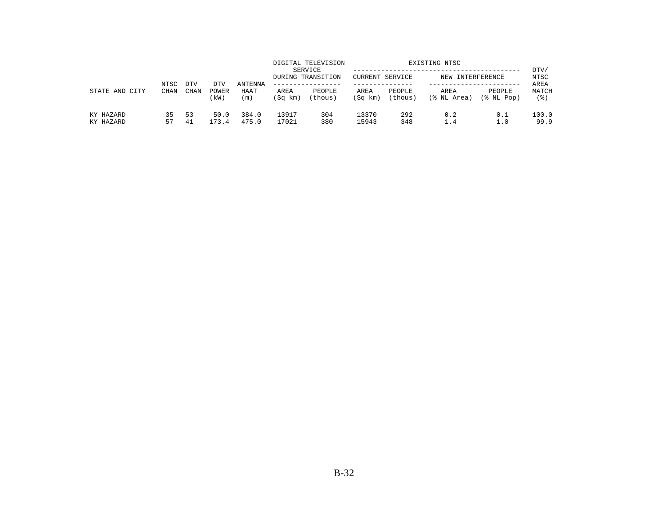|                        | NTSC        | <b>DTV</b> | DTV           | ANTENNA        |                 | DIGITAL TELEVISION<br>SERVICE<br>DURING TRANSITION<br>------------- | CURRENT SERVICE |                   | EXISTING NTSC<br>NEW INTERFERENCE |                      | DTV/<br>NTSC<br>AREA |
|------------------------|-------------|------------|---------------|----------------|-----------------|---------------------------------------------------------------------|-----------------|-------------------|-----------------------------------|----------------------|----------------------|
| STATE AND<br>CITY      | <b>CHAN</b> | CHAN       | POWER<br>(kW) | HAAT<br>(m)    | AREA<br>(Sq km) | PEOPLE<br>(thous)                                                   | AREA<br>(Sq km) | PEOPLE<br>(thous) | AREA<br>(% NL Area)               | PEOPLE<br>(% NL Pop) | MATCH<br>(응)         |
| KY HAZARD<br>KY HAZARD | 35<br>57    | 53<br>41   | 50.0<br>173.4 | 384.0<br>475.0 | 13917<br>17021  | 304<br>380                                                          | 13370<br>15943  | 292<br>348        | 0.2<br>1.4                        | 0.1<br>1.0           | 100.0<br>99.9        |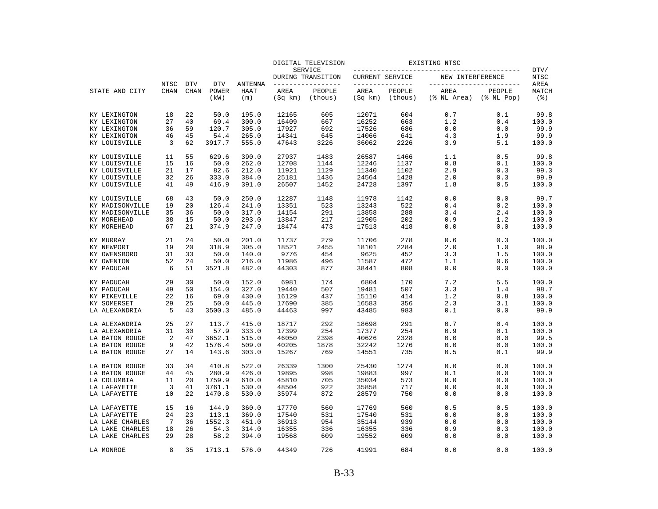|                 |                |             |               |                |                 | DIGITAL TELEVISION           |                 |                   | EXISTING NTSC       |                            |              |
|-----------------|----------------|-------------|---------------|----------------|-----------------|------------------------------|-----------------|-------------------|---------------------|----------------------------|--------------|
|                 |                |             |               |                |                 | SERVICE<br>DURING TRANSITION | CURRENT SERVICE |                   | NEW INTERFERENCE    |                            | DTV/<br>NTSC |
|                 | NTSC           | <b>DTV</b>  | <b>DTV</b>    | <b>ANTENNA</b> |                 | -------------                | --------------- |                   |                     | -----------------          | AREA         |
| STATE AND CITY  | <b>CHAN</b>    | <b>CHAN</b> | POWER<br>(kW) | HAAT<br>(m)    | AREA<br>(Sq km) | PEOPLE<br>(thous)            | AREA<br>(Sq km) | PEOPLE<br>(thous) | AREA<br>(% NL Area) | PEOPLE<br>$(\$$ NL Pop $)$ | MATCH<br>(3) |
| KY LEXINGTON    | 18             | 22          | 50.0          | 195.0          | 12165           | 605                          | 12071           | 604               | 0.7                 | 0.1                        | 99.8         |
| KY LEXINGTON    | 27             | 40          | 69.4          | 300.0          | 16409           | 667                          | 16252           | 663               | 1.2                 | 0.4                        | 100.0        |
| KY LEXINGTON    | 36             | 59          | 120.7         | 305.0          | 17927           | 692                          | 17526           | 686               | 0.0                 | 0.0                        | 99.9         |
| KY LEXINGTON    | 46             | 45          | 54.4          | 265.0          | 14341           | 645                          | 14066           | 641               | 4.3                 | 1.9                        | 99.9         |
| KY LOUISVILLE   | 3              | 62          | 3917.7        | 555.0          | 47643           | 3226                         | 36062           | 2226              | 3.9                 | 5.1                        | 100.0        |
| KY LOUISVILLE   | 11             | 55          | 629.6         | 390.0          | 27937           | 1483                         | 26587           | 1466              | 1.1                 | 0.5                        | 99.8         |
| KY LOUISVILLE   | 15             | 16          | 50.0          | 262.0          | 12708           | 1144                         | 12246           | 1137              | 0.8                 | 0.1                        | 100.0        |
| KY LOUISVILLE   | 21             | 17          | 82.6          | 212.0          | 11921           | 1129                         | 11340           | 1102              | 2.9                 | 0.3                        | 99.3         |
| KY LOUISVILLE   | 32             | 26          | 333.0         | 384.0          | 25181           | 1436                         | 24564           | 1428              | 2.0                 | 0.3                        | 99.9         |
| KY LOUISVILLE   | 41             | 49          | 416.9         | 391.0          | 26507           | 1452                         | 24728           | 1397              | 1.8                 | 0.5                        | 100.0        |
| KY LOUISVILLE   | 68             | 43          | 50.0          | 250.0          | 12287           | 1148                         | 11978           | 1142              | 0.0                 | 0.0                        | 99.7         |
| KY MADISONVILLE | 19             | 20          | 126.4         | 241.0          | 13351           | 523                          | 13243           | 522               | 0.4                 | 0.2                        | 100.0        |
| KY MADISONVILLE | 35             | 36          | 50.0          | 317.0          | 14154           | 291                          | 13858           | 288               | 3.4                 | 2.4                        | 100.0        |
| KY MOREHEAD     | 38             | 15          | 50.0          | 293.0          | 13847           | 217                          | 12905           | 202               | 0.9                 | 1.2                        | 100.0        |
| KY MOREHEAD     | 67             | 21          | 374.9         | 247.0          | 18474           | 473                          | 17513           | 418               | 0.0                 | 0.0                        | 100.0        |
| KY MURRAY       | 21             | 24          | 50.0          | 201.0          | 11737           | 279                          | 11706           | 278               | 0.6                 | 0.3                        | 100.0        |
| KY NEWPORT      | 19             | 20          | 318.9         | 305.0          | 18521           | 2455                         | 18101           | 2284              | 2.0                 | 1.0                        | 98.9         |
| KY OWENSBORO    | 31             | 33          | 50.0          | 140.0          | 9776            | 454                          | 9625            | 452               | 3.3                 | 1.5                        | 100.0        |
| KY OWENTON      | 52             | 24          | 50.0          | 216.0          | 11986           | 496                          | 11587           | 472               | 1.1                 | 0.6                        | 100.0        |
| KY PADUCAH      | 6              | 51          | 3521.8        | 482.0          | 44303           | 877                          | 38441           | 808               | 0.0                 | 0.0                        | 100.0        |
| KY PADUCAH      | 29             | 30          | 50.0          | 152.0          | 6981            | 174                          | 6804            | 170               | 7.2                 | 5.5                        | 100.0        |
| KY PADUCAH      | 49             | 50          | 154.0         | 327.0          | 19440           | 507                          | 19481           | 507               | 3.3                 | 1.4                        | 98.7         |
| KY PIKEVILLE    | 22             | 16          | 69.0          | 430.0          | 16129           | 437                          | 15110           | 414               | 1.2                 | 0.8                        | 100.0        |
| KY SOMERSET     | 29             | 25          | 50.0          | 445.0          | 17690           | 385                          | 16583           | 356               | 2.3                 | 3.1                        | 100.0        |
| LA ALEXANDRIA   | 5              | 43          | 3500.3        | 485.0          | 44463           | 997                          | 43485           | 983               | 0.1                 | 0.0                        | 99.9         |
| LA ALEXANDRIA   | 25             | 27          | 113.7         | 415.0          | 18717           | 292                          | 18698           | 291               | 0.7                 | 0.4                        | 100.0        |
| LA ALEXANDRIA   | 31             | 30          | 57.9          | 333.0          | 17399           | 254                          | 17377           | 254               | 0.9                 | 0.1                        | 100.0        |
| LA BATON ROUGE  | $\overline{2}$ | 47          | 3652.1        | 515.0          | 46050           | 2398                         | 40626           | 2328              | 0.0                 | 0.0                        | 99.5         |
| LA BATON ROUGE  | 9              | 42          | 1576.4        | 509.0          | 40205           | 1878                         | 32242           | 1276              | 0.0                 | 0.0                        | 100.0        |
| LA BATON ROUGE  | 27             | 14          | 143.6         | 303.0          | 15267           | 769                          | 14551           | 735               | 0.5                 | 0.1                        | 99.9         |
| LA BATON ROUGE  | 33             | 34          | 410.8         | 522.0          | 26339           | 1300                         | 25430           | 1274              | 0.0                 | 0.0                        | 100.0        |
| LA BATON ROUGE  | 44             | 45          | 280.9         | 426.0          | 19895           | 998                          | 19883           | 997               | $0.1\,$             | 0.0                        | 100.0        |
| LA COLUMBIA     | 11             | 20          | 1759.9        | 610.0          | 45810           | 705                          | 35034           | 573               | 0.0                 | 0.0                        | 100.0        |
| LA LAFAYETTE    | 3              | 41          | 3761.1        | 530.0          | 48504           | 922                          | 35858           | 717               | 0.0                 | 0.0                        | 100.0        |
| LA LAFAYETTE    | 10             | 22          | 1470.8        | 530.0          | 35974           | 872                          | 28579           | 750               | 0.0                 | 0.0                        | 100.0        |
| LA LAFAYETTE    | 15             | 16          | 144.9         | 360.0          | 17770           | 560                          | 17769           | 560               | 0.5                 | 0.5                        | 100.0        |
| LA LAFAYETTE    | 24             | 23          | 113.1         | 369.0          | 17540           | 531                          | 17540           | 531               | 0.0                 | 0.0                        | 100.0        |
| LA LAKE CHARLES | 7              | 36          | 1552.3        | 451.0          | 36913           | 954                          | 35144           | 939               | 0.0                 | 0.0                        | 100.0        |
| LA LAKE CHARLES | 18             | 26          | 54.3          | 314.0          | 16355           | 336                          | 16355           | 336               | 0.9                 | 0.3                        | 100.0        |
| LA LAKE CHARLES | 29             | 28          | 58.2          | 394.0          | 19568           | 609                          | 19552           | 609               | 0.0                 | 0.0                        | 100.0        |
| LA MONROE       | 8              | 35          | 1713.1        | 576.0          | 44349           | 726                          | 41991           | 684               | 0.0                 | 0.0                        | 100.0        |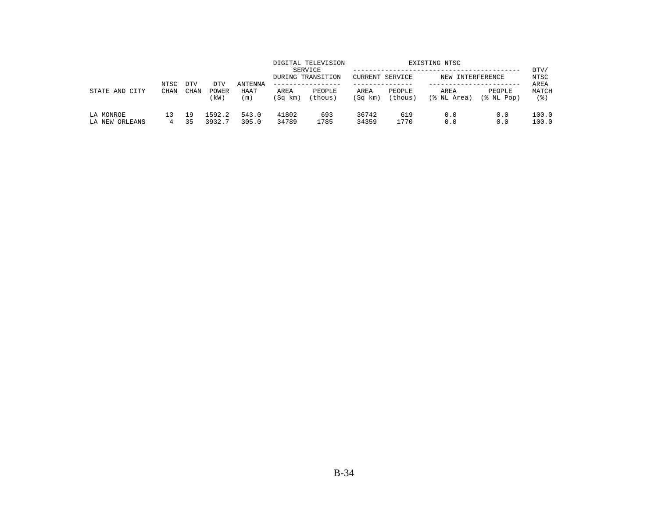|                             | NTSC        | <b>DTV</b>  | DTV              | <b>ANTENNA</b> |                 | DIGITAL TELEVISION<br>SERVICE<br>DURING TRANSITION | CURRENT SERVICE |                   | EXISTING NTSC<br>NEW INTERFERENCE |                      | DTV/<br>NTSC<br>AREA |
|-----------------------------|-------------|-------------|------------------|----------------|-----------------|----------------------------------------------------|-----------------|-------------------|-----------------------------------|----------------------|----------------------|
| STATE AND<br>CITY           | <b>CHAN</b> | <b>CHAN</b> | POWER<br>(kW)    | HAAT<br>(m)    | AREA<br>(Sq km) | PEOPLE<br>(thous)                                  | AREA<br>(Sq km) | PEOPLE<br>(thous) | AREA<br>(% NL Area)               | PEOPLE<br>(% NL Pop) | MATCH<br>' 응 )       |
| LA MONROE<br>LA NEW ORLEANS | 4           | 19<br>35    | 1592.2<br>3932.7 | 543.0<br>305.0 | 41802<br>34789  | 693<br>1785                                        | 36742<br>34359  | 619<br>1770       | 0.0<br>0.0                        | 0.0<br>0.0           | 100.0<br>100.0       |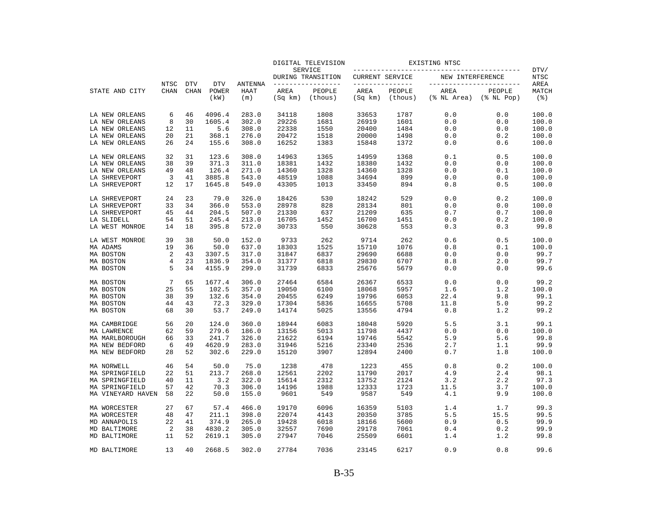|                   |                     |                           |                             |                               |                 | DIGITAL TELEVISION                 |                                   |                   | EXISTING NTSC                                   |                      |                                     |
|-------------------|---------------------|---------------------------|-----------------------------|-------------------------------|-----------------|------------------------------------|-----------------------------------|-------------------|-------------------------------------------------|----------------------|-------------------------------------|
|                   |                     |                           |                             |                               |                 | SERVICE<br>DURING TRANSITION       | CURRENT SERVICE                   |                   | NEW INTERFERENCE                                |                      | DTV/<br>NTSC                        |
| STATE AND CITY    | NTSC<br><b>CHAN</b> | <b>DTV</b><br><b>CHAN</b> | <b>DTV</b><br>POWER<br>(kW) | <b>ANTENNA</b><br>HAAT<br>(m) | AREA<br>(Sq km) | -------------<br>PEOPLE<br>(thous) | ______________<br>AREA<br>(Sq km) | PEOPLE<br>(thous) | ------------------------<br>AREA<br>(% NL Area) | PEOPLE<br>(% NL Pop) | AREA<br>MATCH<br>$($ $\mathcal{E})$ |
|                   |                     |                           |                             |                               |                 |                                    |                                   |                   |                                                 |                      |                                     |
| LA NEW ORLEANS    | 6                   | 46                        | 4096.4                      | 283.0                         | 34118           | 1808                               | 33653                             | 1787              | 0.0                                             | 0.0                  | 100.0                               |
| LA NEW ORLEANS    | 8                   | 30                        | 1605.4                      | 302.0                         | 29226           | 1681                               | 26919                             | 1601              | 0.0                                             | 0.0                  | 100.0                               |
| LA NEW ORLEANS    | 12                  | 11                        | 5.6                         | 308.0                         | 22338           | 1550                               | 20400                             | 1484              | 0.0                                             | 0.0                  | 100.0                               |
| LA NEW ORLEANS    | 20                  | 21                        | 368.1                       | 276.0                         | 20472           | 1518                               | 20000                             | 1498              | 0.0                                             | 0.2                  | 100.0                               |
| LA NEW ORLEANS    | 26                  | 24                        | 155.6                       | 308.0                         | 16252           | 1383                               | 15848                             | 1372              | 0.0                                             | 0.6                  | 100.0                               |
| LA NEW ORLEANS    | 32                  | 31                        | 123.6                       | 308.0                         | 14963           | 1365                               | 14959                             | 1368              | 0.1                                             | 0.5                  | 100.0                               |
| LA NEW ORLEANS    | 38                  | 39                        | 371.3                       | 311.0                         | 18381           | 1432                               | 18380                             | 1432              | 0.0                                             | 0.0                  | 100.0                               |
| LA NEW ORLEANS    | 49                  | 48                        | 126.4                       | 271.0                         | 14360           | 1328                               | 14360                             | 1328              | 0.0                                             | 0.1                  | 100.0                               |
| LA SHREVEPORT     | 3                   | 41                        | 3885.8                      | 543.0                         | 48519           | 1088                               | 34694                             | 899               | 0.0                                             | 0.0                  | 100.0                               |
| LA SHREVEPORT     | 12                  | 17                        | 1645.8                      | 549.0                         | 43305           | 1013                               | 33450                             | 894               | 0.8                                             | 0.5                  | 100.0                               |
| LA SHREVEPORT     | 24                  | 23                        | 79.0                        | 326.0                         | 18426           | 530                                | 18242                             | 529               | 0.0                                             | 0.2                  | 100.0                               |
| LA SHREVEPORT     | 33                  | 34                        | 366.0                       | 553.0                         | 28978           | 828                                | 28134                             | 801               | 0.0                                             | 0.0                  | 100.0                               |
| LA SHREVEPORT     | 45                  | 44                        | 204.5                       | 507.0                         | 21330           | 637                                | 21209                             | 635               | 0.7                                             | 0.7                  | 100.0                               |
| LA SLIDELL        | 54                  | 51                        | 245.4                       | 213.0                         | 16705           | 1452                               | 16700                             | 1451              | 0.0                                             | 0.2                  | 100.0                               |
| LA WEST MONROE    | 14                  | 18                        | 395.8                       | 572.0                         | 30733           | 550                                | 30628                             | 553               | 0.3                                             | 0.3                  | 99.8                                |
| LA WEST MONROE    | 39                  | 38                        | 50.0                        | 152.0                         | 9733            | 262                                | 9714                              | 262               | 0.6                                             | 0.5                  | 100.0                               |
| MA ADAMS          | 19                  | 36                        | 50.0                        | 637.0                         | 18303           | 1525                               | 15710                             | 1076              | 0.8                                             | 0.1                  | 100.0                               |
| MA BOSTON         | 2                   | 43                        | 3307.5                      | 317.0                         | 31847           | 6837                               | 29690                             | 6688              | 0.0                                             | 0.0                  | 99.7                                |
| MA BOSTON         | $\overline{4}$      | 23                        | 1836.9                      | 354.0                         | 31377           | 6818                               | 29830                             | 6707              | 8.8                                             | 2.0                  | 99.7                                |
| MA BOSTON         | 5                   | 34                        | 4155.9                      | 299.0                         | 31739           | 6833                               | 25676                             | 5679              | 0.0                                             | 0.0                  | 99.6                                |
| MA BOSTON         | 7                   | 65                        | 1677.4                      | 306.0                         | 27464           | 6584                               | 26367                             | 6533              | 0.0                                             | 0.0                  | 99.2                                |
| MA BOSTON         | 25                  | 55                        | 102.5                       | 357.0                         | 19050           | 6100                               | 18068                             | 5957              | 1.6                                             | 1.2                  | 100.0                               |
| MA BOSTON         | 38                  | 39                        | 132.6                       | 354.0                         | 20455           | 6249                               | 19796                             | 6053              | 22.4                                            | 9.8                  | 99.1                                |
| MA BOSTON         | 44                  | 43                        | 72.3                        | 329.0                         | 17304           | 5836                               | 16655                             | 5708              | 11.8                                            | 5.0                  | 99.2                                |
| MA BOSTON         | 68                  | 30                        | 53.7                        | 249.0                         | 14174           | 5025                               | 13556                             | 4794              | 0.8                                             | 1.2                  | 99.2                                |
| MA CAMBRIDGE      | 56                  | 20                        | 124.0                       | 360.0                         | 18944           | 6083                               | 18048                             | 5920              | 5.5                                             | 3.1                  | 99.1                                |
| MA LAWRENCE       | 62                  | 59                        | 279.6                       | 186.0                         | 13156           | 5013                               | 11798                             | 4437              | 0.0                                             | 0.0                  | 100.0                               |
| MA MARLBOROUGH    | 66                  | 33                        | 241.7                       | 326.0                         | 21622           | 6194                               | 19746                             | 5542              | 5.9                                             | 5.6                  | 99.8                                |
| MA NEW BEDFORD    | 6                   | 49                        | 4620.9                      | 283.0                         | 31946           | 5216                               | 23340                             | 2536              | 2.7                                             | 1.1                  | 99.9                                |
| MA NEW BEDFORD    | 28                  | 52                        | 302.6                       | 229.0                         | 15120           | 3907                               | 12894                             | 2400              | 0.7                                             | 1.8                  | 100.0                               |
| MA NORWELL        | 46                  | 54                        | 50.0                        | 75.0                          | 1238            | 478                                | 1223                              | 455               | 0.8                                             | 0.2                  | 100.0                               |
| MA SPRINGFIELD    | 22                  | 51                        | 213.7                       | 268.0                         | 12561           | 2202                               | 11790                             | 2017              | 4.9                                             | 2.4                  | 98.1                                |
| MA SPRINGFIELD    | 40                  | 11                        | 3.2                         | 322.0                         | 15614           | 2312                               | 13752                             | 2124              | 3.2                                             | 2.2                  | 97.3                                |
| MA SPRINGFIELD    | 57                  | 42                        | 70.3                        | 306.0                         | 14196           | 1988                               | 12333                             | 1723              | 11.5                                            | 3.7                  | 100.0                               |
| MA VINEYARD HAVEN | 58                  | 22                        | 50.0                        | 155.0                         | 9601            | 549                                | 9587                              | 549               | 4.1                                             | 9.9                  | 100.0                               |
| MA WORCESTER      | 27                  | 67                        | 57.4                        | 466.0                         | 19170           | 6096                               | 16359                             | 5103              | 1.4                                             | 1.7                  | 99.3                                |
| MA WORCESTER      | 48                  | 47                        | 211.1                       | 398.0                         | 22074           | 4143                               | 20350                             | 3785              | 5.5                                             | 15.5                 | 99.5                                |
| MD ANNAPOLIS      | 22                  | 41                        | 374.9                       | 265.0                         | 19428           | 6018                               | 18166                             | 5600              | 0.9                                             | 0.5                  | 99.9                                |
| MD BALTIMORE      | 2                   | 38                        | 4830.2                      | 305.0                         | 32557           | 7690                               | 29178                             | 7061              | 0.4                                             | 0.2                  | 99.9                                |
| MD BALTIMORE      | 11                  | 52                        | 2619.1                      | 305.0                         | 27947           | 7046                               | 25509                             | 6601              | 1.4                                             | 1.2                  | 99.8                                |
| MD BALTIMORE      | 13                  | 40                        | 2668.5                      | 302.0                         | 27784           | 7036                               | 23145                             | 6217              | 0.9                                             | 0.8                  | 99.6                                |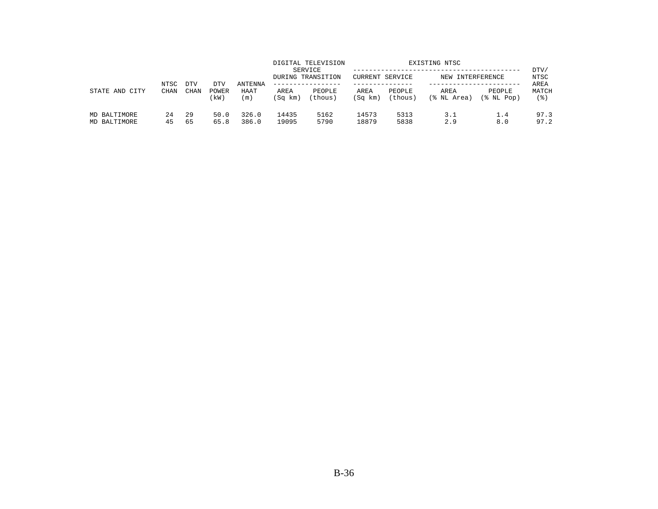| STATE AND CITY               | NTSC<br>CHAN |                    |                      |                        |                 | DIGITAL TELEVISION<br>SERVICE<br>DURING TRANSITION | CURRENT SERVICE |                   | EXISTING NTSC<br>NEW INTERFERENCE |                         | DTV/<br>NTSC         |
|------------------------------|--------------|--------------------|----------------------|------------------------|-----------------|----------------------------------------------------|-----------------|-------------------|-----------------------------------|-------------------------|----------------------|
|                              |              | <b>DTV</b><br>CHAN | DTV<br>POWER<br>(kW) | ANTENNA<br>HAAT<br>(m) | AREA<br>(Sq km) | -------------<br>PEOPLE<br>(thous)                 | AREA<br>(Sq km) | PEOPLE<br>(thous) | AREA<br>(% NL Area)               | PEOPLE<br>$(\$$ NL Pop) | AREA<br>MATCH<br>(응) |
| MD BALTIMORE<br>MD BALTIMORE | 24<br>45     | 29<br>65           | 50.0<br>65.8         | 326.0<br>386.0         | 14435<br>19095  | 5162<br>5790                                       | 14573<br>18879  | 5313<br>5838      | 3.1<br>2.9                        | 1.4<br>8.0              | 97.3<br>97.2         |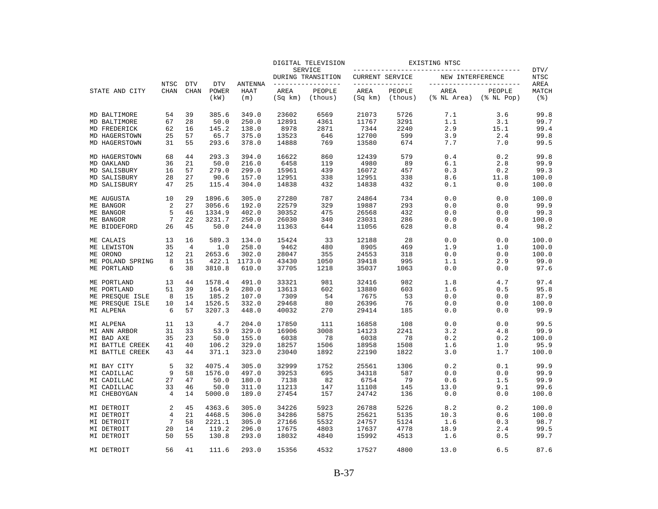|                  |             |                |            |                |         | DIGITAL TELEVISION           |                        |         | EXISTING NTSC            |                  |                    |
|------------------|-------------|----------------|------------|----------------|---------|------------------------------|------------------------|---------|--------------------------|------------------|--------------------|
|                  |             |                |            |                |         | SERVICE<br>DURING TRANSITION | <b>CURRENT SERVICE</b> |         | NEW INTERFERENCE         |                  | DTV/<br>NTSC       |
|                  | NTSC        | <b>DTV</b>     | <b>DTV</b> | <b>ANTENNA</b> |         | ______________               | _______________        |         | ------------------------ |                  | AREA               |
| STATE AND CITY   | <b>CHAN</b> | <b>CHAN</b>    | POWER      | <b>HAAT</b>    | AREA    | PEOPLE                       | AREA                   | PEOPLE  | AREA                     | PEOPLE           | MATCH              |
|                  |             |                | (kW)       | (m)            | (Sq km) | (thous)                      | (Sq km)                | (thous) | (% NL Area)              | $(\$$ NL Pop $)$ | $($ $\mathcal{E})$ |
| MD BALTIMORE     | 54          | 39             | 385.6      | 349.0          | 23602   | 6569                         | 21073                  | 5726    | 7.1                      | 3.6              | 99.8               |
| MD BALTIMORE     | 67          | 28             | 50.0       | 250.0          | 12891   | 4361                         | 11767                  | 3291    | 1.1                      | 3.1              | 99.7               |
| MD FREDERICK     | 62          | 16             | 145.2      | 138.0          | 8978    | 2871                         | 7344                   | 2240    | 2.9                      | 15.1             | 99.4               |
| MD HAGERSTOWN    | 25          | 57             | 65.7       | 375.0          | 13523   | 646                          | 12700                  | 599     | 3.9                      | 2.4              | 99.8               |
| MD HAGERSTOWN    | 31          | 55             | 293.6      | 378.0          | 14888   | 769                          | 13580                  | 674     | 7.7                      | 7.0              | 99.5               |
| MD HAGERSTOWN    | 68          | 44             | 293.3      | 394.0          | 16622   | 860                          | 12439                  | 579     | 0.4                      | 0.2              | 99.8               |
| MD OAKLAND       | 36          | 21             | 50.0       | 216.0          | 6458    | 119                          | 4980                   | 89      | 6.1                      | 2.8              | 99.9               |
| MD SALISBURY     | 16          | 57             | 279.0      | 299.0          | 15961   | 439                          | 16072                  | 457     | 0.3                      | 0.2              | 99.3               |
| MD SALISBURY     | 28          | 27             | 90.6       | 157.0          | 12951   | 338                          | 12951                  | 338     | 8.6                      | 11.8             | 100.0              |
| MD SALISBURY     | 47          | 25             | 115.4      | 304.0          | 14838   | 432                          | 14838                  | 432     | 0.1                      | 0.0              | 100.0              |
| ME AUGUSTA       | 10          | 29             | 1896.6     | 305.0          | 27280   | 787                          | 24864                  | 734     | 0.0                      | 0.0              | 100.0              |
| ME BANGOR        | 2           | 27             | 3056.6     | 192.0          | 22579   | 329                          | 19887                  | 293     | 0.0                      | 0.0              | 99.9               |
| ME BANGOR        | 5           | 46             | 1334.9     | 402.0          | 30352   | 475                          | 26568                  | 432     | 0.0                      | 0.0              | 99.3               |
| ME BANGOR        | 7           | 22             | 3231.7     | 250.0          | 26030   | 340                          | 23031                  | 286     | 0.0                      | 0.0              | 100.0              |
| ME BIDDEFORD     | 26          | 45             | 50.0       | 244.0          | 11363   | 644                          | 11056                  | 628     | 0.8                      | 0.4              | 98.2               |
| ME CALAIS        | 13          | 16             | 589.3      | 134.0          | 15424   | 33                           | 12188                  | 28      | 0.0                      | 0.0              | 100.0              |
| ME LEWISTON      | 35          | $\overline{4}$ | 1.0        | 258.0          | 9462    | 480                          | 8905                   | 469     | 1.9                      | 1.0              | 100.0              |
| ME ORONO         | 12          | 21             | 2653.6     | 302.0          | 28047   | 355                          | 24553                  | 318     | 0.0                      | 0.0              | 100.0              |
| ME POLAND SPRING | 8           | 15             | 422.1      | 1173.0         | 43430   | 1050                         | 39418                  | 995     | 1.1                      | 2.9              | 99.0               |
| ME PORTLAND      | 6           | 38             | 3810.8     | 610.0          | 37705   | 1218                         | 35037                  | 1063    | 0.0                      | 0.0              | 97.6               |
| ME PORTLAND      | 13          | 44             | 1578.4     | 491.0          | 33321   | 981                          | 32416                  | 982     | 1.8                      | 4.7              | 97.4               |
| ME PORTLAND      | 51          | 39             | 164.9      | 280.0          | 13613   | 602                          | 13880                  | 603     | 1.6                      | 0.5              | 95.8               |
| ME PRESQUE ISLE  | 8           | 15             | 185.2      | 107.0          | 7309    | 54                           | 7675                   | 53      | 0.0                      | 0.0              | 87.9               |
| ME PRESQUE ISLE  | 10          | 14             | 1526.5     | 332.0          | 29468   | 80                           | 26396                  | 76      | 0.0                      | 0.0              | 100.0              |
| MI ALPENA        | 6           | 57             | 3207.3     | 448.0          | 40032   | 270                          | 29414                  | 185     | 0.0                      | 0.0              | 99.9               |
| MI ALPENA        | 11          | 13             | 4.7        | 204.0          | 17850   | 111                          | 16858                  | 108     | 0.0                      | 0.0              | 99.5               |
| MI ANN ARBOR     | 31          | 33             | 53.9       | 329.0          | 16906   | 3008                         | 14123                  | 2241    | 3.2                      | 4.8              | 99.9               |
| MI BAD AXE       | 35          | 23             | 50.0       | 155.0          | 6038    | 78                           | 6038                   | 78      | 0.2                      | 0.2              | 100.0              |
| MI BATTLE CREEK  | 41          | 40             | 106.2      | 329.0          | 18257   | 1506                         | 18958                  | 1508    | 1.6                      | 1.0              | 95.9               |
| MI BATTLE CREEK  | 43          | 44             | 371.1      | 323.0          | 23040   | 1892                         | 22190                  | 1822    | 3.0                      | 1.7              | 100.0              |
| MI BAY CITY      | 5           | 32             | 4075.4     | 305.0          | 32999   | 1752                         | 25561                  | 1306    | 0.2                      | 0.1              | 99.9               |
| MI CADILLAC      | 9           | 58             | 1576.0     | 497.0          | 39253   | 695                          | 34318                  | 587     | 0.0                      | 0.0              | 99.9               |
| MI CADILLAC      | 27          | 47             | 50.0       | 180.0          | 7138    | 82                           | 6754                   | 79      | 0.6                      | 1.5              | 99.9               |
| MI CADILLAC      | 33          | 46             | 50.0       | 311.0          | 11213   | 147                          | 11108                  | 145     | 13.0                     | 9.1              | 99.6               |
| MI CHEBOYGAN     | 4           | 14             | 5000.0     | 189.0          | 27454   | 157                          | 24742                  | 136     | 0.0                      | 0.0              | 100.0              |
| MI DETROIT       | 2           | 45             | 4363.6     | 305.0          | 34226   | 5923                         | 26788                  | 5226    | 8.2                      | 0.2              | 100.0              |
| MI DETROIT       | 4           | 21             | 4468.5     | 306.0          | 34286   | 5875                         | 25621                  | 5135    | 10.3                     | 0.6              | 100.0              |
| MI DETROIT       | 7           | 58             | 2221.1     | 305.0          | 27166   | 5532                         | 24757                  | 5124    | 1.6                      | 0.3              | 98.7               |
| MI DETROIT       | 20          | 14             | 119.2      | 296.0          | 17675   | 4803                         | 17637                  | 4778    | 18.9                     | 2.4              | 99.5               |
| MI DETROIT       | 50          | 55             | 130.8      | 293.0          | 18032   | 4840                         | 15992                  | 4513    | 1.6                      | 0.5              | 99.7               |
| MI DETROIT       | 56          | 41             | 111.6      | 293.0          | 15356   | 4532                         | 17527                  | 4800    | 13.0                     | 6.5              | 87.6               |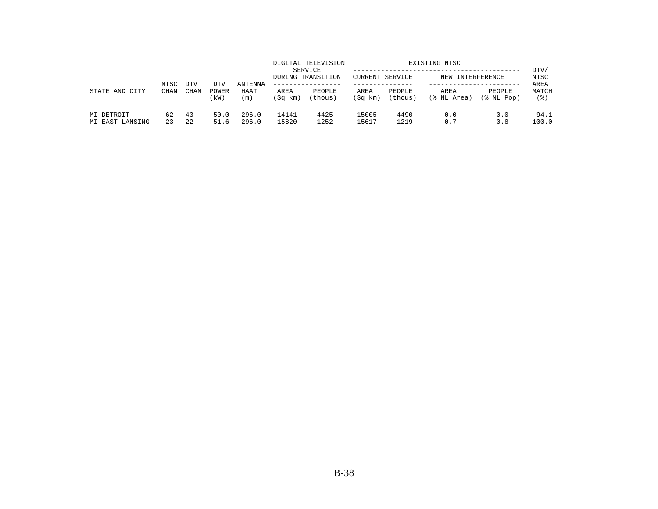|                               | NTSC        | <b>DTV</b>  | DTV           | <b>ANTENNA</b> |                 | DIGITAL TELEVISION<br>SERVICE<br>DURING TRANSITION | CURRENT SERVICE |                   | EXISTING NTSC<br>NEW INTERFERENCE |                      | DTV/<br>NTSC<br>AREA |
|-------------------------------|-------------|-------------|---------------|----------------|-----------------|----------------------------------------------------|-----------------|-------------------|-----------------------------------|----------------------|----------------------|
| STATE AND<br>CITY             | <b>CHAN</b> | <b>CHAN</b> | POWER<br>(kW) | HAAT<br>(m)    | AREA<br>(Sq km) | PEOPLE<br>(thous)                                  | AREA<br>(Sq km) | PEOPLE<br>(thous) | AREA<br>(% NL Area)               | PEOPLE<br>(% NL Pop) | MATCH<br>(응)         |
| MI DETROIT<br>MI EAST LANSING | 62<br>23    | 43<br>22    | 50.0<br>51.6  | 296.0<br>296.0 | 14141<br>15820  | 4425<br>1252                                       | 15005<br>15617  | 4490<br>1219      | 0.0<br>0.7                        | 0.0<br>0.8           | 94.1<br>100.0        |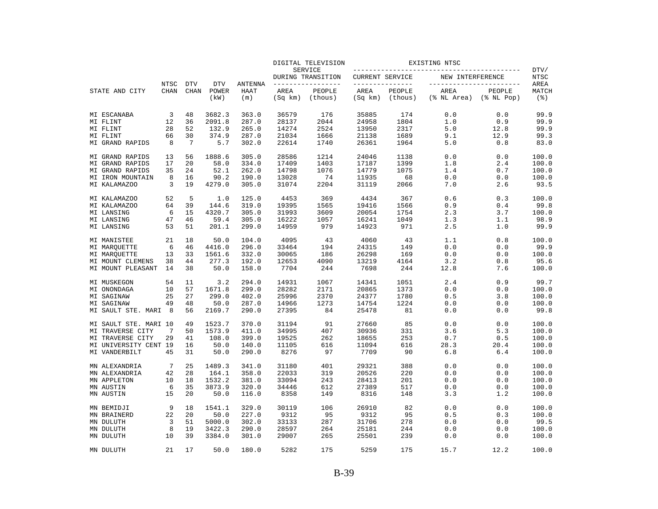|                              |             |             |                |                |                 | DIGITAL TELEVISION           |                 |                   | EXISTING NTSC            |                            |                             |
|------------------------------|-------------|-------------|----------------|----------------|-----------------|------------------------------|-----------------|-------------------|--------------------------|----------------------------|-----------------------------|
|                              |             |             |                |                |                 | SERVICE<br>DURING TRANSITION | CURRENT SERVICE |                   | NEW INTERFERENCE         |                            | DTV/<br>NTSC                |
|                              | NTSC        | <b>DTV</b>  | <b>DTV</b>     | <b>ANTENNA</b> |                 | _______________              | --------------- |                   | ------------------------ |                            | AREA                        |
| STATE AND CITY               | <b>CHAN</b> | <b>CHAN</b> | POWER<br>(kW)  | HAAT<br>(m)    | AREA<br>(Sq km) | PEOPLE<br>(thous)            | AREA<br>(Sq km) | PEOPLE<br>(thous) | AREA<br>(% NL Area)      | PEOPLE<br>$(\$$ NL Pop $)$ | MATCH<br>$($ $\mathcal{E})$ |
| MI ESCANABA                  | 3           | 48          | 3682.3         | 363.0          | 36579           | 176                          | 35885           | 174               | 0.0                      | 0.0                        | 99.9                        |
| MI FLINT                     | 12          | 36          | 2091.8         | 287.0          | 28137           | 2044                         | 24958           | 1804              | 1.0                      | 0.9                        | 99.9                        |
| MI FLINT                     | 28          | 52          | 132.9          | 265.0          | 14274           | 2524                         | 13950           | 2317              | 5.0                      | 12.8                       | 99.9                        |
| MI FLINT                     | 66          | 30          | 374.9          | 287.0          | 21034           | 1666                         | 21138           | 1689              | 9.1                      | 12.9                       | 99.3                        |
| MI GRAND RAPIDS              | 8           | -7          | 5.7            | 302.0          | 22614           | 1740                         | 26361           | 1964              | 5.0                      | 0.8                        | 83.0                        |
| MI GRAND RAPIDS              | 13          | 56          | 1888.6         | 305.0          | 28586           | 1214                         | 24046           | 1138              | 0.0                      | 0.0                        | 100.0                       |
| MI GRAND RAPIDS              | 17          | 20          | 58.0           | 334.0          | 17409           | 1403                         | 17187           | 1399              | 1.8                      | 2.4                        | 100.0                       |
| MI GRAND RAPIDS              | 35          | 24          | 52.1           | 262.0          | 14798           | 1076                         | 14779           | 1075              | 1.4                      | 0.7                        | 100.0                       |
| MI IRON MOUNTAIN             | 8           | 16          | 90.2           | 190.0          | 13028           | 74                           | 11935           | 68                | 0.0                      | 0.0                        | 100.0                       |
| MI KALAMAZOO                 | 3           | 19          | 4279.0         | 305.0          | 31074           | 2204                         | 31119           | 2066              | 7.0                      | 2.6                        | 93.5                        |
| MI KALAMAZOO                 | 52          | 5           | 1.0            | 125.0          | 4453            | 369                          | 4434            | 367               | 0.6                      | 0.3                        | 100.0                       |
| MI KALAMAZOO                 | 64          | 39          | 144.6          | 319.0          | 19395           | 1565                         | 19416           | 1566              | 0.9                      | 0.4                        | 99.8                        |
| MI LANSING                   | 6           | 15          | 4320.7         | 305.0          | 31993           | 3609                         | 20054           | 1754              | 2.3                      | 3.7                        | 100.0                       |
| MI LANSING<br>MI LANSING     | 47<br>53    | 46<br>51    | 59.4<br>201.1  | 305.0<br>299.0 | 16222<br>14959  | 1057<br>979                  | 16241<br>14923  | 1049<br>971       | 1.3<br>2.5               | 1.1<br>1.0                 | 98.9<br>99.9                |
|                              |             |             |                |                |                 |                              |                 |                   |                          |                            |                             |
| MI MANISTEE                  | 21<br>6     | 18<br>46    | 50.0<br>4416.0 | 104.0<br>296.0 | 4095<br>33464   | 43<br>194                    | 4060<br>24315   | 43<br>149         | 1.1<br>0.0               | 0.8<br>0.0                 | 100.0<br>99.9               |
| MI MAROUETTE<br>MI MARQUETTE | 13          | 33          | 1561.6         | 332.0          | 30065           | 186                          | 26298           | 169               | 0.0                      | 0.0                        | 100.0                       |
| MI MOUNT CLEMENS             | 38          | 44          | 277.3          | 192.0          | 12653           | 4090                         | 13219           | 4164              | 3.2                      | 0.8                        | 95.6                        |
| MI MOUNT PLEASANT            | 14          | 38          | 50.0           | 158.0          | 7704            | 244                          | 7698            | 244               | 12.8                     | 7.6                        | 100.0                       |
| MI MUSKEGON                  | 54          | 11          | 3.2            | 294.0          | 14931           | 1067                         | 14341           | 1051              | 2.4                      | 0.9                        | 99.7                        |
| MI ONONDAGA                  | 10          | 57          | 1671.8         | 299.0          | 28282           | 2171                         | 20865           | 1373              | 0.0                      | 0.0                        | 100.0                       |
| MI SAGINAW                   | 25          | 27          | 299.0          | 402.0          | 25996           | 2370                         | 24377           | 1780              | 0.5                      | 3.8                        | 100.0                       |
| MI SAGINAW                   | 49          | 48          | 50.0           | 287.0          | 14966           | 1273                         | 14754           | 1224              | 0.0                      | 0.0                        | 100.0                       |
| MI SAULT STE. MARI           | 8           | 56          | 2169.7         | 290.0          | 27395           | 84                           | 25478           | 81                | 0.0                      | 0.0                        | 99.8                        |
| MI SAULT STE. MARI 10        |             | 49          | 1523.7         | 370.0          | 31194           | 91                           | 27660           | 85                | 0.0                      | 0.0                        | 100.0                       |
| MI TRAVERSE CITY             | 7           | 50          | 1573.9         | 411.0          | 34995           | 407                          | 30936           | 331               | 3.6                      | 5.3                        | 100.0                       |
| MI TRAVERSE CITY             | 29          | 41          | 108.0          | 399.0          | 19525           | 262                          | 18655           | 253               | 0.7                      | 0.5                        | 100.0                       |
| MI UNIVERSITY CENT 19        |             | 16          | 50.0           | 140.0          | 11105           | 616                          | 11094           | 616               | 28.3                     | 20.4                       | 100.0                       |
| MI VANDERBILT                | 45          | 31          | 50.0           | 290.0          | 8276            | 97                           | 7709            | 90                | 6.8                      | 6.4                        | 100.0                       |
| MN ALEXANDRIA                | 7           | 25          | 1489.3         | 341.0          | 31180           | 401                          | 29321           | 388               | 0.0                      | 0.0                        | 100.0                       |
| MN ALEXANDRIA                | 42          | 28          | 164.1          | 358.0          | 22033           | 319                          | 20526           | 220               | 0.0                      | 0.0                        | 100.0                       |
| MN APPLETON                  | 10          | 18          | 1532.2         | 381.0          | 33094           | 243                          | 28413           | 201               | 0.0                      | 0.0                        | 100.0                       |
| MN AUSTIN                    | 6           | 35          | 3873.9         | 320.0          | 34446           | 612                          | 27389           | 517               | 0.0                      | 0.0                        | 100.0                       |
| MN AUSTIN                    | 15          | 20          | 50.0           | 116.0          | 8358            | 149                          | 8316            | 148               | 3.3                      | 1.2                        | 100.0                       |
| MN BEMIDJI                   | 9           | 18          | 1541.1         | 329.0          | 30119           | 106                          | 26910           | 82                | 0.0                      | 0.0                        | 100.0                       |
| MN BRAINERD                  | 22          | 20          | 50.0           | 227.0          | 9312            | 95                           | 9312            | 95                | 0.5                      | 0.3                        | 100.0                       |
| MN DULUTH                    | 3           | 51          | 5000.0         | 302.0          | 33133           | 287                          | 31706           | 278               | 0.0                      | 0.0                        | 99.5                        |
| MN DULUTH                    | 8           | 19          | 3422.3         | 290.0          | 28597           | 264                          | 25181           | 244               | 0.0                      | 0.0                        | 100.0                       |
| MN DULUTH                    | 10          | 39          | 3384.0         | 301.0          | 29007           | 265                          | 25501           | 239               | 0.0                      | 0.0                        | 100.0                       |
| MN DULUTH                    | 21          | 17          | 50.0           | 180.0          | 5282            | 175                          | 5259            | 175               | 15.7                     | 12.2                       | 100.0                       |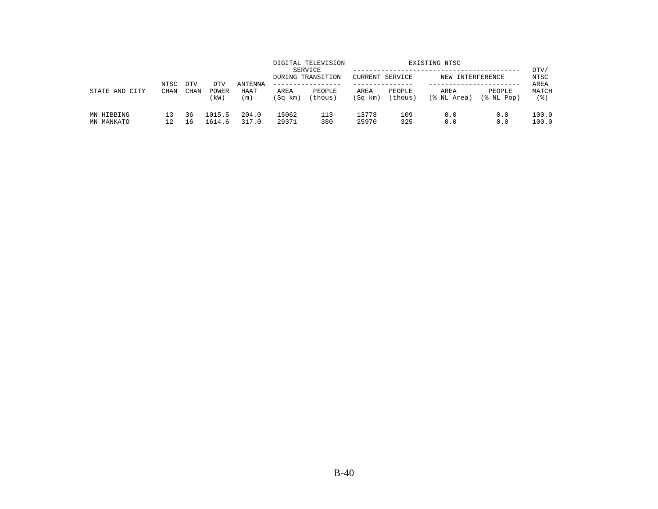| CITY<br>STATE AND        | NTSC<br><b>CHAN</b> | <b>DTV</b> | DTV              | <b>ANTENNA</b> |                 | DIGITAL TELEVISION<br>SERVICE<br>DURING TRANSITION<br>------------- | CURRENT SERVICE |                   | EXISTING NTSC<br>NEW INTERFERENCE |                      | DTV/<br>NTSC<br>AREA |
|--------------------------|---------------------|------------|------------------|----------------|-----------------|---------------------------------------------------------------------|-----------------|-------------------|-----------------------------------|----------------------|----------------------|
|                          |                     | CHAN       | POWER<br>(kW)    | HAAT<br>(m)    | AREA<br>(Sq km) | PEOPLE<br>(thous)                                                   | AREA<br>(Sq km) | PEOPLE<br>(thous) | AREA<br>(% NL Area)               | PEOPLE<br>(% NL Pop) | MATCH<br>(응)         |
| MN HIBBING<br>MN MANKATO |                     | 36<br>16   | 1015.5<br>1614.6 | 204.0<br>317.0 | 15062<br>29371  | 113<br>380                                                          | 13778<br>25970  | 109<br>325        | 0.0<br>0.0                        | 0.0<br>0.0           | 100.0<br>100.0       |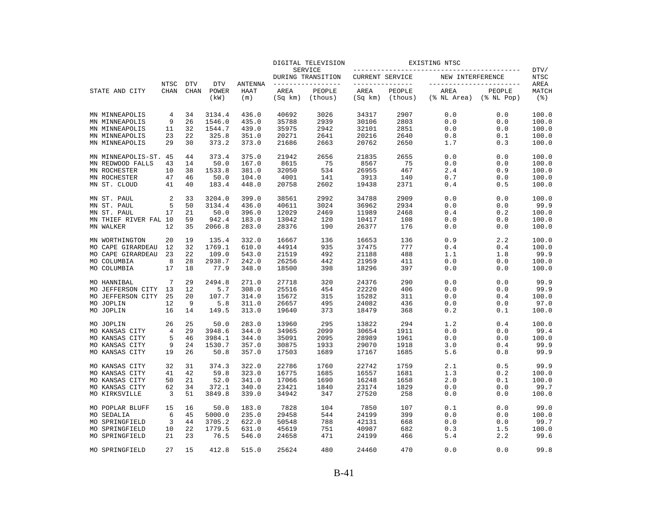|                       |             |             |               |             |                 | DIGITAL TELEVISION           |                 |                   | EXISTING NTSC            |                            |                                |
|-----------------------|-------------|-------------|---------------|-------------|-----------------|------------------------------|-----------------|-------------------|--------------------------|----------------------------|--------------------------------|
|                       |             |             |               |             |                 | SERVICE<br>DURING TRANSITION | CURRENT SERVICE |                   | NEW INTERFERENCE         |                            | DTV/<br>NTSC                   |
|                       | NTSC        | <b>DTV</b>  | <b>DTV</b>    | ANTENNA     |                 | --------------               | --------------- |                   | ------------------------ |                            | AREA                           |
| STATE AND CITY        | <b>CHAN</b> | <b>CHAN</b> | POWER<br>(kW) | HAAT<br>(m) | AREA<br>(Sq km) | PEOPLE<br>(thous)            | AREA<br>(Sq km) | PEOPLE<br>(thous) | AREA<br>(% NL Area)      | PEOPLE<br>$(\$$ NL Pop $)$ | MATCH<br>$($ $\frac{6}{3}$ $)$ |
| MN MINNEAPOLIS        | 4           | 34          | 3134.4        | 436.0       | 40692           | 3026                         | 34317           | 2907              | 0.0                      | 0.0                        | 100.0                          |
| MN MINNEAPOLIS        | 9           | 26          | 1546.0        | 435.0       | 35788           | 2939                         | 30106           | 2803              | 0.0                      | 0.0                        | 100.0                          |
| MN MINNEAPOLIS        | 11          | 32          | 1544.7        | 439.0       | 35975           | 2942                         | 32101           | 2851              | 0.0                      | 0.0                        | 100.0                          |
| MN MINNEAPOLIS        | 23          | 22          | 325.8         | 351.0       | 20271           | 2641                         | 20216           | 2640              | 0.8                      | 0.1                        | 100.0                          |
| MN MINNEAPOLIS        | 29          | 30          | 373.2         | 373.0       | 21686           | 2663                         | 20762           | 2650              | 1.7                      | 0.3                        | 100.0                          |
| MN MINNEAPOLIS-ST.    | 45          | 44          | 373.4         | 375.0       | 21942           | 2656                         | 21835           | 2655              | 0.0                      | 0.0                        | 100.0                          |
| MN REDWOOD FALLS      | 43          | 14          | 50.0          | 167.0       | 8615            | 75                           | 8567            | 75                | 0.0                      | 0.0                        | 100.0                          |
| MN ROCHESTER          | 10          | 38          | 1533.8        | 381.0       | 32050           | 534                          | 26955           | 467               | 2.4                      | 0.9                        | 100.0                          |
| MN ROCHESTER          | 47          | 46          | 50.0          | 104.0       | 4001            | 141                          | 3913            | 140               | 0.7                      | 0.0                        | 100.0                          |
| MN ST. CLOUD          | 41          | 40          | 183.4         | 448.0       | 20758           | 2602                         | 19438           | 2371              | 0.4                      | 0.5                        | 100.0                          |
| MN ST. PAUL           | 2           | 33          | 3204.0        | 399.0       | 38561           | 2992                         | 34788           | 2909              | 0.0                      | 0.0                        | 100.0                          |
| MN ST. PAUL           | 5           | 50          | 3134.4        | 436.0       | 40611           | 3024                         | 36962           | 2934              | 0.0                      | 0.0                        | 99.9                           |
| MN ST. PAUL           | 17          | 21          | 50.0          | 396.0       | 12029           | 2469                         | 11989           | 2468              | 0.4                      | 0.2                        | 100.0                          |
| MN THIEF RIVER FAL 10 |             | 59          | 942.4         | 183.0       | 13042           | 120                          | 10417           | 108               | 0.0                      | 0.0                        | 100.0                          |
| MN WALKER             | 12          | 35          | 2066.8        | 283.0       | 28376           | 190                          | 26377           | 176               | 0.0                      | 0.0                        | 100.0                          |
| MN WORTHINGTON        | 20          | 19          | 135.4         | 332.0       | 16667           | 136                          | 16653           | 136               | 0.9                      | 2.2                        | 100.0                          |
| MO CAPE GIRARDEAU     | 12          | 32          | 1769.1        | 610.0       | 44914           | 935                          | 37475           | 777               | 0.4                      | 0.4                        | 100.0                          |
| MO CAPE GIRARDEAU     | 23          | 22          | 109.0         | 543.0       | 21519           | 492                          | 21188           | 488               | 1.1                      | 1.8                        | 99.9                           |
| MO COLUMBIA           | 8           | 28          | 2938.7        | 242.0       | 26256           | 442                          | 21959           | 411               | 0.0                      | 0.0                        | 100.0                          |
| MO COLUMBIA           | 17          | 18          | 77.9          | 348.0       | 18500           | 398                          | 18296           | 397               | 0.0                      | 0.0                        | 100.0                          |
| MO HANNIBAL           | 7           | 29          | 2494.8        | 271.0       | 27718           | 320                          | 24376           | 290               | 0.0                      | 0.0                        | 99.9                           |
| MO JEFFERSON CITY     | 13          | 12          | 5.7           | 308.0       | 25516           | 454                          | 22220           | 406               | 0.0                      | 0.0                        | 99.9                           |
| MO JEFFERSON CITY     | 25          | 20          | 107.7         | 314.0       | 15672           | 315                          | 15282           | 311               | 0.0                      | 0.4                        | 100.0                          |
| MO JOPLIN             | 12          | 9           | 5.8           | 311.0       | 26657           | 495                          | 24082           | 436               | 0.0                      | 0.0                        | 97.0                           |
| MO JOPLIN             | 16          | 14          | 149.5         | 313.0       | 19640           | 373                          | 18479           | 368               | 0.2                      | 0.1                        | 100.0                          |
| MO JOPLIN             | 26          | 25          | 50.0          | 283.0       | 13960           | 295                          | 13822           | 294               | 1.2                      | 0.4                        | 100.0                          |
| MO KANSAS CITY        | 4           | 29          | 3948.6        | 344.0       | 34965           | 2099                         | 30654           | 1911              | 0.0                      | 0.0                        | 99.4                           |
| MO KANSAS CITY        | 5           | 46          | 3984.1        | 344.0       | 35091           | 2095                         | 28989           | 1961              | 0.0                      | 0.0                        | 100.0                          |
| MO KANSAS CITY        | 9           | 24          | 1530.7        | 357.0       | 30875           | 1933                         | 29070           | 1918              | 3.0                      | 0.4                        | 99.9                           |
| MO KANSAS CITY        | 19          | 26          | 50.8          | 357.0       | 17503           | 1689                         | 17167           | 1685              | 5.6                      | 0.8                        | 99.9                           |
| MO KANSAS CITY        | 32          | 31          | 374.3         | 322.0       | 22786           | 1760                         | 22742           | 1759              | 2.1                      | 0.5                        | 99.9                           |
| MO KANSAS CITY        | 41          | 42          | 59.8          | 323.0       | 16775           | 1685                         | 16557           | 1681              | 1.3                      | 0.2                        | 100.0                          |
| MO KANSAS CITY        | 50          | 21          | 52.0          | 341.0       | 17066           | 1690                         | 16248           | 1658              | 2.0                      | 0.1                        | 100.0                          |
| MO KANSAS CITY        | 62          | 34          | 372.1         | 340.0       | 23421           | 1840                         | 23174           | 1829              | 0.0                      | 0.0                        | 99.7                           |
| MO KIRKSVILLE         | 3           | 51          | 3849.8        | 339.0       | 34942           | 347                          | 27520           | 258               | 0.0                      | 0.0                        | 100.0                          |
| MO POPLAR BLUFF       | 15          | 16          | 50.0          | 183.0       | 7828            | 104                          | 7850            | 107               | 0.1                      | 0.0                        | 99.0                           |
| MO SEDALIA            | 6           | 45          | 5000.0        | 235.0       | 29458           | 544                          | 24199           | 399               | 0.0                      | 0.0                        | 100.0                          |
| MO SPRINGFIELD        | 3           | 44          | 3705.2        | 622.0       | 50548           | 788                          | 42131           | 668               | 0.0                      | 0.0                        | 99.7                           |
| MO SPRINGFIELD        | 10          | 22          | 1779.5        | 631.0       | 45619           | 751                          | 40987           | 682               | 0.3                      | 1.5                        | 100.0                          |
| MO SPRINGFIELD        | 21          | 23          | 76.5          | 546.0       | 24658           | 471                          | 24199           | 466               | 5.4                      | 2.2                        | 99.6                           |
| MO SPRINGFIELD        | 27          | 15          | 412.8         | 515.0       | 25624           | 480                          | 24460           | 470               | 0.0                      | 0.0                        | 99.8                           |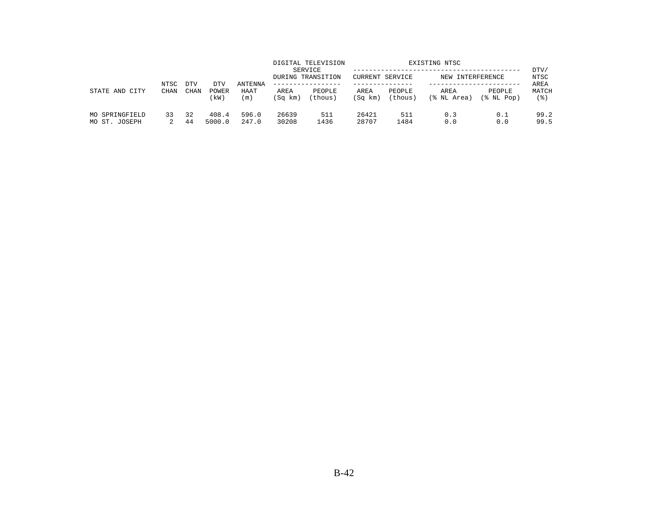| CITY<br>STATE AND               | NTSC<br><b>CHAN</b> | <b>DTV</b>  |                      | <b>ANTENNA</b> |                 | DIGITAL TELEVISION<br>SERVICE<br>DURING TRANSITION<br>------------- | CURRENT SERVICE |                   | EXISTING NTSC<br>NEW INTERFERENCE |                      | DTV/<br>NTSC<br>AREA |
|---------------------------------|---------------------|-------------|----------------------|----------------|-----------------|---------------------------------------------------------------------|-----------------|-------------------|-----------------------------------|----------------------|----------------------|
|                                 |                     | <b>CHAN</b> | DTV<br>POWER<br>(kW) | HAAT<br>(m)    | AREA<br>(Sq km) | PEOPLE<br>(thous)                                                   | AREA<br>(Sq km) | PEOPLE<br>(thous) | AREA<br>(% NL Area)               | PEOPLE<br>(% NL Pop) | MATCH<br>(응)         |
| MO SPRINGFIELD<br>MO ST. JOSEPH | 33                  | 32<br>44    | 408.4<br>5000.0      | 596.0<br>247.0 | 26639<br>30208  | 511<br>1436                                                         | 26421<br>28707  | 511<br>1484       | 0.3<br>0.0                        | 0.1<br>0.0           | 99.2<br>99.5         |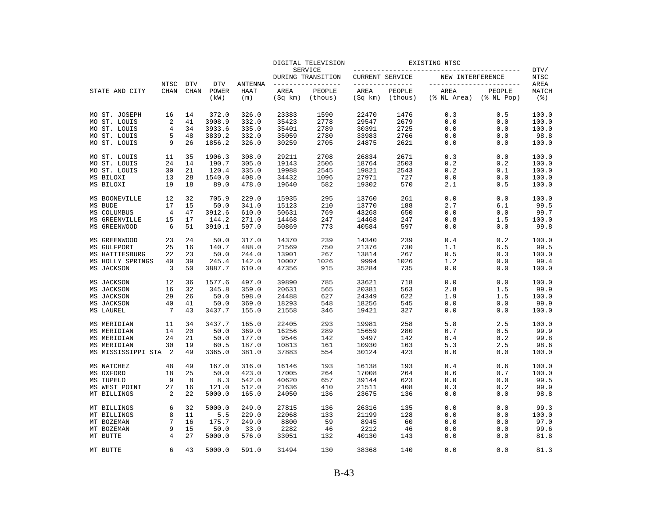|                    |                            |                           |                             |                               |                 | DIGITAL TELEVISION                 |                 |                                   | EXISTING NTSC       |                                                 |                      |
|--------------------|----------------------------|---------------------------|-----------------------------|-------------------------------|-----------------|------------------------------------|-----------------|-----------------------------------|---------------------|-------------------------------------------------|----------------------|
|                    |                            |                           |                             |                               |                 | SERVICE<br>DURING TRANSITION       | CURRENT SERVICE |                                   | NEW INTERFERENCE    |                                                 | DTV/<br><b>NTSC</b>  |
| STATE AND CITY     | <b>NTSC</b><br><b>CHAN</b> | <b>DTV</b><br><b>CHAN</b> | <b>DTV</b><br>POWER<br>(kW) | <b>ANTENNA</b><br>HAAT<br>(m) | AREA<br>(Sq km) | -------------<br>PEOPLE<br>(thous) | AREA<br>(Sq km) | ------------<br>PEOPLE<br>(thous) | AREA<br>(% NL Area) | __________________<br>PEOPLE<br>$(\$$ NL $Pop)$ | AREA<br>MATCH<br>(응) |
| MO ST. JOSEPH      | 16                         | 14                        | 372.0                       | 326.0                         | 23383           | 1590                               | 22470           | 1476                              | 0.3                 | 0.5                                             | 100.0                |
| MO ST. LOUIS       | 2                          | 41                        | 3908.9                      | 332.0                         | 35423           | 2778                               | 29547           | 2679                              | 0.0                 | 0.0                                             | 100.0                |
| MO ST. LOUIS       | 4                          | 34                        | 3933.6                      | 335.0                         | 35401           | 2789                               | 30391           | 2725                              | 0.0                 | 0.0                                             | 100.0                |
| MO ST. LOUIS       | 5                          | 48                        | 3839.2                      | 332.0                         | 35059           | 2780                               | 33983           | 2766                              | 0.0                 | 0.0                                             | 98.8                 |
| MO ST. LOUIS       | 9                          | 26                        | 1856.2                      | 326.0                         | 30259           | 2705                               | 24875           | 2621                              | 0.0                 | 0.0                                             | 100.0                |
| MO ST. LOUIS       | 11                         | 35                        | 1906.3                      | 308.0                         | 29211           | 2708                               | 26834           | 2671                              | 0.3                 | 0.0                                             | 100.0                |
| MO ST. LOUIS       | 24                         | 14                        | 190.7                       | 305.0                         | 19143           | 2506                               | 18764           | 2503                              | 0.2                 | 0.2                                             | 100.0                |
| MO ST. LOUIS       | 30                         | 21                        | 120.4                       | 335.0                         | 19988           | 2545                               | 19821           | 2543                              | 0.2                 | 0.1                                             | 100.0                |
| MS BILOXI          | 13                         | 28                        | 1540.0                      | 408.0                         | 34432           | 1096                               | 27971           | 727                               | 0.0                 | 0.0                                             | 100.0                |
| MS BILOXI          | 19                         | 18                        | 89.0                        | 478.0                         | 19640           | 582                                | 19302           | 570                               | 2.1                 | 0.5                                             | 100.0                |
| MS BOONEVILLE      | 12                         | 32                        | 705.9                       | 229.0                         | 15935           | 295                                | 13760           | 261                               | 0.0                 | 0.0                                             | 100.0                |
| MS BUDE            | 17                         | 15                        | 50.0                        | 341.0                         | 15123           | 210                                | 13770           | 188                               | 2.7                 | 6.1                                             | 99.5                 |
| MS COLUMBUS        | 4                          | 47                        | 3912.6                      | 610.0                         | 50631           | 769                                | 43268           | 650                               | 0.0                 | 0.0                                             | 99.7                 |
| MS GREENVILLE      | 15                         | 17                        | 144.2                       | 271.0                         | 14468           | 247                                | 14468           | 247                               | 0.8                 | 1.5                                             | 100.0                |
| MS GREENWOOD       | 6                          | 51                        | 3910.1                      | 597.0                         | 50869           | 773                                | 40584           | 597                               | 0.0                 | 0.0                                             | 99.8                 |
| MS GREENWOOD       | 23                         | 24                        | 50.0                        | 317.0                         | 14370           | 239                                | 14340           | 239                               | 0.4                 | 0.2                                             | 100.0                |
| MS GULFPORT        | 25                         | 16                        | 140.7                       | 488.0                         | 21569           | 750                                | 21376           | 730                               | 1.1                 | 6.5                                             | 99.5                 |
| MS HATTIESBURG     | 22                         | 23                        | 50.0                        | 244.0                         | 13901           | 267                                | 13814           | 267                               | 0.5                 | 0.3                                             | 100.0                |
| MS HOLLY SPRINGS   | 40                         | 39                        | 245.4                       | 142.0                         | 10007           | 1026                               | 9994            | 1026                              | 1.2                 | 0.0                                             | 99.4                 |
| MS JACKSON         | 3                          | 50                        | 3887.7                      | 610.0                         | 47356           | 915                                | 35284           | 735                               | 0.0                 | 0.0                                             | 100.0                |
| MS JACKSON         | 12                         | 36                        | 1577.6                      | 497.0                         | 39890           | 785                                | 33621           | 718                               | 0.0                 | 0.0                                             | 100.0                |
| MS JACKSON         | 16                         | 32                        | 345.8                       | 359.0                         | 20631           | 565                                | 20381           | 563                               | 2.8                 | 1.5                                             | 99.9                 |
| MS JACKSON         | 29                         | 26                        | 50.0                        | 598.0                         | 24488           | 627                                | 24349           | 622                               | 1.9                 | 1.5                                             | 100.0                |
| MS JACKSON         | 40                         | 41                        | 50.0                        | 369.0                         | 18293           | 548                                | 18256           | 545                               | 0.0                 | 0.0                                             | 99.9                 |
| MS LAUREL          | 7                          | 43                        | 3437.7                      | 155.0                         | 21558           | 346                                | 19421           | 327                               | 0.0                 | 0.0                                             | 100.0                |
| MS MERIDIAN        | 11                         | 34                        | 3437.7                      | 165.0                         | 22405           | 293                                | 19981           | 258                               | 5.8                 | 2.5                                             | 100.0                |
| MS MERIDIAN        | 14                         | 20                        | 50.0                        | 369.0                         | 16256           | 289                                | 15659           | 280                               | 0.7                 | 0.5                                             | 99.9                 |
| MS MERIDIAN        | 24                         | 21                        | 50.0                        | 177.0                         | 9546            | 142                                | 9497            | 142                               | 0.4                 | 0.2                                             | 99.8                 |
| MS MERIDIAN        | 30                         | 19                        | 60.5                        | 187.0                         | 10813           | 161                                | 10930           | 163                               | 5.3                 | 2.5                                             | 98.6                 |
| MS MISSISSIPPI STA | -2                         | 49                        | 3365.0                      | 381.0                         | 37883           | 554                                | 30124           | 423                               | 0.0                 | 0.0                                             | 100.0                |
| MS NATCHEZ         | 48                         | 49                        | 167.0                       | 316.0                         | 16146           | 193                                | 16138           | 193                               | 0.4                 | 0.6                                             | 100.0                |
| MS OXFORD          | 18                         | 25                        | 50.0                        | 423.0                         | 17005           | 264                                | 17008           | 264                               | 0.6                 | 0.7                                             | 100.0                |
| MS TUPELO          | 9                          | 8                         | 8.3                         | 542.0                         | 40620           | 657                                | 39144           | 623                               | 0.0                 | 0.0                                             | 99.5                 |
| MS WEST POINT      | 27                         | 16                        | 121.0                       | 512.0                         | 21636           | 410                                | 21511           | 408                               | 0.3                 | 0.2                                             | 99.9                 |
| MT BILLINGS        | 2                          | 22                        | 5000.0                      | 165.0                         | 24050           | 136                                | 23675           | 136                               | 0.0                 | 0.0                                             | 98.8                 |
| MT BILLINGS        | 6                          | 32                        | 5000.0                      | 249.0                         | 27815           | 136                                | 26316           | 135                               | 0.0                 | 0.0                                             | 99.3                 |
| MT BILLINGS        | 8                          | 11                        | 5.5                         | 229.0                         | 22068           | 133                                | 21199           | 128                               | $0.0$               | 0.0                                             | 100.0                |
| MT BOZEMAN         | 7                          | 16                        | 175.7                       | 249.0                         | 8800            | 59                                 | 8945            | 60                                | 0.0                 | 0.0                                             | 97.0                 |
| MT BOZEMAN         | 9                          | 15                        | 50.0                        | 33.0                          | 2282            | 46                                 | 2212            | 46                                | 0.0                 | 0.0                                             | 99.6                 |
| MT BUTTE           | 4                          | 27                        | 5000.0                      | 576.0                         | 33051           | 132                                | 40130           | 143                               | 0.0                 | 0.0                                             | 81.8                 |
| MT BUTTE           | 6                          | 43                        | 5000.0                      | 591.0                         | 31494           | 130                                | 38368           | 140                               | 0.0                 | 0.0                                             | 81.3                 |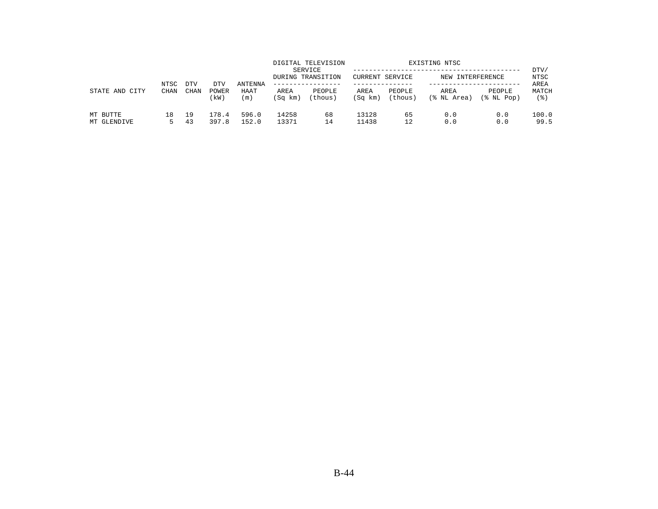| STATE AND<br>CITY       | NTSC<br><b>CHAN</b> | <b>DTV</b> | DTV            | ANTENNA        |                 | DIGITAL TELEVISION<br>SERVICE<br>DURING TRANSITION<br>------------- | CURRENT SERVICE |                   | EXISTING NTSC<br>NEW INTERFERENCE |                      | DTV/<br>NTSC<br>AREA |
|-------------------------|---------------------|------------|----------------|----------------|-----------------|---------------------------------------------------------------------|-----------------|-------------------|-----------------------------------|----------------------|----------------------|
|                         |                     | CHAN       | POWER<br>(kW)  | HAAT<br>(m)    | AREA<br>(Sq km) | PEOPLE<br>(thous)                                                   | AREA<br>(Sq km) | PEOPLE<br>(thous) | AREA<br>(% NL Area)               | PEOPLE<br>(% NL Pop) | MATCH<br>(응)         |
| MT BUTTE<br>MT GLENDIVE | 18                  | 19<br>43   | 178.4<br>397.8 | 596.0<br>152.0 | 14258<br>13371  | 68<br>14                                                            | 13128<br>11438  | 65<br>12          | 0.0<br>0.0                        | 0.0<br>0.0           | 100.0<br>99.5        |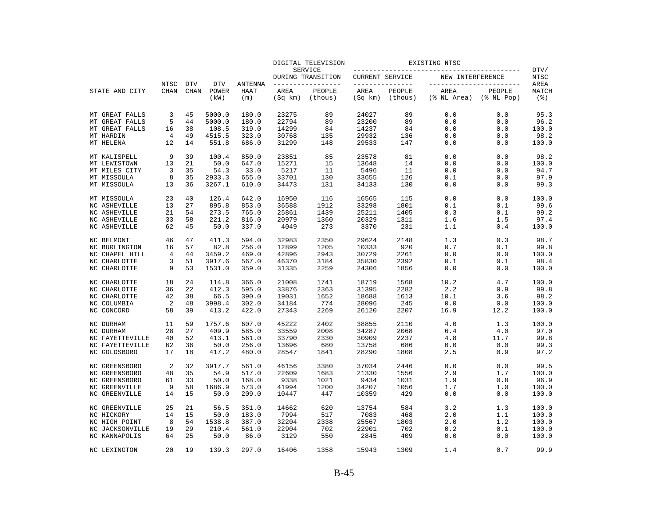|                 |                     |                           |                     |                 |         | DIGITAL TELEVISION           |                 |                        | EXISTING NTSC                                      |                             |               |
|-----------------|---------------------|---------------------------|---------------------|-----------------|---------|------------------------------|-----------------|------------------------|----------------------------------------------------|-----------------------------|---------------|
|                 |                     |                           |                     |                 |         | SERVICE<br>DURING TRANSITION | CURRENT SERVICE |                        | ______________________________<br>NEW INTERFERENCE |                             | DTV/<br>NTSC  |
| STATE AND CITY  | NTSC<br><b>CHAN</b> | <b>DTV</b><br><b>CHAN</b> | <b>DTV</b><br>POWER | ANTENNA<br>HAAT | AREA    | -------------<br>PEOPLE      | AREA            | ------------<br>PEOPLE | AREA                                               | -----------------<br>PEOPLE | AREA<br>MATCH |
|                 |                     |                           | (kW)                | (m)             | (Sq km) | (thous)                      | (Sq km)         | (thous)                | (% NL Area)                                        | $(\$$ NL Pop $)$            | (3)           |
| MT GREAT FALLS  | 3                   | 45                        | 5000.0              | 180.0           | 23275   | 89                           | 24027           | 89                     | 0.0                                                | 0.0                         | 95.3          |
| MT GREAT FALLS  | 5                   | 44                        | 5000.0              | 180.0           | 22794   | 89                           | 23200           | 89                     | 0.0                                                | 0.0                         | 96.2          |
| MT GREAT FALLS  | 16                  | 38                        | 108.5               | 319.0           | 14299   | 84                           | 14237           | 84                     | 0.0                                                | 0.0                         | 100.0         |
| MT HARDIN       | 4                   | 49                        | 4515.5              | 323.0           | 30768   | 135                          | 29932           | 136                    | 0.0                                                | 0.0                         | 98.2          |
| MT HELENA       | 12                  | 14                        | 551.8               | 686.0           | 31299   | 148                          | 29533           | 147                    | 0.0                                                | 0.0                         | 100.0         |
| MT KALISPELL    | 9                   | 39                        | 100.4               | 850.0           | 23851   | 85                           | 23578           | 81                     | 0.0                                                | 0.0                         | 98.2          |
| MT LEWISTOWN    | 13                  | 21                        | 50.0                | 647.0           | 15271   | 15                           | 13648           | 14                     | 0.0                                                | 0.0                         | 100.0         |
| MT MILES CITY   | 3                   | 35                        | 54.3                | 33.0            | 5217    | 11                           | 5496            | 11                     | 0.0                                                | 0.0                         | 94.7          |
| MT MISSOULA     | 8                   | 35                        | 2933.3              | 655.0           | 33701   | 130                          | 33655           | 126                    | 0.1                                                | 0.0                         | 97.9          |
| MT MISSOULA     | 13                  | 36                        | 3267.1              | 610.0           | 34473   | 131                          | 34133           | 130                    | 0.0                                                | 0.0                         | 99.3          |
| MT MISSOULA     | 23                  | 40                        | 126.4               | 642.0           | 16950   | 116                          | 16565           | 115                    | 0.0                                                | 0.0                         | 100.0         |
| NC ASHEVILLE    | 13                  | 27                        | 895.8               | 853.0           | 36588   | 1912                         | 33298           | 1801                   | 0.1                                                | 0.1                         | 99.6          |
| NC ASHEVILLE    | 21                  | 54                        | 273.5               | 765.0           | 25861   | 1439                         | 25211           | 1405                   | 0.3                                                | 0.1                         | 99.2          |
| NC ASHEVILLE    | 33                  | 58                        | 221.2               | 816.0           | 20979   | 1360                         | 20329           | 1311                   | 1.6                                                | 1.5                         | 97.4          |
| NC ASHEVILLE    | 62                  | 45                        | 50.0                | 337.0           | 4049    | 273                          | 3370            | 231                    | 1.1                                                | 0.4                         | 100.0         |
| NC BELMONT      | 46                  | 47                        | 411.3               | 594.0           | 32983   | 2350                         | 29624           | 2148                   | 1.3                                                | 0.3                         | 98.7          |
| NC BURLINGTON   | 16                  | 57                        | 82.8                | 256.0           | 12899   | 1205                         | 10333           | 920                    | 0.7                                                | 0.1                         | 99.8          |
| NC CHAPEL HILL  | 4                   | 44                        | 3459.2              | 469.0           | 42896   | 2943                         | 30729           | 2261                   | 0.0                                                | 0.0                         | 100.0         |
| NC CHARLOTTE    | 3                   | 51                        | 3917.6              | 567.0           | 46370   | 3184                         | 35830           | 2392                   | 0.1                                                | 0.1                         | 98.4          |
| NC CHARLOTTE    | 9                   | 53                        | 1531.0              | 359.0           | 31335   | 2259                         | 24306           | 1856                   | 0.0                                                | 0.0                         | 100.0         |
| NC CHARLOTTE    | 18                  | 24                        | 114.8               | 366.0           | 21008   | 1741                         | 18719           | 1568                   | 10.2                                               | 4.7                         | 100.0         |
| NC CHARLOTTE    | 36                  | 22                        | 412.3               | 595.0           | 33876   | 2363                         | 31395           | 2282                   | 2.2                                                | 0.9                         | 99.8          |
| NC CHARLOTTE    | 42                  | 38                        | 66.5                | 390.0           | 19031   | 1652                         | 18688           | 1613                   | 10.1                                               | 3.6                         | 98.2          |
| NC COLUMBIA     | 2                   | 48                        | 3998.4              | 302.0           | 34184   | 774                          | 28096           | 245                    | 0.0                                                | 0.0                         | 100.0         |
| NC CONCORD      | 58                  | 39                        | 413.2               | 422.0           | 27343   | 2269                         | 26120           | 2207                   | 16.9                                               | 12.2                        | 100.0         |
| NC DURHAM       | 11                  | 59                        | 1757.6              | 607.0           | 45222   | 2402                         | 38855           | 2110                   | 4.0                                                | 1.3                         | 100.0         |
| NC DURHAM       | 28                  | 27                        | 409.9               | 585.0           | 33559   | 2008                         | 34287           | 2068                   | 6.4                                                | 4.0                         | 97.0          |
| NC FAYETTEVILLE | 40                  | 52                        | 413.1               | 561.0           | 33790   | 2330                         | 30909           | 2237                   | 4.8                                                | 11.7                        | 99.8          |
| NC FAYETTEVILLE | 62                  | 36                        | 50.0                | 256.0           | 13696   | 680                          | 13758           | 686                    | 0.0                                                | 0.0                         | 99.3          |
| NC GOLDSBORO    | 17                  | 18                        | 417.2               | 480.0           | 28547   | 1841                         | 28290           | 1808                   | 2.5                                                | 0.9                         | 97.2          |
| NC GREENSBORO   | 2                   | 32                        | 3917.7              | 561.0           | 46156   | 3380                         | 37034           | 2446                   | 0.0                                                | 0.0                         | 99.5          |
| NC GREENSBORO   | 48                  | 35                        | 54.9                | 517.0           | 22609   | 1683                         | 21330           | 1556                   | 2.9                                                | 1.7                         | 100.0         |
| NC GREENSBORO   | 61                  | 33                        | 50.0                | 168.0           | 9338    | 1021                         | 9434            | 1031                   | 1.9                                                | 0.8                         | 96.9          |
| NC GREENVILLE   | 9                   | 58                        | 1686.9              | 573.0           | 41994   | 1200                         | 34207           | 1056                   | 1.7                                                | 1.0                         | 100.0         |
| NC GREENVILLE   | 14                  | 15                        | 50.0                | 209.0           | 10447   | 447                          | 10359           | 429                    | 0.0                                                | 0.0                         | 100.0         |
| NC GREENVILLE   | 25                  | 21                        | 56.5                | 351.0           | 14662   | 620                          | 13754           | 584                    | 3.2                                                | 1.3                         | 100.0         |
| NC HICKORY      | 14                  | 15                        | 50.0                | 183.0           | 7994    | 517                          | 7083            | 468                    | 2.0                                                | 1.1                         | 100.0         |
| NC HIGH POINT   | 8                   | 54                        | 1538.8              | 387.0           | 32204   | 2338                         | 25567           | 1803                   | 2.0                                                | 1.2                         | 100.0         |
| NC JACKSONVILLE | 19                  | 29                        | 210.4               | 561.0           | 22904   | 702                          | 22901           | 702                    | 0.2                                                | 0.1                         | 100.0         |
| NC KANNAPOLIS   | 64                  | 25                        | 50.0                | 86.0            | 3129    | 550                          | 2845            | 409                    | 0.0                                                | 0.0                         | 100.0         |
| NC LEXINGTON    | $20 \sigma$         | 19                        | 139.3               | 297.0           | 16406   | 1358                         | 15943           | 1309                   | 1.4                                                | 0.7                         | 99.9          |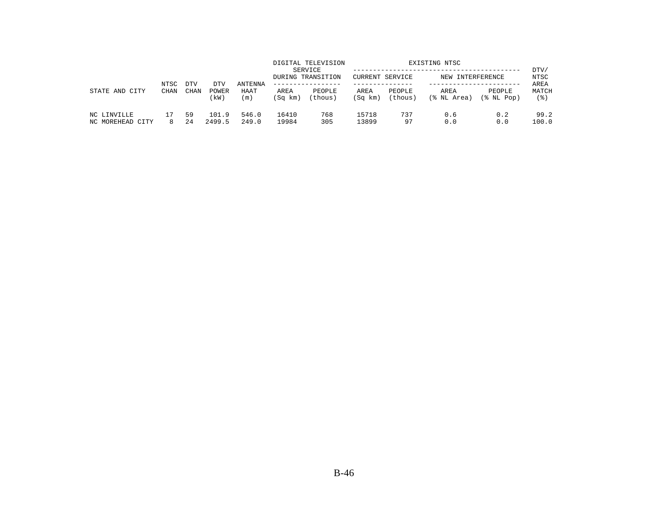|                                 | NTSC | DTV       | DTV             | ANTENNA        |                 | DIGITAL TELEVISION<br>SERVICE<br>DURING TRANSITION | <b>CURRENT SERVICE</b> |                   | EXISTING NTSC<br>NEW INTERFERENCE |                      | DTV/<br>NTSC<br>AREA |
|---------------------------------|------|-----------|-----------------|----------------|-----------------|----------------------------------------------------|------------------------|-------------------|-----------------------------------|----------------------|----------------------|
| STATE AND<br>CITY               | CHAN | CHAN      | POWER<br>kW)    | HAAT<br>(m)    | AREA<br>(Sq km) | PEOPLE<br>(thous)                                  | AREA<br>(Sq km)        | PEOPLE<br>(thous) | AREA<br>(% NL Area)               | PEOPLE<br>(응 NL Pop) | MATCH<br>(응)         |
| NC LINVILLE<br>NC MOREHEAD CITY |      | 59<br>2.4 | 101.9<br>2499.5 | 546.0<br>249.0 | 16410<br>19984  | 768<br>305                                         | 15718<br>13899         | 737<br>97         | 0.6<br>0.0                        | 0.2<br>0.0           | 99.2<br>100.0        |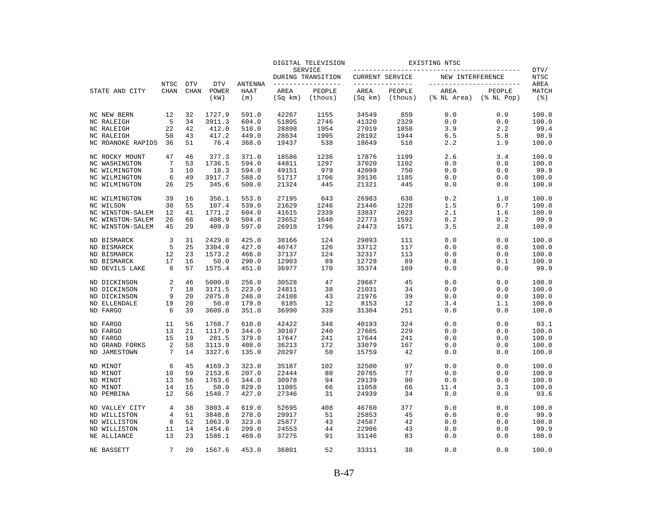|                   |             |             |               |                    |                 | DIGITAL TELEVISION           |                        |                   | EXISTING NTSC       |                            |                                |
|-------------------|-------------|-------------|---------------|--------------------|-----------------|------------------------------|------------------------|-------------------|---------------------|----------------------------|--------------------------------|
|                   |             |             |               |                    |                 | SERVICE<br>DURING TRANSITION | <b>CURRENT SERVICE</b> |                   | NEW INTERFERENCE    |                            | DTV/<br>NTSC                   |
|                   | NTSC        | <b>DTV</b>  | <b>DTV</b>    | ANTENNA            |                 | --------------               | _______________        |                   |                     | -----------------          | AREA                           |
| STATE AND CITY    | <b>CHAN</b> | <b>CHAN</b> | POWER<br>(kW) | <b>HAAT</b><br>(m) | AREA<br>(Sq km) | PEOPLE<br>(thous)            | AREA<br>(Sq km)        | PEOPLE<br>(thous) | AREA<br>(% NL Area) | PEOPLE<br>$(\$$ NL Pop $)$ | MATCH<br>$($ $\frac{6}{3}$ $)$ |
| NC NEW BERN       | 12          | 32          | 1727.9        | 591.0              | 42267           | 1155                         | 34549                  | 859               | 0.0                 | 0.0                        | 100.0                          |
| NC RALEIGH        | 5           | 34          | 3911.3        | 604.0              | 51805           | 2746                         | 41320                  | 2329              | 0.0                 | 0.0                        | 100.0                          |
| NC RALEIGH        | 22          | 42          | 412.0         | 510.0              | 28898           | 1954                         | 27019                  | 1858              | 3.9                 | 2.2                        | 99.4                           |
| NC RALEIGH        | 50          | 43          | 417.2         | 449.0              | 28634           | 1995                         | 28192                  | 1944              | 6.5                 | 5.8                        | 98.9                           |
| NC ROANOKE RAPIDS | 36          | 51          | 76.4          | 368.0              | 19437           | 538                          | 18649                  | 518               | 2.2                 | 1.9                        | 100.0                          |
| NC ROCKY MOUNT    | 47          | 46          | 377.3         | 371.0              | 18586           | 1236                         | 17876                  | 1199              | 2.6                 | 3.4                        | 100.0                          |
| NC WASHINGTON     | 7           | 53          | 1736.5        | 594.0              | 44811           | 1297                         | 37020                  | 1102              | 0.0                 | 0.0                        | 100.0                          |
| NC WILMINGTON     | 3           | 10          | 18.3          | 594.0              | 49151           | 979                          | 42099                  | 750               | 0.0                 | 0.0                        | 99.9                           |
| NC WILMINGTON     | 6           | 49          | 3917.7        | 588.0              | 51717           | 1706                         | 39136                  | 1185              | 0.0                 | 0.0                        | 100.0                          |
| NC WILMINGTON     | 26          | 25          | 345.6         | 500.0              | 21324           | 445                          | 21321                  | 445               | 0.0                 | 0.0                        | 100.0                          |
| NC WILMINGTON     | 39          | 16          | 356.1         | 553.0              | 27195           | 643                          | 26983                  | 638               | 0.2                 | 1.0                        | 100.0                          |
| NC WILSON         | 30          | 55          | 107.4         | 539.0              | 21629           | 1246                         | 21446                  | 1228              | 1.5                 | 0.7                        | 100.0                          |
| NC WINSTON-SALEM  | 12          | 41          | 1771.2        | 604.0              | 41615           | 2339                         | 33837                  | 2023              | 2.1                 | 1.6                        | 100.0                          |
| NC WINSTON-SALEM  | 26          | 66          | 408.9         | 504.0              | 23652           | 1640                         | 22773                  | 1592              | 0.2                 | 0.2                        | 99.9                           |
| NC WINSTON-SALEM  | 45          | 29          | 409.9         | 597.0              | 26918           | 1796                         | 24473                  | 1671              | 3.5                 | 2.8                        | 100.0                          |
| ND BISMARCK       | 3           | 31          | 2429.0        | 425.0              | 38166           | 124                          | 29893                  | 111               | 0.0                 | 0.0                        | 100.0                          |
| ND BISMARCK       | 5           | 25          | 3304.9        | 427.0              | 40747           | 126                          | 33712                  | 117               | 0.0                 | 0.0                        | 100.0                          |
| ND BISMARCK       | 12          | 23          | 1573.2        | 466.0              | 37137           | 124                          | 32317                  | 113               | 0.0                 | 0.0                        | 100.0                          |
| ND BISMARCK       | 17          | 16          | 50.0          | 290.0              | 12903           | 89                           | 12728                  | 89                | 0.8                 | 0.1                        | 100.0                          |
| ND DEVILS LAKE    | 8           | 57          | 1575.4        | 451.0              | 36977           | 170                          | 35374                  | 169               | 0.0                 | 0.0                        | 99.9                           |
| ND DICKINSON      | 2           | 46          | 5000.0        | 256.0              | 30528           | 47                           | 29687                  | 45                | 0.0                 | 0.0                        | 100.0                          |
| ND DICKINSON      | 7           | 18          | 3171.5        | 223.0              | 24811           | 38                           | 21031                  | 34                | 0.0                 | 0.0                        | 100.0                          |
| ND DICKINSON      | 9           | 20          | 2075.8        | 246.0              | 24108           | 43                           | 21976                  | 39                | 0.0                 | 0.0                        | 100.0                          |
| ND ELLENDALE      | 19          | 20          | 50.0          | 179.0              | 8185            | 12                           | 8153                   | 12                | 3.4                 | 1.1                        | 100.0                          |
| ND FARGO          | 6           | 39          | 3609.0        | 351.0              | 36990           | 339                          | 31304                  | 251               | 0.0                 | 0.0                        | 100.0                          |
| ND FARGO          | 11          | 56          | 1768.7        | 610.0              | 42422           | 348                          | 40193                  | 324               | 0.0                 | 0.0                        | 93.1                           |
| ND FARGO          | 13          | 21          | 1117.9        | 344.0              | 30107           | 240                          | 27605                  | 229               | 0.0                 | 0.0                        | 100.0                          |
| ND FARGO          | 15          | 19          | 281.5         | 379.0              | 17647           | 241                          | 17644                  | 241               | 0.0                 | 0.0                        | 100.0                          |
| ND GRAND FORKS    | 2           | 58          | 3113.9        | 408.0              | 36213           | 172                          | 33079                  | 167               | 0.0                 | 0.0                        | 100.0                          |
| ND JAMESTOWN      | 7           | 14          | 3327.6        | 135.0              | 20297           | 50                           | 15759                  | 42                | 0.0                 | 0.0                        | 100.0                          |
| ND MINOT          | 6           | 45          | 4169.3        | 323.0              | 35187           | 102                          | 32500                  | 97                | 0.0                 | 0.0                        | 100.0                          |
| ND MINOT          | 10          | 59          | 2153.6        | 207.0              | 22444           | 80                           | 20765                  | 77                | 0.0                 | 0.0                        | 100.0                          |
| ND MINOT          | 13          | 56          | 1763.6        | 344.0              | 30978           | 94                           | 29139                  | 90                | 0.0                 | 0.0                        | 100.0                          |
| ND MINOT          | 14          | 15          | 50.0          | 829.0              | 11085           | 66                           | 11058                  | 66                | 11.4                | 3.3                        | 100.0                          |
| ND PEMBINA        | 12          | 56          | 1540.7        | 427.0              | 27346           | 31                           | 24939                  | 34                | 0.0                 | 0.0                        | 93.6                           |
| ND VALLEY CITY    | 4           | 38          | 3803.4        | 619.0              | 52695           | 408                          | 46760                  | 377               | 0.0                 | 0.0                        | 100.0                          |
| ND WILLISTON      | 4           | 51          | 3848.8        | 278.0              | 29917           | 51                           | 25853                  | 45                | 0.0                 | 0.0                        | 99.9                           |
| ND WILLISTON      | 8           | 52          | 1063.9        | 323.0              | 25877           | 43                           | 24587                  | 42                | 0.0                 | 0.0                        | 100.0                          |
| ND WILLISTON      | 11          | 14          | 1454.6        | 299.0              | 24553           | 44                           | 22906                  | 43                | 0.0                 | 0.0                        | 99.9                           |
| NE ALLIANCE       | 13          | 23          | 1586.1        | 469.0              | 37275           | 91                           | 31146                  | 83                | 0.0                 | 0.0                        | 100.0                          |
| NE BASSETT        | 7           | 2.0         | 1567.6        | 453.0              | 36801           | 52                           | 33311                  | 38                | 0.0                 | 0.0                        | 100.0                          |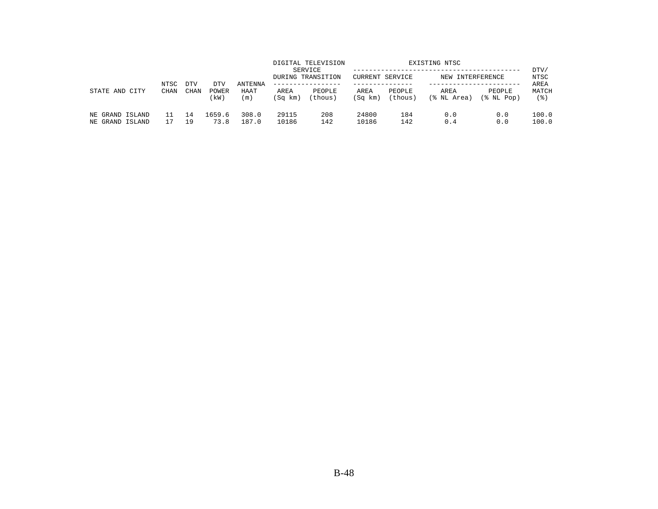|                                    |                     |                           |                      |                               |                 | DIGITAL TELEVISION<br>SERVICE<br>DURING TRANSITION | CURRENT SERVICE |                   | EXISTING NTSC<br>NEW INTERFERENCE |                      | DTV/<br>NTSC         |
|------------------------------------|---------------------|---------------------------|----------------------|-------------------------------|-----------------|----------------------------------------------------|-----------------|-------------------|-----------------------------------|----------------------|----------------------|
| STATE AND<br>CITY                  | NTSC<br><b>CHAN</b> | <b>DTV</b><br><b>CHAN</b> | DTV<br>POWER<br>(kW) | <b>ANTENNA</b><br>HAAT<br>(m) | AREA<br>(Sq km) | -------------<br>PEOPLE<br>(thous)                 | AREA<br>(Sq km) | PEOPLE<br>(thous) | AREA<br>(% NL Area)               | PEOPLE<br>(% NL Pop) | AREA<br>MATCH<br>(응) |
| NE GRAND ISLAND<br>NE GRAND ISLAND |                     | 14<br>19                  | 1659.6<br>73.8       | 308.0<br>187.0                | 29115<br>10186  | 208<br>142                                         | 24800<br>10186  | 184<br>142        | 0.0<br>0.4                        | 0.0<br>0.0           | 100.0<br>100.0       |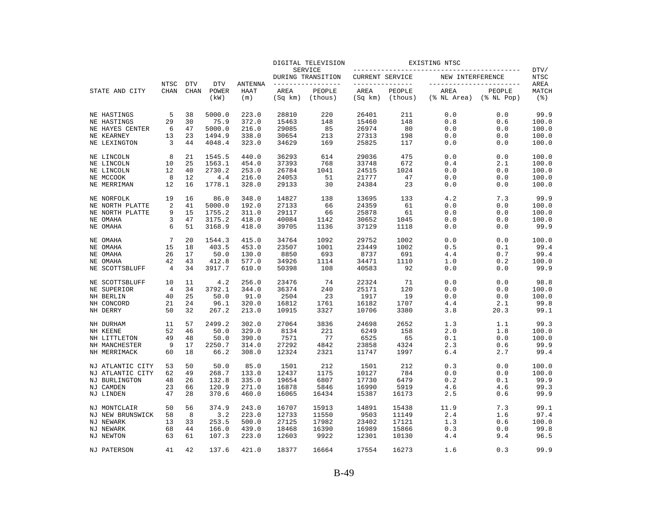|                                      |                |             |                  |                    |                 | DIGITAL TELEVISION           |                        |                   | EXISTING NTSC            |                            |                                |
|--------------------------------------|----------------|-------------|------------------|--------------------|-----------------|------------------------------|------------------------|-------------------|--------------------------|----------------------------|--------------------------------|
|                                      |                |             |                  |                    |                 | SERVICE<br>DURING TRANSITION | <b>CURRENT SERVICE</b> |                   | NEW INTERFERENCE         |                            | DTV/<br>NTSC                   |
|                                      | NTSC           | <b>DTV</b>  | <b>DTV</b>       | ANTENNA            |                 | ______________               | _______________        |                   | ------------------------ |                            | AREA                           |
| STATE AND CITY                       | <b>CHAN</b>    | <b>CHAN</b> | POWER<br>(kW)    | <b>HAAT</b><br>(m) | AREA<br>(Sq km) | PEOPLE<br>(thous)            | AREA<br>(Sq km)        | PEOPLE<br>(thous) | AREA<br>(% NL Area)      | PEOPLE<br>$(\$$ NL Pop $)$ | MATCH<br>$($ $\frac{6}{3}$ $)$ |
| NE HASTINGS                          | 5              | 38          | 5000.0           | 223.0              | 28810           | 220                          | 26401                  | 211               | 0.0                      | 0.0                        | 99.9                           |
| NE HASTINGS                          | 29             | 30          | 75.9             | 372.0              | 15463           | 148                          | 15460                  | 148               | 0.8                      | 0.6                        | 100.0                          |
| NE HAYES CENTER                      | 6              | 47          | 5000.0           | 216.0              | 29085           | 85                           | 26974                  | 80                | 0.0                      | 0.0                        | 100.0                          |
| NE KEARNEY                           | 13             | 23          | 1494.9           | 338.0              | 30654           | 213                          | 27313                  | 198               | 0.0                      | 0.0                        | 100.0                          |
| NE LEXINGTON                         | 3              | 44          | 4048.4           | 323.0              | 34629           | 169                          | 25825                  | 117               | 0.0                      | 0.0                        | 100.0                          |
| NE LINCOLN                           | 8              | 21          | 1545.5           | 440.0              | 36293           | 614                          | 29036                  | 475               | 0.0                      | 0.0                        | 100.0                          |
| NE LINCOLN                           | 10             | 25          | 1563.1           | 454.0              | 37393           | 768                          | 33748                  | 672               | 0.4                      | 2.1                        | 100.0                          |
| NE LINCOLN                           | 12             | 40          | 2730.2           | 253.0              | 26784           | 1041                         | 24515                  | 1024              | 0.0                      | 0.0                        | 100.0                          |
| NE MCCOOK                            | 8              | 12          | 4.4              | 216.0              | 24053           | 51                           | 21777                  | 47                | 0.0                      | 0.0                        | 100.0                          |
| NE MERRIMAN                          | 12             | 16          | 1778.1           | 328.0              | 29133           | 30                           | 24384                  | 23                | 0.0                      | 0.0                        | 100.0                          |
| NE NORFOLK                           | 19             | 16          | 86.0             | 348.0              | 14827           | 138                          | 13695                  | 133               | 4.2                      | 7.3                        | 99.9                           |
| NE NORTH PLATTE                      | 2              | 41          | 5000.0           | 192.0              | 27133           | 66                           | 24359                  | 61                | 0.0                      | 0.0                        | 100.0                          |
| NE NORTH PLATTE                      | 9              | 15          | 1755.2           | 311.0              | 29117           | 66                           | 25878                  | 61                | 0.0                      | 0.0                        | 100.0                          |
| NE OMAHA<br>NE OMAHA                 | 3<br>6         | 47<br>51    | 3175.2<br>3168.9 | 418.0<br>418.0     | 40084<br>39705  | 1142<br>1136                 | 30652<br>37129         | 1045<br>1118      | 0.0<br>0.0               | 0.0<br>0.0                 | 100.0<br>99.9                  |
|                                      |                |             |                  |                    |                 |                              |                        |                   |                          |                            |                                |
| NE OMAHA                             | 7              | 20          | 1544.3           | 415.0              | 34764           | 1092                         | 29752                  | 1002              | 0.0                      | 0.0                        | 100.0                          |
| NE OMAHA                             | 15             | 18          | 403.5            | 453.0              | 23507           | 1001                         | 23449                  | 1002              | 0.5                      | 0.1                        | 99.4                           |
| NE OMAHA                             | 26             | 17          | 50.0             | 130.0              | 8850            | 693                          | 8737                   | 691               | 4.4                      | 0.7                        | 99.4                           |
| NE OMAHA                             | 42             | 43          | 412.8            | 577.0              | 34926           | 1114                         | 34471                  | 1110              | 1.0                      | 0.2                        | 100.0                          |
| NE SCOTTSBLUFF                       | 4              | 34          | 3917.7           | 610.0              | 50398           | 108                          | 40583                  | 92                | 0.0                      | 0.0                        | 99.9                           |
| NE SCOTTSBLUFF                       | 10             | 11          | 4.2              | 256.0              | 23476           | 74                           | 22324                  | 71                | 0.0                      | 0.0                        | 98.8                           |
| NE SUPERIOR                          | $\overline{4}$ | 34          | 3792.1           | 344.0              | 36374           | 240                          | 25171                  | 120               | 0.0                      | 0.0                        | 100.0                          |
| NH BERLIN                            | 40             | 25          | 50.0             | 91.0               | 2504            | 23                           | 1917                   | 19                | 0.0                      | 0.0                        | 100.0                          |
| NH CONCORD<br>NH DERRY               | 21<br>50       | 24<br>32    | 96.1<br>267.2    | 320.0<br>213.0     | 16812<br>10915  | 1761<br>3327                 | 16182<br>10706         | 1707<br>3380      | 4.4<br>3.8               | 2.1<br>20.3                | 99.8<br>99.1                   |
|                                      |                |             |                  |                    |                 |                              |                        |                   |                          |                            |                                |
| NH DURHAM                            | 11             | 57          | 2499.2           | 302.0              | 27064           | 3836                         | 24698                  | 2652              | 1.3                      | 1.1                        | 99.3                           |
| NH KEENE                             | 52             | 46          | 50.0             | 329.0              | 8134            | 221                          | 6249                   | 158               | 2.0                      | 1.8                        | 100.0                          |
| NH LITTLETON                         | 49             | 48          | 50.0             | 390.0              | 7571            | 77                           | 6525                   | 65                | 0.1                      | 0.0                        | 100.0                          |
| NH MANCHESTER                        | 9<br>60        | 17<br>18    | 2250.7           | 314.0              | 27292           | 4842                         | 23858                  | 4324<br>1997      | 2.3                      | 0.6                        | 99.9<br>99.4                   |
| NH MERRIMACK                         |                |             | 66.2             | 308.0              | 12324           | 2321                         | 11747                  |                   | 6.4                      | 2.7                        |                                |
| NJ ATLANTIC CITY<br>NJ ATLANTIC CITY | 53<br>62       | 50<br>49    | 50.0<br>268.7    | 85.0<br>133.0      | 1501<br>12437   | 212<br>1175                  | 1501<br>10127          | 212<br>784        | 0.3<br>0.0               | 0.0<br>0.0                 | 100.0<br>100.0                 |
|                                      | 48             | 26          | 132.8            | 335.0              | 19654           | 6807                         | 17730                  | 6479              |                          | 0.1                        | 99.9                           |
| NJ BURLINGTON<br>NJ CAMDEN           | 23             | 66          | 120.9            | 271.0              | 16878           | 5846                         | 16990                  | 5919              | 0.2<br>4.6               | 4.6                        | 99.3                           |
| NJ LINDEN                            | 47             | 28          | 370.6            | 460.0              | 16065           | 16434                        | 15387                  | 16173             | 2.5                      | 0.6                        | 99.9                           |
|                                      |                |             |                  |                    |                 |                              |                        |                   |                          |                            |                                |
| NJ MONTCLAIR                         | 50             | 56          | 374.9            | 243.0              | 16707           | 15913                        | 14891                  | 15438             | 11.9                     | 7.3                        | 99.1                           |
| NJ NEW BRUNSWICK                     | 58             | 8           | 3.2              | 223.0              | 12733           | 11550                        | 9503                   | 11149             | 2.4                      | 1.6                        | 97.4                           |
| NJ NEWARK                            | 13             | 33          | 253.5            | 500.0              | 27125           | 17982                        | 23402                  | 17121             | 1.3                      | 0.6                        | 100.0                          |
| NJ NEWARK                            | 68             | 44          | 166.0            | 439.0              | 18468           | 16390                        | 16989                  | 15866             | 0.3                      | 0.0                        | 99.8                           |
| NJ NEWTON                            | 63             | 61          | 107.3            | 223.0              | 12603           | 9922                         | 12301                  | 10130             | 4.4                      | 9.4                        | 96.5                           |
| NJ PATERSON                          | 41             | 42          | 137.6            | 421.0              | 18377           | 16664                        | 17554                  | 16273             | 1.6                      | 0.3                        | 99.9                           |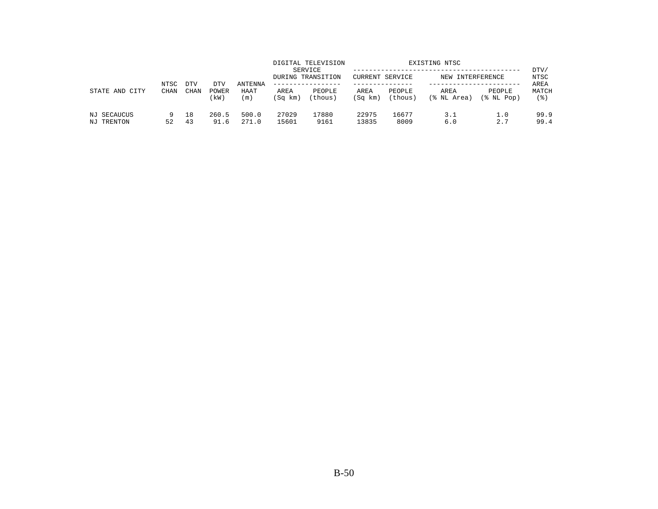| STATE AND<br>CITY         | NTSC<br><b>CHAN</b> | <b>DTV</b> | DTV           | <b>ANTENNA</b> |                 | DIGITAL TELEVISION<br>SERVICE<br>DURING TRANSITION<br>------------- | CURRENT SERVICE |                   | EXISTING NTSC<br>NEW INTERFERENCE |                      | DTV/<br>NTSC<br>AREA |
|---------------------------|---------------------|------------|---------------|----------------|-----------------|---------------------------------------------------------------------|-----------------|-------------------|-----------------------------------|----------------------|----------------------|
|                           |                     | CHAN       | POWER<br>(kW) | HAAT<br>(m)    | AREA<br>(Sq km) | PEOPLE<br>(thous)                                                   | AREA<br>(Sq km) | PEOPLE<br>(thous) | AREA<br>(% NL Area)               | PEOPLE<br>(% NL Pop) | MATCH<br>(응)         |
| NJ SECAUCUS<br>NJ TRENTON | 9<br>52             | 18<br>43   | 260.5<br>91.6 | 500.0<br>271.0 | 27029<br>15601  | 17880<br>9161                                                       | 22975<br>13835  | 16677<br>8009     | 3.1<br>6.0                        | 1.0<br>2.7           | 99.9<br>99.4         |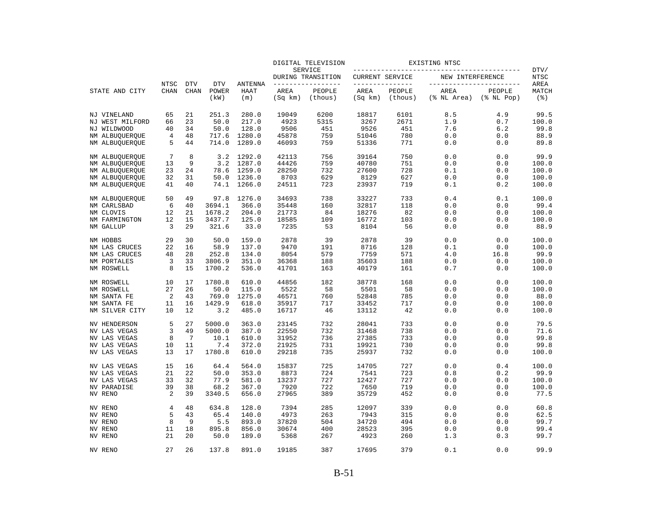|                            |                |             |                  |                    |                 | DIGITAL TELEVISION           |                        |                   | EXISTING NTSC       |                            |                    |
|----------------------------|----------------|-------------|------------------|--------------------|-----------------|------------------------------|------------------------|-------------------|---------------------|----------------------------|--------------------|
|                            |                |             |                  |                    |                 | SERVICE<br>DURING TRANSITION | <b>CURRENT SERVICE</b> |                   | NEW INTERFERENCE    |                            | DTV/<br>NTSC       |
|                            | NTSC           | <b>DTV</b>  | <b>DTV</b>       | ANTENNA            |                 | -------------                | _______________        |                   |                     | -----------------          | AREA               |
| STATE AND CITY             | <b>CHAN</b>    | <b>CHAN</b> | POWER<br>(kW)    | <b>HAAT</b><br>(m) | AREA<br>(Sq km) | PEOPLE<br>(thous)            | AREA<br>(Sq km)        | PEOPLE<br>(thous) | AREA<br>(% NL Area) | PEOPLE<br>$(\$$ NL Pop $)$ | MATCH<br>$($ % $)$ |
| NJ VINELAND                | 65             | 21          | 251.3            | 280.0              | 19049           | 6200                         | 18817                  | 6101              | 8.5                 | 4.9                        | 99.5               |
| NJ WEST MILFORD            | 66             | 23          | 50.0             | 217.0              | 4923            | 5315                         | 3267                   | 2671              | 1.9                 | 0.7                        | 100.0              |
| NJ WILDWOOD                | 40             | 34          | 50.0             | 128.0              | 9506            | 451                          | 9526                   | 451               | 7.6                 | 6.2                        | 99.8               |
| NM ALBUQUERQUE             | $\overline{4}$ | 48          | 717.6            | 1280.0             | 45878           | 759                          | 51046                  | 780               | 0.0                 | 0.0                        | 88.9               |
| NM ALBUQUERQUE             | 5              | 44          | 714.0            | 1289.0             | 46093           | 759                          | 51336                  | 771               | 0.0                 | 0.0                        | 89.8               |
| NM ALBUQUERQUE             | 7              | 8           | 3.2              | 1292.0             | 42113           | 756                          | 39164                  | 750               | 0.0                 | 0.0                        | 99.9               |
| NM ALBUQUERQUE             | 13             | 9           | 3.2              | 1287.0             | 44426           | 759                          | 40780                  | 751               | 0.0                 | 0.0                        | 100.0              |
| NM ALBUQUERQUE             | 23             | 24          | 78.6             | 1259.0             | 28250           | 732                          | 27600                  | 728               | 0.1                 | 0.0                        | 100.0              |
| NM ALBUQUERQUE             | 32             | 31          | 50.0             | 1236.0             | 8703            | 629                          | 8129                   | 627               | 0.0                 | 0.0                        | 100.0              |
| NM ALBUQUERQUE             | 41             | 40          | 74.1             | 1266.0             | 24511           | 723                          | 23937                  | 719               | 0.1                 | 0.2                        | 100.0              |
| NM ALBUQUERQUE             | 50             | 49          | 97.8             | 1276.0             | 34693           | 738                          | 33227                  | 733               | 0.4                 | 0.1                        | 100.0              |
| NM CARLSBAD                | 6              | 40          | 3694.1           | 366.0              | 35448           | 160                          | 32817                  | 118               | 0.0                 | 0.0                        | 99.4               |
| NM CLOVIS                  | 12             | 21          | 1678.2           | 204.0              | 21773           | 84                           | 18276                  | 82                | 0.0                 | 0.0                        | 100.0              |
| NM FARMINGTON<br>NM GALLUP | 12<br>3        | 15<br>29    | 3437.7<br>321.6  | 125.0<br>33.0      | 18585<br>7235   | 109<br>53                    | 16772<br>8104          | 103<br>56         | 0.0<br>0.0          | 0.0<br>0.0                 | 100.0<br>88.9      |
|                            |                |             |                  |                    |                 |                              |                        |                   |                     |                            |                    |
| NM HOBBS                   | 29             | 30          | 50.0             | 159.0              | 2878            | 39                           | 2878                   | 39                | 0.0                 | 0.0                        | 100.0              |
| NM LAS CRUCES              | 22             | 16          | 58.9             | 137.0              | 9470            | 191                          | 8716                   | 128               | 0.1                 | 0.0                        | 100.0              |
| NM LAS CRUCES              | 48             | 28          | 252.8            | 134.0              | 8054            | 579                          | 7759                   | 571               | 4.0                 | 16.8                       | 99.9               |
| NM PORTALES<br>NM ROSWELL  | 3<br>8         | 33<br>15    | 3806.9<br>1700.2 | 351.0<br>536.0     | 36368<br>41701  | 188<br>163                   | 35603<br>40179         | 188<br>161        | 0.0<br>0.7          | 0.0<br>0.0                 | 100.0<br>100.0     |
| NM ROSWELL                 | 10             | 17          | 1780.8           | 610.0              | 44856           | 182                          | 38778                  | 168               | 0.0                 | 0.0                        | 100.0              |
| NM ROSWELL                 | 27             | 26          | 50.0             | 115.0              | 5522            | 58                           | 5501                   | 58                | 0.0                 | 0.0                        | 100.0              |
| NM SANTA FE                | 2              | 43          | 769.0            | 1275.0             | 46571           | 760                          | 52848                  | 785               | 0.0                 | 0.0                        | 88.0               |
| NM SANTA FE                | 11             | 16          | 1429.9           | 618.0              | 35917           | 717                          | 33452                  | 717               | 0.0                 | 0.0                        | 100.0              |
| NM SILVER CITY             | 10             | 12          | 3.2              | 485.0              | 16717           | 46                           | 13112                  | 42                | 0.0                 | 0.0                        | 100.0              |
| NV HENDERSON               | 5              | 27          | 5000.0           | 363.0              | 23145           | 732                          | 28041                  | 733               | 0.0                 | 0.0                        | 79.5               |
| NV LAS VEGAS               | 3              | 49          | 5000.0           | 387.0              | 22550           | 732                          | 31468                  | 738               | 0.0                 | 0.0                        | 71.6               |
| NV LAS VEGAS               | 8              | 7           | 10.1             | 610.0              | 31952           | 736                          | 27385                  | 733               | 0.0                 | 0.0                        | 99.8               |
| NV LAS VEGAS               | 10             | 11          | 7.4              | 372.0              | 21925           | 731                          | 19921                  | 730               | 0.0                 | 0.0                        | 99.8               |
| NV LAS VEGAS               | 13             | 17          | 1780.8           | 610.0              | 29218           | 735                          | 25937                  | 732               | 0.0                 | 0.0                        | 100.0              |
| NV LAS VEGAS               | 15             | 16          | 64.4             | 564.0              | 15837           | 725                          | 14705                  | 727               | 0.0                 | 0.4                        | 100.0              |
| NV LAS VEGAS               | 21             | 22          | 50.0             | 353.0              | 8873            | 724                          | 7541                   | 723               | 0.8                 | 0.2                        | 99.9               |
| NV LAS VEGAS               | 33             | 32          | 77.9             | 581.0              | 13237           | 727                          | 12427                  | 727               | 0.0                 | 0.0                        | 100.0              |
| <b>NV PARADISE</b>         | 39             | 38          | 68.2             | 367.0              | 7920            | 722                          | 7650                   | 719               | 0.0                 | 0.0                        | 100.0              |
| NV RENO                    | 2              | 39          | 3340.5           | 656.0              | 27965           | 389                          | 35729                  | 452               | 0.0                 | 0.0                        | 77.5               |
| NV RENO                    | 4              | 48          | 634.8            | 128.0              | 7394            | 285                          | 12097                  | 339               | 0.0                 | 0.0                        | 60.8               |
| NV RENO                    | 5              | 43          | 65.4             | 140.0              | 4973            | 263                          | 7943                   | 315               | 0.0                 | 0.0                        | 62.5               |
| NV RENO                    | 8              | 9           | 5.5              | 893.0              | 37820           | 504                          | 34720                  | 494               | 0.0                 | 0.0                        | 99.7               |
| NV RENO                    | 11             | 18          | 895.8            | 856.0              | 30674           | 400                          | 28523                  | 395               | 0.0                 | 0.0                        | 99.4               |
| NV RENO                    | 21             | 20          | 50.0             | 189.0              | 5368            | 267                          | 4923                   | 260               | 1.3                 | 0.3                        | 99.7               |
| NV RENO                    | 27             | 2.6         | 137.8            | 891.0              | 19185           | 387                          | 17695                  | 379               | 0.1                 | 0.0                        | 99.9               |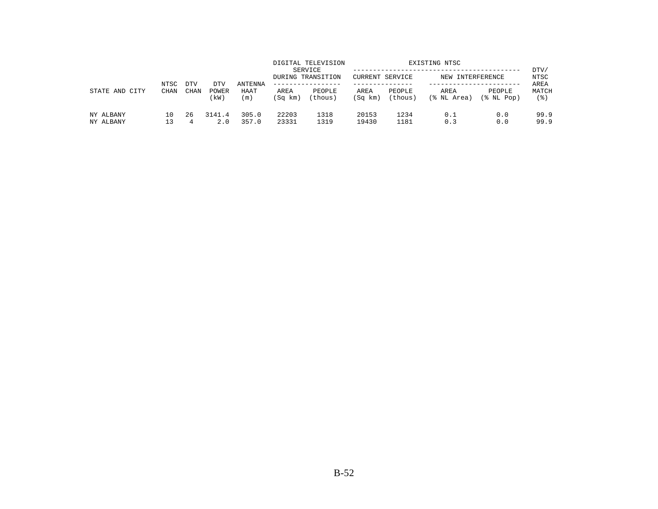|                        | NTSC        | <b>DTV</b> | DTV           | ANTENNA        |                 | DIGITAL TELEVISION<br>SERVICE<br>DURING TRANSITION<br>------------- | CURRENT SERVICE |                   | EXISTING NTSC<br>NEW INTERFERENCE |                      | DTV/<br>NTSC<br>AREA |
|------------------------|-------------|------------|---------------|----------------|-----------------|---------------------------------------------------------------------|-----------------|-------------------|-----------------------------------|----------------------|----------------------|
| CITY<br>STATE AND      | <b>CHAN</b> | CHAN       | POWER<br>(kW) | HAAT<br>(m)    | AREA<br>(Sq km) | PEOPLE<br>(thous)                                                   | AREA<br>(Sq km) | PEOPLE<br>(thous) | AREA<br>(% NL Area)               | PEOPLE<br>(% NL Pop) | MATCH<br>(응)         |
| NY ALBANY<br>NY ALBANY | 10          | 26<br>4    | 3141.4<br>2.0 | 305.0<br>357.0 | 22203<br>23331  | 1318<br>1319                                                        | 20153<br>19430  | 1234<br>1181      | 0.1<br>0.3                        | 0.0<br>0.0           | 99.9<br>99.9         |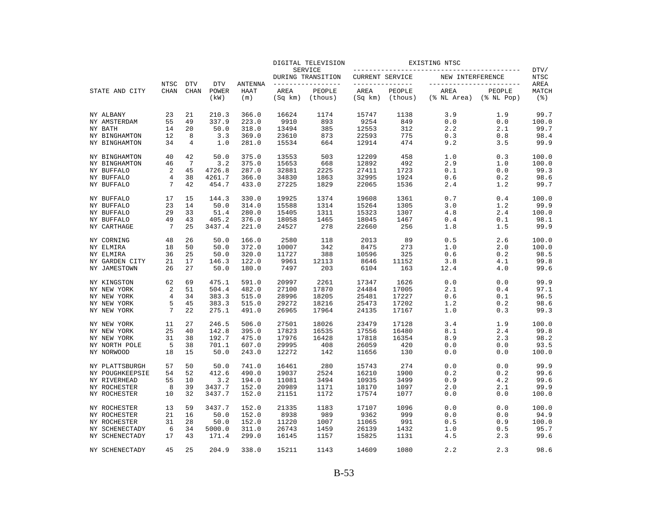|                 |                |             |               |             |                 | DIGITAL TELEVISION           |                 |                   | EXISTING NTSC            |                            |              |
|-----------------|----------------|-------------|---------------|-------------|-----------------|------------------------------|-----------------|-------------------|--------------------------|----------------------------|--------------|
|                 |                |             |               |             |                 | SERVICE<br>DURING TRANSITION | CURRENT SERVICE |                   | NEW INTERFERENCE         |                            | DTV/<br>NTSC |
|                 | NTSC           | <b>DTV</b>  | <b>DTV</b>    | ANTENNA     |                 | --------------               | --------------- |                   | ------------------------ |                            | AREA         |
| STATE AND CITY  | <b>CHAN</b>    | <b>CHAN</b> | POWER<br>(kW) | HAAT<br>(m) | AREA<br>(Sq km) | PEOPLE<br>(thous)            | AREA<br>(Sq km) | PEOPLE<br>(thous) | AREA<br>(% NL Area)      | PEOPLE<br>$(\$$ NL Pop $)$ | MATCH<br>(3) |
| NY ALBANY       | 23             | 21          | 210.3         | 366.0       | 16624           | 1174                         | 15747           | 1138              | 3.9                      | 1.9                        | 99.7         |
| NY AMSTERDAM    | 55             | 49          | 337.9         | 223.0       | 9910            | 893                          | 9254            | 849               | 0.0                      | 0.0                        | 100.0        |
| NY BATH         | 14             | 20          | 50.0          | 318.0       | 13494           | 385                          | 12553           | 312               | 2.2                      | 2.1                        | 99.7         |
| NY BINGHAMTON   | 12             | 8           | 3.3           | 369.0       | 23610           | 873                          | 22593           | 775               | 0.3                      | 0.8                        | 98.4         |
| NY BINGHAMTON   | 34             | 4           | 1.0           | 281.0       | 15534           | 664                          | 12914           | 474               | 9.2                      | 3.5                        | 99.9         |
| NY BINGHAMTON   | 40             | 42          | 50.0          | 375.0       | 13553           | 503                          | 12209           | 458               | 1.0                      | 0.3                        | 100.0        |
| NY BINGHAMTON   | 46             | 7           | 3.2           | 375.0       | 15653           | 668                          | 12892           | 492               | 2.9                      | 1.0                        | 100.0        |
| NY BUFFALO      | $\overline{2}$ | 45          | 4726.8        | 287.0       | 32881           | 2225                         | 27411           | 1723              | 0.1                      | 0.0                        | 99.3         |
| NY BUFFALO      | 4              | 38          | 4261.7        | 366.0       | 34830           | 1863                         | 32995           | 1924              | 0.6                      | 0.2                        | 98.6         |
| NY BUFFALO      | 7              | 42          | 454.7         | 433.0       | 27225           | 1829                         | 22065           | 1536              | 2.4                      | 1.2                        | 99.7         |
| NY BUFFALO      | 17             | 15          | 144.3         | 330.0       | 19925           | 1374                         | 19608           | 1361              | 0.7                      | 0.4                        | 100.0        |
| NY BUFFALO      | 23             | 14          | 50.0          | 314.0       | 15588           | 1314                         | 15264           | 1305              | 3.0                      | 1.2                        | 99.9         |
| NY BUFFALO      | 29             | 33          | 51.4          | 280.0       | 15405           | 1311                         | 15323           | 1307              | 4.8                      | 2.4                        | 100.0        |
| NY BUFFALO      | 49             | 43          | 405.2         | 376.0       | 18058           | 1465                         | 18045           | 1467              | 0.4                      | 0.1                        | 98.1         |
| NY CARTHAGE     | 7              | 25          | 3437.4        | 221.0       | 24527           | 278                          | 22660           | 256               | 1.8                      | 1.5                        | 99.9         |
| NY CORNING      | 48             | 26          | 50.0          | 166.0       | 2580            | 118                          | 2013            | 89                | 0.5                      | 2.6                        | 100.0        |
| NY ELMIRA       | 18             | 50          | 50.0          | 372.0       | 10007           | 342                          | 8475            | 273               | 1.0                      | 2.0                        | 100.0        |
| NY ELMIRA       | 36             | 25          | 50.0          | 320.0       | 11727           | 388                          | 10596           | 325               | 0.6                      | 0.2                        | 98.5         |
| NY GARDEN CITY  | 21             | 17          | 146.3         | 122.0       | 9961            | 12113                        | 8646            | 11152             | 3.8                      | 4.1                        | 99.8         |
| NY JAMESTOWN    | 26             | 27          | 50.0          | 180.0       | 7497            | 203                          | 6104            | 163               | 12.4                     | 4.0                        | 99.6         |
| NY KINGSTON     | 62             | 69          | 475.1         | 591.0       | 20997           | 2261                         | 17347           | 1626              | 0.0                      | 0.0                        | 99.9         |
| NY NEW YORK     | 2              | 51          | 504.4         | 482.0       | 27100           | 17870                        | 24484           | 17005             | 2.1                      | 0.4                        | 97.1         |
| NY NEW YORK     | 4              | 34          | 383.3         | 515.0       | 28996           | 18205                        | 25481           | 17227             | 0.6                      | 0.1                        | 96.5         |
| NY NEW YORK     | 5              | 45          | 383.3         | 515.0       | 29272           | 18216                        | 25473           | 17202             | 1.2                      | 0.2                        | 98.6         |
| NY NEW YORK     | 7              | 22          | 275.1         | 491.0       | 26965           | 17964                        | 24135           | 17167             | 1.0                      | 0.3                        | 99.3         |
| NY NEW YORK     | 11             | 27          | 246.5         | 506.0       | 27501           | 18026                        | 23479           | 17128             | 3.4                      | 1.9                        | 100.0        |
| NY NEW YORK     | 25             | 40          | 142.8         | 395.0       | 17823           | 16535                        | 17556           | 16480             | 8.1                      | 2.4                        | 99.8         |
| NY NEW YORK     | 31             | 38          | 192.7         | 475.0       | 17976           | 16428                        | 17818           | 16354             | 8.9                      | 2.3                        | 98.2         |
| NY NORTH POLE   | 5              | 38          | 701.1         | 607.0       | 29995           | 408                          | 26059           | 420               | 0.0                      | 0.0                        | 93.5         |
| NY NORWOOD      | 18             | 15          | 50.0          | 243.0       | 12272           | 142                          | 11656           | 130               | 0.0                      | 0.0                        | 100.0        |
| NY PLATTSBURGH  | 57             | 50          | 50.0          | 741.0       | 16461           | 280                          | 15743           | 274               | 0.0                      | 0.0                        | 99.9         |
| NY POUGHKEEPSIE | 54             | 52          | 412.6         | 490.0       | 19037           | 2524                         | 16210           | 1900              | 0.2                      | 0.2                        | 99.6         |
| NY RIVERHEAD    | 55             | 10          | 3.2           | 194.0       | 11081           | 3494                         | 10935           | 3499              | 0.9                      | 4.2                        | 99.6         |
| NY ROCHESTER    | 8              | 39          | 3437.7        | 152.0       | 20989           | 1171                         | 18170           | 1097              | 2.0                      | 2.1                        | 99.9         |
| NY ROCHESTER    | 10             | 32          | 3437.7        | 152.0       | 21151           | 1172                         | 17574           | 1077              | 0.0                      | 0.0                        | 100.0        |
| NY ROCHESTER    | 13             | 59          | 3437.7        | 152.0       | 21335           | 1183                         | 17107           | 1096              | 0.0                      | 0.0                        | 100.0        |
| NY ROCHESTER    | 21             | 16          | 50.0          | 152.0       | 8938            | 989                          | 9362            | 999               | 0.0                      | 0.0                        | 94.9         |
| NY ROCHESTER    | 31             | 28          | 50.0          | 152.0       | 11220           | 1007                         | 11065           | 991               | 0.5                      | 0.9                        | 100.0        |
| NY SCHENECTADY  | 6              | 34          | 5000.0        | 311.0       | 26743           | 1459                         | 26139           | 1432              | 1.0                      | 0.5                        | 95.7         |
| NY SCHENECTADY  | 17             | 43          | 171.4         | 299.0       | 16145           | 1157                         | 15825           | 1131              | 4.5                      | 2.3                        | 99.6         |
| NY SCHENECTADY  | 45             | 2.5         | 204.9         | 338.0       | 15211           | 1143                         | 14609           | 1080              | 2.2                      | 2.3                        | 98.6         |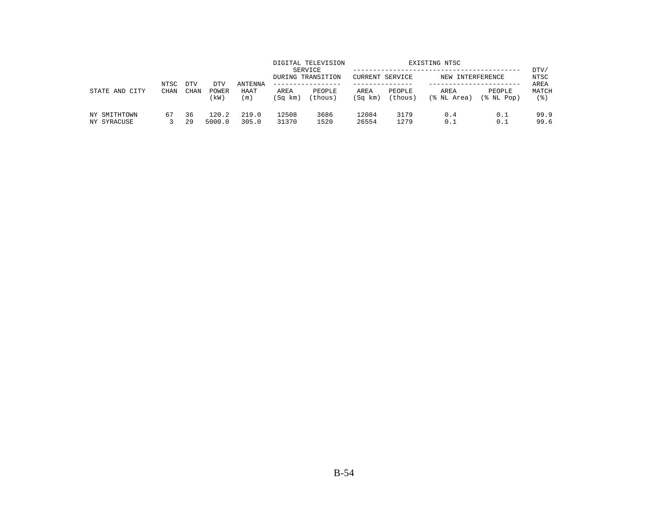| STATE AND<br>CITY           | NTSC<br><b>CHAN</b> | <b>DTV</b>  | DTV             | <b>ANTENNA</b> |                 | DIGITAL TELEVISION<br>SERVICE<br>DURING TRANSITION | CURRENT SERVICE |                   | EXISTING NTSC<br>NEW INTERFERENCE |                      | DTV/<br>NTSC<br>AREA |
|-----------------------------|---------------------|-------------|-----------------|----------------|-----------------|----------------------------------------------------|-----------------|-------------------|-----------------------------------|----------------------|----------------------|
|                             |                     | <b>CHAN</b> | POWER<br>(kW)   | HAAT<br>(m)    | AREA<br>(Sq km) | PEOPLE<br>(thous)                                  | AREA<br>(Sq km) | PEOPLE<br>(thous) | AREA<br>(% NL Area)               | PEOPLE<br>(% NL Pop) | MATCH<br>' 응 )       |
| NY SMITHTOWN<br>NY SYRACUSE | 67                  | 36<br>29    | 120.2<br>5000.0 | 219.0<br>305.0 | 12508<br>31370  | 3686<br>1520                                       | 12084<br>26554  | 3179<br>1279      | 0.4<br>0.1                        | 0.1<br>0.1           | 99.9<br>99.6         |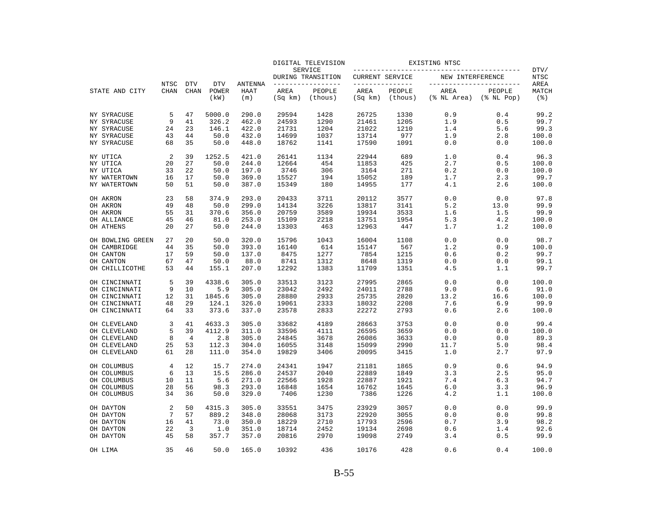|                                |             |                |               |                |                 | DIGITAL TELEVISION                  |                 |                   | EXISTING NTSC                                      |                            |                             |
|--------------------------------|-------------|----------------|---------------|----------------|-----------------|-------------------------------------|-----------------|-------------------|----------------------------------------------------|----------------------------|-----------------------------|
|                                |             |                |               |                |                 | <b>SERVICE</b><br>DURING TRANSITION | CURRENT SERVICE |                   | ______________________________<br>NEW INTERFERENCE |                            | DTV/<br>NTSC                |
|                                | NTSC        | <b>DTV</b>     | <b>DTV</b>    | ANTENNA        |                 | -------------                       |                 | ------------      |                                                    | -----------------          | AREA                        |
| STATE AND CITY                 | <b>CHAN</b> | <b>CHAN</b>    | POWER<br>(kW) | HAAT<br>(m)    | AREA<br>(Sq km) | PEOPLE<br>(thous)                   | AREA<br>(Sq km) | PEOPLE<br>(thous) | AREA<br>(% NL Area)                                | PEOPLE<br>$(\$$ NL Pop $)$ | MATCH<br>$($ $\mathcal{E})$ |
| NY SYRACUSE                    | 5           | 47             | 5000.0        | 290.0          | 29594           | 1428                                | 26725           | 1330              | 0.9                                                | 0.4                        | 99.2                        |
| NY SYRACUSE                    | 9           | 41             | 326.2         | 462.0          | 24593           | 1290                                | 21461           | 1205              | 1.9                                                | 0.5                        | 99.7                        |
| NY SYRACUSE                    | 24          | 23             | 146.1         | 422.0          | 21731           | 1204                                | 21022           | 1210              | 1.4                                                | 5.6                        | 99.3                        |
| NY SYRACUSE                    | 43          | 44             | 50.0          | 432.0          | 14699           | 1037                                | 13714           | 977               | 1.9                                                | 2.8                        | 100.0                       |
| NY SYRACUSE                    | 68          | 35             | 50.0          | 448.0          | 18762           | 1141                                | 17590           | 1091              | 0.0                                                | 0.0                        | 100.0                       |
| NY UTICA                       | 2           | 39             | 1252.5        | 421.0          | 26141           | 1134                                | 22944           | 689               | 1.0                                                | 0.4                        | 96.3                        |
| NY UTICA                       | 20          | 27             | 50.0          | 244.0          | 12664           | 454                                 | 11853           | 425               | 2.7                                                | 0.5                        | 100.0                       |
| NY UTICA                       | 33          | 22             | 50.0          | 197.0          | 3746            | 306                                 | 3164            | 271               | 0.2                                                | 0.0                        | 100.0                       |
| NY WATERTOWN                   | 16          | 17             | 50.0          | 369.0          | 15527           | 194                                 | 15052           | 189               | 1.7                                                | 2.3                        | 99.7                        |
| NY WATERTOWN                   | 50          | 51             | 50.0          | 387.0          | 15349           | 180                                 | 14955           | 177               | 4.1                                                | 2.6                        | 100.0                       |
| OH AKRON                       | 23          | 58             | 374.9         | 293.0          | 20433           | 3711                                | 20112           | 3577              | 0.0                                                | 0.0                        | 97.8                        |
| OH AKRON                       | 49          | 48             | 50.0          | 299.0          | 14134           | 3226                                | 13817           | 3141              | 5.2                                                | 13.0                       | 99.9                        |
| OH AKRON                       | 55          | 31             | 370.6         | 356.0          | 20759           | 3589                                | 19934           | 3533              | 1.6                                                | 1.5                        | 99.9                        |
| OH ALLIANCE                    | 45          | 46             | 81.0          | 253.0          | 15109           | 2218                                | 13751           | 1954              | 5.3                                                | 4.2                        | 100.0                       |
| OH ATHENS                      | 20          | 27             | 50.0          | 244.0          | 13303           | 463                                 | 12963           | 447               | 1.7                                                | 1.2                        | 100.0                       |
| OH BOWLING GREEN               | 27          | 20             | 50.0          | 320.0          | 15796           | 1043                                | 16004           | 1108              | 0.0                                                | 0.0                        | 98.7                        |
| OH CAMBRIDGE                   | 44          | 35             | 50.0          | 393.0          | 16140           | 614                                 | 15147           | 567               | 1.2                                                | 0.9                        | 100.0                       |
| OH CANTON                      | 17          | 59             | 50.0          | 137.0          | 8475            | 1277                                | 7854            | 1215              | 0.6                                                | 0.2                        | 99.7                        |
| OH CANTON<br>OH CHILLICOTHE    | 67<br>53    | 47<br>44       | 50.0<br>155.1 | 88.0<br>207.0  | 8741<br>12292   | 1312<br>1383                        | 8648<br>11709   | 1319<br>1351      | 0.0<br>4.5                                         | 0.0<br>1.1                 | 99.1<br>99.7                |
|                                |             | 39             | 4338.6        |                |                 |                                     |                 |                   |                                                    |                            | 100.0                       |
| OH CINCINNATI<br>OH CINCINNATI | 5<br>9      | 10             | 5.9           | 305.0<br>305.0 | 33513<br>23042  | 3123<br>2492                        | 27995<br>24011  | 2865<br>2788      | 0.0<br>9.0                                         | 0.0<br>6.6                 | 91.0                        |
| OH CINCINNATI                  | 12          | 31             | 1845.6        | 305.0          | 28880           | 2933                                | 25735           | 2820              | 13.2                                               | 16.6                       | 100.0                       |
| OH CINCINNATI                  | 48          | 29             | 124.1         | 326.0          | 19061           | 2333                                | 18032           | 2208              | 7.6                                                | 6.9                        | 99.9                        |
| OH CINCINNATI                  | 64          | 33             | 373.6         | 337.0          | 23578           | 2833                                | 22272           | 2793              | 0.6                                                | 2.6                        | 100.0                       |
| OH CLEVELAND                   | 3           | 41             | 4633.3        | 305.0          | 33682           | 4189                                | 28663           | 3753              | 0.0                                                | 0.0                        | 99.4                        |
| OH CLEVELAND                   | 5           | 39             | 4112.9        | 311.0          | 33596           | 4111                                | 26595           | 3659              | 0.0                                                | 0.0                        | 100.0                       |
| OH CLEVELAND                   | 8           | $\overline{4}$ | 2.8           | 305.0          | 24845           | 3678                                | 26086           | 3633              | 0.0                                                | 0.0                        | 89.3                        |
| OH CLEVELAND                   | 25          | 53             | 112.3         | 304.0          | 16055           | 3148                                | 15099           | 2990              | 11.7                                               | 5.0                        | 98.4                        |
| OH CLEVELAND                   | 61          | 28             | 111.0         | 354.0          | 19829           | 3406                                | 20095           | 3415              | 1.0                                                | 2.7                        | 97.9                        |
| OH COLUMBUS                    | 4           | 12             | 15.7          | 274.0          | 24341           | 1947                                | 21181           | 1865              | 0.9                                                | 0.6                        | 94.9                        |
| OH COLUMBUS                    | 6           | 13             | 15.5          | 286.0          | 24537           | 2040                                | 22889           | 1849              | 3.3                                                | 2.5                        | 95.0                        |
| OH COLUMBUS                    | 10          | 11             | 5.6           | 271.0          | 22566           | 1928                                | 22887           | 1921              | 7.4                                                | 6.3                        | 94.7                        |
| OH COLUMBUS                    | 28          | 56             | 98.3          | 293.0          | 16848           | 1654                                | 16762           | 1645              | 6.0                                                | 3.3                        | 96.9                        |
| OH COLUMBUS                    | 34          | 36             | 50.0          | 329.0          | 7406            | 1230                                | 7386            | 1226              | 4.2                                                | 1.1                        | 100.0                       |
| OH DAYTON                      | 2           | 50             | 4315.3        | 305.0          | 33551           | 3475                                | 23929           | 3057              | 0.0                                                | 0.0                        | 99.9                        |
| OH DAYTON                      | 7           | 57             | 889.2         | 348.0          | 28068           | 3173                                | 22920           | 3055              | 0.0                                                | 0.0                        | 99.8                        |
| OH DAYTON                      | 16          | 41             | 73.0          | 350.0          | 18229           | 2710                                | 17793           | 2596              | 0.7                                                | 3.9                        | 98.2                        |
| OH DAYTON                      | 22          | 3              | 1.0           | 351.0          | 18714           | 2452                                | 19134           | 2698              | 0.6                                                | 1.4                        | 92.6                        |
| OH DAYTON                      | 45          | 58             | 357.7         | 357.0          | 20816           | 2970                                | 19098           | 2749              | 3.4                                                | 0.5                        | 99.9                        |
| OH LIMA                        | 35          | 46             | 50.0          | 165.0          | 10392           | 436                                 | 10176           | 428               | 0.6                                                | 0.4                        | 100.0                       |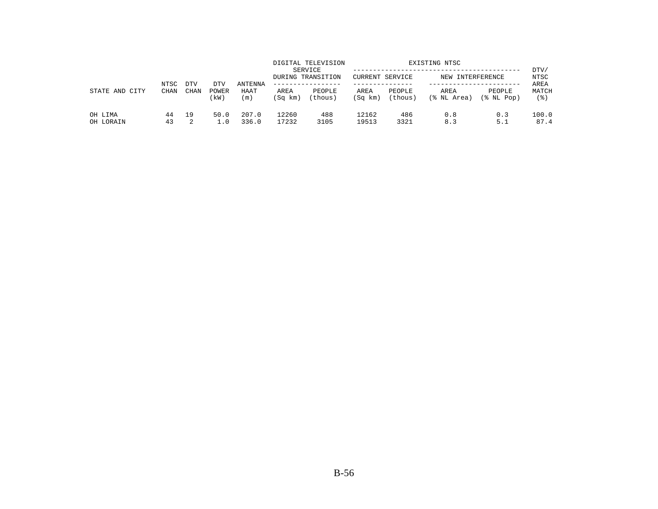|                      | NTSC        | <b>DTV</b> | DTV          | ANTENNA        |                 | DIGITAL TELEVISION<br>SERVICE<br>DURING TRANSITION<br>. _ _ _ _ _ _ _ _ _ _ _ _ _ | <b>CURRENT SERVICE</b> |                   | EXISTING NTSC<br>NEW INTERFERENCE |                         | DTV/<br>NTSC<br>AREA |
|----------------------|-------------|------------|--------------|----------------|-----------------|-----------------------------------------------------------------------------------|------------------------|-------------------|-----------------------------------|-------------------------|----------------------|
| STATE AND<br>CITY    | <b>CHAN</b> | CHAN       | POWER<br>kW) | HAAT<br>(m)    | AREA<br>(Sq km) | PEOPLE<br>(thous)                                                                 | AREA<br>(Sq km)        | PEOPLE<br>(thous) | AREA<br>(% NL Area)               | PEOPLE<br>$(\$$ NL Pop) | MATCH<br>(응)         |
| OH LIMA<br>OH LORAIN | 44<br>43    | 19         | 50.0<br>1.0  | 207.0<br>336.0 | 12260<br>17232  | 488<br>3105                                                                       | 12162<br>19513         | 486<br>3321       | 0.8<br>8.3                        | 0.3<br>5.1              | 100.0<br>87.4        |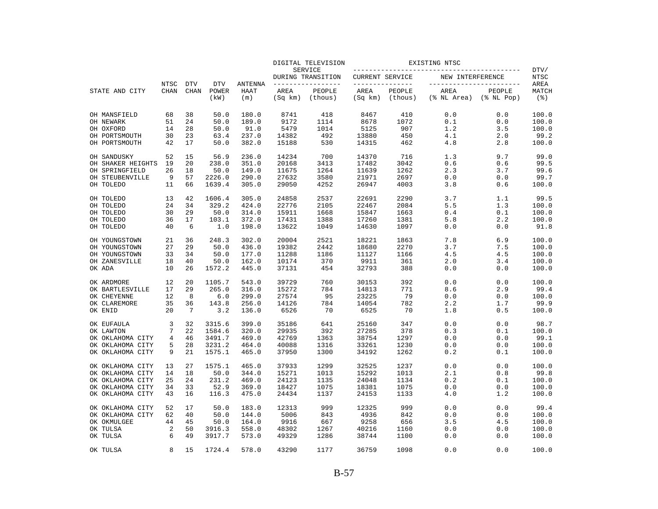|                   |                            |                           |                             |                        |                 | DIGITAL TELEVISION                  |                 |                                     | EXISTING NTSC       |                                              |                      |
|-------------------|----------------------------|---------------------------|-----------------------------|------------------------|-----------------|-------------------------------------|-----------------|-------------------------------------|---------------------|----------------------------------------------|----------------------|
|                   |                            |                           |                             |                        |                 | <b>SERVICE</b><br>DURING TRANSITION | CURRENT SERVICE |                                     | NEW INTERFERENCE    |                                              | DTV/<br><b>NTSC</b>  |
| STATE AND CITY    | <b>NTSC</b><br><b>CHAN</b> | <b>DTV</b><br><b>CHAN</b> | <b>DTV</b><br>POWER<br>(kW) | ANTENNA<br>HAAT<br>(m) | AREA<br>(Sq km) | --------------<br>PEOPLE<br>(thous) | AREA<br>(Sq km) | ______________<br>PEOPLE<br>(thous) | AREA<br>(% NL Area) | -----------------<br>PEOPLE<br>$(\$ NI Pop)$ | AREA<br>MATCH<br>(응) |
| OH MANSFIELD      | 68                         | 38                        | 50.0                        | 180.0                  | 8741            | 418                                 | 8467            | 410                                 | 0.0                 | 0.0                                          | 100.0                |
| OH NEWARK         | 51                         | 24                        | 50.0                        | 189.0                  | 9172            | 1114                                | 8678            | 1072                                | 0.1                 | 0.0                                          | 100.0                |
| OH OXFORD         | 14                         | 28                        | 50.0                        | 91.0                   | 5479            | 1014                                | 5125            | 907                                 | 1.2                 | 3.5                                          | 100.0                |
| OH PORTSMOUTH     | 30                         | 23                        | 63.4                        | 237.0                  | 14382           | 492                                 | 13880           | 450                                 | 4.1                 | 2.0                                          | 99.2                 |
| OH PORTSMOUTH     | 42                         | 17                        | 50.0                        | 382.0                  | 15188           | 530                                 | 14315           | 462                                 | 4.8                 | 2.8                                          | 100.0                |
| OH SANDUSKY       | 52                         | 15                        | 56.9                        | 236.0                  | 14234           | 700                                 | 14370           | 716                                 | 1.3                 | 9.7                                          | 99.0                 |
| OH SHAKER HEIGHTS | 19                         | 20                        | 238.0                       | 351.0                  | 20168           | 3413                                | 17482           | 3042                                | 0.6                 | 0.6                                          | 99.5                 |
| OH SPRINGFIELD    | 26                         | 18                        | 50.0                        | 149.0                  | 11675           | 1264                                | 11639           | 1262                                | 2.3                 | 3.7                                          | 99.6                 |
| OH STEUBENVILLE   | 9                          | 57                        | 2226.0                      | 290.0                  | 27632           | 3580                                | 21971           | 2697                                | 0.0                 | 0.0                                          | 99.7                 |
| OH TOLEDO         | 11                         | 66                        | 1639.4                      | 305.0                  | 29050           | 4252                                | 26947           | 4003                                | 3.8                 | 0.6                                          | 100.0                |
| OH TOLEDO         | 13                         | 42                        | 1606.4                      | 305.0                  | 24858           | 2537                                | 22691           | 2290                                | 3.7                 | 1.1                                          | 99.5                 |
| OH TOLEDO         | 24                         | 34                        | 329.2                       | 424.0                  | 22776           | 2105                                | 22467           | 2084                                | 5.5                 | 1.3                                          | 100.0                |
| OH TOLEDO         | 30                         | 29                        | 50.0                        | 314.0                  | 15911           | 1668                                | 15847           | 1663                                | 0.4                 | 0.1                                          | 100.0                |
| OH TOLEDO         | 36                         | 17                        | 103.1                       | 372.0                  | 17431           | 1388                                | 17260           | 1381                                | 5.8                 | 2.2                                          | 100.0                |
| OH TOLEDO         | 40                         | 6                         | 1.0                         | 198.0                  | 13622           | 1049                                | 14630           | 1097                                | 0.0                 | 0.0                                          | 91.8                 |
| OH YOUNGSTOWN     | 21                         | 36                        | 248.3                       | 302.0                  | 20004           | 2521                                | 18221           | 1863                                | 7.8                 | 6.9                                          | 100.0                |
| OH YOUNGSTOWN     | 27                         | 29                        | 50.0                        | 436.0                  | 19382           | 2442                                | 18680           | 2270                                | 3.7                 | 7.5                                          | 100.0                |
| OH YOUNGSTOWN     | 33                         | 34                        | 50.0                        | 177.0                  | 11288           | 1186                                | 11127           | 1166                                | 4.5                 | 4.5                                          | 100.0                |
| OH ZANESVILLE     | 18                         | 40                        | 50.0                        | 162.0                  | 10174           | 370                                 | 9911            | 361                                 | 2.0                 | 3.4                                          | 100.0                |
| OK ADA            | 10                         | 26                        | 1572.2                      | 445.0                  | 37131           | 454                                 | 32793           | 388                                 | 0.0                 | 0.0                                          | 100.0                |
| OK ARDMORE        | 12                         | 20                        | 1105.7                      | 543.0                  | 39729           | 760                                 | 30153           | 392                                 | 0.0                 | 0.0                                          | 100.0                |
| OK BARTLESVILLE   | 17                         | 29                        | 265.0                       | 316.0                  | 15272           | 784                                 | 14813           | 771                                 | 8.6                 | 2.9                                          | 99.4                 |
| OK CHEYENNE       | 12                         | 8                         | 6.0                         | 299.0                  | 27574           | 95                                  | 23225           | 79                                  | 0.0                 | 0.0                                          | 100.0                |
| OK CLAREMORE      | 35                         | 36                        | 143.8                       | 256.0                  | 14126           | 784                                 | 14054           | 782                                 | 2.2                 | 1.7                                          | 99.9                 |
| OK ENID           | 20                         | 7                         | 3.2                         | 136.0                  | 6526            | 70                                  | 6525            | 70                                  | 1.8                 | 0.5                                          | 100.0                |
| OK EUFAULA        | 3                          | 32                        | 3315.6                      | 399.0                  | 35186           | 641                                 | 25160           | 347                                 | 0.0                 | 0.0                                          | 98.7                 |
| OK LAWTON         | 7                          | 22                        | 1584.6                      | 320.0                  | 29935           | 392                                 | 27285           | 378                                 | 0.3                 | 0.1                                          | 100.0                |
| OK OKLAHOMA CITY  | 4                          | 46                        | 3491.7                      | 469.0                  | 42769           | 1363                                | 38754           | 1297                                | 0.0                 | 0.0                                          | 99.1                 |
| OK OKLAHOMA CITY  | 5                          | 28                        | 3231.2                      | 464.0                  | 40088           | 1316                                | 33261           | 1230                                | 0.0                 | 0.0                                          | 100.0                |
| OK OKLAHOMA CITY  | 9                          | 21                        | 1575.1                      | 465.0                  | 37950           | 1300                                | 34192           | 1262                                | 0.2                 | 0.1                                          | 100.0                |
| OK OKLAHOMA CITY  | 13                         | 27                        | 1575.1                      | 465.0                  | 37933           | 1299                                | 32525           | 1237                                | 0.0                 | 0.0                                          | 100.0                |
| OK OKLAHOMA CITY  | 14                         | 18                        | 50.0                        | 344.0                  | 15271           | 1013                                | 15292           | 1013                                | 2.1                 | 0.8                                          | 99.8                 |
| OK OKLAHOMA CITY  | 25                         | 24                        | 231.2                       | 469.0                  | 24123           | 1135                                | 24048           | 1134                                | 0.2                 | 0.1                                          | 100.0                |
| OK OKLAHOMA CITY  | 34                         | 33                        | 52.9                        | 369.0                  | 18427           | 1075                                | 18381           | 1075                                | 0.0                 | 0.0                                          | 100.0                |
| OK OKLAHOMA CITY  | 43                         | 16                        | 116.3                       | 475.0                  | 24434           | 1137                                | 24153           | 1133                                | 4.0                 | 1.2                                          | 100.0                |
| OK OKLAHOMA CITY  | 52                         | 17                        | 50.0                        | 183.0                  | 12313           | 999                                 | 12325           | 999                                 | 0.0                 | 0.0                                          | 99.4                 |
| OK OKLAHOMA CITY  | 62                         | 40                        | 50.0                        | 144.0                  | 5006            | 843                                 | 4936            | 842                                 | 0.0                 | 0.0                                          | 100.0                |
| OK OKMULGEE       | 44                         | 45                        | 50.0                        | 164.0                  | 9916            | 667                                 | 9258            | 656                                 | 3.5                 | 4.5                                          | 100.0                |
| OK TULSA          | 2                          | 50                        | 3916.3                      | 558.0                  | 48302           | 1267                                | 40216           | 1160                                | 0.0                 | 0.0                                          | 100.0                |
| OK TULSA          | 6                          | 49                        | 3917.7                      | 573.0                  | 49329           | 1286                                | 38744           | 1100                                | 0.0                 | 0.0                                          | 100.0                |
| OK TULSA          | 8                          | 15                        | 1724.4                      | 578.0                  | 43290           | 1177                                | 36759           | 1098                                | 0.0                 | 0.0                                          | 100.0                |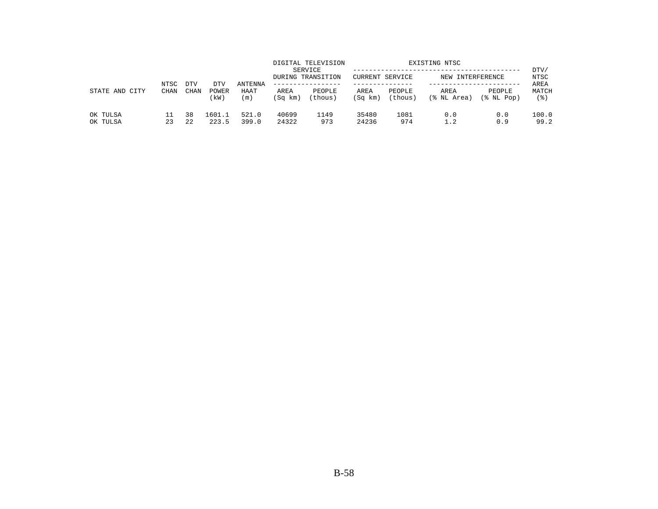|                      | NTSC        | <b>DTV</b> | DTV             | <b>ANTENNA</b> |                 | DIGITAL TELEVISION<br>SERVICE<br>DURING TRANSITION<br>------------- | CURRENT SERVICE |                   | EXISTING NTSC<br>NEW INTERFERENCE |                      | DTV/<br>NTSC<br>AREA |
|----------------------|-------------|------------|-----------------|----------------|-----------------|---------------------------------------------------------------------|-----------------|-------------------|-----------------------------------|----------------------|----------------------|
| STATE AND<br>CITY    | <b>CHAN</b> | CHAN       | POWER<br>(kW)   | HAAT<br>(m)    | AREA<br>(Sq km) | PEOPLE<br>(thous)                                                   | AREA<br>(Sq km) | PEOPLE<br>(thous) | AREA<br>(% NL Area)               | PEOPLE<br>(% NL Pop) | MATCH<br>(응)         |
| OK TULSA<br>OK TULSA | 23          | 38<br>22   | 1601.1<br>223.5 | 521.0<br>399.0 | 40699<br>24322  | 1149<br>973                                                         | 35480<br>24236  | 1081<br>974       | 0.0<br>1.2                        | 0.0<br>0.9           | 100.0<br>99.2        |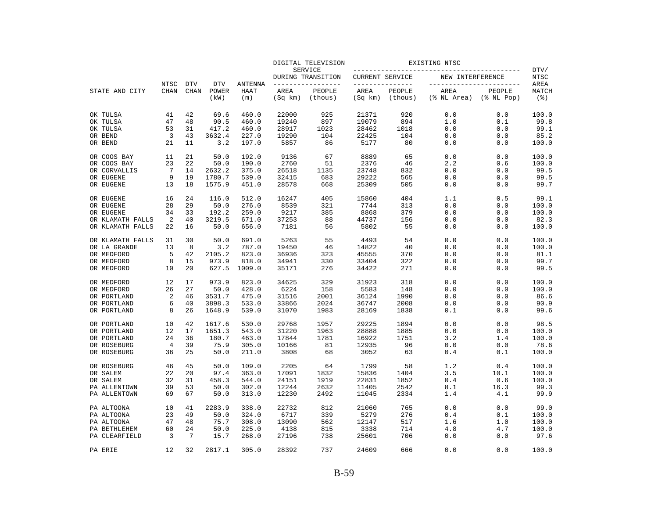|                                      |                     |                           |                             |                               |                 | DIGITAL TELEVISION                 |                                    |                   | EXISTING NTSC                                   |                            |                                        |
|--------------------------------------|---------------------|---------------------------|-----------------------------|-------------------------------|-----------------|------------------------------------|------------------------------------|-------------------|-------------------------------------------------|----------------------------|----------------------------------------|
|                                      |                     |                           |                             |                               |                 | SERVICE<br>DURING TRANSITION       | CURRENT SERVICE                    |                   | NEW INTERFERENCE                                |                            | DTV/<br>NTSC                           |
| STATE AND CITY                       | NTSC<br><b>CHAN</b> | <b>DTV</b><br><b>CHAN</b> | <b>DTV</b><br>POWER<br>(kW) | <b>ANTENNA</b><br>HAAT<br>(m) | AREA<br>(Sq km) | -------------<br>PEOPLE<br>(thous) | ---------------<br>AREA<br>(Sq km) | PEOPLE<br>(thous) | ------------------------<br>AREA<br>(% NL Area) | PEOPLE<br>$(\$$ NL Pop $)$ | AREA<br>MATCH<br>$($ $\frac{6}{3}$ $)$ |
| OK TULSA                             | 41                  | 42                        | 69.6                        | 460.0                         | 22000           | 925                                | 21371                              | 920               | 0.0                                             | 0.0                        | 100.0                                  |
| OK TULSA                             | 47                  | 48                        | 90.5                        | 460.0                         | 19240           | 897                                | 19079                              | 894               | 1.0                                             | 0.1                        | 99.8                                   |
| OK TULSA                             | 53                  | 31                        | 417.2                       | 460.0                         | 28917           | 1023                               | 28462                              | 1018              | 0.0                                             | 0.0                        | 99.1                                   |
| OR BEND                              | 3                   | 43                        | 3632.4                      | 227.0                         | 19290           | 104                                | 22425                              | 104               | 0.0                                             | 0.0                        | 85.2                                   |
| OR BEND                              | 21                  | 11                        | 3.2                         | 197.0                         | 5857            | 86                                 | 5177                               | 80                | 0.0                                             | 0.0                        | 100.0                                  |
| OR COOS BAY                          | 11                  | 21                        | 50.0                        | 192.0                         | 9136            | 67                                 | 8889                               | 65                | 0.0                                             | 0.0                        | 100.0                                  |
| OR COOS BAY                          | 23                  | 22                        | 50.0                        | 190.0                         | 2760            | 51                                 | 2376                               | 46                | 2.2                                             | 0.6                        | 100.0                                  |
| OR CORVALLIS                         | 7                   | 14                        | 2632.2                      | 375.0                         | 26518           | 1135                               | 23748                              | 832               | 0.0                                             | 0.0                        | 99.5                                   |
| OR EUGENE                            | 9                   | 19                        | 1780.7                      | 539.0                         | 32415           | 683                                | 29222                              | 565               | 0.0                                             | 0.0                        | 99.5                                   |
| OR EUGENE                            | 13                  | 18                        | 1575.9                      | 451.0                         | 28578           | 668                                | 25309                              | 505               | 0.0                                             | 0.0                        | 99.7                                   |
| OR EUGENE                            | 16                  | 24                        | 116.0                       | 512.0                         | 16247           | 405                                | 15860                              | 404               | 1.1                                             | 0.5                        | 99.1                                   |
| OR EUGENE                            | 28                  | 29                        | 50.0                        | 276.0                         | 8539            | 321                                | 7744                               | 313               | 0.0                                             | 0.0                        | 100.0                                  |
| OR EUGENE                            | 34                  | 33                        | 192.2                       | 259.0                         | 9217            | 385                                | 8868                               | 379               | 0.0                                             | 0.0                        | 100.0                                  |
| OR KLAMATH FALLS<br>OR KLAMATH FALLS | 2<br>22             | 40<br>16                  | 3219.5<br>50.0              | 671.0<br>656.0                | 37253<br>7181   | 88<br>56                           | 44737<br>5802                      | 156<br>55         | 0.0<br>0.0                                      | 0.0<br>0.0                 | 82.3<br>100.0                          |
|                                      |                     |                           |                             |                               |                 |                                    |                                    |                   |                                                 |                            |                                        |
| OR KLAMATH FALLS                     | 31<br>13            | 30<br>8                   | 50.0<br>3.2                 | 691.0                         | 5263<br>19450   | 55<br>46                           | 4493                               | 54<br>40          | 0.0                                             | 0.0                        | 100.0                                  |
| OR LA GRANDE<br>OR MEDFORD           | 5                   | 42                        | 2105.2                      | 787.0<br>823.0                | 36936           | 323                                | 14822<br>45555                     | 370               | 0.0<br>0.0                                      | 0.0<br>0.0                 | 100.0<br>81.1                          |
| OR MEDFORD                           | 8                   | 15                        | 973.9                       | 818.0                         | 34941           | 330                                | 33404                              | 322               | 0.0                                             | 0.0                        | 99.7                                   |
| OR MEDFORD                           | 10                  | 20                        | 627.5                       | 1009.0                        | 35171           | 276                                | 34422                              | 271               | 0.0                                             | 0.0                        | 99.5                                   |
| OR MEDFORD                           | 12                  | 17                        | 973.9                       | 823.0                         | 34625           | 329                                | 31923                              | 318               | 0.0                                             | 0.0                        | 100.0                                  |
| OR MEDFORD                           | 26                  | 27                        | 50.0                        | 428.0                         | 6224            | 158                                | 5583                               | 148               | 0.0                                             | 0.0                        | 100.0                                  |
| OR PORTLAND                          | 2                   | 46                        | 3531.7                      | 475.0                         | 31516           | 2001                               | 36124                              | 1990              | 0.0                                             | 0.0                        | 86.6                                   |
| OR PORTLAND                          | 6                   | 40                        | 3898.3                      | 533.0                         | 33866           | 2024                               | 36747                              | 2008              | 0.0                                             | 0.0                        | 90.9                                   |
| OR PORTLAND                          | 8                   | 26                        | 1648.9                      | 539.0                         | 31070           | 1983                               | 28169                              | 1838              | 0.1                                             | 0.0                        | 99.6                                   |
| OR PORTLAND                          | 10                  | 42                        | 1617.6                      | 530.0                         | 29768           | 1957                               | 29225                              | 1894              | 0.0                                             | 0.0                        | 98.5                                   |
| OR PORTLAND                          | 12                  | 17                        | 1651.3                      | 543.0                         | 31220           | 1963                               | 28888                              | 1885              | 0.0                                             | 0.0                        | 100.0                                  |
| OR PORTLAND                          | 24                  | 36                        | 180.7                       | 463.0                         | 17844           | 1781                               | 16922                              | 1751              | 3.2                                             | 1.4                        | 100.0                                  |
| OR ROSEBURG                          | 4                   | 39                        | 75.9                        | 305.0                         | 10166           | 81                                 | 12935                              | 96                | 0.0                                             | 0.0                        | 78.6                                   |
| OR ROSEBURG                          | 36                  | 25                        | 50.0                        | 211.0                         | 3808            | 68                                 | 3052                               | 63                | 0.4                                             | 0.1                        | 100.0                                  |
| OR ROSEBURG                          | 46                  | 45                        | 50.0                        | 109.0                         | 2205            | 64                                 | 1799                               | 58                | 1.2                                             | 0.4                        | 100.0                                  |
| OR SALEM                             | 22                  | 20                        | 97.4                        | 363.0                         | 17091           | 1832                               | 15836                              | 1404              | 3.5                                             | 10.1                       | 100.0                                  |
| OR SALEM                             | 32                  | 31                        | 458.3                       | 544.0                         | 24151           | 1919                               | 22831                              | 1852              | 0.4                                             | 0.6                        | 100.0                                  |
| PA ALLENTOWN                         | 39                  | 53                        | 50.0                        | 302.0                         | 12244           | 2632                               | 11405                              | 2542              | 8.1                                             | 16.3                       | 99.3                                   |
| PA ALLENTOWN                         | 69                  | 67                        | 50.0                        | 313.0                         | 12230           | 2492                               | 11045                              | 2334              | 1.4                                             | 4.1                        | 99.9                                   |
| PA ALTOONA                           | 10                  | 41                        | 2283.9                      | 338.0                         | 22732           | 812                                | 21060                              | 765               | 0.0                                             | 0.0                        | 99.0                                   |
| PA ALTOONA                           | 23                  | 49                        | 50.0                        | 324.0                         | 6717            | 339                                | 5279                               | 276               | 0.4                                             | 0.1                        | 100.0                                  |
| PA ALTOONA                           | 47                  | 48                        | 75.7                        | 308.0                         | 13090           | 562                                | 12147                              | 517               | 1.6                                             | 1.0                        | 100.0                                  |
| PA BETHLEHEM                         | 60                  | 24                        | 50.0                        | 225.0                         | 4138            | 815                                | 3338                               | 714               | 4.8                                             | 4.7                        | 100.0                                  |
| PA CLEARFIELD                        | 3                   | 7                         | 15.7                        | 268.0                         | 27196           | 738                                | 25601                              | 706               | 0.0                                             | 0.0                        | 97.6                                   |
| PA ERIE                              | 12                  | 32                        | 2817.1                      | 305.0                         | 28392           | 737                                | 24609                              | 666               | 0.0                                             | 0.0                        | 100.0                                  |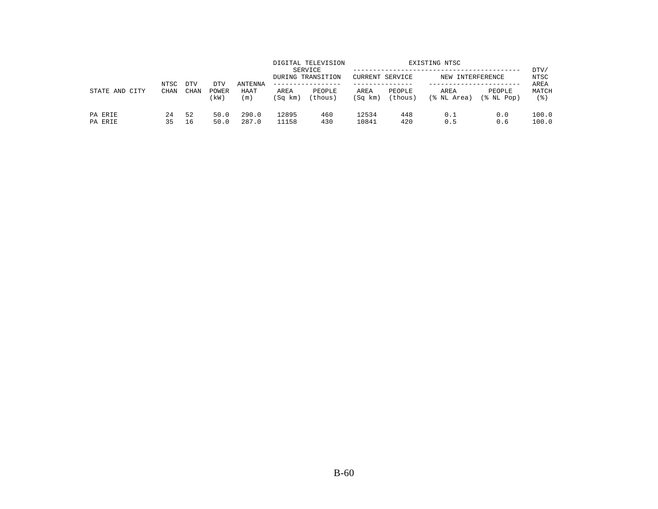|                    | NTSC     | <b>DTV</b>  |                      | ANTENNA        |                 | DIGITAL TELEVISION<br>SERVICE<br>DURING TRANSITION | CURRENT SERVICE |                   | EXISTING NTSC<br>NEW INTERFERENCE |                            | DTV/<br><b>NTSC</b><br>AREA |
|--------------------|----------|-------------|----------------------|----------------|-----------------|----------------------------------------------------|-----------------|-------------------|-----------------------------------|----------------------------|-----------------------------|
| STATE AND CITY     | CHAN     | <b>CHAN</b> | DTV<br>POWER<br>(kW) | HAAT<br>(m)    | AREA<br>(Sq km) | PEOPLE<br>(thous)                                  | AREA<br>(Sq km) | PEOPLE<br>(thous) | AREA<br>(% NL Area)               | PEOPLE<br>$(\$$ NL Pop $)$ | MATCH<br>(응)                |
| PA ERIE<br>PA ERIE | 24<br>35 | 52<br>16    | 50.0<br>50.0         | 290.0<br>287.0 | 12895<br>11158  | 460<br>430                                         | 12534<br>10841  | 448<br>420        | 0.1<br>0.5                        | 0.0<br>0.6                 | 100.0<br>100.0              |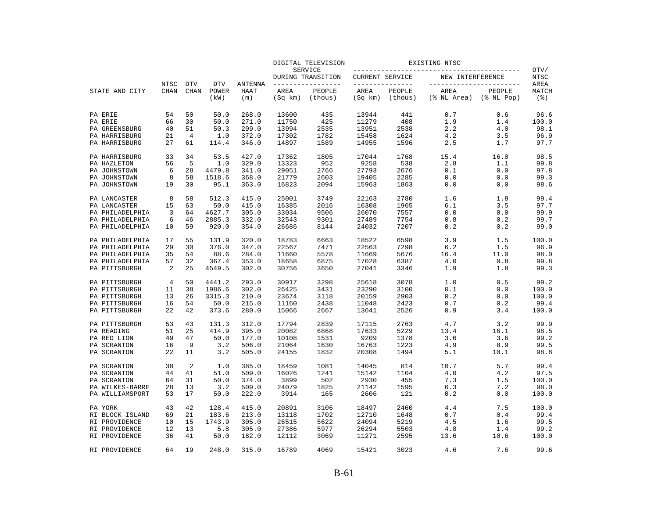|                                  |                     |                           |                                    |                               |                 | DIGITAL TELEVISION                |                 |                                   | EXISTING NTSC       |                                                 |                                     |
|----------------------------------|---------------------|---------------------------|------------------------------------|-------------------------------|-----------------|-----------------------------------|-----------------|-----------------------------------|---------------------|-------------------------------------------------|-------------------------------------|
|                                  |                     |                           |                                    |                               |                 | SERVICE<br>DURING TRANSITION      | CURRENT SERVICE |                                   | NEW INTERFERENCE    |                                                 | DTV/<br><b>NTSC</b>                 |
| STATE AND CITY                   | NTSC<br><b>CHAN</b> | <b>DTV</b><br><b>CHAN</b> | <b>DTV</b><br><b>POWER</b><br>(kW) | <b>ANTENNA</b><br>HAAT<br>(m) | AREA<br>(Sq km) | ------------<br>PEOPLE<br>(thous) | AREA<br>(Sq km) | ------------<br>PEOPLE<br>(thous) | AREA<br>(% NL Area) | ------------------<br>PEOPLE<br>$(\$$ NL $Pop)$ | AREA<br>MATCH<br>$($ $\mathcal{E})$ |
| PA ERIE                          | 54                  | 50                        | 50.0                               | 268.0                         | 13600           | 435                               | 13944           | 441                               | 0.7                 | 0.6                                             | 96.6                                |
| PA ERIE                          | 66                  | 30                        | 50.0                               | 271.0                         | 11750           | 425                               | 11279           | 408                               | 1.9                 | 1.4                                             | 100.0                               |
| PA GREENSBURG                    | 40                  | 51                        | 50.3                               | 299.0                         | 13994           | 2535                              | 13951           | 2538                              | 2.2                 | 4.0                                             | 98.1                                |
| PA HARRISBURG                    | 21                  | 4                         | 1.0                                | 372.0                         | 17302           | 1782                              | 15458           | 1624                              | 4.2                 | 3.5                                             | 96.9                                |
| PA HARRISBURG                    | 27                  | 61                        | 114.4                              | 346.0                         | 14897           | 1589                              | 14955           | 1596                              | 2.5                 | 1.7                                             | 97.7                                |
| PA HARRISBURG                    | 33                  | 34                        | 53.5                               | 427.0                         | 17362           | 1805                              | 17044           | 1768                              | 15.4                | 16.0                                            | 98.5                                |
| PA HAZLETON                      | 56                  | 5                         | 1.0                                | 329.0                         | 13323           | 952                               | 9258            | 538                               | 2.8                 | 1.1                                             | 99.8                                |
| PA JOHNSTOWN                     | 6                   | 28                        | 4479.8                             | 341.0                         | 29051           | 2766                              | 27793           | 2676                              | 0.1                 | 0.0                                             | 97.8                                |
| PA JOHNSTOWN                     | 8                   | 58                        | 1518.6                             | 368.0                         | 21779           | 2603                              | 19405           | 2285                              | 0.0                 | 0.0                                             | 99.3                                |
| PA JOHNSTOWN                     | 19                  | 30                        | 95.1                               | 363.0                         | 16823           | 2094                              | 15963           | 1863                              | 0.0                 | 0.0                                             | 98.6                                |
| PA LANCASTER                     | 8                   | 58                        | 512.3                              | 415.0                         | 25001           | 3749                              | 22163           | 2780                              | 1.6                 | 1.8                                             | 99.4                                |
| PA LANCASTER                     | 15                  | 63                        | 50.0                               | 415.0                         | 16385           | 2016                              | 16308           | 1965                              | 6.1                 | 3.5                                             | 97.7                                |
| PA PHILADELPHIA                  | 3                   | 64                        | 4627.7                             | 305.0                         | 33034           | 9506                              | 26070           | 7557                              | 0.0                 | 0.0                                             | 99.9                                |
| PA PHILADELPHIA                  | 6                   | 46                        | 2885.3                             | 332.0                         | 32543           | 9301                              | 27489           | 7754                              | 0.8                 | 0.2                                             | 99.7                                |
| PA PHILADELPHIA                  | 10                  | 59                        | 920.0                              | 354.0                         | 26686           | 8144                              | 24032           | 7207                              | 0.2                 | 0.2                                             | 99.0                                |
| PA PHILADELPHIA                  | 17                  | 55                        | 131.9                              | 320.0                         | 18783           | 6663                              | 18522           | 6598                              | 3.9                 | 1.5                                             | 100.0                               |
| PA PHILADELPHIA                  | 29                  | 30                        | 376.0                              | 347.0                         | 22567           | 7471                              | 22563           | 7298                              | 6.2                 | 1.5                                             | 96.9                                |
| PA PHILADELPHIA                  | 35                  | 54                        | 88.6                               | 284.0                         | 11660           | 5578                              | 11669           | 5676                              | 16.4                | 11.0                                            | 98.0                                |
| PA PHILADELPHIA<br>PA PITTSBURGH | 57<br>2             | 32<br>25                  | 367.4<br>4549.5                    | 353.0<br>302.0                | 18658<br>30756  | 6875<br>3650                      | 17028<br>27041  | 6387<br>3346                      | 4.0<br>1.9          | 0.8<br>1.8                                      | 99.8<br>99.3                        |
| PA PITTSBURGH                    | 4                   | 50                        | 4441.2                             | 293.0                         | 30917           | 3298                              | 25618           | 3078                              | 1.0                 | 0.5                                             | 99.2                                |
| PA PITTSBURGH                    | 11                  | 38                        | 1986.6                             | 302.0                         | 26425           | 3431                              | 23290           | 3100                              | 0.1                 | 0.0                                             | 100.0                               |
| PA PITTSBURGH                    | 13                  | 26                        | 3315.3                             | 210.0                         | 23674           | 3118                              | 20159           | 2903                              | 0.2                 | 0.0                                             | 100.0                               |
| PA PITTSBURGH                    | 16                  | 54                        | 50.0                               | 215.0                         | 11160           | 2438                              | 11048           | 2423                              | 0.7                 | 0.2                                             | 99.4                                |
| PA PITTSBURGH                    | 22                  | 42                        | 373.6                              | 280.0                         | 15066           | 2667                              | 13641           | 2526                              | 0.9                 | 3.4                                             | 100.0                               |
| PA PITTSBURGH                    | 53                  | 43                        | 131.3                              | 312.0                         | 17794           | 2839                              | 17115           | 2763                              | 4.7                 | 3.2                                             | 99.9                                |
| PA READING                       | 51                  | 25                        | 414.9                              | 395.0                         | 20082           | 6868                              | 17633           | 5229                              | 13.4                | 16.1                                            | 98.5                                |
| PA RED LION                      | 49                  | 47                        | 50.0                               | 177.0                         | 10108           | 1531                              | 9209            | 1378                              | 3.6                 | 3.6                                             | 99.2                                |
| PA SCRANTON                      | 16                  | 9                         | 3.2                                | 506.0                         | 21064           | 1630                              | 16763           | 1223                              | 4.9                 | 8.9                                             | 99.5                                |
| PA SCRANTON                      | 22                  | 11                        | 3.2                                | 505.0                         | 24155           | 1832                              | 20308           | 1494                              | 5.1                 | 10.1                                            | 98.8                                |
| PA SCRANTON                      | 38                  | 2                         | 1.0                                | 385.0                         | 18459           | 1081                              | 14045           | 814                               | 10.7                | 5.7                                             | 99.4                                |
| PA SCRANTON                      | 44                  | 41                        | 51.0                               | 509.0                         | 16026           | 1241                              | 15142           | 1104                              | 4.0                 | 4.2                                             | 97.5                                |
| PA SCRANTON                      | 64                  | 31                        | 50.0                               | 374.0                         | 3899            | 502                               | 2930            | 455                               | 7.3                 | 1.5                                             | 100.0                               |
| PA WILKES-BARRE                  | 28                  | 13                        | 3.2                                | 509.0                         | 24079           | 1825                              | 21142           | 1595                              | 6.3                 | 7.2                                             | 98.0                                |
| PA WILLIAMSPORT                  | 53                  | 17                        | 50.0                               | 222.0                         | 3914            | 165                               | 2606            | 121                               | 0.2                 | 0.0                                             | 100.0                               |
| PA YORK                          | 43                  | 42                        | 128.4                              | 415.0                         | 20891           | 3106                              | 18497           | 2460                              | 4.4                 | 7.5                                             | 100.0                               |
| RI BLOCK ISLAND                  | 69                  | 21                        | 183.6                              | 213.0                         | 13118           | 1702                              | 12710           | 1648                              | 0.7                 | 0.4                                             | 99.4                                |
| RI PROVIDENCE                    | 10                  | 15                        | 1743.9                             | 305.0                         | 26515           | 5622                              | 24094           | 5219                              | 4.5                 | 1.6                                             | 99.5                                |
| RI PROVIDENCE                    | 12                  | 13                        | 5.8                                | 305.0                         | 27386           | 5977                              | 26294           | 5503                              | 4.8                 | 1.4                                             | 99.2                                |
| RI PROVIDENCE                    | 36                  | 41                        | 50.0                               | 182.0                         | 12112           | 3069                              | 11271           | 2595                              | 13.6                | 10.6                                            | 100.0                               |
| RI PROVIDENCE                    | 64                  | 19                        | 248.0                              | 315.0                         | 16789           | 4069                              | 15421           | 3023                              | 4.6                 | 7.6                                             | 99.6                                |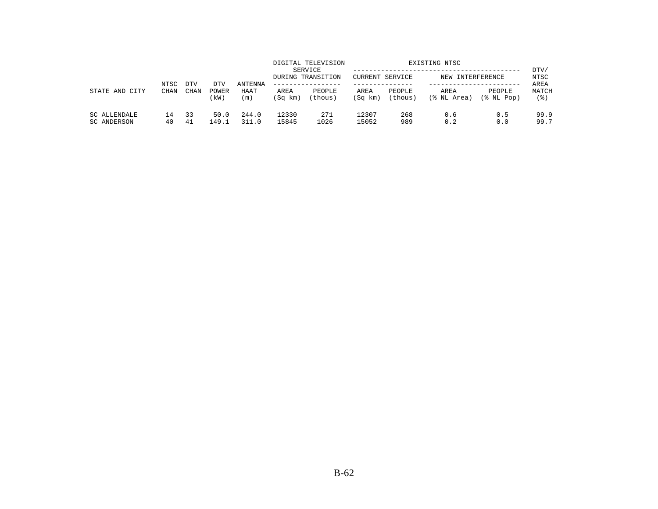| STATE AND<br>CITY           | NTSC<br><b>CHAN</b> |             |                     |                                   |                 | DIGITAL TELEVISION<br>SERVICE<br>DURING TRANSITION<br>. <u>.</u> . | <b>CURRENT SERVICE</b> |                   | EXISTING NTSC<br>NEW INTERFERENCE |                            | DTV/<br>NTSC         |
|-----------------------------|---------------------|-------------|---------------------|-----------------------------------|-----------------|--------------------------------------------------------------------|------------------------|-------------------|-----------------------------------|----------------------------|----------------------|
|                             |                     | DTV<br>CHAN | DTV<br>POWER<br>kW) | ANTENNA<br>HAAT<br>$\mathsf{m}$ ) | AREA<br>(Sq km) | PEOPLE<br>(thous)                                                  | AREA<br>(Sq km)        | PEOPLE<br>(thous) | AREA<br>(% NL Area)               | PEOPLE<br>$(\$$ NL Pop $)$ | AREA<br>MATCH<br>(응) |
| SC ALLENDALE<br>SC ANDERSON | $\pm 4$<br>40       | 33<br>41    | 50.0<br>149.1       | 244.0<br>311.0                    | 12330<br>15845  | 271<br>1026                                                        | 12307<br>15052         | 268<br>989        | 0.6<br>0.2                        | 0.5<br>0.0                 | 99.9<br>99.7         |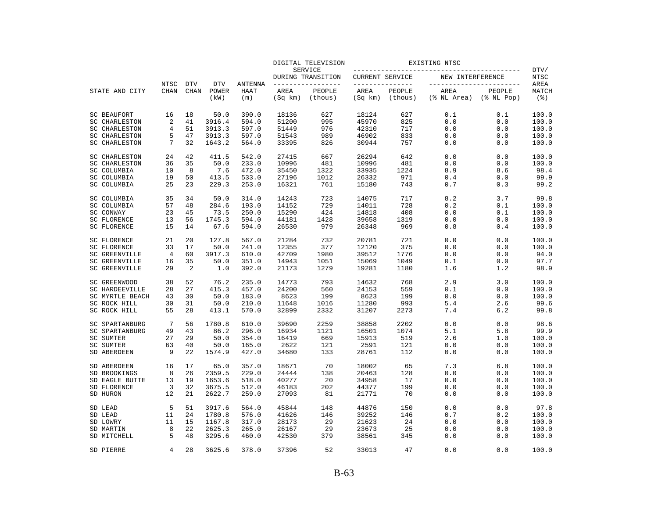|                                          |                            |                           |                             |                               |                 | DIGITAL TELEVISION                 |                 |                                   | EXISTING NTSC       |                                                |                                     |
|------------------------------------------|----------------------------|---------------------------|-----------------------------|-------------------------------|-----------------|------------------------------------|-----------------|-----------------------------------|---------------------|------------------------------------------------|-------------------------------------|
|                                          |                            |                           |                             |                               |                 | SERVICE<br>DURING TRANSITION       | CURRENT SERVICE |                                   | NEW INTERFERENCE    |                                                | DTV/<br><b>NTSC</b>                 |
| STATE AND CITY                           | <b>NTSC</b><br><b>CHAN</b> | <b>DTV</b><br><b>CHAN</b> | <b>DTV</b><br>POWER<br>(kW) | <b>ANTENNA</b><br>HAAT<br>(m) | AREA<br>(Sq km) | -------------<br>PEOPLE<br>(thous) | AREA<br>(Sq km) | ------------<br>PEOPLE<br>(thous) | AREA<br>(% NL Area) | -----------------<br>PEOPLE<br>$(\$$ NL $Pop)$ | AREA<br>MATCH<br>$($ $\mathcal{E})$ |
| <b>SC BEAUFORT</b>                       | 16                         | 18                        | 50.0                        | 390.0                         | 18136           | 627                                | 18124           | 627                               | 0.1                 | 0.1                                            | 100.0                               |
| <b>SC CHARLESTON</b>                     | $\overline{2}$             | 41                        | 3916.4                      | 594.0                         | 51200           | 995                                | 45970           | 825                               | 0.0                 | 0.0                                            | 100.0                               |
| <b>SC CHARLESTON</b>                     | $\overline{4}$             | 51                        | 3913.3                      | 597.0                         | 51449           | 976                                | 42310           | 717                               | 0.0                 | 0.0                                            | 100.0                               |
| <b>SC CHARLESTON</b>                     | 5                          | 47                        | 3913.3                      | 597.0                         | 51543           | 989                                | 46902           | 833                               | 0.0                 | 0.0                                            | 100.0                               |
| <b>SC CHARLESTON</b>                     | 7                          | 32                        | 1643.2                      | 564.0                         | 33395           | 826                                | 30944           | 757                               | $0.0$               | 0.0                                            | 100.0                               |
| <b>SC CHARLESTON</b>                     | 24                         | 42                        | 411.5                       | 542.0                         | 27415           | 667                                | 26294           | 642                               | 0.0                 | 0.0                                            | 100.0                               |
| SC CHARLESTON                            | 36                         | 35                        | 50.0                        | 233.0                         | 10996           | 481                                | 10996           | 481                               | 0.0                 | 0.0                                            | 100.0                               |
| SC COLUMBIA                              | 10                         | 8                         | 7.6                         | 472.0                         | 35450           | 1322                               | 33935           | 1224                              | 8.9                 | 8.6                                            | 98.4                                |
| SC COLUMBIA                              | 19                         | 50                        | 413.5                       | 533.0                         | 27196           | 1012                               | 26332           | 971                               | 0.4                 | 0.0                                            | 99.9                                |
| SC COLUMBIA                              | 25                         | 23                        | 229.3                       | 253.0                         | 16321           | 761                                | 15180           | 743                               | 0.7                 | 0.3                                            | 99.2                                |
| SC COLUMBIA                              | 35                         | 34                        | 50.0                        | 314.0                         | 14243           | 723                                | 14075           | 717                               | 8.2                 | 3.7                                            | 99.8                                |
| SC COLUMBIA                              | 57                         | 48                        | 284.6                       | 193.0                         | 14152           | 729                                | 14011           | 728                               | 0.2                 | 0.1                                            | 100.0                               |
| SC CONWAY                                | 23<br>13                   | 45                        | 73.5<br>1745.3              | 250.0<br>594.0                | 15290           | 424<br>1428                        | 14818<br>39658  | 408<br>1319                       | 0.0                 | 0.1                                            | 100.0<br>100.0                      |
| <b>SC FLORENCE</b><br><b>SC FLORENCE</b> | 15                         | 56<br>14                  | 67.6                        | 594.0                         | 44181<br>26530  | 979                                | 26348           | 969                               | 0.0<br>0.8          | 0.0<br>0.4                                     | 100.0                               |
| <b>SC FLORENCE</b>                       | 21                         | 20                        | 127.8                       | 567.0                         | 21284           | 732                                | 20781           | 721                               | 0.0                 | 0.0                                            | 100.0                               |
| <b>SC FLORENCE</b>                       | 33                         | 17                        | 50.0                        | 241.0                         | 12355           | 377                                | 12120           | 375                               | 0.0                 | 0.0                                            | 100.0                               |
| <b>SC GREENVILLE</b>                     | 4                          | 60                        | 3917.3                      | 610.0                         | 42709           | 1980                               | 39512           | 1776                              | 0.0                 | 0.0                                            | 94.0                                |
| <b>SC GREENVILLE</b>                     | 16                         | 35                        | 50.0                        | 351.0                         | 14943           | 1051                               | 15069           | 1049                              | 0.1                 | 0.0                                            | 97.7                                |
| <b>SC GREENVILLE</b>                     | 29                         | $\overline{2}$            | 1.0                         | 392.0                         | 21173           | 1279                               | 19281           | 1180                              | 1.6                 | 1.2                                            | 98.9                                |
| SC GREENWOOD                             | 38                         | 52                        | 76.2                        | 235.0                         | 14773           | 793                                | 14632           | 768                               | 2.9                 | 3.0                                            | 100.0                               |
| <b>SC HARDEEVILLE</b>                    | 28                         | 27                        | 415.3                       | 457.0                         | 24200           | 560                                | 24153           | 559                               | 0.1                 | 0.0                                            | 100.0                               |
| SC MYRTLE BEACH                          | 43                         | 30                        | 50.0                        | 183.0                         | 8623            | 199                                | 8623            | 199                               | 0.0                 | 0.0                                            | 100.0                               |
| SC ROCK HILL                             | 30                         | 31                        | 50.0                        | 210.0                         | 11648           | 1016                               | 11280           | 993                               | 5.4                 | 2.6                                            | 99.6                                |
| SC ROCK HILL                             | 55                         | 28                        | 413.1                       | 570.0                         | 32899           | 2332                               | 31207           | 2273                              | 7.4                 | 6.2                                            | 99.8                                |
| SC SPARTANBURG                           | 7                          | 56                        | 1780.8                      | 610.0                         | 39690           | 2259                               | 38858           | 2202                              | 0.0                 | 0.0                                            | 98.6                                |
| SC SPARTANBURG                           | 49                         | 43                        | 86.2                        | 296.0                         | 16934           | 1121                               | 16501           | 1074                              | 5.1                 | 5.8                                            | 99.9                                |
| SC SUMTER                                | 27                         | 29                        | 50.0                        | 354.0                         | 16419           | 669                                | 15913           | 519                               | 2.6                 | 1.0                                            | 100.0                               |
| SC SUMTER<br>SD ABERDEEN                 | 63<br>9                    | 40<br>22                  | 50.0<br>1574.9              | 165.0<br>427.0                | 2622<br>34680   | 121<br>133                         | 2591<br>28761   | 121<br>112                        | 0.0<br>0.0          | 0.0<br>0.0                                     | 100.0<br>100.0                      |
| SD ABERDEEN                              | 16                         | 17                        | 65.0                        | 357.0                         | 18671           | 70                                 | 18002           | 65                                | 7.3                 | 6.8                                            | 100.0                               |
| SD BROOKINGS                             | 8                          | 26                        | 2359.5                      | 229.0                         | 24444           | 138                                | 20463           | 128                               | 0.0                 | 0.0                                            | 100.0                               |
| SD EAGLE BUTTE                           | 13                         | 19                        | 1653.6                      | 518.0                         | 40277           | 20                                 | 34958           | 17                                | 0.0                 | 0.0                                            | 100.0                               |
| SD FLORENCE                              | 3                          | 32                        | 3675.5                      | 512.0                         | 46183           | 202                                | 44377           | 199                               | 0.0                 | 0.0                                            | 100.0                               |
| SD HURON                                 | 12                         | 21                        | 2622.7                      | 259.0                         | 27093           | 81                                 | 21771           | 70                                | 0.0                 | 0.0                                            | 100.0                               |
| SD LEAD                                  | 5                          | 51                        | 3917.6                      | 564.0                         | 45844           | 148                                | 44876           | 150                               | 0.0                 | 0.0                                            | 97.8                                |
| SD LEAD                                  | 11                         | 24                        | 1780.8                      | 576.0                         | 41626           | 146                                | 39252           | 146                               | 0.7                 | 0.2                                            | 100.0                               |
| SD LOWRY                                 | 11                         | 15                        | 1167.8                      | 317.0                         | 28173           | 29                                 | 21623           | 24                                | 0.0                 | 0.0                                            | 100.0                               |
| SD MARTIN                                | 8                          | 22                        | 2625.3                      | 265.0                         | 26167           | 29                                 | 23673           | 25                                | 0.0                 | 0.0                                            | 100.0                               |
| SD MITCHELL                              | 5                          | 48                        | 3295.6                      | 460.0                         | 42530           | 379                                | 38561           | 345                               | 0.0                 | 0.0                                            | 100.0                               |
| SD PIERRE                                | $\overline{4}$             | 28                        | 3625.6                      | 378.0                         | 37396           | 52                                 | 33013           | 47                                | 0.0                 | 0.0                                            | 100.0                               |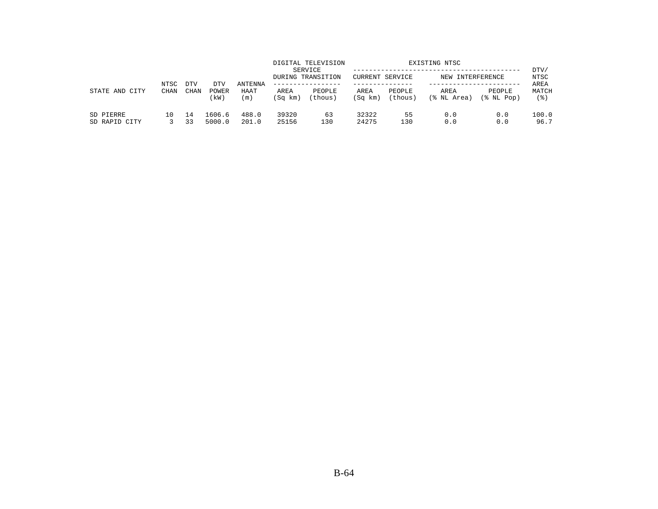| STATE AND<br>CITY          | NTSC<br><b>CHAN</b> | <b>DTV</b> | DTV              | ANTENNA        |                 | DIGITAL TELEVISION<br>SERVICE<br>DURING TRANSITION<br>. | <b>CURRENT SERVICE</b> |                   | EXISTING NTSC<br>NEW INTERFERENCE |                      | DTV/<br>NTSC<br>AREA |
|----------------------------|---------------------|------------|------------------|----------------|-----------------|---------------------------------------------------------|------------------------|-------------------|-----------------------------------|----------------------|----------------------|
|                            |                     | CHAN       | POWER<br>(kW)    | HAAT<br>(m)    | AREA<br>(Sq km) | PEOPLE<br>(thous)                                       | AREA<br>(Sq km)        | PEOPLE<br>(thous) | AREA<br>(% NL Area)               | PEOPLE<br>(% NL Pop) | MATCH<br>(응)         |
| SD PIERRE<br>SD RAPID CITY | 10                  | 14<br>33   | 1606.6<br>5000.0 | 488.0<br>201.0 | 39320<br>25156  | 63<br>130                                               | 32322<br>24275         | 55<br>130         | 0.0<br>0.0                        | 0.0<br>0.0           | 100.0<br>96.7        |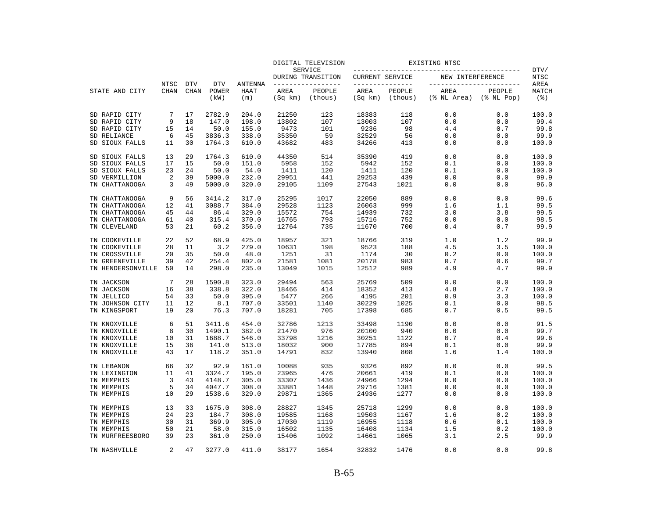|                                     |                |             |                |                    |                 | DIGITAL TELEVISION           |                        |                   | EXISTING NTSC       |                            |               |
|-------------------------------------|----------------|-------------|----------------|--------------------|-----------------|------------------------------|------------------------|-------------------|---------------------|----------------------------|---------------|
|                                     |                |             |                |                    |                 | SERVICE<br>DURING TRANSITION | <b>CURRENT SERVICE</b> |                   | NEW INTERFERENCE    |                            | DTV/<br>NTSC  |
|                                     | NTSC           | <b>DTV</b>  | <b>DTV</b>     | ANTENNA            |                 | --------------               | _______________        |                   |                     | -----------------          | AREA          |
| STATE AND CITY                      | <b>CHAN</b>    | <b>CHAN</b> | POWER<br>(kW)  | <b>HAAT</b><br>(m) | AREA<br>(Sq km) | PEOPLE<br>(thous)            | AREA<br>(Sq km)        | PEOPLE<br>(thous) | AREA<br>(% NL Area) | PEOPLE<br>$(\$$ NL Pop $)$ | MATCH<br>(응)  |
| SD RAPID CITY                       | 7              | 17          | 2782.9         | 204.0              | 21250           | 123                          | 18383                  | 118               | 0.0                 | 0.0                        | 100.0         |
| SD RAPID CITY                       | 9              | 18          | 147.0          | 198.0              | 13802           | 107                          | 13003                  | 107               | 0.0                 | 0.0                        | 99.4          |
| SD RAPID CITY                       | 15             | 14          | 50.0           | 155.0              | 9473            | 101                          | 9236                   | 98                | 4.4                 | 0.7                        | 99.8          |
| SD RELIANCE                         | 6              | 45          | 3836.3         | 338.0              | 35350           | 59                           | 32529                  | 56                | 0.0                 | 0.0                        | 99.9          |
| SD SIOUX FALLS                      | 11             | 30          | 1764.3         | 610.0              | 43682           | 483                          | 34266                  | 413               | 0.0                 | 0.0                        | 100.0         |
| SD SIOUX FALLS                      | 13             | 29          | 1764.3         | 610.0              | 44350           | 514                          | 35390                  | 419               | 0.0                 | 0.0                        | 100.0         |
| SD SIOUX FALLS                      | 17             | 15          | 50.0           | 151.0              | 5958            | 152                          | 5942                   | 152               | 0.1                 | 0.0                        | 100.0         |
| SD SIOUX FALLS                      | 23             | 24          | 50.0           | 54.0               | 1411            | 120                          | 1411                   | 120               | 0.1                 | 0.0                        | 100.0         |
| SD VERMILLION                       | 2              | 39          | 5000.0         | 232.0              | 29951           | 441                          | 29253                  | 439               | 0.0                 | 0.0                        | 99.9          |
| TN CHATTANOOGA                      | 3              | 49          | 5000.0         | 320.0              | 29105           | 1109                         | 27543                  | 1021              | 0.0                 | 0.0                        | 96.0          |
| TN CHATTANOOGA                      | 9              | 56          | 3414.2         | 317.0              | 25295           | 1017                         | 22050                  | 889               | 0.0                 | 0.0                        | 99.6          |
| TN CHATTANOOGA                      | 12             | 41          | 3088.7         | 384.0              | 29528           | 1123                         | 26063                  | 999               | 1.6                 | 1.1                        | 99.5          |
| TN CHATTANOOGA                      | 45             | 44          | 86.4           | 329.0              | 15572           | 754                          | 14939                  | 732               | 3.0                 | 3.8                        | 99.5          |
| TN CHATTANOOGA<br>TN CLEVELAND      | 61<br>53       | 40<br>21    | 315.4<br>60.2  | 370.0<br>356.0     | 16765<br>12764  | 793<br>735                   | 15716<br>11670         | 752<br>700        | 0.0<br>0.4          | 0.0<br>0.7                 | 98.5<br>99.9  |
|                                     |                |             |                |                    |                 |                              |                        |                   |                     |                            |               |
| TN COOKEVILLE                       | 22             | 52          | 68.9           | 425.0              | 18957           | 321                          | 18766                  | 319               | 1.0                 | 1.2                        | 99.9          |
| TN COOKEVILLE                       | 28             | 11          | 3.2            | 279.0              | 10631           | 198                          | 9523                   | 188               | 4.5                 | 3.5                        | 100.0         |
| TN CROSSVILLE                       | 20             | 35          | 50.0           | 48.0               | 1251            | 31                           | 1174                   | 30                | 0.2                 | 0.0                        | 100.0         |
| TN GREENEVILLE<br>TN HENDERSONVILLE | 39<br>50       | 42<br>14    | 254.4<br>298.0 | 802.0<br>235.0     | 21581<br>13049  | 1081<br>1015                 | 20178<br>12512         | 983<br>989        | 0.7<br>4.9          | 0.6<br>4.7                 | 99.7<br>99.9  |
|                                     |                |             |                |                    |                 |                              |                        |                   |                     |                            |               |
| TN JACKSON                          | 7              | 28          | 1590.8         | 323.0              | 29494           | 563                          | 25769                  | 509               | 0.0                 | 0.0                        | 100.0         |
| TN JACKSON                          | 16             | 38          | 338.8          | 322.0              | 18466           | 414                          | 18352                  | 413               | 4.8                 | 2.7                        | 100.0         |
| TN JELLICO                          | 54             | 33          | 50.0           | 395.0              | 5477            | 266                          | 4195                   | 201               | 0.9                 | 3.3                        | 100.0         |
| TN JOHNSON CITY<br>TN KINGSPORT     | 11<br>19       | 12<br>20    | 8.1<br>76.3    | 707.0<br>707.0     | 33501<br>18281  | 1140<br>705                  | 30229<br>17398         | 1025<br>685       | 0.1<br>0.7          | 0.0<br>0.5                 | 98.5<br>99.5  |
|                                     |                |             |                |                    |                 |                              |                        |                   |                     |                            |               |
| TN KNOXVILLE                        | 6              | 51          | 3411.6         | 454.0              | 32786           | 1213                         | 33498                  | 1190              | 0.0                 | 0.0                        | 91.5          |
| TN KNOXVILLE                        | 8              | 30          | 1490.1         | 382.0              | 21470           | 976                          | 20100                  | 940               | 0.0                 | 0.0                        | 99.7          |
| TN KNOXVILLE                        | 10             | 31          | 1688.7         | 546.0              | 33798           | 1216                         | 30251                  | 1122              | 0.7                 | 0.4                        | 99.6          |
| TN KNOXVILLE<br>TN KNOXVILLE        | 15<br>43       | 36<br>17    | 141.0<br>118.2 | 513.0<br>351.0     | 18032<br>14791  | 900<br>832                   | 17785<br>13940         | 894<br>808        | 0.1<br>1.6          | 0.0<br>1.4                 | 99.9<br>100.0 |
|                                     |                |             |                |                    |                 |                              |                        |                   |                     |                            |               |
| TN LEBANON                          | 66             | 32          | 92.9           | 161.0              | 10088           | 935                          | 9326                   | 892               | 0.0                 | 0.0                        | 99.5          |
| TN LEXINGTON                        | 11             | 41          | 3324.7         | 195.0              | 23965           | 476                          | 20661                  | 419               | 0.1                 | 0.0                        | 100.0         |
| TN MEMPHIS                          | 3              | 43          | 4148.7         | 305.0              | 33307           | 1436                         | 24966                  | 1294              | 0.0                 | 0.0                        | 100.0         |
| TN MEMPHIS                          | 5              | 34          | 4047.7         | 308.0              | 33881           | 1448                         | 29716                  | 1381              | 0.0                 | 0.0                        | 100.0         |
| TN MEMPHIS                          | 10             | 29          | 1538.6         | 329.0              | 29871           | 1365                         | 24936                  | 1277              | 0.0                 | 0.0                        | 100.0         |
| TN MEMPHIS                          | 13             | 33          | 1675.0         | 308.0              | 28827           | 1345                         | 25718                  | 1299              | 0.0                 | 0.0                        | 100.0         |
| TN MEMPHIS                          | 24             | 23          | 184.7          | 308.0              | 19585           | 1168                         | 19503                  | 1167              | 1.6                 | 0.2                        | 100.0         |
| TN MEMPHIS                          | 30             | 31          | 369.9          | 305.0              | 17030           | 1119                         | 16955                  | 1118              | 0.6                 | 0.1                        | 100.0         |
| TN MEMPHIS                          | 50             | 21          | 58.0           | 315.0              | 16502           | 1135                         | 16408                  | 1134              | 1.5                 | 0.2                        | 100.0         |
| TN MURFREESBORO                     | 39             | 23          | 361.0          | 250.0              | 15406           | 1092                         | 14661                  | 1065              | 3.1                 | 2.5                        | 99.9          |
| TN NASHVILLE                        | $\overline{a}$ | 47          | 3277.0         | 411.0              | 38177           | 1654                         | 32832                  | 1476              | 0.0                 | 0.0                        | 99.8          |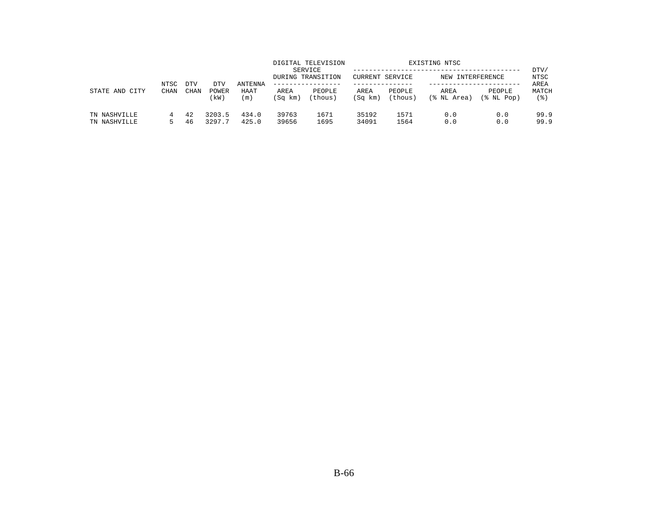|                              | NTSC        | <b>DTV</b> |                      |                        |                 | DIGITAL TELEVISION<br>SERVICE<br>DURING TRANSITION | CURRENT SERVICE |                   | EXISTING NTSC<br>NEW INTERFERENCE |                            | DTV/<br>NTSC         |
|------------------------------|-------------|------------|----------------------|------------------------|-----------------|----------------------------------------------------|-----------------|-------------------|-----------------------------------|----------------------------|----------------------|
| STATE AND CITY               | <b>CHAN</b> | CHAN       | DTV<br>POWER<br>(kW) | ANTENNA<br>HAAT<br>(m) | AREA<br>(Sq km) | --------------<br>PEOPLE<br>(thous)                | AREA<br>(Sq km) | PEOPLE<br>(thous) | AREA<br>(% NL Area)               | PEOPLE<br>$(\$$ NL Pop $)$ | AREA<br>MATCH<br>(응) |
| TN NASHVILLE<br>TN NASHVILLE | 4           | 42<br>46   | 3203.5<br>3297.7     | 434.0<br>425.0         | 39763<br>39656  | 1671<br>1695                                       | 35192<br>34091  | 1571<br>1564      | 0.0<br>0.0                        | 0.0<br>0.0                 | 99.9<br>99.9         |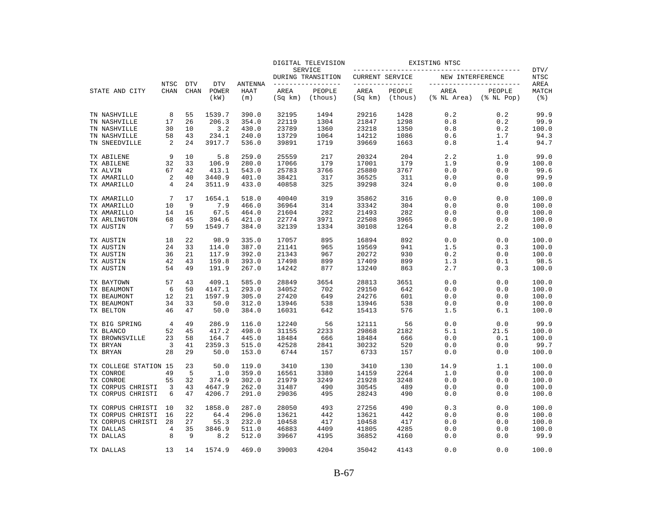|                       |                     |                           |                             |                               |                 | DIGITAL TELEVISION                  |                        |                                   | EXISTING NTSC       |                                                |                                     |
|-----------------------|---------------------|---------------------------|-----------------------------|-------------------------------|-----------------|-------------------------------------|------------------------|-----------------------------------|---------------------|------------------------------------------------|-------------------------------------|
|                       |                     |                           |                             |                               |                 | SERVICE<br>DURING TRANSITION        | <b>CURRENT SERVICE</b> |                                   | NEW INTERFERENCE    |                                                | DTV/<br><b>NTSC</b>                 |
| STATE AND CITY        | <b>NTSC</b><br>CHAN | <b>DTV</b><br><b>CHAN</b> | <b>DTV</b><br>POWER<br>(kW) | <b>ANTENNA</b><br>HAAT<br>(m) | AREA<br>(Sq km) | ______________<br>PEOPLE<br>(thous) | AREA<br>(Sq km)        | ------------<br>PEOPLE<br>(thous) | AREA<br>(% NL Area) | -----------------<br>PEOPLE<br>$(\$$ NL $Pop)$ | AREA<br>MATCH<br>$($ $\mathcal{E})$ |
| TN NASHVILLE          | 8                   | 55                        | 1539.7                      | 390.0                         | 32195           | 1494                                | 29216                  | 1428                              | 0.2                 | 0.2                                            | 99.9                                |
| TN NASHVILLE          | 17                  | 26                        | 206.3                       | 354.0                         | 22119           | 1304                                | 21847                  | 1298                              | 0.8                 | 0.2                                            | 99.9                                |
| TN NASHVILLE          | 30                  | 10                        | 3.2                         | 430.0                         | 23789           | 1360                                | 23218                  | 1350                              | 0.8                 | 0.2                                            | 100.0                               |
| TN NASHVILLE          | 58                  | 43                        | 234.1                       | 240.0                         | 13729           | 1064                                | 14212                  | 1086                              | 0.6                 | 1.7                                            | 94.3                                |
| TN SNEEDVILLE         | 2                   | 24                        | 3917.7                      | 536.0                         | 39891           | 1719                                | 39669                  | 1663                              | 0.8                 | 1.4                                            | 94.7                                |
| TX ABILENE            | 9                   | 10                        | 5.8                         | 259.0                         | 25559           | 217                                 | 20324                  | 204                               | 2.2                 | 1.0                                            | 99.0                                |
| TX ABILENE            | 32                  | 33                        | 106.9                       | 280.0                         | 17066           | 179                                 | 17001                  | 179                               | 1.9                 | 0.9                                            | 100.0                               |
| TX ALVIN              | 67                  | 42                        | 413.1                       | 543.0                         | 25783           | 3766                                | 25880                  | 3767                              | 0.0                 | 0.0                                            | 99.6                                |
| TX AMARILLO           | 2                   | 40                        | 3440.9                      | 401.0                         | 38421           | 317                                 | 36525                  | 311                               | 0.0                 | 0.0                                            | 99.9                                |
| TX AMARILLO           | 4                   | 24                        | 3511.9                      | 433.0                         | 40858           | 325                                 | 39298                  | 324                               | 0.0                 | 0.0                                            | 100.0                               |
| TX AMARILLO           | 7                   | 17                        | 1654.1                      | 518.0                         | 40040           | 319                                 | 35862                  | 316                               | 0.0                 | 0.0                                            | 100.0                               |
| TX AMARILLO           | 10                  | 9                         | 7.9                         | 466.0                         | 36964           | 314                                 | 33342                  | 304                               | 0.0                 | 0.0                                            | 100.0                               |
| TX AMARILLO           | 14                  | 16                        | 67.5                        | 464.0                         | 21604           | 282                                 | 21493                  | 282                               | 0.0                 | 0.0                                            | 100.0                               |
| TX ARLINGTON          | 68                  | 45                        | 394.6                       | 421.0                         | 22774           | 3971                                | 22508                  | 3965                              | 0.0                 | 0.0                                            | 100.0                               |
| TX AUSTIN             | 7                   | 59                        | 1549.7                      | 384.0                         | 32139           | 1334                                | 30108                  | 1264                              | 0.8                 | 2.2                                            | 100.0                               |
| TX AUSTIN             | 18                  | 22                        | 98.9                        | 335.0                         | 17057           | 895                                 | 16894                  | 892                               | 0.0                 | 0.0                                            | 100.0                               |
| TX AUSTIN             | 24                  | 33                        | 114.0                       | 387.0                         | 21141           | 965                                 | 19569                  | 941                               | 1.5                 | 0.3                                            | 100.0                               |
| TX AUSTIN             | 36                  | 21                        | 117.9                       | 392.0                         | 21343           | 967                                 | 20272                  | 930                               | 0.2                 | 0.0                                            | 100.0                               |
| TX AUSTIN             | 42                  | 43                        | 159.8                       | 393.0                         | 17498           | 899                                 | 17409                  | 899                               | 1.3                 | 0.1                                            | 98.5                                |
| TX AUSTIN             | 54                  | 49                        | 191.9                       | 267.0                         | 14242           | 877                                 | 13240                  | 863                               | 2.7                 | 0.3                                            | 100.0                               |
| TX BAYTOWN            | 57                  | 43                        | 409.1                       | 585.0                         | 28849           | 3654                                | 28813                  | 3651                              | 0.0                 | 0.0                                            | 100.0                               |
| TX BEAUMONT           | 6                   | 50                        | 4147.1                      | 293.0                         | 34052           | 702                                 | 29150                  | 642                               | 0.0                 | 0.0                                            | 100.0                               |
| TX BEAUMONT           | 12                  | 21                        | 1597.9                      | 305.0                         | 27420           | 649                                 | 24276                  | 601                               | 0.0                 | 0.0                                            | 100.0                               |
| TX BEAUMONT           | 34                  | 33                        | 50.0                        | 312.0                         | 13946           | 538                                 | 13946                  | 538                               | 0.0                 | 0.0                                            | 100.0                               |
| TX BELTON             | 46                  | 47                        | 50.0                        | 384.0                         | 16031           | 642                                 | 15413                  | 576                               | 1.5                 | 6.1                                            | 100.0                               |
| TX BIG SPRING         | 4                   | 49                        | 286.9                       | 116.0                         | 12240           | 56                                  | 12111                  | 56                                | 0.0                 | 0.0                                            | 99.9                                |
| TX BLANCO             | 52                  | 45                        | 417.2                       | 498.0                         | 31155           | 2233                                | 29868                  | 2182                              | 5.1                 | 21.5                                           | 100.0                               |
| TX BROWNSVILLE        | 23                  | 58                        | 164.7                       | 445.0                         | 18484           | 666                                 | 18484                  | 666                               | 0.0                 | 0.1                                            | 100.0                               |
| TX BRYAN              | 3                   | 41                        | 2359.3                      | 515.0                         | 42528           | 2841                                | 30232                  | 520                               | 0.0                 | 0.0                                            | 99.7                                |
| TX BRYAN              | 28                  | 29                        | 50.0                        | 153.0                         | 6744            | 157                                 | 6733                   | 157                               | 0.0                 | 0.0                                            | 100.0                               |
| TX COLLEGE STATION 15 |                     | 23                        | 50.0                        | 119.0                         | 3410            | 130                                 | 3410                   | 130                               | 14.9                | 1.1                                            | 100.0                               |
| TX CONROE             | 49                  | 5                         | 1.0                         | 359.0                         | 16561           | 3380                                | 14159                  | 2264                              | 1.0                 | 0.0                                            | 100.0                               |
| TX CONROE             | 55                  | 32                        | 374.9                       | 302.0                         | 21979           | 3249                                | 21928                  | 3248                              | 0.0                 | 0.0                                            | 100.0                               |
| TX CORPUS CHRISTI     | 3                   | 43                        | 4647.9                      | 262.0                         | 31487           | 490                                 | 30545                  | 489                               | 0.0                 | 0.0                                            | 100.0                               |
| TX CORPUS CHRISTI     | 6                   | 47                        | 4206.7                      | 291.0                         | 29036           | 495                                 | 28243                  | 490                               | 0.0                 | 0.0                                            | 100.0                               |
| TX CORPUS CHRISTI     | 10                  | 32                        | 1858.0                      | 287.0                         | 28050           | 493                                 | 27256                  | 490                               | 0.3                 | 0.0                                            | 100.0                               |
| TX CORPUS CHRISTI     | 16                  | 22                        | 64.4                        | 296.0                         | 13621           | 442                                 | 13621                  | 442                               | 0.0                 | 0.0                                            | 100.0                               |
| TX CORPUS CHRISTI     | 28                  | 27                        | 55.3                        | 232.0                         | 10458           | 417                                 | 10458                  | 417                               | 0.0                 | 0.0                                            | 100.0                               |
| TX DALLAS             | 4                   | 35                        | 3846.9                      | 511.0                         | 46883           | 4409                                | 41805                  | 4285                              | 0.0                 | 0.0                                            | 100.0                               |
| TX DALLAS             | 8                   | 9                         | 8.2                         | 512.0                         | 39667           | 4195                                | 36852                  | 4160                              | 0.0                 | 0.0                                            | 99.9                                |
| TX DALLAS             | 13                  | 14                        | 1574.9                      | 469.0                         | 39003           | 4204                                | 35042                  | 4143                              | 0.0                 | 0.0                                            | 100.0                               |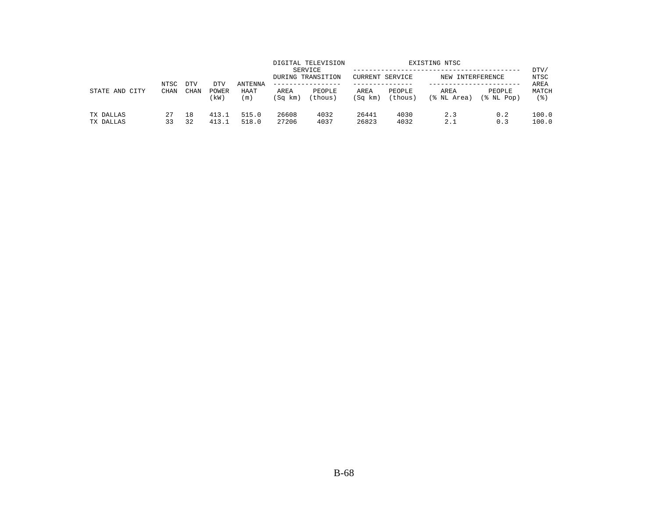| STATE AND<br>CITY      | NTSC<br><b>CHAN</b> | <b>DTV</b> | DTV            | <b>ANTENNA</b> |                 | DIGITAL TELEVISION<br>SERVICE<br>DURING TRANSITION<br>------------- | CURRENT SERVICE |                   | EXISTING NTSC<br>NEW INTERFERENCE |                      | DTV/<br>NTSC<br>AREA |
|------------------------|---------------------|------------|----------------|----------------|-----------------|---------------------------------------------------------------------|-----------------|-------------------|-----------------------------------|----------------------|----------------------|
|                        |                     | CHAN       | POWER<br>(kW)  | HAAT<br>(m)    | AREA<br>(Sq km) | PEOPLE<br>(thous)                                                   | AREA<br>(Sq km) | PEOPLE<br>(thous) | AREA<br>(% NL Area)               | PEOPLE<br>(% NL Pop) | MATCH<br>(응)         |
| TX DALLAS<br>TX DALLAS | 27<br>33            | 18<br>32   | 413.1<br>413.1 | 515.0<br>518.0 | 26608<br>27206  | 4032<br>4037                                                        | 26441<br>26823  | 4030<br>4032      | 2.3<br>2.1                        | 0.2<br>0.3           | 100.0<br>100.0       |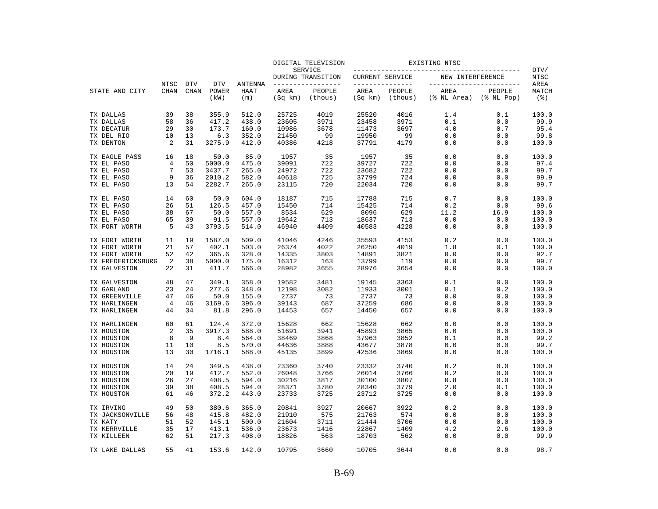|                                   |                     |                           |                             |                               |                 | DIGITAL TELEVISION                  |                        |                                   | EXISTING NTSC       |                                              |                                     |
|-----------------------------------|---------------------|---------------------------|-----------------------------|-------------------------------|-----------------|-------------------------------------|------------------------|-----------------------------------|---------------------|----------------------------------------------|-------------------------------------|
|                                   |                     |                           |                             |                               |                 | SERVICE<br>DURING TRANSITION        | <b>CURRENT SERVICE</b> |                                   | NEW INTERFERENCE    |                                              | DTV/<br><b>NTSC</b>                 |
| STATE AND CITY                    | <b>NTSC</b><br>CHAN | <b>DTV</b><br><b>CHAN</b> | <b>DTV</b><br>POWER<br>(kW) | <b>ANTENNA</b><br>HAAT<br>(m) | AREA<br>(Sq km) | ______________<br>PEOPLE<br>(thous) | AREA<br>(Sq km)        | ------------<br>PEOPLE<br>(thous) | AREA<br>(% NL Area) | _________________<br>PEOPLE<br>$(\$ NI Pop)$ | AREA<br>MATCH<br>$($ $\mathcal{E})$ |
| TX DALLAS                         | 39                  | 38                        | 355.9                       | 512.0                         | 25725           | 4019                                | 25520                  | 4016                              | 1.4                 | 0.1                                          | 100.0                               |
| TX DALLAS                         | 58                  | 36                        | 417.2                       | 438.0                         | 23605           | 3971                                | 23458                  | 3971                              | 0.1                 | 0.0                                          | 99.9                                |
| TX DECATUR                        | 29                  | 30                        | 173.7                       | 160.0                         | 10986           | 3678                                | 11473                  | 3697                              | 4.0                 | 0.7                                          | 95.4                                |
| TX DEL RIO                        | 10                  | 13                        | 6.3                         | 352.0                         | 21450           | 99                                  | 19950                  | 99                                | 0.0                 | 0.0                                          | 99.8                                |
| TX DENTON                         | 2                   | 31                        | 3275.9                      | 412.0                         | 40386           | 4218                                | 37791                  | 4179                              | $0.0$               | 0.0                                          | 100.0                               |
| TX EAGLE PASS                     | 16                  | 18                        | 50.0                        | 85.0                          | 1957            | 35                                  | 1957                   | 35                                | 0.0                 | 0.0                                          | 100.0                               |
| TX EL PASO                        | 4                   | 50                        | 5000.0                      | 475.0                         | 39091           | 722                                 | 39727                  | 722                               | 0.0                 | 0.0                                          | 97.4                                |
| TX EL PASO                        | 7                   | 53                        | 3437.7                      | 265.0                         | 24972           | 722                                 | 23682                  | 722                               | 0.0                 | 0.0                                          | 99.7                                |
| TX EL PASO                        | 9                   | 36                        | 2010.2                      | 582.0                         | 40618           | 725                                 | 37799                  | 724                               | 0.0                 | 0.0                                          | 99.9                                |
| TX EL PASO                        | 13                  | 54                        | 2282.7                      | 265.0                         | 23115           | 720                                 | 22034                  | 720                               | 0.0                 | 0.0                                          | 99.7                                |
| TX EL PASO                        | 14                  | 60                        | 50.0                        | 604.0                         | 18187           | 715                                 | 17788                  | 715                               | 0.7                 | 0.0                                          | 100.0                               |
| TX EL PASO                        | 26                  | 51                        | 126.5                       | 457.0                         | 15450           | 714                                 | 15425                  | 714                               | 0.2                 | 0.0                                          | 99.6                                |
| TX EL PASO                        | 38                  | 67                        | 50.0                        | 557.0                         | 8534            | 629                                 | 8096                   | 629                               | 11.2                | 16.9                                         | 100.0                               |
| TX EL PASO                        | 65                  | 39                        | 91.5                        | 557.0                         | 19642           | 713                                 | 18637                  | 713                               | 0.0                 | 0.0                                          | 100.0                               |
| TX FORT WORTH                     | 5                   | 43                        | 3793.5                      | 514.0                         | 46940           | 4409                                | 40583                  | 4228                              | 0.0                 | 0.0                                          | 100.0                               |
| TX FORT WORTH                     | 11                  | 19                        | 1587.0                      | 509.0                         | 41046           | 4246                                | 35593                  | 4153                              | 0.2                 | 0.0                                          | 100.0                               |
| TX FORT WORTH                     | 21                  | 57                        | 402.1                       | 503.0                         | 26374           | 4022                                | 26250                  | 4019                              | 1.8                 | 0.1                                          | 100.0                               |
| TX FORT WORTH                     | 52                  | 42                        | 365.6                       | 328.0                         | 14335           | 3803                                | 14891                  | 3821                              | 0.0                 | 0.0                                          | 92.7                                |
| TX FREDERICKSBURG<br>TX GALVESTON | 2<br>22             | 38<br>31                  | 5000.0<br>411.7             | 175.0<br>566.0                | 16312<br>28982  | 163<br>3655                         | 13799<br>28976         | 119<br>3654                       | 0.0<br>0.0          | 0.0<br>0.0                                   | 99.7<br>100.0                       |
|                                   |                     |                           |                             |                               |                 |                                     |                        |                                   |                     |                                              |                                     |
| TX GALVESTON                      | 48                  | 47                        | 349.1                       | 358.0                         | 19582           | 3481                                | 19145                  | 3363                              | $0.1$               | 0.0                                          | 100.0                               |
| TX GARLAND                        | 23                  | 24                        | 277.6                       | 348.0                         | 12198           | 3082                                | 11933                  | 3001                              | 0.1                 | 0.2                                          | 100.0                               |
| TX GREENVILLE                     | 47                  | 46                        | 50.0                        | 155.0                         | 2737            | 73                                  | 2737                   | 73                                | 0.0                 | 0.0                                          | 100.0                               |
| TX HARLINGEN                      | $\overline{4}$      | 46                        | 3169.6                      | 396.0                         | 39143           | 687                                 | 37259                  | 686                               | 0.0                 | 0.0                                          | 100.0                               |
| TX HARLINGEN                      | 44                  | 34                        | 81.8                        | 296.0                         | 14453           | 657                                 | 14450                  | 657                               | 0.0                 | 0.0                                          | 100.0                               |
| TX HARLINGEN                      | 60                  | 61                        | 124.4                       | 372.0                         | 15628           | 662                                 | 15628                  | 662                               | 0.0                 | 0.0                                          | 100.0                               |
| TX HOUSTON                        | 2                   | 35                        | 3917.3                      | 588.0                         | 51691           | 3941                                | 45893                  | 3865                              | 0.0                 | 0.0                                          | 100.0                               |
| TX HOUSTON                        | 8                   | 9                         | 8.4                         | 564.0                         | 38469           | 3868                                | 37963                  | 3852                              | 0.1                 | 0.0                                          | 99.2                                |
| TX HOUSTON                        | 11                  | 10                        | 8.5                         | 570.0                         | 44636           | 3888                                | 43677                  | 3878                              | 0.0                 | 0.0                                          | 99.7                                |
| TX HOUSTON                        | 13                  | 30                        | 1716.1                      | 588.0                         | 45135           | 3899                                | 42536                  | 3869                              | 0.0                 | 0.0                                          | 100.0                               |
| TX HOUSTON                        | 14                  | 24                        | 349.5                       | 438.0                         | 23360           | 3740                                | 23332                  | 3740                              | 0.2                 | 0.0                                          | 100.0                               |
| TX HOUSTON                        | 20                  | 19                        | 412.7                       | 552.0                         | 26048           | 3766                                | 26014                  | 3766                              | 0.2                 | 0.0                                          | 100.0                               |
| TX HOUSTON                        | 26                  | 27                        | 408.5                       | 594.0                         | 30216           | 3817                                | 30100                  | 3807                              | 0.8                 | 0.0                                          | 100.0                               |
| TX HOUSTON                        | 39                  | 38                        | 408.5                       | 594.0                         | 28371           | 3780                                | 28340                  | 3779                              | 2.0                 | 0.1                                          | 100.0                               |
| TX HOUSTON                        | 61                  | 46                        | 372.2                       | 443.0                         | 23733           | 3725                                | 23712                  | 3725                              | 0.0                 | 0.0                                          | 100.0                               |
| TX IRVING                         | 49                  | 50                        | 380.6                       | 365.0                         | 20841           | 3927                                | 20667                  | 3922                              | 0.2                 | 0.0                                          | 100.0                               |
| TX JACKSONVILLE                   | 56                  | 48                        | 415.8                       | 482.0                         | 21910           | 575                                 | 21763                  | 574                               | 0.0                 | 0.0                                          | 100.0                               |
| TX KATY                           | 51                  | 52                        | 145.1                       | 500.0                         | 21604           | 3711                                | 21444                  | 3706                              | 0.0                 | 0.0                                          | 100.0                               |
| TX KERRVILLE                      | 35                  | 17                        | 413.1                       | 536.0                         | 23673           | 1416                                | 22867                  | 1409                              | 4.2                 | 2.6                                          | 100.0                               |
| TX KILLEEN                        | 62                  | 51                        | 217.3                       | 408.0                         | 18826           | 563                                 | 18703                  | 562                               | 0.0                 | 0.0                                          | 99.9                                |
| TX LAKE DALLAS                    | 55                  | 41                        | 153.6                       | 142.0                         | 10795           | 3660                                | 10705                  | 3644                              | 0.0                 | 0.0                                          | 98.7                                |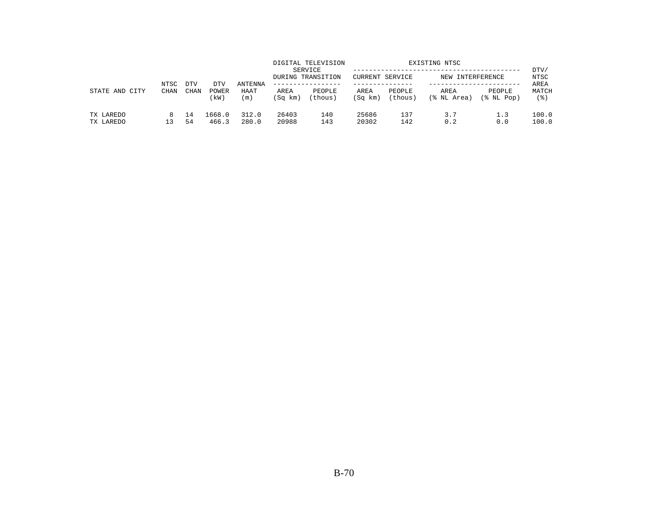|                        | NTSC        | <b>DTV</b> | DTV             | ANTENNA        |                 | DIGITAL TELEVISION<br>SERVICE<br>DURING TRANSITION<br>. _ _ _ _ _ _ _ _ _ _ _ _ _ | <b>CURRENT SERVICE</b> |                   | EXISTING NTSC<br>NEW INTERFERENCE |                      | DTV/<br>NTSC<br>AREA |
|------------------------|-------------|------------|-----------------|----------------|-----------------|-----------------------------------------------------------------------------------|------------------------|-------------------|-----------------------------------|----------------------|----------------------|
| STATE AND<br>CITY      | <b>CHAN</b> | CHAN       | POWER<br>(kW)   | HAAT<br>(m)    | AREA<br>(Sq km) | PEOPLE<br>(thous)                                                                 | AREA<br>(Sq km)        | PEOPLE<br>(thous) | AREA<br>(% NL Area)               | PEOPLE<br>(% NL Pop) | MATCH<br>(응)         |
| TX LAREDO<br>TX LAREDO | 13.         | 14<br>54   | 1668.0<br>466.3 | 312.0<br>280.0 | 26403<br>20988  | 140<br>143                                                                        | 25686<br>20302         | 137<br>142        | 3.7<br>0.2                        | 1.3<br>0.0           | 100.0<br>100.0       |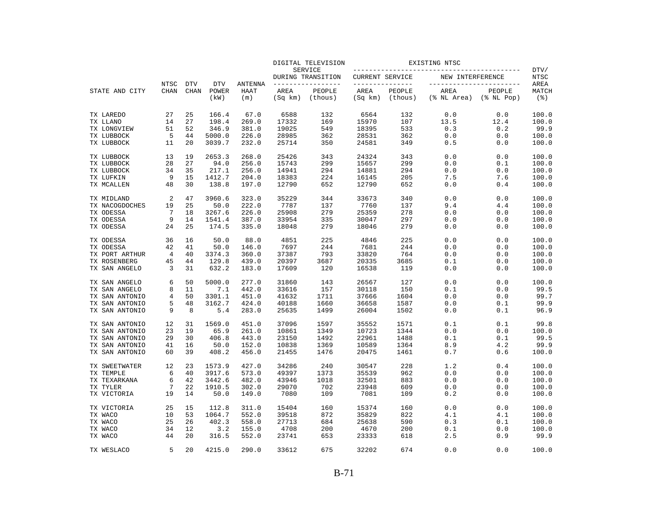|                                  |                     |                           |                             | <b>ANTENNA</b><br>HAAT<br>(m) | DIGITAL TELEVISION<br><b>SERVICE</b> |                                     | EXISTING NTSC                     |                   |                     |                                              |                      |
|----------------------------------|---------------------|---------------------------|-----------------------------|-------------------------------|--------------------------------------|-------------------------------------|-----------------------------------|-------------------|---------------------|----------------------------------------------|----------------------|
|                                  |                     |                           |                             |                               |                                      | DURING TRANSITION                   | CURRENT SERVICE                   |                   | NEW INTERFERENCE    |                                              | DTV/<br><b>NTSC</b>  |
| STATE AND CITY                   | <b>NTSC</b><br>CHAN | <b>DTV</b><br><b>CHAN</b> | <b>DTV</b><br>POWER<br>(kW) |                               | AREA<br>(Sq km)                      | --------------<br>PEOPLE<br>(thous) | ______________<br>AREA<br>(Sq km) | PEOPLE<br>(thous) | AREA<br>(% NL Area) | -----------------<br>PEOPLE<br>$(\$ NI Pop)$ | AREA<br>MATCH<br>(응) |
| TX LAREDO                        | 27                  | 25                        | 166.4                       | 67.0                          | 6588                                 | 132                                 | 6564                              | 132               | 0.0                 | 0.0                                          | 100.0                |
| TX LLANO                         | 14                  | 27                        | 198.4                       | 269.0                         | 17332                                | 169                                 | 15970                             | 107               | 13.5                | 12.4                                         | 100.0                |
| TX LONGVIEW                      | 51                  | 52                        | 346.9                       | 381.0                         | 19025                                | 549                                 | 18395                             | 533               | 0.3                 | 0.2                                          | 99.9                 |
| TX LUBBOCK                       | 5                   | 44                        | 5000.0                      | 226.0                         | 28985                                | 362                                 | 28531                             | 362               | 0.0                 | 0.0                                          | 100.0                |
| TX LUBBOCK                       | 11                  | 20                        | 3039.7                      | 232.0                         | 25714                                | 350                                 | 24581                             | 349               | 0.5                 | 0.0                                          | 100.0                |
| TX LUBBOCK                       | 13                  | 19                        | 2653.3                      | 268.0                         | 25426                                | 343                                 | 24324                             | 343               | 0.0                 | 0.0                                          | 100.0                |
| TX LUBBOCK                       | 28                  | 27                        | 94.0                        | 256.0                         | 15743                                | 299                                 | 15657                             | 299               | 0.0                 | 0.1                                          | 100.0                |
| TX LUBBOCK                       | 34                  | 35                        | 217.1                       | 256.0                         | 14941                                | 294                                 | 14881                             | 294               | 0.0                 | 0.0                                          | 100.0                |
| TX LUFKIN                        | 9                   | 15                        | 1412.7                      | 204.0                         | 18383                                | 224                                 | 16145                             | 205               | 7.5                 | 7.6                                          | 100.0                |
| TX MCALLEN                       | 48                  | 30                        | 138.8                       | 197.0                         | 12790                                | 652                                 | 12790                             | 652               | 0.0                 | 0.4                                          | 100.0                |
| TX MIDLAND                       | 2                   | 47                        | 3960.6                      | 323.0                         | 35229                                | 344                                 | 33673                             | 340               | 0.0                 | 0.0                                          | 100.0                |
| TX NACOGDOCHES                   | 19                  | 25                        | 50.0                        | 222.0                         | 7787                                 | 137                                 | 7760                              | 137               | 9.4                 | 4.4                                          | 100.0                |
| TX ODESSA                        | 7                   | 18                        | 3267.6                      | 226.0                         | 25908                                | 279                                 | 25359                             | 278               | 0.0                 | 0.0                                          | 100.0                |
| TX ODESSA<br>TX ODESSA           | 9<br>24             | 14<br>25                  | 1541.4<br>174.5             | 387.0<br>335.0                | 33954<br>18048                       | 335<br>279                          | 30047<br>18046                    | 297<br>279        | 0.0<br>0.0          | 0.0<br>0.0                                   | 100.0<br>100.0       |
|                                  |                     |                           |                             |                               |                                      |                                     |                                   |                   |                     |                                              |                      |
| TX ODESSA                        | 36                  | 16                        | 50.0                        | 88.0                          | 4851                                 | 225                                 | 4846                              | 225               | 0.0                 | 0.0                                          | 100.0                |
| TX ODESSA                        | 42                  | 41                        | 50.0                        | 146.0                         | 7697                                 | 244                                 | 7681                              | 244               | 0.0                 | 0.0                                          | 100.0                |
| TX PORT ARTHUR                   | 4                   | 40                        | 3374.3                      | 360.0                         | 37387                                | 793                                 | 33820                             | 764               | 0.0                 | 0.0                                          | 100.0                |
| TX ROSENBERG                     | 45                  | 44                        | 129.8                       | 439.0                         | 20397                                | 3687                                | 20335                             | 3685              | 0.1                 | 0.0                                          | 100.0                |
| TX SAN ANGELO                    | 3                   | 31                        | 632.2                       | 183.0                         | 17609                                | 120                                 | 16538                             | 119               | 0.0                 | 0.0                                          | 100.0                |
| TX SAN ANGELO                    | 6                   | 50                        | 5000.0                      | 277.0                         | 31860                                | 143                                 | 26567                             | 127               | 0.0                 | 0.0                                          | 100.0                |
| TX SAN ANGELO                    | 8                   | 11                        | 7.1                         | 442.0                         | 33616                                | 157                                 | 30118                             | 150               | 0.1                 | 0.0                                          | 99.5                 |
| TX SAN ANTONIO                   | 4                   | 50                        | 3301.1                      | 451.0                         | 41632                                | 1711                                | 37666                             | 1604              | 0.0                 | 0.0                                          | 99.7                 |
| TX SAN ANTONIO<br>TX SAN ANTONIO | 5<br>9              | 48<br>8                   | 3162.7<br>5.4               | 424.0<br>283.0                | 40188<br>25635                       | 1660<br>1499                        | 36658<br>26004                    | 1587<br>1502      | 0.0<br>0.0          | 0.1<br>0.1                                   | 99.9<br>96.9         |
|                                  |                     |                           |                             |                               |                                      |                                     |                                   |                   |                     |                                              |                      |
| TX SAN ANTONIO                   | 12                  | 31                        | 1569.0                      | 451.0                         | 37096                                | 1597                                | 35552                             | 1571              | 0.1                 | 0.1                                          | 99.8                 |
| TX SAN ANTONIO                   | 23                  | 19                        | 65.9                        | 261.0                         | 10861                                | 1349                                | 10723                             | 1344              | 0.0                 | 0.0                                          | 100.0                |
| TX SAN ANTONIO                   | 29                  | 30                        | 406.8                       | 443.0                         | 23150                                | 1492                                | 22961                             | 1488              | 0.1                 | 0.1                                          | 99.5                 |
| TX SAN ANTONIO                   | 41                  | 16                        | 50.0                        | 152.0                         | 10838                                | 1369                                | 10589                             | 1364              | 8.9                 | 4.2                                          | 99.9                 |
| TX SAN ANTONIO                   | 60                  | 39                        | 408.2                       | 456.0                         | 21455                                | 1476                                | 20475                             | 1461              | 0.7                 | 0.6                                          | 100.0                |
| TX SWEETWATER                    | 12                  | 23                        | 1573.9                      | 427.0                         | 34286                                | 240                                 | 30547                             | 228               | 1.2                 | 0.4                                          | 100.0                |
| TX TEMPLE                        | 6                   | 40                        | 3917.6                      | 573.0                         | 49397                                | 1373                                | 35539                             | 962               | 0.0                 | 0.0                                          | 100.0                |
| TX TEXARKANA                     | 6<br>7              | 42                        | 3442.6                      | 482.0                         | 43946                                | 1018                                | 32501                             | 883               | 0.0                 | 0.0                                          | 100.0                |
| TX TYLER                         |                     | 22                        | 1910.5                      | 302.0                         | 29070                                | 702                                 | 23948                             | 609               | 0.0                 | 0.0                                          | 100.0                |
| TX VICTORIA                      | 19                  | 14                        | 50.0                        | 149.0                         | 7080                                 | 109                                 | 7081                              | 109               | 0.2                 | 0.0                                          | 100.0                |
| TX VICTORIA                      | 25                  | 15                        | 112.8                       | 311.0                         | 15404                                | 160                                 | 15374                             | 160               | 0.0                 | 0.0                                          | 100.0                |
| TX WACO                          | 10                  | 53                        | 1064.7                      | 552.0                         | 39518                                | 872                                 | 35829                             | 822               | 4.1                 | 4.1                                          | 100.0                |
| TX WACO                          | 25                  | 26                        | 402.3                       | 558.0                         | 27713                                | 684                                 | 25638                             | 590               | 0.3                 | 0.1                                          | 100.0                |
| TX WACO                          | 34                  | 12                        | 3.2                         | 155.0                         | 4708                                 | 200                                 | 4670                              | 200               | 0.1                 | 0.0                                          | 100.0                |
| TX WACO                          | 44                  | 20                        | 316.5                       | 552.0                         | 23741                                | 653                                 | 23333                             | 618               | 2.5                 | 0.9                                          | 99.9                 |
| TX WESLACO                       | 5                   | 2.0                       | 4215.0                      | 290.0                         | 33612                                | 675                                 | 32202                             | 674               | 0.0                 | 0.0                                          | 100.0                |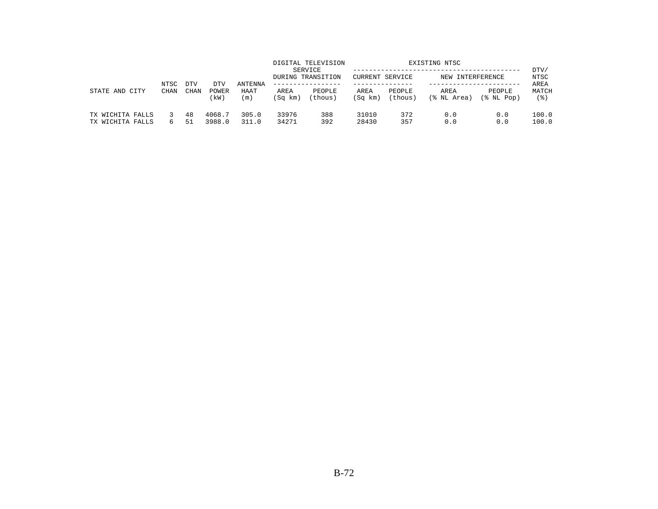| STATE AND<br>CITY                    |                     |                    |                      | ANTENNA<br>HAAT<br>(m) |                 | DIGITAL TELEVISION<br>SERVICE<br>DURING TRANSITION<br>-------------- | EXISTING NTSC<br><b>CURRENT SERVICE</b><br>NEW INTERFERENCE |                   |                     |                      | DTV/<br>NTSC         |                |
|--------------------------------------|---------------------|--------------------|----------------------|------------------------|-----------------|----------------------------------------------------------------------|-------------------------------------------------------------|-------------------|---------------------|----------------------|----------------------|----------------|
|                                      | NTSC<br><b>CHAN</b> | <b>DTV</b><br>CHAN | DTV<br>POWER<br>(kW) |                        | AREA<br>(Sq km) | PEOPLE<br>(thous)                                                    | AREA<br>(Sq km)                                             | PEOPLE<br>(thous) | AREA<br>(% NL Area) | PEOPLE<br>(% NL Pop) | AREA<br>MATCH<br>(응) |                |
| TX WICHITA FALLS<br>TX WICHITA FALLS |                     |                    | 48<br>51             | 4068.7<br>3988.0       | 305.0<br>311.0  | 33976<br>34271                                                       | 388<br>392                                                  | 31010<br>28430    | 372<br>357          | 0.0<br>0.0           | 0.0<br>0.0           | 100.0<br>100.0 |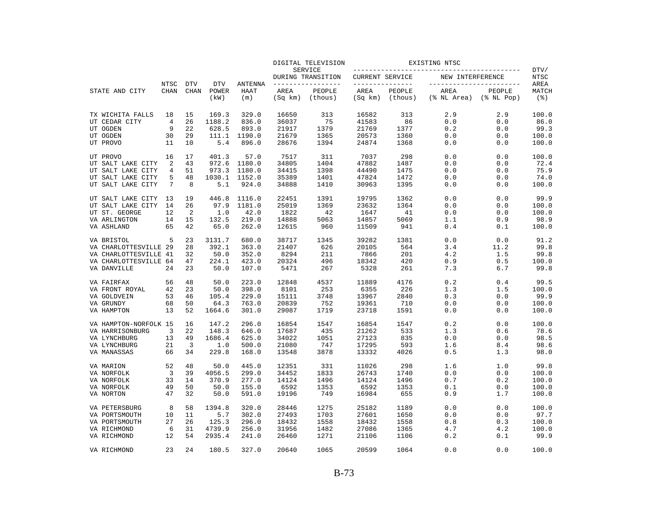|                       |             |                |               |             |                 | DIGITAL TELEVISION           | EXISTING NTSC          |                   |                     |                            |                                |
|-----------------------|-------------|----------------|---------------|-------------|-----------------|------------------------------|------------------------|-------------------|---------------------|----------------------------|--------------------------------|
|                       |             |                |               |             |                 | SERVICE<br>DURING TRANSITION | <b>CURRENT SERVICE</b> |                   | NEW INTERFERENCE    |                            | DTV/<br>NTSC                   |
|                       | NTSC        | <b>DTV</b>     | <b>DTV</b>    | ANTENNA     |                 | --------------               | _______________        |                   |                     | ----------------           | AREA                           |
| STATE AND CITY        | <b>CHAN</b> | <b>CHAN</b>    | POWER<br>(kW) | HAAT<br>(m) | AREA<br>(Sq km) | PEOPLE<br>(thous)            | AREA<br>(Sq km)        | PEOPLE<br>(thous) | AREA<br>(% NL Area) | PEOPLE<br>$(\$$ NL Pop $)$ | MATCH<br>$($ $\frac{6}{3}$ $)$ |
| TX WICHITA FALLS      | 18          | 15             | 169.3         | 329.0       | 16650           | 313                          | 16582                  | 313               | 2.9                 | 2.9                        | 100.0                          |
| UT CEDAR CITY         | 4           | 26             | 1188.2        | 836.0       | 36037           | 75                           | 41583                  | 86                | 0.0                 | 0.0                        | 86.0                           |
| UT OGDEN              | 9           | 22             | 628.5         | 893.0       | 21917           | 1379                         | 21769                  | 1377              | 0.2                 | 0.0                        | 99.3                           |
| UT OGDEN              | 30          | 29             | 111.1         | 1190.0      | 21679           | 1365                         | 20573                  | 1360              | 0.0                 | 0.0                        | 100.0                          |
| UT PROVO              | 11          | 10             | 5.4           | 896.0       | 28676           | 1394                         | 24874                  | 1368              | 0.0                 | 0.0                        | 100.0                          |
| UT PROVO              | 16          | 17             | 401.3         | 57.0        | 7517            | 311                          | 7037                   | 298               | 0.0                 | 0.0                        | 100.0                          |
| UT SALT LAKE CITY     | 2           | 43             | 972.6         | 1180.0      | 34805           | 1404                         | 47882                  | 1487              | 0.0                 | 0.0                        | 72.4                           |
| UT SALT LAKE CITY     | 4           | 51             | 973.3         | 1180.0      | 34415           | 1398                         | 44490                  | 1475              | 0.0                 | 0.0                        | 75.9                           |
| UT SALT LAKE CITY     | 5           | 48             | 1030.1        | 1152.0      | 35389           | 1401                         | 47824                  | 1472              | 0.0                 | 0.0                        | 74.0                           |
| UT SALT LAKE CITY     | 7           | 8              | 5.1           | 924.0       | 34888           | 1410                         | 30963                  | 1395              | 0.0                 | 0.0                        | 100.0                          |
| UT SALT LAKE CITY     | 13          | 19             | 446.8         | 1116.0      | 22451           | 1391                         | 19795                  | 1362              | 0.0                 | 0.0                        | 99.9                           |
| UT SALT LAKE CITY     | 14          | 26             | 97.9          | 1181.0      | 25019           | 1369                         | 23632                  | 1364              | 0.0                 | 0.0                        | 100.0                          |
| UT ST. GEORGE         | 12          | $\overline{2}$ | 1.0           | 42.0        | 1822            | 42                           | 1647                   | 41                | 0.0                 | 0.0                        | 100.0                          |
| VA ARLINGTON          | 14          | 15             | 132.5         | 219.0       | 14888           | 5063                         | 14857                  | 5069              | 1.1                 | 0.9                        | 98.9                           |
| VA ASHLAND            | 65          | 42             | 65.0          | 262.0       | 12615           | 960                          | 11509                  | 941               | 0.4                 | 0.1                        | 100.0                          |
| VA BRISTOL            | 5           | 23             | 3131.7        | 680.0       | 38717           | 1345                         | 39282                  | 1381              | 0.0                 | 0.0                        | 91.2                           |
| VA CHARLOTTESVILLE 29 |             | 28             | 392.1         | 363.0       | 21407           | 626                          | 20105                  | 564               | 3.4                 | 11.2                       | 99.8                           |
| VA CHARLOTTESVILLE 41 |             | 32             | 50.0          | 352.0       | 8294            | 211                          | 7866                   | 201               | 4.2                 | 1.5                        | 99.8                           |
| VA CHARLOTTESVILLE 64 |             | 47             | 224.1         | 423.0       | 20324           | 496                          | 18342                  | 420               | 0.9                 | 0.5                        | 100.0                          |
| VA DANVILLE           | 24          | 23             | 50.0          | 107.0       | 5471            | 267                          | 5328                   | 261               | 7.3                 | 6.7                        | 99.8                           |
| VA FAIRFAX            | 56          | 48             | 50.0          | 223.0       | 12848           | 4537                         | 11889                  | 4176              | 0.2                 | 0.4                        | 99.5                           |
| VA FRONT ROYAL        | 42          | 23             | 50.0          | 398.0       | 8101            | 253                          | 6355                   | 226               | 1.3                 | 1.5                        | 100.0                          |
| VA GOLDVEIN           | 53          | 46             | 105.4         | 229.0       | 15111           | 3748                         | 13967                  | 2840              | 0.3                 | 0.0                        | 99.9                           |
| VA GRUNDY             | 68          | 50             | 64.3          | 763.0       | 20839           | 752                          | 19361                  | 710               | 0.0                 | 0.0                        | 100.0                          |
| VA HAMPTON            | 13          | 52             | 1664.6        | 301.0       | 29087           | 1719                         | 23718                  | 1591              | 0.0                 | 0.0                        | 100.0                          |
| VA HAMPTON-NORFOLK 15 |             | 16             | 147.2         | 296.0       | 16854           | 1547                         | 16854                  | 1547              | 0.2                 | 0.0                        | 100.0                          |
| VA HARRISONBURG       | 3           | 22             | 148.3         | 646.0       | 17687           | 435                          | 21262                  | 533               | 1.3                 | 0.6                        | 78.6                           |
| VA LYNCHBURG          | 13          | 49             | 1686.4        | 625.0       | 34022           | 1051                         | 27123                  | 835               | 0.0                 | 0.0                        | 98.5                           |
| VA LYNCHBURG          | 21          | 3              | 1.0           | 500.0       | 21080           | 747                          | 17295                  | 593               | 1.6                 | 8.4                        | 98.6                           |
| VA MANASSAS           | 66          | 34             | 229.8         | 168.0       | 13548           | 3878                         | 13332                  | 4026              | 0.5                 | 1.3                        | 98.0                           |
| VA MARION             | 52          | 48             | 50.0          | 445.0       | 12351           | 331                          | 11026                  | 298               | 1.6                 | 1.0                        | 99.8                           |
| VA NORFOLK            | 3           | 39             | 4056.5        | 299.0       | 34452           | 1833                         | 26743                  | 1740              | 0.0                 | 0.0                        | 100.0                          |
| VA NORFOLK            | 33          | 14             | 370.9         | 277.0       | 14124           | 1496                         | 14124                  | 1496              | 0.7                 | 0.2                        | 100.0                          |
| VA NORFOLK            | 49          | 50             | 50.0          | 155.0       | 6592            | 1353                         | 6592                   | 1353              | 0.1                 | 0.0                        | 100.0                          |
| VA NORTON             | 47          | 32             | 50.0          | 591.0       | 19196           | 749                          | 16984                  | 655               | 0.9                 | 1.7                        | 100.0                          |
| VA PETERSBURG         | 8           | 58             | 1394.8        | 320.0       | 28446           | 1275                         | 25182                  | 1189              | 0.0                 | 0.0                        | 100.0                          |
| VA PORTSMOUTH         | 10          | 11             | 5.7           | 302.0       | 27493           | 1703                         | 27601                  | 1650              | 0.0                 | 0.0                        | 97.7                           |
| VA PORTSMOUTH         | 27          | 26             | 125.3         | 296.0       | 18432           | 1558                         | 18432                  | 1558              | 0.8                 | 0.3                        | 100.0                          |
| VA RICHMOND           | 6           | 31             | 4739.9        | 256.0       | 31956           | 1482                         | 27086                  | 1365              | 4.7                 | 4.2                        | 100.0                          |
| VA RICHMOND           | 12          | 54             | 2935.4        | 241.0       | 26460           | 1271                         | 21106                  | 1106              | 0.2                 | 0.1                        | 99.9                           |
| VA RICHMOND           | 23          | 2.4            | 180.5         | 327.0       | 20640           | 1065                         | 20599                  | 1064              | 0.0                 | 0.0                        | 100.0                          |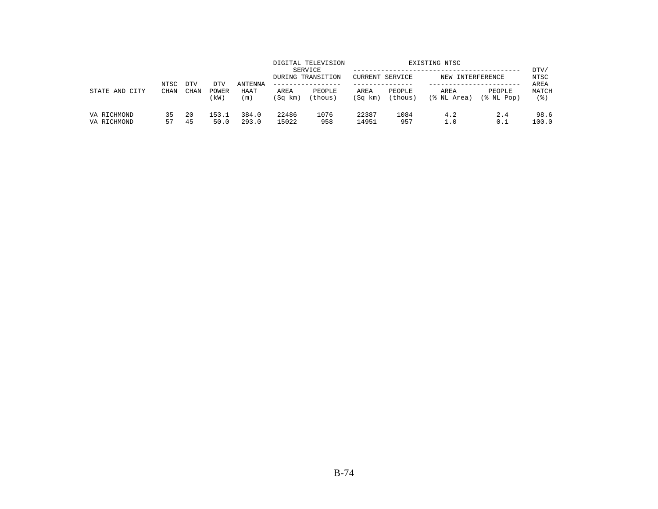| STATE AND<br>CITY          | NTSC<br>CHAN | DTV      | DTV<br>POWER<br>kW) | ANTENNA<br>HAAT<br>(m) |                 | DIGITAL TELEVISION<br>SERVICE<br>DURING TRANSITION | EXISTING NTSC<br><b>CURRENT SERVICE</b><br>NEW INTERFERENCE |                   |                     |                      | DTV/<br>NTSC         |
|----------------------------|--------------|----------|---------------------|------------------------|-----------------|----------------------------------------------------|-------------------------------------------------------------|-------------------|---------------------|----------------------|----------------------|
|                            |              | CHAN     |                     |                        | AREA<br>(Sq km) | PEOPLE<br>(thous)                                  | AREA<br>(Sq km)                                             | PEOPLE<br>(thous) | AREA<br>(% NL Area) | PEOPLE<br>(% NL Pop) | AREA<br>MATCH<br>(응) |
| VA RICHMOND<br>VA RICHMOND | 35<br>57     | 20<br>45 | 153.1<br>50.0       | 384.0<br>293.0         | 22486<br>15022  | 1076<br>958                                        | 22387<br>14951                                              | 1084<br>957       | 4.2<br>$\perp$ .0   | 2.4<br>0.1           | 98.6<br>100.0        |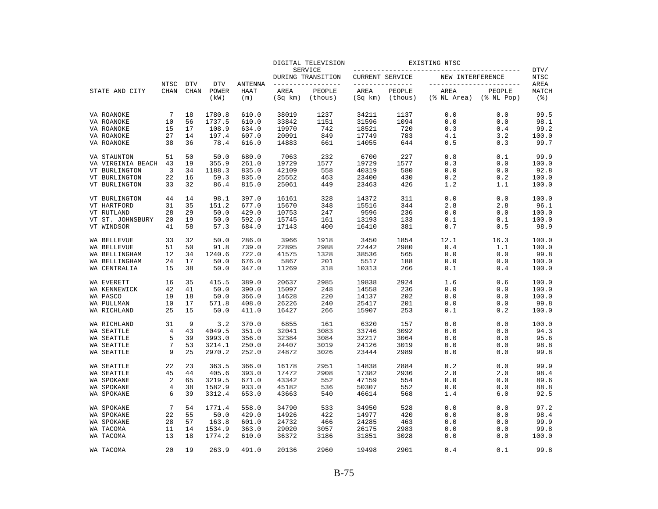|                                |                            | <b>DTV</b>  | <b>DTV</b>       | <b>ANTENNA</b><br>HAAT<br>(m) | DIGITAL TELEVISION<br>SERVICE |                                    | EXISTING NTSC                   |                   |                     |                                               |                             |
|--------------------------------|----------------------------|-------------|------------------|-------------------------------|-------------------------------|------------------------------------|---------------------------------|-------------------|---------------------|-----------------------------------------------|-----------------------------|
|                                |                            |             |                  |                               |                               | DURING TRANSITION                  | CURRENT SERVICE<br>------------ |                   | NEW INTERFERENCE    |                                               | DTV/<br><b>NTSC</b><br>AREA |
| STATE AND CITY                 | <b>NTSC</b><br><b>CHAN</b> | <b>CHAN</b> | POWER<br>(kW)    |                               | AREA<br>(Sq km)               | -------------<br>PEOPLE<br>(thous) | AREA<br>(Sq km)                 | PEOPLE<br>(thous) | AREA<br>(% NL Area) | ----------------<br>PEOPLE<br>$(\$$ NL $Pop)$ | MATCH<br>$($ $\mathcal{E})$ |
| VA ROANOKE                     | 7                          | 18          | 1780.8           | 610.0                         | 38019                         | 1237                               | 34211                           | 1137              | 0.0                 | 0.0                                           | 99.5                        |
| VA ROANOKE                     | 10                         | 56          | 1737.5           | 610.0                         | 33842                         | 1151                               | 31596                           | 1094              | 0.0                 | 0.0                                           | 98.1                        |
| VA ROANOKE                     | 15                         | 17          | 108.9            | 634.0                         | 19970                         | 742                                | 18521                           | 720               | 0.3                 | 0.4                                           | 99.2                        |
| VA ROANOKE                     | 27                         | 14          | 197.4            | 607.0                         | 20091                         | 849                                | 17749                           | 783               | 4.1                 | 3.2                                           | 100.0                       |
| VA ROANOKE                     | 38                         | 36          | 78.4             | 616.0                         | 14883                         | 661                                | 14055                           | 644               | 0.5                 | 0.3                                           | 99.7                        |
| VA STAUNTON                    | 51                         | 50          | 50.0             | 680.0                         | 7063                          | 232                                | 6700                            | 227               | 0.8                 | 0.1                                           | 99.9                        |
| VA VIRGINIA BEACH              | 43                         | 19          | 355.9            | 261.0                         | 19729                         | 1577                               | 19729                           | 1577              | 0.3                 | 0.0                                           | 100.0                       |
| VT BURLINGTON                  | 3                          | 34          | 1188.3           | 835.0                         | 42109                         | 558                                | 40319                           | 580               | 0.0                 | 0.0                                           | 92.8                        |
| VT BURLINGTON                  | 22                         | 16          | 59.3             | 835.0                         | 25552                         | 463                                | 23400                           | 430               | 0.2                 | 0.2                                           | 100.0                       |
| VT BURLINGTON                  | 33                         | 32          | 86.4             | 815.0                         | 25061                         | 449                                | 23463                           | 426               | 1.2                 | 1.1                                           | 100.0                       |
| VT BURLINGTON                  | 44                         | 14          | 98.1             | 397.0                         | 16161                         | 328                                | 14372                           | 311               | 0.0                 | 0.0                                           | 100.0                       |
| VT HARTFORD                    | 31                         | 35          | 151.2            | 677.0                         | 15670                         | 348                                | 15516                           | 344               | 2.8                 | 2.8                                           | 96.1                        |
| VT RUTLAND                     | 28                         | 29          | 50.0             | 429.0                         | 10753                         | 247                                | 9596                            | 236               | 0.0                 | 0.0                                           | 100.0                       |
| VT ST. JOHNSBURY<br>VT WINDSOR | 20<br>41                   | 19<br>58    | 50.0<br>57.3     | 592.0<br>684.0                | 15745<br>17143                | 161<br>400                         | 13193<br>16410                  | 133<br>381        | 0.1<br>0.7          | 0.1<br>0.5                                    | 100.0<br>98.9               |
|                                |                            |             |                  |                               |                               |                                    |                                 |                   |                     |                                               |                             |
| WA BELLEVUE                    | 33                         | 32          | 50.0             | 286.0                         | 3966                          | 1918                               | 3450                            | 1854              | 12.1                | 16.3                                          | 100.0                       |
| WA BELLEVUE                    | 51                         | 50          | 91.8             | 739.0                         | 22895                         | 2988                               | 22442                           | 2980              | 0.4                 | 1.1                                           | 100.0                       |
| WA BELLINGHAM                  | 12                         | 34          | 1240.6           | 722.0                         | 41575                         | 1328                               | 38536                           | 565               | 0.0                 | 0.0                                           | 99.8                        |
| WA BELLINGHAM<br>WA CENTRALIA  | 24<br>15                   | 17<br>38    | 50.0<br>50.0     | 676.0<br>347.0                | 5867<br>11269                 | 201<br>318                         | 5517<br>10313                   | 188<br>266        | 0.0<br>0.1          | 0.0<br>0.4                                    | 100.0<br>100.0              |
|                                |                            |             |                  |                               |                               |                                    |                                 |                   |                     |                                               |                             |
| WA EVERETT                     | 16                         | 35          | 415.5            | 389.0                         | 20637                         | 2985                               | 19838                           | 2924              | 1.6                 | 0.6                                           | 100.0                       |
| WA KENNEWICK                   | 42                         | 41          | 50.0             | 390.0                         | 15097                         | 248                                | 14558                           | 236               | 0.0                 | 0.0                                           | 100.0                       |
| WA PASCO                       | 19                         | 18          | 50.0             | 366.0                         | 14628                         | 220                                | 14137                           | 202               | 0.0                 | 0.0                                           | 100.0                       |
| WA PULLMAN<br>WA RICHLAND      | 10<br>25                   | 17<br>15    | 571.8<br>50.0    | 408.0<br>411.0                | 26226<br>16427                | 240<br>266                         | 25417<br>15907                  | 201<br>253        | 0.0<br>0.1          | 0.0<br>0.2                                    | 99.8<br>100.0               |
|                                |                            |             |                  |                               |                               |                                    |                                 |                   |                     |                                               |                             |
| WA RICHLAND                    | 31                         | 9           | 3.2              | 370.0                         | 6855                          | 161                                | 6320                            | 157               | 0.0                 | 0.0                                           | 100.0                       |
| WA SEATTLE                     | 4                          | 43          | 4049.5           | 351.0                         | 32041                         | 3083                               | 33746                           | 3092              | 0.0                 | 0.0                                           | 94.3                        |
| WA SEATTLE                     | 5                          | 39          | 3993.0           | 356.0                         | 32384                         | 3084                               | 32217                           | 3064              | 0.0                 | 0.0                                           | 95.6                        |
| WA SEATTLE<br>WA SEATTLE       | 7<br>9                     | 53<br>25    | 3214.1<br>2970.2 | 250.0<br>252.0                | 24407<br>24872                | 3019<br>3026                       | 24126<br>23444                  | 3019<br>2989      | 0.0<br>0.0          | 0.0<br>0.0                                    | 98.8<br>99.8                |
|                                |                            |             |                  |                               |                               |                                    |                                 |                   |                     |                                               |                             |
| WA SEATTLE                     | 22<br>45                   | 23<br>44    | 363.5<br>405.6   | 366.0                         | 16178<br>17472                | 2951<br>2908                       | 14838                           | 2884              | 0.2                 | 0.0                                           | 99.9<br>98.4                |
| WA SEATTLE                     | 2                          |             |                  | 393.0                         |                               |                                    | 17382                           | 2936              | 2.8                 | 2.0                                           |                             |
| WA SPOKANE<br>WA SPOKANE       | 4                          | 65<br>38    | 3219.5<br>1582.9 | 671.0<br>933.0                | 43342<br>45182                | 552<br>536                         | 47159<br>50307                  | 554<br>552        | 0.0<br>0.0          | 0.0<br>0.0                                    | 89.6<br>88.8                |
| WA SPOKANE                     | 6                          | 39          | 3312.4           | 653.0                         | 43663                         | 540                                | 46614                           | 568               | 1.4                 | 6.0                                           | 92.5                        |
|                                |                            |             |                  |                               |                               |                                    |                                 |                   |                     |                                               |                             |
| WA SPOKANE                     | 7                          | 54          | 1771.4           | 558.0                         | 34790                         | 533                                | 34950                           | 528               | 0.0                 | 0.0                                           | 97.2                        |
| WA SPOKANE                     | 22                         | 55          | 50.0             | 429.0                         | 14926                         | 422                                | 14977                           | 420               | 0.0                 | 0.0                                           | 98.4                        |
| WA SPOKANE                     | 28                         | 57          | 163.8            | 601.0                         | 24732                         | 466                                | 24285                           | 463               | 0.0                 | 0.0                                           | 99.9                        |
| WA TACOMA                      | 11                         | 14          | 1534.9           | 363.0                         | 29020                         | 3057                               | 26175                           | 2983              | 0.0                 | 0.0                                           | 99.8                        |
| WA TACOMA                      | 13                         | 18          | 1774.2           | 610.0                         | 36372                         | 3186                               | 31851                           | 3028              | 0.0                 | 0.0                                           | 100.0                       |
| WA TACOMA                      | 20                         | 19          | 263.9            | 491.0                         | 20136                         | 2960                               | 19498                           | 2901              | 0.4                 | 0.1                                           | 99.8                        |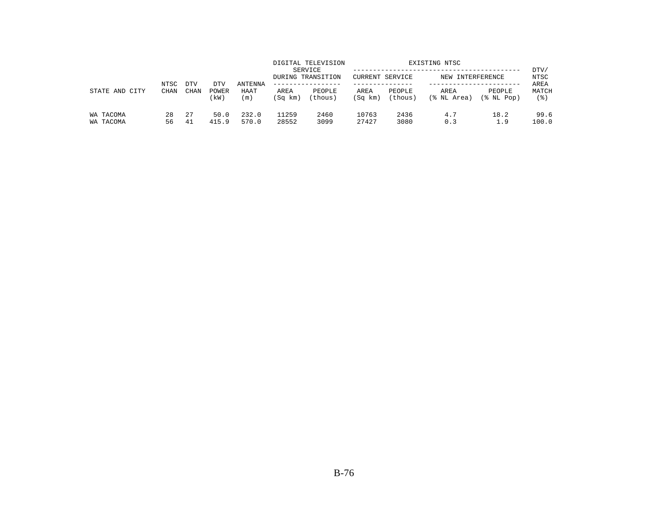| STATE AND CITY         |              |                    |                      |                               |                 | DIGITAL TELEVISION<br>SERVICE<br>DURING TRANSITION | EXISTING NTSC<br>CURRENT SERVICE<br>NEW INTERFERENCE |                   |                     |                         | DTV/<br>NTSC         |
|------------------------|--------------|--------------------|----------------------|-------------------------------|-----------------|----------------------------------------------------|------------------------------------------------------|-------------------|---------------------|-------------------------|----------------------|
|                        | NTSC<br>CHAN | <b>DTV</b><br>CHAN | DTV<br>POWER<br>(kW) | <b>ANTENNA</b><br>HAAT<br>(m) | AREA<br>(Sq km) | -------------<br>PEOPLE<br>(thous)                 | AREA<br>(Sq km)                                      | PEOPLE<br>(thous) | AREA<br>(% NL Area) | PEOPLE<br>$(\$$ NL Pop) | AREA<br>MATCH<br>(응) |
| WA TACOMA<br>WA TACOMA | 28<br>56     | 27<br>-41          | 50.0<br>415.9        | 232.0<br>570.0                | 11259<br>28552  | 2460<br>3099                                       | 10763<br>27427                                       | 2436<br>3080      | 4.7<br>0.3          | 18.2<br>1.9             | 99.6<br>100.0        |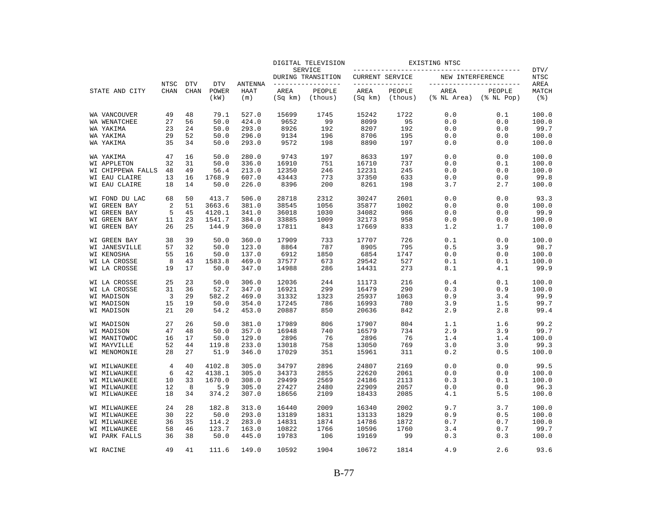|                              |                     |                           |                | <b>DTV</b><br><b>ANTENNA</b><br><b>POWER</b><br>HAAT<br>(kW)<br>(m) | DIGITAL TELEVISION<br>SERVICE |                                    | EXISTING NTSC   |                                   |                     |                                                 |                                     |
|------------------------------|---------------------|---------------------------|----------------|---------------------------------------------------------------------|-------------------------------|------------------------------------|-----------------|-----------------------------------|---------------------|-------------------------------------------------|-------------------------------------|
|                              |                     |                           |                |                                                                     |                               | DURING TRANSITION                  | CURRENT SERVICE |                                   | NEW INTERFERENCE    |                                                 | DTV/<br><b>NTSC</b>                 |
| STATE AND CITY               | NTSC<br><b>CHAN</b> | <b>DTV</b><br><b>CHAN</b> |                |                                                                     | AREA<br>(Sq km)               | -------------<br>PEOPLE<br>(thous) | AREA<br>(Sq km) | ------------<br>PEOPLE<br>(thous) | AREA<br>(% NL Area) | __________________<br>PEOPLE<br>$(\$$ NL $Pop)$ | AREA<br>MATCH<br>$($ $\mathcal{E})$ |
| WA VANCOUVER                 | 49                  | 48                        | 79.1           | 527.0                                                               | 15699                         | 1745                               | 15242           | 1722                              | 0.0                 | 0.1                                             | 100.0                               |
| WA WENATCHEE                 | 27                  | 56                        | 50.0           | 424.0                                                               | 9652                          | 99                                 | 8099            | 95                                | 0.0                 | 0.0                                             | 100.0                               |
| WA YAKIMA                    | 23                  | 24                        | 50.0           | 293.0                                                               | 8926                          | 192                                | 8207            | 192                               | 0.0                 | 0.0                                             | 99.7                                |
| WA YAKIMA                    | 29                  | 52                        | 50.0           | 296.0                                                               | 9134                          | 196                                | 8706            | 195                               | 0.0                 | 0.0                                             | 100.0                               |
| WA YAKIMA                    | 35                  | 34                        | 50.0           | 293.0                                                               | 9572                          | 198                                | 8890            | 197                               | 0.0                 | 0.0                                             | 100.0                               |
| WA YAKIMA                    | 47                  | 16                        | 50.0           | 280.0                                                               | 9743                          | 197                                | 8633            | 197                               | 0.0                 | 0.0                                             | 100.0                               |
| <b>WI APPLETON</b>           | 32                  | 31                        | 50.0           | 336.0                                                               | 16910                         | 751                                | 16710           | 737                               | 0.0                 | 0.1                                             | 100.0                               |
| WI CHIPPEWA FALLS            | 48                  | 49                        | 56.4           | 213.0                                                               | 12350                         | 246                                | 12231           | 245                               | 0.0                 | 0.0                                             | 100.0                               |
| WI EAU CLAIRE                | 13                  | 16                        | 1768.9         | 607.0                                                               | 43443                         | 773                                | 37350           | 633                               | 0.0                 | 0.0                                             | 99.8                                |
| WI EAU CLAIRE                | 18                  | 14                        | 50.0           | 226.0                                                               | 8396                          | 200                                | 8261            | 198                               | 3.7                 | 2.7                                             | 100.0                               |
| WI FOND DU LAC               | 68                  | 50                        | 413.7          | 506.0                                                               | 28718                         | 2312                               | 30247           | 2601                              | 0.0                 | 0.0                                             | 93.3                                |
| WI GREEN BAY                 | 2                   | 51                        | 3663.6         | 381.0                                                               | 38545                         | 1056                               | 35877           | 1002                              | 0.0                 | 0.0                                             | 100.0                               |
| WI GREEN BAY                 | 5                   | 45                        | 4120.1         | 341.0                                                               | 36018                         | 1030                               | 34082           | 986                               | 0.0                 | 0.0                                             | 99.9                                |
| WI GREEN BAY                 | 11                  | 23                        | 1541.7         | 384.0                                                               | 33885                         | 1009                               | 32173           | 958                               | 0.0                 | 0.0                                             | 100.0                               |
| WI GREEN BAY                 | 26                  | 25                        | 144.9          | 360.0                                                               | 17811                         | 843                                | 17669           | 833                               | 1.2                 | 1.7                                             | 100.0                               |
| WI GREEN BAY                 | 38                  | 39                        | 50.0           | 360.0                                                               | 17909                         | 733                                | 17707           | 726                               | 0.1                 | 0.0                                             | 100.0                               |
| WI JANESVILLE                | 57                  | 32                        | 50.0           | 123.0                                                               | 8864                          | 787                                | 8905            | 795                               | 0.5                 | 3.9                                             | 98.7                                |
| WI KENOSHA                   | 55                  | 16                        | 50.0           | 137.0                                                               | 6912                          | 1850                               | 6854            | 1747                              | 0.0                 | 0.0                                             | 100.0                               |
| WI LA CROSSE<br>WI LA CROSSE | 8<br>19             | 43<br>17                  | 1583.8<br>50.0 | 469.0<br>347.0                                                      | 37577<br>14988                | 673<br>286                         | 29542<br>14431  | 527<br>273                        | 0.1<br>8.1          | 0.1<br>4.1                                      | 100.0<br>99.9                       |
|                              |                     |                           |                |                                                                     |                               |                                    |                 |                                   |                     |                                                 |                                     |
| WI LA CROSSE                 | 25<br>31            | 23<br>36                  | 50.0<br>52.7   | 306.0<br>347.0                                                      | 12036                         | 244<br>299                         | 11173<br>16479  | 216<br>290                        | 0.4<br>0.3          | 0.1<br>0.9                                      | 100.0<br>100.0                      |
| WI LA CROSSE<br>WI MADISON   | 3                   | 29                        | 582.2          | 469.0                                                               | 16921<br>31332                |                                    | 25937           | 1063                              | 0.9                 | 3.4                                             | 99.9                                |
| WI MADISON                   | 15                  | 19                        | 50.0           | 354.0                                                               | 17245                         | 1323<br>786                        | 16993           | 780                               | 3.9                 | 1.5                                             | 99.7                                |
| WI MADISON                   | 21                  | 20                        | 54.2           | 453.0                                                               | 20887                         | 850                                | 20636           | 842                               | 2.9                 | 2.8                                             | 99.4                                |
| WI MADISON                   | 27                  | 26                        | 50.0           | 381.0                                                               | 17989                         | 806                                | 17907           | 804                               | 1.1                 | 1.6                                             | 99.2                                |
| WI MADISON                   | 47                  | 48                        | 50.0           | 357.0                                                               | 16948                         | 740                                | 16579           | 734                               | 2.9                 | 3.9                                             | 99.7                                |
| WI MANITOWOC                 | 16                  | 17                        | 50.0           | 129.0                                                               | 2896                          | 76                                 | 2896            | 76                                | 1.4                 | 1.4                                             | 100.0                               |
| WI MAYVILLE                  | 52                  | 44                        | 119.8          | 233.0                                                               | 13018                         | 758                                | 13050           | 769                               | 3.0                 | 3.0                                             | 99.3                                |
| WI MENOMONIE                 | 28                  | 27                        | 51.9           | 346.0                                                               | 17029                         | 351                                | 15961           | 311                               | 0.2                 | 0.5                                             | 100.0                               |
| WI MILWAUKEE                 | 4                   | 40                        | 4102.8         | 305.0                                                               | 34797                         | 2896                               | 24807           | 2169                              | 0.0                 | 0.0                                             | 99.5                                |
| WI MILWAUKEE                 | 6                   | 42                        | 4138.1         | 305.0                                                               | 34373                         | 2855                               | 22620           | 2061                              | 0.0                 | 0.0                                             | 100.0                               |
| WI MILWAUKEE                 | 10                  | 33                        | 1670.0         | 308.0                                                               | 29499                         | 2569                               | 24186           | 2113                              | 0.3                 | 0.1                                             | 100.0                               |
| WI MILWAUKEE                 | 12                  | 8                         | 5.9            | 305.0                                                               | 27427                         | 2480                               | 22909           | 2057                              | 0.0                 | 0.0                                             | 96.3                                |
| WI MILWAUKEE                 | 18                  | 34                        | 374.2          | 307.0                                                               | 18656                         | 2109                               | 18433           | 2085                              | 4.1                 | 5.5                                             | 100.0                               |
| WI MILWAUKEE                 | 24                  | 28                        | 182.8          | 313.0                                                               | 16440                         | 2009                               | 16340           | 2002                              | 9.7                 | 3.7                                             | 100.0                               |
| WI MILWAUKEE                 | 30                  | 22                        | 50.0           | 293.0                                                               | 13189                         | 1831                               | 13133           | 1829                              | 0.9                 | 0.5                                             | 100.0                               |
| WI MILWAUKEE                 | 36                  | 35                        | 114.2          | 283.0                                                               | 14831                         | 1874                               | 14786           | 1872                              | 0.7                 | 0.7                                             | 100.0                               |
| WI MILWAUKEE                 | 58                  | 46                        | 123.7          | 163.0                                                               | 10822                         | 1766                               | 10596           | 1760                              | 3.4                 | 0.7                                             | 99.7                                |
| WI PARK FALLS                | 36                  | 38                        | 50.0           | 445.0                                                               | 19783                         | 106                                | 19169           | 99                                | 0.3                 | 0.3                                             | 100.0                               |
| WI RACINE                    | 49                  | 41                        | 111.6          | 149.0                                                               | 10592                         | 1904                               | 10672           | 1814                              | 4.9                 | 2.6                                             | 93.6                                |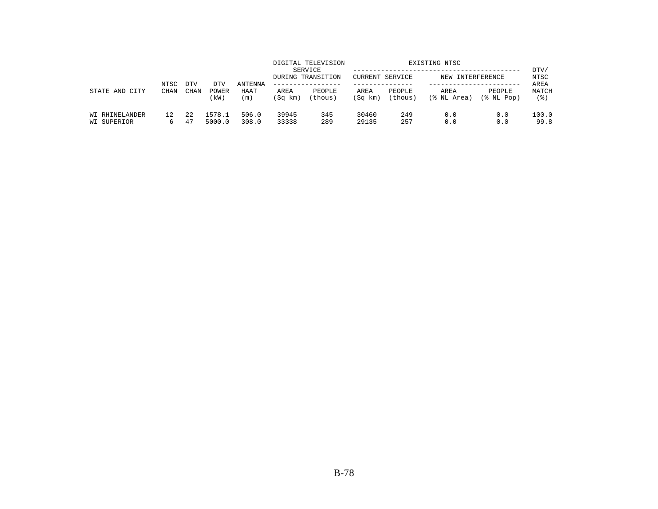| STATE AND<br>CITY                    | NTSC<br><b>CHAN</b> | <b>DTV</b>  | DTV<br>POWER<br>(kW) | <b>ANTENNA</b><br>HAAT<br>(m) |                 | DIGITAL TELEVISION<br>SERVICE<br>DURING TRANSITION | EXISTING NTSC<br>CURRENT SERVICE<br>NEW INTERFERENCE |                   |                     |                      | DTV/<br>NTSC<br>AREA |
|--------------------------------------|---------------------|-------------|----------------------|-------------------------------|-----------------|----------------------------------------------------|------------------------------------------------------|-------------------|---------------------|----------------------|----------------------|
|                                      |                     | <b>CHAN</b> |                      |                               | AREA<br>(Sq km) | PEOPLE<br>(thous)                                  | AREA<br>(Sq km)                                      | PEOPLE<br>(thous) | AREA<br>(% NL Area) | PEOPLE<br>(% NL Pop) | MATCH<br>' 응 )       |
| <b>WI RHINELANDER</b><br>WI SUPERIOR | 12                  | 2.2<br>47   | 1578.1<br>5000.0     | 506.0<br>308.0                | 39945<br>33338  | 345<br>289                                         | 30460<br>29135                                       | 249<br>257        | 0.0<br>0.0          | 0.0<br>0.0           | 100.0<br>99.8        |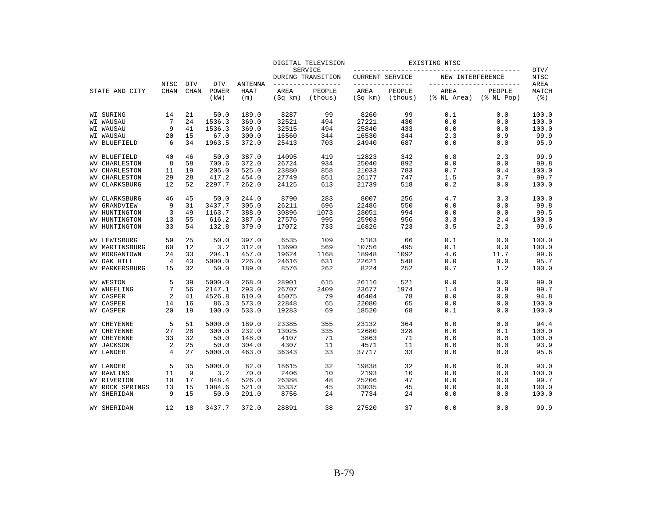|                       |                     | <b>DTV</b>  | <b>DTV</b>    | <b>ANTENNA</b><br>HAAT<br>(m) | DIGITAL TELEVISION<br><b>SERVICE</b> |                   | EXISTING NTSC          |                   |                     |                            |                             |
|-----------------------|---------------------|-------------|---------------|-------------------------------|--------------------------------------|-------------------|------------------------|-------------------|---------------------|----------------------------|-----------------------------|
|                       |                     |             |               |                               |                                      | DURING TRANSITION | <b>CURRENT SERVICE</b> |                   | NEW INTERFERENCE    |                            | DTV/<br><b>NTSC</b><br>AREA |
| STATE AND CITY        | NTSC<br><b>CHAN</b> | <b>CHAN</b> | POWER<br>(kW) |                               | AREA<br>(Sq km)                      | PEOPLE<br>(thous) | AREA<br>(Sq km)        | PEOPLE<br>(thous) | AREA<br>(% NL Area) | PEOPLE<br>$(\$$ NL Pop $)$ | MATCH<br>$($ $\mathcal{E})$ |
| WI SURING             | 14                  | 21          | 50.0          | 189.0                         | 8287                                 | 99                | 8260                   | 99                | 0.1                 | 0.0                        | 100.0                       |
| WI WAUSAU             | 7                   | 24          | 1536.3        | 369.0                         | 32521                                | 494               | 27221                  | 430               | 0.0                 | 0.0                        | 100.0                       |
| WI WAUSAU             | 9                   | 41          | 1536.3        | 369.0                         | 32515                                | 494               | 25840                  | 433               | 0.0                 | 0.0                        | 100.0                       |
| WI WAUSAU             | 20                  | 15          | 67.0          | 300.0                         | 16560                                | 344               | 16530                  | 344               | 2.3                 | 0.9                        | 99.9                        |
| WV BLUEFIELD          | 6                   | 34          | 1963.5        | 372.0                         | 25413                                | 703               | 24940                  | 687               | 0.0                 | 0.0                        | 95.9                        |
| WV BLUEFIELD          | 40                  | 46          | 50.0          | 387.0                         | 14095                                | 419               | 12823                  | 342               | 0.8                 | 2.3                        | 99.9                        |
| <b>WV CHARLESTON</b>  | 8                   | 58          | 700.6         | 372.0                         | 26724                                | 934               | 25040                  | 892               | 0.0                 | 0.0                        | 99.8                        |
| <b>WV CHARLESTON</b>  | 11                  | 19          | 205.0         | 525.0                         | 23880                                | 858               | 21033                  | 783               | 0.7                 | 0.4                        | 100.0                       |
| <b>WV CHARLESTON</b>  | 29                  | 28          | 417.2         | 454.0                         | 27749                                | 851               | 26177                  | 747               | 1.5                 | 3.7                        | 99.7                        |
| <b>WV CLARKSBURG</b>  | 12                  | 52          | 2297.7        | 262.0                         | 24125                                | 613               | 21739                  | 518               | 0.2                 | 0.0                        | 100.0                       |
| <b>WV CLARKSBURG</b>  | 46                  | 45          | 50.0          | 244.0                         | 8790                                 | 283               | 8007                   | 256               | 4.7                 | 3.3                        | 100.0                       |
| <b>WV GRANDVIEW</b>   | 9                   | 31          | 3437.7        | 305.0                         | 26211                                | 696               | 22486                  | 550               | 0.0                 | 0.0                        | 99.8                        |
| WV HUNTINGTON         | 3                   | 49          | 1163.7        | 388.0                         | 30896                                | 1073              | 28051                  | 994               | 0.0                 | 0.0                        | 99.5                        |
| WV HUNTINGTON         | 13                  | 55          | 616.2         | 387.0                         | 27576                                | 995               | 25903                  | 956               | 3.3                 | 2.4                        | 100.0                       |
| WV HUNTINGTON         | 33                  | 54          | 132.8         | 379.0                         | 17072                                | 733               | 16826                  | 723               | 3.5                 | 2.3                        | 99.6                        |
| WV LEWISBURG          | 59                  | 25          | 50.0          | 397.0                         | 6535                                 | 109               | 5183                   | 66                | 0.1                 | 0.0                        | 100.0                       |
| <b>WV MARTINSBURG</b> | 60                  | 12          | 3.2           | 312.0                         | 13690                                | 569               | 10756                  | 495               | 0.1                 | 0.0                        | 100.0                       |
| WV MORGANTOWN         | 24                  | 33          | 204.1         | 457.0                         | 19624                                | 1168              | 18948                  | 1092              | 4.6                 | 11.7                       | 99.6                        |
| WV OAK HILL           | 4                   | 43          | 5000.0        | 226.0                         | 24616                                | 631               | 22621                  | 548               | 0.0                 | 0.0                        | 95.7                        |
| <b>WV PARKERSBURG</b> | 15                  | 32          | 50.0          | 189.0                         | 8576                                 | 262               | 8224                   | 252               | 0.7                 | 1.2                        | 100.0                       |
| WV WESTON             | 5                   | 39          | 5000.0        | 268.0                         | 28901                                | 615               | 26116                  | 521               | 0.0                 | 0.0                        | 99.0                        |
| WV WHEELING           | 7                   | 56          | 2147.1        | 293.0                         | 26707                                | 2409              | 23677                  | 1974              | 1.4                 | 3.9                        | 99.7                        |
| WY CASPER             | 2                   | 41          | 4526.8        | 610.0                         | 45075                                | 79                | 46404                  | 78                | 0.0                 | 0.0                        | 94.8                        |
| WY CASPER             | 14                  | 16          | 86.3          | 573.0                         | 22848                                | 65                | 22080                  | 65                | 0.0                 | 0.0                        | 100.0                       |
| WY CASPER             | 20                  | 19          | 100.0         | 533.0                         | 19283                                | 69                | 18520                  | 68                | 0.1                 | 0.0                        | 100.0                       |
| WY CHEYENNE           | 5                   | 51          | 5000.0        | 189.0                         | 23385                                | 355               | 23132                  | 364               | 0.0                 | 0.0                        | 94.4                        |
| WY CHEYENNE           | 27                  | 28          | 300.0         | 232.0                         | 13025                                | 335               | 12680                  | 328               | 0.0                 | 0.1                        | 100.0                       |
| WY CHEYENNE           | 33                  | 32          | 50.0          | 148.0                         | 4107                                 | 71                | 3863                   | 71                | 0.0                 | 0.0                        | 100.0                       |
| WY JACKSON            | 2                   | 25          | 50.0          | 304.0                         | 4307                                 | 11                | 4571                   | 11                | 0.0                 | 0.0                        | 93.9                        |
| WY LANDER             | 4                   | 27          | 5000.0        | 463.0                         | 36343                                | 33                | 37717                  | 33                | 0.0                 | 0.0                        | 95.6                        |
| WY LANDER             | 5                   | 35          | 5000.0        | 82.0                          | 18615                                | 32                | 19838                  | 32                | 0.0                 | 0.0                        | 93.0                        |
| WY RAWLINS            | 11                  | 9           | 3.2           | 70.0                          | 2406                                 | 10                | 2193                   | 10                | 0.0                 | 0.0                        | 100.0                       |
| WY RIVERTON           | 10                  | 17          | 848.4         | 526.0                         | 26388                                | 48                | 25206                  | 47                | 0.0                 | 0.0                        | 99.7                        |
| WY ROCK SPRINGS       | 13                  | 15          | 1084.6        | 521.0                         | 35337                                | 45                | 33035                  | 45                | 0.0                 | 0.0                        | 100.0                       |
| WY SHERIDAN           | 9                   | 15          | 50.0          | 291.0                         | 8756                                 | 24                | 7734                   | 24                | 0.0                 | 0.0                        | 100.0                       |
| WY SHERIDAN           | 12                  | 18          | 3437.7        | 372.0                         | 28891                                | 38                | 27520                  | 37                | 0.0                 | 0.0                        | 99.9                        |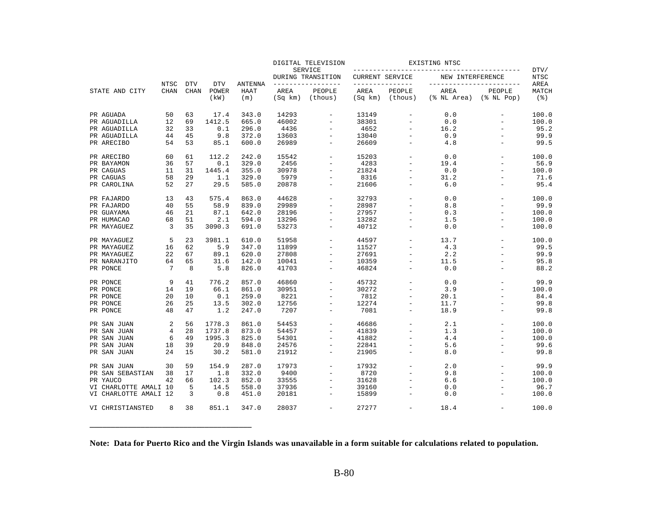|                       |                |             |               |                | DIGITAL TELEVISION<br>SERVICE |                                        | EXISTING NTSC                             |                          |                                              |                           |                             |
|-----------------------|----------------|-------------|---------------|----------------|-------------------------------|----------------------------------------|-------------------------------------------|--------------------------|----------------------------------------------|---------------------------|-----------------------------|
|                       | NTSC           | <b>DTV</b>  | <b>DTV</b>    | <b>ANTENNA</b> |                               | DURING TRANSITION<br>----------------- | <b>CURRENT SERVICE</b><br>--------------- |                          | NEW INTERFERENCE<br>________________________ |                           | DTV/<br><b>NTSC</b><br>AREA |
| STATE AND CITY        | <b>CHAN</b>    | <b>CHAN</b> | POWER<br>(kW) | HAAT<br>(m)    | AREA<br>(Sq km)               | PEOPLE<br>(thous)                      | AREA<br>(Sq km)                           | PEOPLE<br>(thous)        | AREA<br>(% NL Area)                          | PEOPLE<br>$(\$$ NL $Pop)$ | MATCH<br>$($ $\mathcal{E})$ |
| PR AGUADA             | 50             | 63          | 17.4          | 343.0          | 14293                         | $\equiv$                               | 13149                                     | $\equiv$                 | 0.0                                          | $\equiv$                  | 100.0                       |
| PR AGUADILLA          | 12             | 69          | 1412.5        | 665.0          | 46002                         | $\equiv$                               | 38301                                     | $\overline{\phantom{a}}$ | 0.0                                          |                           | 100.0                       |
| PR AGUADILLA          | 32             | 33          | 0.1           | 296.0          | 4436                          | $\equiv$                               | 4652                                      | $\equiv$                 | 16.2                                         | $\overline{\phantom{a}}$  | 95.2                        |
| PR AGUADILLA          | 44             | 45          | 9.8           | 372.0          | 13603                         | $\equiv$                               | 13040                                     |                          | 0.9                                          |                           | 99.9                        |
| PR ARECIBO            | 54             | 53          | 85.1          | 600.0          | 26989                         | $\overline{\phantom{a}}$               | 26609                                     | $\overline{\phantom{a}}$ | 4.8                                          | $\overline{\phantom{a}}$  | 99.5                        |
| PR ARECIBO            | 60             | 61          | 112.2         | 242.0          | 15542                         | $\equiv$                               | 15203                                     |                          | 0.0                                          |                           | 100.0                       |
| PR BAYAMON            | 36             | 57          | 0.1           | 329.0          | 2456                          | $\equiv$                               | 4283                                      | $\equiv$                 | 19.4                                         |                           | 56.9                        |
| PR CAGUAS             | 11             | 31          | 1445.4        | 355.0          | 30978                         | $\overline{\phantom{m}}$               | 21824                                     |                          | 0.0                                          |                           | 100.0                       |
| PR CAGUAS             | 58             | 29          | 1.1           | 329.0          | 5979                          | $\equiv$                               | 8316                                      | $\overline{\phantom{a}}$ | 31.2                                         | $\overline{\phantom{a}}$  | 71.6                        |
| PR CAROLINA           | 52             | 27          | 29.5          | 585.0          | 20878                         | $\overline{\phantom{a}}$               | 21606                                     | $\overline{\phantom{a}}$ | 6.0                                          | $\equiv$                  | 95.4                        |
| PR FAJARDO            | 13             | 43          | 575.4         | 863.0          | 44628                         |                                        | 32793                                     | $\equiv$                 | 0.0                                          |                           | 100.0                       |
| PR FAJARDO            | 40             | 55          | 58.9          | 839.0          | 29989                         | $\equiv$                               | 28987                                     | $\equiv$                 | 8.8                                          | $\equiv$                  | 99.9                        |
| PR GUAYAMA            | 46             | 21          | 87.1          | 642.0          | 28196                         | $\equiv$                               | 27957                                     | $\equiv$                 | 0.3                                          | $\overline{\phantom{0}}$  | 100.0                       |
| PR HUMACAO            | 68             | 51          | 2.1           | 594.0          | 13296                         | $\overline{\phantom{a}}$               | 13282                                     | $\overline{\phantom{m}}$ | 1.5                                          | $\overline{\phantom{m}}$  | 100.0                       |
| PR MAYAGUEZ           | 3              | 35          | 3090.3        | 691.0          | 53273                         | $\equiv$                               | 40712                                     | $\equiv$                 | 0.0                                          | $\equiv$                  | 100.0                       |
| PR MAYAGUEZ           | 5              | 23          | 3981.1        | 610.0          | 51958                         | $\equiv$                               | 44597                                     | $\overline{\phantom{a}}$ | 13.7                                         |                           | 100.0                       |
| PR MAYAGUEZ           | 16             | 62          | 5.9           | 347.0          | 11899                         | $\overline{\phantom{0}}$               | 11527                                     |                          | 4.3                                          |                           | 99.5                        |
| PR MAYAGUEZ           | 22             | 67          | 89.1          | 620.0          | 27808                         | $\equiv$                               | 27691                                     | $\overline{\phantom{a}}$ | 2.2                                          | $\overline{\phantom{a}}$  | 99.9                        |
| PR NARANJITO          | 64             | 65          | 31.6          | 142.0          | 10041                         | $\equiv$                               | 10359                                     | $\equiv$                 | 11.5                                         |                           | 95.8                        |
| PR PONCE              | 7              | 8           | 5.8           | 826.0          | 41703                         | $\overline{\phantom{a}}$               | 46824                                     | $\overline{\phantom{m}}$ | 0.0                                          | $\equiv$                  | 88.2                        |
| PR PONCE              | 9              | 41          | 776.2         | 857.0          | 46860                         | $\overline{\phantom{m}}$               | 45732                                     | $\overline{\phantom{m}}$ | $0.0$                                        |                           | 99.9                        |
| PR PONCE              | 14             | 19          | 66.1          | 861.0          | 30951                         | $\overline{\phantom{0}}$               | 30272                                     | $\equiv$                 | 3.9                                          |                           | 100.0                       |
| PR PONCE              | 20             | 10          | 0.1           | 259.0          | 8221                          | $\equiv$                               | 7812                                      | $\overline{\phantom{a}}$ | 20.1                                         | $\overline{\phantom{a}}$  | 84.4                        |
| PR PONCE              | 26             | 25          | 13.5          | 302.0          | 12756                         | $\equiv$                               | 12274                                     | $\overline{a}$           | 11.7                                         |                           | 99.8                        |
| PR PONCE              | 48             | 47          | 1.2           | 247.0          | 7207                          | $\overline{\phantom{0}}$               | 7081                                      | $\equiv$                 | 18.9                                         |                           | 99.8                        |
| PR SAN JUAN           | 2              | 56          | 1778.3        | 861.0          | 54453                         |                                        | 46686                                     |                          | 2.1                                          |                           | 100.0                       |
| PR SAN JUAN           | $\overline{4}$ | 28          | 1737.8        | 873.0          | 54457                         | $\equiv$                               | 41839                                     | $\overline{\phantom{a}}$ | 1.3                                          | $\overline{\phantom{m}}$  | 100.0                       |
| PR SAN JUAN           | 6              | 49          | 1995.3        | 825.0          | 54301                         | $\equiv$                               | 41882                                     | $\equiv$                 | 4.4                                          |                           | 100.0                       |
| PR SAN JUAN           | 18             | 39          | 20.9          | 848.0          | 24576                         | $\overline{\phantom{a}}$               | 22841                                     | $\overline{\phantom{a}}$ | 5.6                                          | $\overline{\phantom{a}}$  | 99.6                        |
| PR SAN JUAN           | 24             | 15          | 30.2          | 581.0          | 21912                         | $\equiv$                               | 21905                                     | $\equiv$                 | 8.0                                          |                           | 99.8                        |
| PR SAN JUAN           | 30             | 59          | 154.9         | 287.0          | 17973                         | $\equiv$                               | 17932                                     |                          | 2.0                                          |                           | 99.9                        |
| PR SAN SEBASTIAN      | 38             | 17          | 1.8           | 332.0          | 9400                          | $\equiv$                               | 8720                                      | $\equiv$                 | 9.8                                          | $\qquad \qquad =$         | 100.0                       |
| PR YAUCO              | 42             | 66          | 102.3         | 852.0          | 33555                         | $\equiv$                               | 31628                                     | $\equiv$                 | 6.6                                          | $\equiv$                  | 100.0                       |
| VI CHARLOTTE AMALI 10 |                | 5           | 14.5          | 558.0          | 37936                         | $\equiv$                               | 39160                                     | $\equiv$                 | 0.0                                          | $\qquad \qquad =$         | 96.7                        |
| VI CHARLOTTE AMALI 12 |                | 3           | 0.8           | 451.0          | 20181                         | $\overline{\phantom{m}}$               | 15899                                     | $\overline{\phantom{a}}$ | 0.0                                          |                           | 100.0                       |
| VI CHRISTIANSTED      | 8              | 38          | 851.1         | 347.0          | 28037                         | $\overline{\phantom{a}}$               | 27277                                     | $\overline{\phantom{a}}$ | 18.4                                         | $\overline{\phantom{a}}$  | 100.0                       |

**Note: Data for Puerto Rico and the Virgin Islands was unavailable in a form suitable for calculations related to population.**

**\_\_\_\_\_\_\_\_\_\_\_\_\_\_\_\_\_\_\_\_\_\_\_\_\_\_\_\_\_\_\_\_\_\_\_\_\_\_**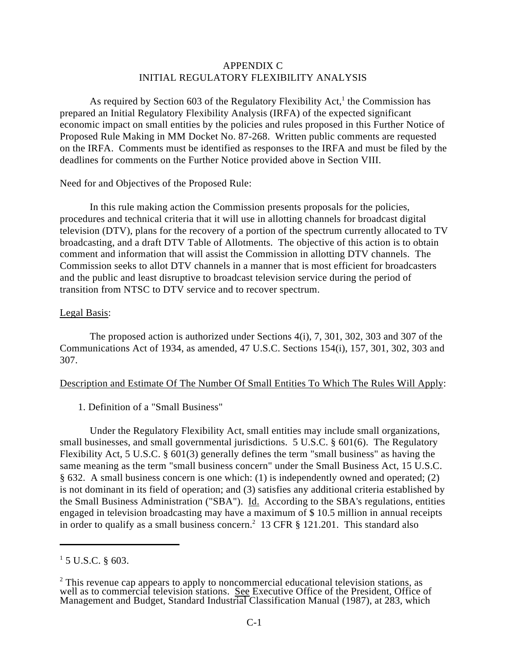## APPENDIX C INITIAL REGULATORY FLEXIBILITY ANALYSIS

As required by Section 603 of the Regulatory Flexibility Act,<sup>1</sup> the Commission has prepared an Initial Regulatory Flexibility Analysis (IRFA) of the expected significant economic impact on small entities by the policies and rules proposed in this Further Notice of Proposed Rule Making in MM Docket No. 87-268. Written public comments are requested on the IRFA. Comments must be identified as responses to the IRFA and must be filed by the deadlines for comments on the Further Notice provided above in Section VIII.

Need for and Objectives of the Proposed Rule:

In this rule making action the Commission presents proposals for the policies, procedures and technical criteria that it will use in allotting channels for broadcast digital television (DTV), plans for the recovery of a portion of the spectrum currently allocated to TV broadcasting, and a draft DTV Table of Allotments. The objective of this action is to obtain comment and information that will assist the Commission in allotting DTV channels. The Commission seeks to allot DTV channels in a manner that is most efficient for broadcasters and the public and least disruptive to broadcast television service during the period of transition from NTSC to DTV service and to recover spectrum.

## Legal Basis:

The proposed action is authorized under Sections 4(i), 7, 301, 302, 303 and 307 of the Communications Act of 1934, as amended, 47 U.S.C. Sections 154(i), 157, 301, 302, 303 and 307.

### Description and Estimate Of The Number Of Small Entities To Which The Rules Will Apply:

# 1. Definition of a "Small Business"

Under the Regulatory Flexibility Act, small entities may include small organizations, small businesses, and small governmental jurisdictions. 5 U.S.C. § 601(6). The Regulatory Flexibility Act, 5 U.S.C. § 601(3) generally defines the term "small business" as having the same meaning as the term "small business concern" under the Small Business Act, 15 U.S.C. § 632. A small business concern is one which: (1) is independently owned and operated; (2) is not dominant in its field of operation; and (3) satisfies any additional criteria established by the Small Business Administration ("SBA"). Id. According to the SBA's regulations, entities engaged in television broadcasting may have a maximum of \$ 10.5 million in annual receipts in order to qualify as a small business concern.<sup>2</sup> 13 CFR  $\S$  121.201. This standard also

 $1$  5 U.S.C. § 603.

 $2$  This revenue cap appears to apply to noncommercial educational television stations, as well as to commercial television stations. See Executive Office of the President, Office of Management and Budget, Standard Industrial Classification Manual (1987), at 283, which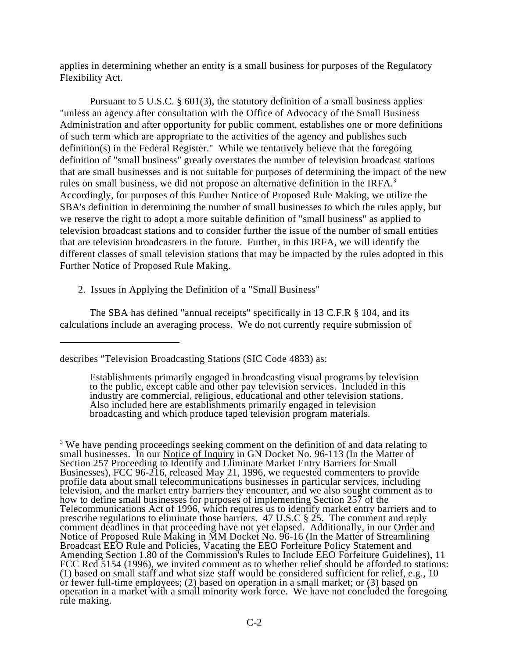applies in determining whether an entity is a small business for purposes of the Regulatory Flexibility Act.

Pursuant to 5 U.S.C. § 601(3), the statutory definition of a small business applies "unless an agency after consultation with the Office of Advocacy of the Small Business Administration and after opportunity for public comment, establishes one or more definitions of such term which are appropriate to the activities of the agency and publishes such definition(s) in the Federal Register." While we tentatively believe that the foregoing definition of "small business" greatly overstates the number of television broadcast stations that are small businesses and is not suitable for purposes of determining the impact of the new rules on small business, we did not propose an alternative definition in the IRFA.<sup>3</sup> Accordingly, for purposes of this Further Notice of Proposed Rule Making, we utilize the SBA's definition in determining the number of small businesses to which the rules apply, but we reserve the right to adopt a more suitable definition of "small business" as applied to television broadcast stations and to consider further the issue of the number of small entities that are television broadcasters in the future. Further, in this IRFA, we will identify the different classes of small television stations that may be impacted by the rules adopted in this Further Notice of Proposed Rule Making.

2. Issues in Applying the Definition of a "Small Business"

 The SBA has defined "annual receipts" specifically in 13 C.F.R § 104, and its calculations include an averaging process. We do not currently require submission of

describes "Television Broadcasting Stations (SIC Code 4833) as:

Establishments primarily engaged in broadcasting visual programs by television to the public, except cable and other pay television services. Included in this industry are commercial, religious, educational and other television stations. Also included here are establishments primarily engaged in television broadcasting and which produce taped television program materials.

<sup>&</sup>lt;sup>3</sup> We have pending proceedings seeking comment on the definition of and data relating to small businesses. In our Notice of Inquiry in GN Docket No. 96-113 (In the Matter of Section 257 Proceeding to Identify and Eliminate Market Entry Barriers for Small Businesses), FCC 96-216, released May 21, 1996, we requested commenters to provide profile data about small telecommunications businesses in particular services, including profile data about small telecommunications businesses in particular services, including television, and the market entry barriers they encounter, and we also sought comment as to how to define small businesses for purposes of implementing Section 257 of the Telecommunications Act of 1996, which requires us to identify market entry barriers and to prescribe regulations to eliminate those barriers. 47 U.S.C § 25. The comment and reply comment deadlines in that proceeding have not yet elapsed. Additionally, in our Order and Notice of Proposed Rule Making in MM Docket No. 96-16 (In the Matter of Streamlining Broadcast EEO Rule and Policies, Vacating the EEO Forfeiture Policy Statement and Amending Section 1.80 of the Commission's Rules to Include EEO Forfeiture Guidelines), 11 FCC Rcd 5154 (1996), we invited comment as to whether relief should be afforded to stations: (1) based on small staff and what size staff would be considered sufficient for relief, e.g., 10 or fewer full-time employees; (2) based on operation in a small market; or (3) based on operation in a market with a small minority work force. We have not concluded the foregoing rule making.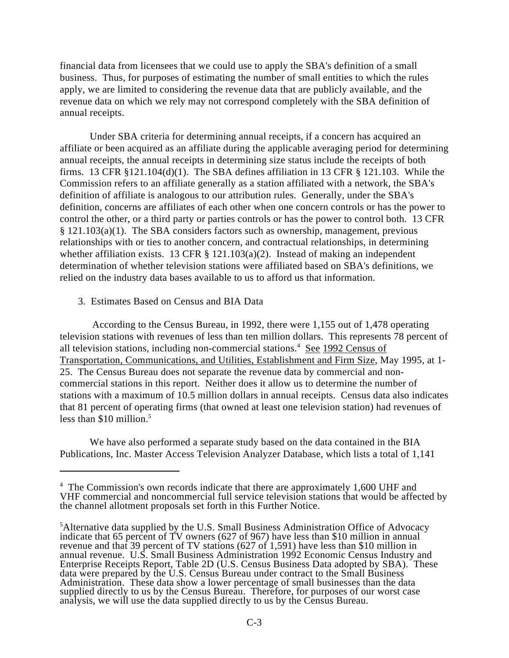financial data from licensees that we could use to apply the SBA's definition of a small business. Thus, for purposes of estimating the number of small entities to which the rules apply, we are limited to considering the revenue data that are publicly available, and the revenue data on which we rely may not correspond completely with the SBA definition of annual receipts.

Under SBA criteria for determining annual receipts, if a concern has acquired an affiliate or been acquired as an affiliate during the applicable averaging period for determining annual receipts, the annual receipts in determining size status include the receipts of both firms. 13 CFR  $\S$ 121.104(d)(1). The SBA defines affiliation in 13 CFR  $\S$  121.103. While the Commission refers to an affiliate generally as a station affiliated with a network, the SBA's definition of affiliate is analogous to our attribution rules. Generally, under the SBA's definition, concerns are affiliates of each other when one concern controls or has the power to control the other, or a third party or parties controls or has the power to control both. 13 CFR § 121.103(a)(1). The SBA considers factors such as ownership, management, previous relationships with or ties to another concern, and contractual relationships, in determining whether affiliation exists. 13 CFR  $\S$  121.103(a)(2). Instead of making an independent determination of whether television stations were affiliated based on SBA's definitions, we relied on the industry data bases available to us to afford us that information.

#### 3. Estimates Based on Census and BIA Data

 According to the Census Bureau, in 1992, there were 1,155 out of 1,478 operating television stations with revenues of less than ten million dollars. This represents 78 percent of all television stations, including non-commercial stations. $4$  See 1992 Census of Transportation, Communications, and Utilities, Establishment and Firm Size, May 1995, at 1- 25. The Census Bureau does not separate the revenue data by commercial and noncommercial stations in this report. Neither does it allow us to determine the number of stations with a maximum of 10.5 million dollars in annual receipts. Census data also indicates that 81 percent of operating firms (that owned at least one television station) had revenues of less than \$10 million.<sup>5</sup>

We have also performed a separate study based on the data contained in the BIA Publications, Inc. Master Access Television Analyzer Database, which lists a total of 1,141

<sup>&</sup>lt;sup>4</sup> The Commission's own records indicate that there are approximately 1,600 UHF and VHF commercial and noncommercial full service television stations that would be affected by the channel allotment proposals set forth in this Further Notice.

 ${}^{5}$ Alternative data supplied by the U.S. Small Business Administration Office of Advocacy indicate that 65 percent of TV owners (627 of 967) have less than \$10 million in annual revenue and that 39 percent of TV stations (627 of 1,591) have less than \$10 million in annual revenue. U.S. Small Business Administration 1992 Economic Census Industry and Enterprise Receipts Report, Table 2D (U.S. Census Business Data adopted by SBA). These data were prepared by the U.S. Census Bureau under contract to the Small Business Administration. These data show a lower percentage of small businesses than the data supplied directly to us by the Census Bureau. Therefore, for purposes of our worst case analysis, we will use the data supplied directly to us by the Census Bureau.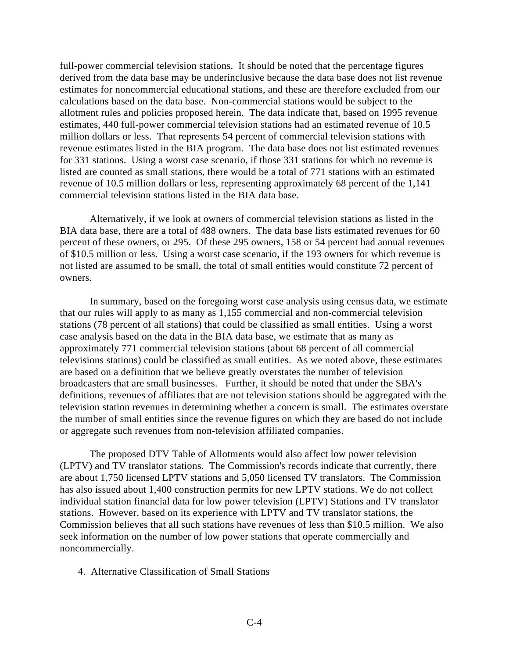full-power commercial television stations. It should be noted that the percentage figures derived from the data base may be underinclusive because the data base does not list revenue estimates for noncommercial educational stations, and these are therefore excluded from our calculations based on the data base. Non-commercial stations would be subject to the allotment rules and policies proposed herein. The data indicate that, based on 1995 revenue estimates, 440 full-power commercial television stations had an estimated revenue of 10.5 million dollars or less. That represents 54 percent of commercial television stations with revenue estimates listed in the BIA program. The data base does not list estimated revenues for 331 stations. Using a worst case scenario, if those 331 stations for which no revenue is listed are counted as small stations, there would be a total of 771 stations with an estimated revenue of 10.5 million dollars or less, representing approximately 68 percent of the 1,141 commercial television stations listed in the BIA data base.

Alternatively, if we look at owners of commercial television stations as listed in the BIA data base, there are a total of 488 owners. The data base lists estimated revenues for 60 percent of these owners, or 295. Of these 295 owners, 158 or 54 percent had annual revenues of \$10.5 million or less. Using a worst case scenario, if the 193 owners for which revenue is not listed are assumed to be small, the total of small entities would constitute 72 percent of owners.

In summary, based on the foregoing worst case analysis using census data, we estimate that our rules will apply to as many as 1,155 commercial and non-commercial television stations (78 percent of all stations) that could be classified as small entities. Using a worst case analysis based on the data in the BIA data base, we estimate that as many as approximately 771 commercial television stations (about 68 percent of all commercial televisions stations) could be classified as small entities. As we noted above, these estimates are based on a definition that we believe greatly overstates the number of television broadcasters that are small businesses. Further, it should be noted that under the SBA's definitions, revenues of affiliates that are not television stations should be aggregated with the television station revenues in determining whether a concern is small. The estimates overstate the number of small entities since the revenue figures on which they are based do not include or aggregate such revenues from non-television affiliated companies.

The proposed DTV Table of Allotments would also affect low power television (LPTV) and TV translator stations. The Commission's records indicate that currently, there are about 1,750 licensed LPTV stations and 5,050 licensed TV translators. The Commission has also issued about 1,400 construction permits for new LPTV stations. We do not collect individual station financial data for low power television (LPTV) Stations and TV translator stations. However, based on its experience with LPTV and TV translator stations, the Commission believes that all such stations have revenues of less than \$10.5 million. We also seek information on the number of low power stations that operate commercially and noncommercially.

4. Alternative Classification of Small Stations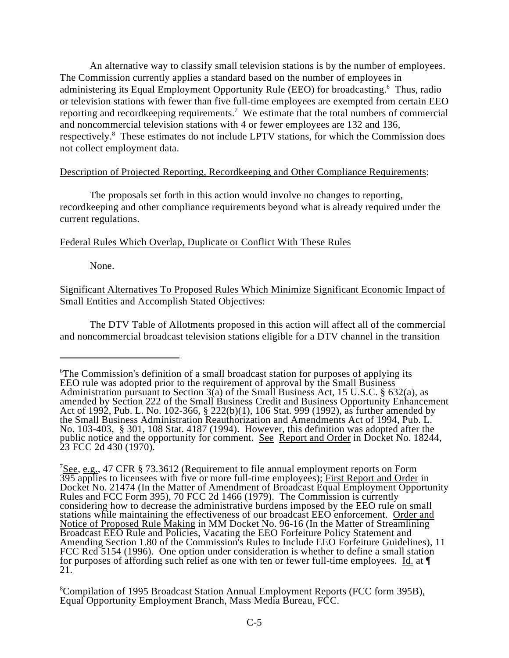An alternative way to classify small television stations is by the number of employees. The Commission currently applies a standard based on the number of employees in administering its Equal Employment Opportunity Rule (EEO) for broadcasting.<sup>6</sup> Thus, radio or television stations with fewer than five full-time employees are exempted from certain EEO reporting and recordkeeping requirements.<sup>7</sup> We estimate that the total numbers of commercial and noncommercial television stations with 4 or fewer employees are 132 and 136, respectively.<sup>8</sup> These estimates do not include LPTV stations, for which the Commission does not collect employment data.

## Description of Projected Reporting, Recordkeeping and Other Compliance Requirements:

The proposals set forth in this action would involve no changes to reporting, recordkeeping and other compliance requirements beyond what is already required under the current regulations.

## Federal Rules Which Overlap, Duplicate or Conflict With These Rules

None.

Significant Alternatives To Proposed Rules Which Minimize Significant Economic Impact of Small Entities and Accomplish Stated Objectives:

The DTV Table of Allotments proposed in this action will affect all of the commercial and noncommercial broadcast television stations eligible for a DTV channel in the transition

<sup>&</sup>lt;sup>6</sup>The Commission's definition of a small broadcast station for purposes of applying its EEO rule was adopted prior to the requirement of approval by the Small Business Administration pursuant to Section 3(a) of the Small Business Act, 15 U.S.C. § 632(a), as amended by Section 222 of the Small Business Credit and Business Opportunity Enhancement Act of 1992, Pub. L. No. 102-366, § 222(b)(1), 106 Stat. 999 (1992), as further amended by the Small Business Administration Reauthorization and Amendments Act of 1994, Pub. L. No. 103-403, § 301, 108 Stat. 4187 (1994). However, this definition was adopted after the public notice and the opportunity for comment. See Report and Order in Docket No. 18244, 23 FCC 2d 430 (1970).

 $7$ See, e.g., 47 CFR § 73.3612 (Requirement to file annual employment reports on Form 395 applies to licensees with five or more full-time employees); First Report and Order in Docket No. 21474 (In the Matter of Amendment of Broadcast Equal Employment Opportunity Rules and FCC Form 395), 70 FCC 2d 1466 (1979). The Commission is currently considering how to decrease the administrative burdens imposed by the EEO rule on small stations while maintaining the effectiveness of our broadcast EEO enforcement. Order and Notice of Proposed Rule Making in MM Docket No. 96-16 (In the Matter of Streamlining Broadcast EEO Rule and Policies, Vacating the EEO Forfeiture Policy Statement and Amending Section 1.80 of the Commission's Rules to Include EEO Forfeiture Guidelines), 11 FCC Rcd 5154 (1996). One option under consideration is whether to define a small station for purposes of affording such relief as one with ten or fewer full-time employees. Id. at  $\P$ 21.

Compilation of 1995 Broadcast Station Annual Employment Reports (FCC form 395B), <sup>8</sup> Equal Opportunity Employment Branch, Mass Media Bureau, FCC.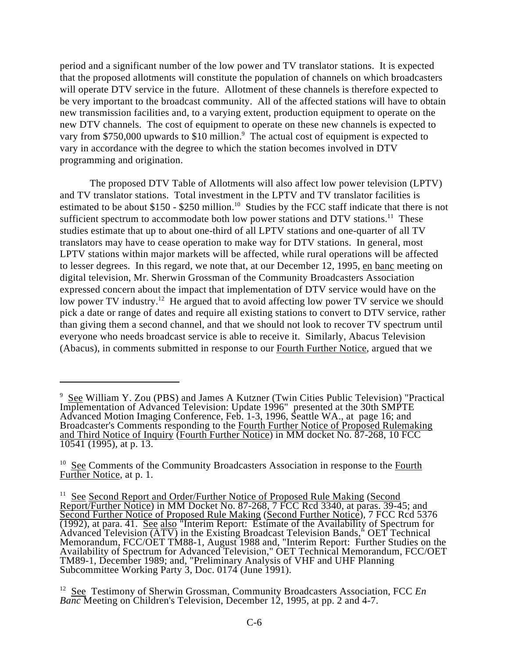period and a significant number of the low power and TV translator stations. It is expected that the proposed allotments will constitute the population of channels on which broadcasters will operate DTV service in the future. Allotment of these channels is therefore expected to be very important to the broadcast community. All of the affected stations will have to obtain new transmission facilities and, to a varying extent, production equipment to operate on the new DTV channels. The cost of equipment to operate on these new channels is expected to vary from \$750,000 upwards to \$10 million. $\degree$  The actual cost of equipment is expected to vary in accordance with the degree to which the station becomes involved in DTV programming and origination.

The proposed DTV Table of Allotments will also affect low power television (LPTV) and TV translator stations. Total investment in the LPTV and TV translator facilities is estimated to be about \$150 - \$250 million.<sup>10</sup> Studies by the FCC staff indicate that there is not sufficient spectrum to accommodate both low power stations and  $DTV$  stations.<sup>11</sup> These studies estimate that up to about one-third of all LPTV stations and one-quarter of all TV translators may have to cease operation to make way for DTV stations. In general, most LPTV stations within major markets will be affected, while rural operations will be affected to lesser degrees. In this regard, we note that, at our December 12, 1995, en banc meeting on digital television, Mr. Sherwin Grossman of the Community Broadcasters Association expressed concern about the impact that implementation of DTV service would have on the low power TV industry.<sup>12</sup> He argued that to avoid affecting low power TV service we should pick a date or range of dates and require all existing stations to convert to DTV service, rather than giving them a second channel, and that we should not look to recover TV spectrum until everyone who needs broadcast service is able to receive it. Similarly, Abacus Television (Abacus), in comments submitted in response to our Fourth Further Notice, argued that we

<sup>&</sup>lt;sup>9</sup> See William Y. Zou (PBS) and James A Kutzner (Twin Cities Public Television) "Practical Implementation of Advanced Television: Update 1996" presented at the 30th SMPTE Advanced Motion Imaging Conference, Feb. 1-3, 1996, Seattle WA., at page 16; and Broadcaster's Comments responding to the Fourth Further Notice of Proposed Rulemaking and Third Notice of Inquiry (Fourth Further Notice) in MM docket No. 87-268, 10 FCC 10541 (1995), at p. 13.

 $10$  See Comments of the Community Broadcasters Association in response to the Fourth Further Notice, at p. 1.

<sup>&</sup>lt;sup>11</sup> See Second Report and Order/Further Notice of Proposed Rule Making (Second Report/Further Notice) in MM Docket No. 87-268, 7 FCC Rcd 3340, at paras. 39-45; and Second Further Notice of Proposed Rule Making (Second Further Notice), 7 FCC Rcd 5376 (1992), at para. 41. See also <sup>"</sup>Interim Report: Estimate of the Availability of Spectrum for Advanced Television  $\overline{(ATV)}$  in the Existing Broadcast Television Bands," OET Technical Memorandum, FCC/OET TM88-1, August 1988 and, "Interim Report: Further Studies on the Availability of Spectrum for Advanced Television," OET Technical Memorandum, FCC/OET TM89-1, December 1989; and, "Preliminary Analysis of VHF and UHF Planning Subcommittee Working Party 3, Doc. 0174 (June 1991).

<sup>&</sup>lt;sup>12</sup> See Testimony of Sherwin Grossman, Community Broadcasters Association, FCC *En Banc* Meeting on Children's Television, December 12, 1995, at pp. 2 and 4-7.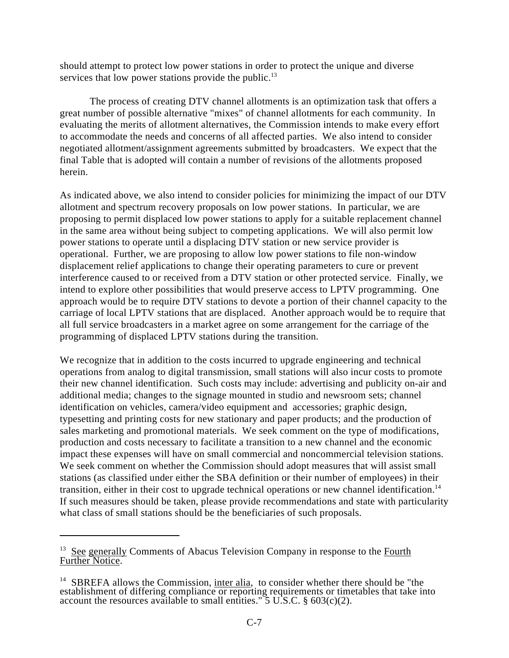should attempt to protect low power stations in order to protect the unique and diverse services that low power stations provide the public. $^{13}$ 

The process of creating DTV channel allotments is an optimization task that offers a great number of possible alternative "mixes" of channel allotments for each community. In evaluating the merits of allotment alternatives, the Commission intends to make every effort to accommodate the needs and concerns of all affected parties. We also intend to consider negotiated allotment/assignment agreements submitted by broadcasters. We expect that the final Table that is adopted will contain a number of revisions of the allotments proposed herein.

As indicated above, we also intend to consider policies for minimizing the impact of our DTV allotment and spectrum recovery proposals on low power stations. In particular, we are proposing to permit displaced low power stations to apply for a suitable replacement channel in the same area without being subject to competing applications. We will also permit low power stations to operate until a displacing DTV station or new service provider is operational. Further, we are proposing to allow low power stations to file non-window displacement relief applications to change their operating parameters to cure or prevent interference caused to or received from a DTV station or other protected service. Finally, we intend to explore other possibilities that would preserve access to LPTV programming. One approach would be to require DTV stations to devote a portion of their channel capacity to the carriage of local LPTV stations that are displaced. Another approach would be to require that all full service broadcasters in a market agree on some arrangement for the carriage of the programming of displaced LPTV stations during the transition.

We recognize that in addition to the costs incurred to upgrade engineering and technical operations from analog to digital transmission, small stations will also incur costs to promote their new channel identification. Such costs may include: advertising and publicity on-air and additional media; changes to the signage mounted in studio and newsroom sets; channel identification on vehicles, camera/video equipment and accessories; graphic design, typesetting and printing costs for new stationary and paper products; and the production of sales marketing and promotional materials. We seek comment on the type of modifications, production and costs necessary to facilitate a transition to a new channel and the economic impact these expenses will have on small commercial and noncommercial television stations. We seek comment on whether the Commission should adopt measures that will assist small stations (as classified under either the SBA definition or their number of employees) in their transition, either in their cost to upgrade technical operations or new channel identification.<sup>14</sup> If such measures should be taken, please provide recommendations and state with particularity what class of small stations should be the beneficiaries of such proposals.

 $13$  See generally Comments of Abacus Television Company in response to the Fourth Further Notice.

<sup>&</sup>lt;sup>14</sup> SBREFA allows the Commission, inter alia, to consider whether there should be "the establishment of differing compliance or reporting requirements or timetables that take into account the resources available to small entities."  $5 \text{ U.S.C. }$   $8 \text{ 603(c)(2)}$ .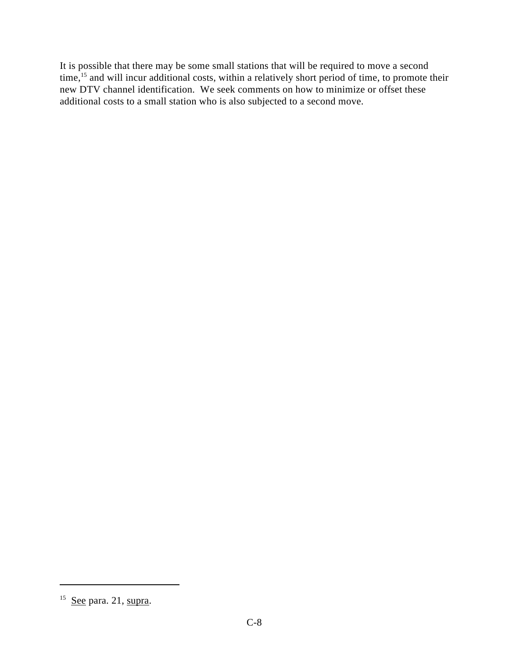It is possible that there may be some small stations that will be required to move a second time,  $15$  and will incur additional costs, within a relatively short period of time, to promote their new DTV channel identification. We seek comments on how to minimize or offset these additional costs to a small station who is also subjected to a second move.

 $15$  See para. 21, supra.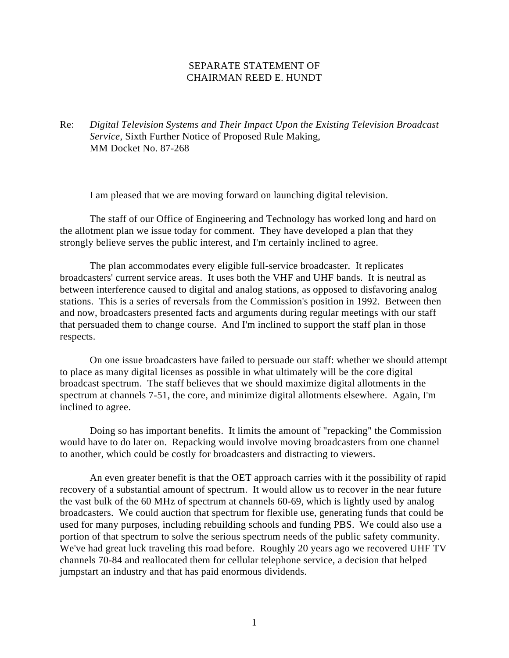### SEPARATE STATEMENT OF CHAIRMAN REED E. HUNDT

Re: *Digital Television Systems and Their Impact Upon the Existing Television Broadcast Service*, Sixth Further Notice of Proposed Rule Making, MM Docket No. 87-268

I am pleased that we are moving forward on launching digital television.

The staff of our Office of Engineering and Technology has worked long and hard on the allotment plan we issue today for comment. They have developed a plan that they strongly believe serves the public interest, and I'm certainly inclined to agree.

The plan accommodates every eligible full-service broadcaster. It replicates broadcasters' current service areas. It uses both the VHF and UHF bands. It is neutral as between interference caused to digital and analog stations, as opposed to disfavoring analog stations. This is a series of reversals from the Commission's position in 1992. Between then and now, broadcasters presented facts and arguments during regular meetings with our staff that persuaded them to change course. And I'm inclined to support the staff plan in those respects.

On one issue broadcasters have failed to persuade our staff: whether we should attempt to place as many digital licenses as possible in what ultimately will be the core digital broadcast spectrum. The staff believes that we should maximize digital allotments in the spectrum at channels 7-51, the core, and minimize digital allotments elsewhere. Again, I'm inclined to agree.

Doing so has important benefits. It limits the amount of "repacking" the Commission would have to do later on. Repacking would involve moving broadcasters from one channel to another, which could be costly for broadcasters and distracting to viewers.

An even greater benefit is that the OET approach carries with it the possibility of rapid recovery of a substantial amount of spectrum. It would allow us to recover in the near future the vast bulk of the 60 MHz of spectrum at channels 60-69, which is lightly used by analog broadcasters. We could auction that spectrum for flexible use, generating funds that could be used for many purposes, including rebuilding schools and funding PBS. We could also use a portion of that spectrum to solve the serious spectrum needs of the public safety community. We've had great luck traveling this road before. Roughly 20 years ago we recovered UHF TV channels 70-84 and reallocated them for cellular telephone service, a decision that helped jumpstart an industry and that has paid enormous dividends.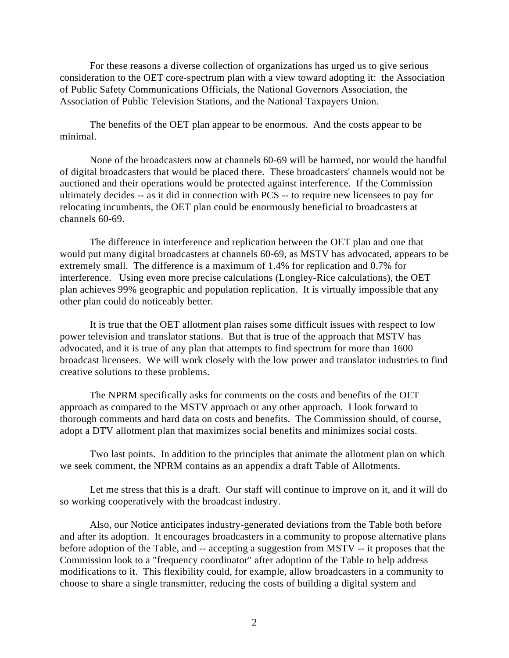For these reasons a diverse collection of organizations has urged us to give serious consideration to the OET core-spectrum plan with a view toward adopting it: the Association of Public Safety Communications Officials, the National Governors Association, the Association of Public Television Stations, and the National Taxpayers Union.

The benefits of the OET plan appear to be enormous. And the costs appear to be minimal.

None of the broadcasters now at channels 60-69 will be harmed, nor would the handful of digital broadcasters that would be placed there. These broadcasters' channels would not be auctioned and their operations would be protected against interference. If the Commission ultimately decides -- as it did in connection with PCS -- to require new licensees to pay for relocating incumbents, the OET plan could be enormously beneficial to broadcasters at channels 60-69.

The difference in interference and replication between the OET plan and one that would put many digital broadcasters at channels 60-69, as MSTV has advocated, appears to be extremely small. The difference is a maximum of 1.4% for replication and 0.7% for interference. Using even more precise calculations (Longley-Rice calculations), the OET plan achieves 99% geographic and population replication. It is virtually impossible that any other plan could do noticeably better.

It is true that the OET allotment plan raises some difficult issues with respect to low power television and translator stations. But that is true of the approach that MSTV has advocated, and it is true of any plan that attempts to find spectrum for more than 1600 broadcast licensees. We will work closely with the low power and translator industries to find creative solutions to these problems.

The NPRM specifically asks for comments on the costs and benefits of the OET approach as compared to the MSTV approach or any other approach. I look forward to thorough comments and hard data on costs and benefits. The Commission should, of course, adopt a DTV allotment plan that maximizes social benefits and minimizes social costs.

Two last points. In addition to the principles that animate the allotment plan on which we seek comment, the NPRM contains as an appendix a draft Table of Allotments.

Let me stress that this is a draft. Our staff will continue to improve on it, and it will do so working cooperatively with the broadcast industry.

Also, our Notice anticipates industry-generated deviations from the Table both before and after its adoption. It encourages broadcasters in a community to propose alternative plans before adoption of the Table, and -- accepting a suggestion from MSTV -- it proposes that the Commission look to a "frequency coordinator" after adoption of the Table to help address modifications to it. This flexibility could, for example, allow broadcasters in a community to choose to share a single transmitter, reducing the costs of building a digital system and